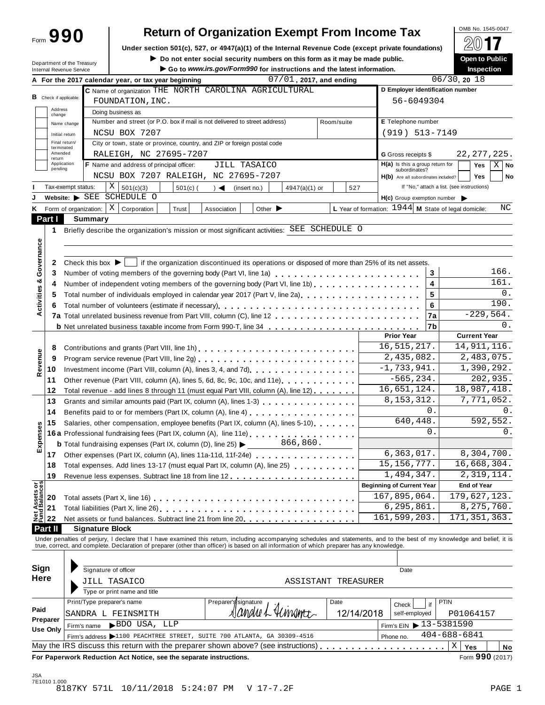| Form 990 |  |  |  |
|----------|--|--|--|
|          |  |  |  |

# **Return of Organization Exempt From Income Tax**

**Under section 501(c), 527, or 4947(a)(1) of the Internal Revenue Code (except private foundations)** À¾µ»

Under section 501(c), 527, or 4947(a)(1) or the Internal Revenue Code (except private foundations)<br>Department of the Treasury **Department of the Treasury Department of the Treasury Department of the Treasury** 

|                                      | Department of the Treasury<br><b>Internal Revenue Service</b>                                                                                                                                                                  | $\blacktriangleright$ Do not enter social security numbers on this form as it may be made public.<br>Go to www.irs.gov/Form990 for instructions and the latest information. |                                 |                            |                                                        | Open to Public<br><b>Inspection</b>        |  |  |  |  |  |
|--------------------------------------|--------------------------------------------------------------------------------------------------------------------------------------------------------------------------------------------------------------------------------|-----------------------------------------------------------------------------------------------------------------------------------------------------------------------------|---------------------------------|----------------------------|--------------------------------------------------------|--------------------------------------------|--|--|--|--|--|
|                                      | A For the 2017 calendar year, or tax year beginning                                                                                                                                                                            |                                                                                                                                                                             |                                 | $07/01$ , 2017, and ending |                                                        | 06/30, 2018                                |  |  |  |  |  |
|                                      |                                                                                                                                                                                                                                | C Name of organization THE NORTH CAROLINA AGRICULTURAL                                                                                                                      |                                 |                            | D Employer identification number                       |                                            |  |  |  |  |  |
| <b>B</b> Check if applicable:        | FOUNDATION, INC.                                                                                                                                                                                                               |                                                                                                                                                                             |                                 |                            |                                                        | 56-6049304                                 |  |  |  |  |  |
| Address                              |                                                                                                                                                                                                                                | Doing business as                                                                                                                                                           |                                 |                            |                                                        |                                            |  |  |  |  |  |
| change                               | Name change                                                                                                                                                                                                                    | Number and street (or P.O. box if mail is not delivered to street address)                                                                                                  |                                 | Room/suite                 | E Telephone number                                     |                                            |  |  |  |  |  |
|                                      | NCSU BOX 7207<br>Initial return                                                                                                                                                                                                |                                                                                                                                                                             |                                 |                            | $(919) 513 - 7149$                                     |                                            |  |  |  |  |  |
|                                      | Final return/                                                                                                                                                                                                                  | City or town, state or province, country, and ZIP or foreign postal code                                                                                                    |                                 |                            |                                                        |                                            |  |  |  |  |  |
| terminated<br>Amended                | RALEIGH, NC 27695-7207                                                                                                                                                                                                         |                                                                                                                                                                             |                                 |                            | G Gross receipts \$                                    | 22, 277, 225.                              |  |  |  |  |  |
| return<br>Application                | F Name and address of principal officer:                                                                                                                                                                                       |                                                                                                                                                                             | JILL TASAICO                    |                            | $H(a)$ is this a group return for                      | Yes<br>$X \mid$ No                         |  |  |  |  |  |
| pending                              |                                                                                                                                                                                                                                | NCSU BOX 7207 RALEIGH, NC 27695-7207                                                                                                                                        |                                 |                            | subordinates?                                          |                                            |  |  |  |  |  |
|                                      |                                                                                                                                                                                                                                |                                                                                                                                                                             |                                 |                            | H(b) Are all subordinates included?                    | <b>Yes</b><br>No                           |  |  |  |  |  |
|                                      | X<br>Tax-exempt status:<br>501(c)(3)                                                                                                                                                                                           | $501(c)$ (<br>$\rightarrow$                                                                                                                                                 | (insert no.)<br>$4947(a)(1)$ or | 527                        |                                                        | If "No," attach a list. (see instructions) |  |  |  |  |  |
|                                      | Website: SEE SCHEDULE O                                                                                                                                                                                                        |                                                                                                                                                                             |                                 |                            | H(c) Group exemption number                            |                                            |  |  |  |  |  |
| ĸ                                    | $X \vert$<br>Corporation<br>Form of organization:                                                                                                                                                                              | Trust<br>Association                                                                                                                                                        | Other $\blacktriangleright$     |                            | L Year of formation: $1944$ M State of legal domicile: | ΝC                                         |  |  |  |  |  |
| Part I                               | Summary                                                                                                                                                                                                                        |                                                                                                                                                                             |                                 |                            |                                                        |                                            |  |  |  |  |  |
| 1                                    | Briefly describe the organization's mission or most significant activities: SEE SCHEDULE O                                                                                                                                     |                                                                                                                                                                             |                                 |                            |                                                        |                                            |  |  |  |  |  |
|                                      |                                                                                                                                                                                                                                |                                                                                                                                                                             |                                 |                            |                                                        |                                            |  |  |  |  |  |
| Governance                           |                                                                                                                                                                                                                                |                                                                                                                                                                             |                                 |                            |                                                        |                                            |  |  |  |  |  |
| 2                                    | Check this box $\blacktriangleright$   if the organization discontinued its operations or disposed of more than 25% of its net assets.                                                                                         |                                                                                                                                                                             |                                 |                            |                                                        |                                            |  |  |  |  |  |
| 3                                    | Number of voting members of the governing body (Part VI, line 1a)                                                                                                                                                              |                                                                                                                                                                             |                                 |                            | 3                                                      | 166.                                       |  |  |  |  |  |
| 4                                    | Number of independent voting members of the governing body (Part VI, line 1b)                                                                                                                                                  |                                                                                                                                                                             |                                 |                            | 4                                                      | 161.                                       |  |  |  |  |  |
| 5                                    | Total number of individuals employed in calendar year 2017 (Part V, line 2a)                                                                                                                                                   |                                                                                                                                                                             |                                 |                            | 5                                                      | 0.                                         |  |  |  |  |  |
|                                      |                                                                                                                                                                                                                                |                                                                                                                                                                             |                                 |                            |                                                        | 190.                                       |  |  |  |  |  |
| Activities &<br>6                    |                                                                                                                                                                                                                                |                                                                                                                                                                             |                                 |                            | 6                                                      | $-229,564.$                                |  |  |  |  |  |
|                                      |                                                                                                                                                                                                                                |                                                                                                                                                                             |                                 |                            | 7a                                                     |                                            |  |  |  |  |  |
|                                      | <b>b</b> Net unrelated business taxable income from Form 990-T, line 34                                                                                                                                                        |                                                                                                                                                                             |                                 |                            | 7b                                                     | 0.                                         |  |  |  |  |  |
|                                      |                                                                                                                                                                                                                                |                                                                                                                                                                             |                                 |                            | <b>Prior Year</b>                                      | <b>Current Year</b>                        |  |  |  |  |  |
| 8                                    |                                                                                                                                                                                                                                |                                                                                                                                                                             |                                 |                            | 16, 515, 217.                                          | 14, 911, 116.                              |  |  |  |  |  |
| Revenue<br>9                         |                                                                                                                                                                                                                                |                                                                                                                                                                             |                                 |                            | 2,435,082.                                             | $\overline{2}$ , 483, 075.                 |  |  |  |  |  |
| 10                                   |                                                                                                                                                                                                                                |                                                                                                                                                                             |                                 |                            | $-1,733,941.$                                          | $\overline{1}$ , 390, 292.                 |  |  |  |  |  |
| 11                                   | Other revenue (Part VIII, column (A), lines 5, 6d, 8c, 9c, 10c, and 11e)                                                                                                                                                       |                                                                                                                                                                             |                                 |                            | $-565, 234.$                                           | 202,935.                                   |  |  |  |  |  |
| 12                                   | Total revenue - add lines 8 through 11 (must equal Part VIII, column (A), line 12)                                                                                                                                             |                                                                                                                                                                             |                                 |                            | 16,651,124.                                            | 18,987,418.                                |  |  |  |  |  |
| 13                                   | Grants and similar amounts paid (Part IX, column (A), lines 1-3)                                                                                                                                                               |                                                                                                                                                                             |                                 |                            | 8, 153, 312.                                           | 7,771,052.                                 |  |  |  |  |  |
| 14                                   |                                                                                                                                                                                                                                |                                                                                                                                                                             |                                 |                            | 0.                                                     | 0.                                         |  |  |  |  |  |
|                                      |                                                                                                                                                                                                                                |                                                                                                                                                                             |                                 |                            | 640,448.                                               | 592,552.                                   |  |  |  |  |  |
| 15                                   | Salaries, other compensation, employee benefits (Part IX, column (A), lines 5-10)                                                                                                                                              |                                                                                                                                                                             |                                 |                            | $\mathbf{0}$ .                                         | 0.                                         |  |  |  |  |  |
|                                      | 16a Professional fundraising fees (Part IX, column (A), line 11e).                                                                                                                                                             |                                                                                                                                                                             |                                 |                            |                                                        |                                            |  |  |  |  |  |
| Expenses                             | <b>b</b> Total fundraising expenses (Part IX, column (D), line 25) $\blacktriangleright$                                                                                                                                       |                                                                                                                                                                             | 866,860.                        |                            |                                                        |                                            |  |  |  |  |  |
| 17                                   | Other expenses (Part IX, column (A), lines 11a-11d, 11f-24e)                                                                                                                                                                   |                                                                                                                                                                             |                                 |                            | 6, 363, 017.                                           | 8,304,700.                                 |  |  |  |  |  |
| 18                                   | Total expenses. Add lines 13-17 (must equal Part IX, column (A), line 25)                                                                                                                                                      |                                                                                                                                                                             |                                 |                            | 15, 156, 777.                                          | 16,668,304.                                |  |  |  |  |  |
| 19                                   | Revenue less expenses. Subtract line 18 from line 12.                                                                                                                                                                          |                                                                                                                                                                             |                                 |                            | 1,494,347.                                             | 2,319,114.                                 |  |  |  |  |  |
|                                      |                                                                                                                                                                                                                                |                                                                                                                                                                             |                                 |                            | <b>Beginning of Current Year</b>                       | <b>End of Year</b>                         |  |  |  |  |  |
| Net Assets or<br>Fund Balances<br>20 |                                                                                                                                                                                                                                |                                                                                                                                                                             |                                 |                            | 167,895,064.                                           | 179,627,123.                               |  |  |  |  |  |
| 21                                   |                                                                                                                                                                                                                                |                                                                                                                                                                             |                                 |                            | 6, 295, 861.                                           | 8, 275, 760.                               |  |  |  |  |  |
| 22                                   | Net assets or fund balances. Subtract line 21 from line 20 <b>and interest assets or fund</b>                                                                                                                                  |                                                                                                                                                                             |                                 |                            | 161,599,203.                                           | 171, 351, 363.                             |  |  |  |  |  |
| Part II                              | <b>Signature Block</b>                                                                                                                                                                                                         |                                                                                                                                                                             |                                 |                            |                                                        |                                            |  |  |  |  |  |
|                                      |                                                                                                                                                                                                                                |                                                                                                                                                                             |                                 |                            |                                                        |                                            |  |  |  |  |  |
|                                      | Under penalties of perjury, I declare that I have examined this return, including accompanying schedules and statements, and to the best of my knowledge and belief, it is true, correct, and complete. Declaration of prepare |                                                                                                                                                                             |                                 |                            |                                                        |                                            |  |  |  |  |  |
|                                      |                                                                                                                                                                                                                                |                                                                                                                                                                             |                                 |                            |                                                        |                                            |  |  |  |  |  |
| Sign                                 | Signature of officer                                                                                                                                                                                                           |                                                                                                                                                                             |                                 |                            | Date                                                   |                                            |  |  |  |  |  |
| Here                                 |                                                                                                                                                                                                                                |                                                                                                                                                                             |                                 |                            |                                                        |                                            |  |  |  |  |  |
|                                      | JILL TASAICO                                                                                                                                                                                                                   |                                                                                                                                                                             |                                 | ASSISTANT TREASURER        |                                                        |                                            |  |  |  |  |  |
|                                      | Type or print name and title                                                                                                                                                                                                   |                                                                                                                                                                             |                                 |                            |                                                        |                                            |  |  |  |  |  |
|                                      | Print/Type preparer's name                                                                                                                                                                                                     | Preparer's signature                                                                                                                                                        |                                 | Date                       | if<br>Check                                            | PTIN                                       |  |  |  |  |  |
| Paid                                 | SANDRA L FEINSMITH                                                                                                                                                                                                             |                                                                                                                                                                             | andue L Himam <del>i</del> c    | 12/14/2018                 | self-employed                                          | P01064157                                  |  |  |  |  |  |
| Preparer                             | BDO USA, LLP<br>Firm's name                                                                                                                                                                                                    |                                                                                                                                                                             |                                 |                            | Firm's EIN ▶ 13-5381590                                |                                            |  |  |  |  |  |
| <b>Use Only</b>                      | Firm's address >1100 PEACHTREE STREET, SUITE 700 ATLANTA, GA 30309-4516                                                                                                                                                        |                                                                                                                                                                             |                                 |                            | Phone no.                                              | $404 - 688 - 6841$                         |  |  |  |  |  |
|                                      |                                                                                                                                                                                                                                |                                                                                                                                                                             |                                 |                            |                                                        |                                            |  |  |  |  |  |
|                                      | May the IRS discuss this return with the preparer shown above? (see instructions)                                                                                                                                              |                                                                                                                                                                             |                                 |                            | .                                                      | Χ<br>Yes<br>No                             |  |  |  |  |  |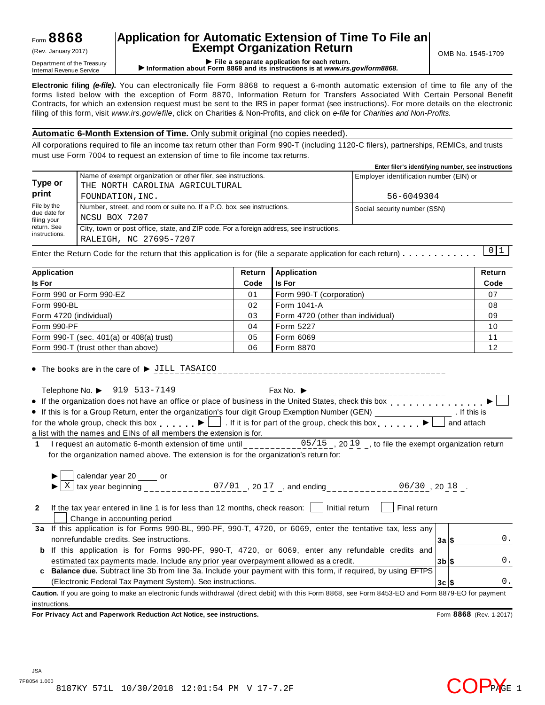### Form **8868**

## **Application for Automatic Extension of Time To File an Exempt Organization Return** (Rev. January 2017) OMB No. 1545-1709

Department of the Treasury<br>Department of the Treasury<br>Internal Revenue Service **CONFICE 1999 File a separate application for each return.**<br>Internal Revenue Service **CONFICE 1999 File a separate application for each return.** 

**Electronic filing** *(e-file)***.** You can electronically file Form 8868 to request a 6-month automatic extension of time to file any of the forms listed below with the exception of Form 8870, Information Return for Transfers Associated With Certain Personal Benefit Contracts, for which an extension request must be sent to the IRS in paper format (see instructions). For more details on the electronic filing of this form, visit *www.irs.gov/efile*, click on Charities & Non-Profits, and click on *e-file* for *Charities and Non-Profits.*

### **Automatic 6-Month Extension of Time.** Only submit original (no copies needed).

All corporations required to file an income tax return other than Form 990-T (including 1120-C filers), partnerships, REMICs, and trusts must use Form 7004 to request an extension of time to file income tax returns.

|                                            |                                                                                                                    | Enter filer's identifying number, see instructions |
|--------------------------------------------|--------------------------------------------------------------------------------------------------------------------|----------------------------------------------------|
| Type or                                    | Name of exempt organization or other filer, see instructions.<br>THE NORTH CAROLINA AGRICULTURAL                   | Employer identification number (EIN) or            |
| print                                      | FOUNDATION, INC.                                                                                                   | 56-6049304                                         |
| File by the<br>due date for<br>filing your | Number, street, and room or suite no. If a P.O. box, see instructions.<br>NCSU BOX 7207                            | Social security number (SSN)                       |
| return. See<br>instructions.               | City, town or post office, state, and ZIP code. For a foreign address, see instructions.<br>RALEIGH, NC 27695-7207 | .                                                  |

Enter the Return Code for the return that this application is for (file a separate application for each return)  $\ldots$   $\ldots$   $\ldots$   $\ldots$ 0 1

| Application                              | Return | <b>Application</b>                | Return |
|------------------------------------------|--------|-----------------------------------|--------|
| <b>Is For</b>                            | Code   | <b>Is For</b>                     | Code   |
| Form 990 or Form 990-EZ                  | 01     | Form 990-T (corporation)          | 07     |
| Form 990-BL                              | 02     | l Form 1041-A                     | 08     |
| Form 4720 (individual)                   | 03     | Form 4720 (other than individual) | 09     |
| Form 990-PF                              | 04     | <b>Form 5227</b>                  | 10     |
| Form 990-T (sec. 401(a) or 408(a) trust) | 05     | Form 6069                         | 11     |
| Form 990-T (trust other than above)      | 06     | Form 8870                         | 12     |

 $\bullet$  The books are in the care of  $\triangleright$  JILL TASAICO \_\_\_\_\_\_\_\_\_\_\_\_\_\_\_\_\_\_\_\_\_\_\_\_\_\_\_\_

Telephone No.  $\triangleright$  919 513-7149<br>If the constitution of the state of the state of the limit of the Heiter State If the organization does not have an office or place of business in the United States, check this box  $\Box$ If this is for a Group Return, enter the organization's four digit Group Exemption Number (GEN)  $\overline{\phantom{a}}$  for the organization's four digit Group Exemption Number (GEN) . If this is for the whole group, check this box  $\Box$  If it is for part of the group, check this box  $\Box$  and attach a list with the names and EINs of all members the extension is for.

1 I request an automatic 6-month extension of time until  $05/15$ , 2019, to file the exempt organization return for the organization named above. The extension is for the organization's return for:

|    | calendar year 20 _____ or<br>tax year beginning<br>07/01, 2017, and ending<br>$06/30$ , 20 18.                                                     |                      |  |               |  |  |  |  |
|----|----------------------------------------------------------------------------------------------------------------------------------------------------|----------------------|--|---------------|--|--|--|--|
| 2  | Initial return<br>Final return<br>If the tax year entered in line 1 is for less than 12 months, check reason:<br>Change in accounting period       |                      |  |               |  |  |  |  |
|    | 3a If this application is for Forms 990-BL, 990-PF, 990-T, 4720, or 6069, enter the tentative tax, less any                                        |                      |  |               |  |  |  |  |
|    | nonrefundable credits. See instructions.                                                                                                           | 3a S                 |  | 0.            |  |  |  |  |
| b  | If this application is for Forms 990-PF, 990-T, 4720, or 6069, enter any refundable credits and                                                    |                      |  |               |  |  |  |  |
|    | estimated tax payments made. Include any prior year overpayment allowed as a credit.                                                               | $3b$ $\vert s \vert$ |  | 0.            |  |  |  |  |
| C. | <b>Balance due.</b> Subtract line 3b from line 3a. Include your payment with this form, if required, by using EFTPS                                |                      |  |               |  |  |  |  |
|    | (Electronic Federal Tax Payment System). See instructions.                                                                                         | 3c S                 |  | $\mathbf 0$ . |  |  |  |  |
|    | Caution. If you are going to make an electronic funds withdrawal (direct debit) with this Form 8868, see Form 8453-EO and Form 8879-EO for payment |                      |  |               |  |  |  |  |

instructions.

**For Privacy Act and Paperwork Reduction Act Notice, see instructions.** Form **8868** (Rev. 1-2017)

COPPAGE 1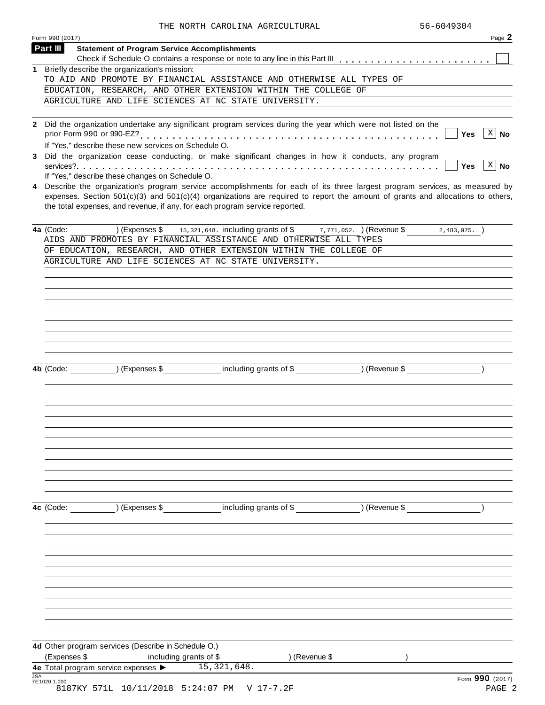|            | Form 990 (2017)                                                                                                                                                                                                                                                                                                | Page 2                    |
|------------|----------------------------------------------------------------------------------------------------------------------------------------------------------------------------------------------------------------------------------------------------------------------------------------------------------------|---------------------------|
|            | Part III<br><b>Statement of Program Service Accomplishments</b>                                                                                                                                                                                                                                                |                           |
|            |                                                                                                                                                                                                                                                                                                                |                           |
|            | 1 Briefly describe the organization's mission:<br>TO AID AND PROMOTE BY FINANCIAL ASSISTANCE AND OTHERWISE ALL TYPES OF                                                                                                                                                                                        |                           |
|            | EDUCATION, RESEARCH, AND OTHER EXTENSION WITHIN THE COLLEGE OF                                                                                                                                                                                                                                                 |                           |
|            | AGRICULTURE AND LIFE SCIENCES AT NC STATE UNIVERSITY.                                                                                                                                                                                                                                                          |                           |
|            |                                                                                                                                                                                                                                                                                                                |                           |
| 3          | 2 Did the organization undertake any significant program services during the year which were not listed on the<br>prior Form 990 or 990-EZ?<br>.<br>If "Yes," describe these new services on Schedule O.<br>Did the organization cease conducting, or make significant changes in how it conducts, any program | $ X $ No<br>Yes           |
| 4          | If "Yes," describe these changes on Schedule O.<br>Describe the organization's program service accomplishments for each of its three largest program services, as measured by                                                                                                                                  | $ X $ No<br><b>Yes</b>    |
|            | expenses. Section 501(c)(3) and 501(c)(4) organizations are required to report the amount of grants and allocations to others,<br>the total expenses, and revenue, if any, for each program service reported.                                                                                                  |                           |
|            | (Expenses \$ 15,321,648. including grants of \$ 7,771,052. ) (Revenue \$ 2,483,075. )<br>4a (Code:<br>AIDS AND PROMOTES BY FINANCIAL ASSISTANCE AND OTHERWISE ALL TYPES<br>OF EDUCATION, RESEARCH, AND OTHER EXTENSION WITHIN THE COLLEGE OF                                                                   |                           |
|            | AGRICULTURE AND LIFE SCIENCES AT NC STATE UNIVERSITY.                                                                                                                                                                                                                                                          |                           |
|            |                                                                                                                                                                                                                                                                                                                |                           |
|            |                                                                                                                                                                                                                                                                                                                |                           |
|            |                                                                                                                                                                                                                                                                                                                |                           |
|            |                                                                                                                                                                                                                                                                                                                |                           |
|            |                                                                                                                                                                                                                                                                                                                |                           |
|            |                                                                                                                                                                                                                                                                                                                |                           |
|            | including grants of \$ ) (Revenue \$<br>$($ Expenses $$$<br>4b (Code:                                                                                                                                                                                                                                          |                           |
|            |                                                                                                                                                                                                                                                                                                                |                           |
|            |                                                                                                                                                                                                                                                                                                                |                           |
|            |                                                                                                                                                                                                                                                                                                                |                           |
|            |                                                                                                                                                                                                                                                                                                                |                           |
|            |                                                                                                                                                                                                                                                                                                                |                           |
|            |                                                                                                                                                                                                                                                                                                                |                           |
|            |                                                                                                                                                                                                                                                                                                                |                           |
|            |                                                                                                                                                                                                                                                                                                                |                           |
|            | 4c (Code: ) (Expenses \$ including grants of \$ ) (Revenue \$                                                                                                                                                                                                                                                  |                           |
|            |                                                                                                                                                                                                                                                                                                                |                           |
|            |                                                                                                                                                                                                                                                                                                                |                           |
|            |                                                                                                                                                                                                                                                                                                                |                           |
|            |                                                                                                                                                                                                                                                                                                                |                           |
|            |                                                                                                                                                                                                                                                                                                                |                           |
|            |                                                                                                                                                                                                                                                                                                                |                           |
|            |                                                                                                                                                                                                                                                                                                                |                           |
|            |                                                                                                                                                                                                                                                                                                                |                           |
|            | 4d Other program services (Describe in Schedule O.)<br>(Expenses \$<br>including grants of \$<br>) (Revenue \$                                                                                                                                                                                                 |                           |
|            | 4e Total program service expenses > 15, 321, 648.                                                                                                                                                                                                                                                              |                           |
| <b>JSA</b> | 7E1020 1.000<br>8187KY 571L 10/11/2018 5:24:07 PM V 17-7.2F                                                                                                                                                                                                                                                    | Form 990 (2017)<br>PAGE 2 |
|            |                                                                                                                                                                                                                                                                                                                |                           |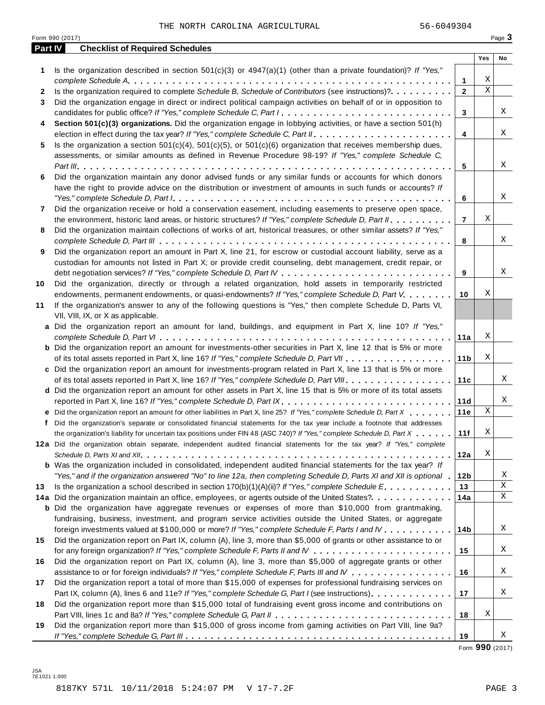|         | Form 990 (2017)                                                                                                                                                                                                                                                                                                                                                                               |                     |             | Page 3      |
|---------|-----------------------------------------------------------------------------------------------------------------------------------------------------------------------------------------------------------------------------------------------------------------------------------------------------------------------------------------------------------------------------------------------|---------------------|-------------|-------------|
| Part IV | <b>Checklist of Required Schedules</b>                                                                                                                                                                                                                                                                                                                                                        |                     |             |             |
|         |                                                                                                                                                                                                                                                                                                                                                                                               |                     | Yes         | No          |
| 1.      | Is the organization described in section $501(c)(3)$ or $4947(a)(1)$ (other than a private foundation)? If "Yes,"                                                                                                                                                                                                                                                                             |                     | Χ           |             |
|         | Is the organization required to complete Schedule B, Schedule of Contributors (see instructions)?.                                                                                                                                                                                                                                                                                            | 1<br>$\overline{2}$ | $\mathbf X$ |             |
| 2<br>3  | Did the organization engage in direct or indirect political campaign activities on behalf of or in opposition to                                                                                                                                                                                                                                                                              |                     |             |             |
|         | candidates for public office? If "Yes," complete Schedule C, Part I.                                                                                                                                                                                                                                                                                                                          | 3                   |             | Χ           |
| 4       | Section 501(c)(3) organizations. Did the organization engage in lobbying activities, or have a section 501(h)                                                                                                                                                                                                                                                                                 |                     |             |             |
|         |                                                                                                                                                                                                                                                                                                                                                                                               | $\overline{4}$      |             | Χ           |
| 5       | Is the organization a section $501(c)(4)$ , $501(c)(5)$ , or $501(c)(6)$ organization that receives membership dues,                                                                                                                                                                                                                                                                          |                     |             |             |
|         | assessments, or similar amounts as defined in Revenue Procedure 98-19? If "Yes," complete Schedule C,                                                                                                                                                                                                                                                                                         |                     |             |             |
|         |                                                                                                                                                                                                                                                                                                                                                                                               | 5                   |             | Χ           |
| 6       | Did the organization maintain any donor advised funds or any similar funds or accounts for which donors                                                                                                                                                                                                                                                                                       |                     |             |             |
|         | have the right to provide advice on the distribution or investment of amounts in such funds or accounts? If                                                                                                                                                                                                                                                                                   |                     |             |             |
|         | "Yes," complete Schedule D, Part $l_1, \ldots, l_k, \ldots, l_k, \ldots, l_k, \ldots, l_k, \ldots, l_k, \ldots, l_k, \ldots, l_k, \ldots, l_k, \ldots, l_k, \ldots, l_k, \ldots, l_k, \ldots, l_k, \ldots, l_k, \ldots, l_k, \ldots, l_k, \ldots, l_k, \ldots, l_k, \ldots, l_k, \ldots, l_k, \ldots, l_k, \ldots, l_k, \ldots, l_k, \ldots, l_k, \ldots, l_k, \ldots, l_k, \ldots, l_k, \ld$ | 6                   |             | Χ           |
| 7       | Did the organization receive or hold a conservation easement, including easements to preserve open space,                                                                                                                                                                                                                                                                                     |                     |             |             |
|         | the environment, historic land areas, or historic structures? If "Yes," complete Schedule D, Part II.                                                                                                                                                                                                                                                                                         | $\overline{7}$      | Χ           |             |
| 8       | Did the organization maintain collections of works of art, historical treasures, or other similar assets? If "Yes,"                                                                                                                                                                                                                                                                           |                     |             |             |
|         |                                                                                                                                                                                                                                                                                                                                                                                               | 8                   |             | Χ           |
| 9       | Did the organization report an amount in Part X, line 21, for escrow or custodial account liability, serve as a                                                                                                                                                                                                                                                                               |                     |             |             |
|         | custodian for amounts not listed in Part X; or provide credit counseling, debt management, credit repair, or                                                                                                                                                                                                                                                                                  |                     |             |             |
|         |                                                                                                                                                                                                                                                                                                                                                                                               | 9                   |             | Χ           |
| 10      | Did the organization, directly or through a related organization, hold assets in temporarily restricted                                                                                                                                                                                                                                                                                       |                     |             |             |
|         | endowments, permanent endowments, or quasi-endowments? If "Yes," complete Schedule D, Part V.                                                                                                                                                                                                                                                                                                 | 10                  | Χ           |             |
| 11      | If the organization's answer to any of the following questions is "Yes," then complete Schedule D, Parts VI,                                                                                                                                                                                                                                                                                  |                     |             |             |
|         | VII, VIII, IX, or X as applicable.                                                                                                                                                                                                                                                                                                                                                            |                     |             |             |
|         | a Did the organization report an amount for land, buildings, and equipment in Part X, line 10? If "Yes,"                                                                                                                                                                                                                                                                                      |                     |             |             |
|         |                                                                                                                                                                                                                                                                                                                                                                                               | 11a                 | Χ           |             |
|         | <b>b</b> Did the organization report an amount for investments-other securities in Part X, line 12 that is 5% or more                                                                                                                                                                                                                                                                         |                     |             |             |
|         |                                                                                                                                                                                                                                                                                                                                                                                               | 11 <sub>b</sub>     | Χ           |             |
|         | c Did the organization report an amount for investments-program related in Part X, line 13 that is 5% or more                                                                                                                                                                                                                                                                                 |                     |             |             |
|         |                                                                                                                                                                                                                                                                                                                                                                                               | 11c                 |             | Χ           |
|         | d Did the organization report an amount for other assets in Part X, line 15 that is 5% or more of its total assets                                                                                                                                                                                                                                                                            |                     |             |             |
|         | reported in Part X, line 16? If "Yes," complete Schedule D, Part IX.                                                                                                                                                                                                                                                                                                                          | 11d                 |             | Χ           |
|         | e Did the organization report an amount for other liabilities in Part X, line 25? If "Yes," complete Schedule D, Part X                                                                                                                                                                                                                                                                       | 11e                 | Χ           |             |
|         | f Did the organization's separate or consolidated financial statements for the tax year include a footnote that addresses                                                                                                                                                                                                                                                                     |                     |             |             |
|         | the organization's liability for uncertain tax positions under FIN 48 (ASC 740)? If "Yes," complete Schedule D, Part X                                                                                                                                                                                                                                                                        | 11f                 | Χ           |             |
|         | 12a Did the organization obtain separate, independent audited financial statements for the tax year? If "Yes," complete                                                                                                                                                                                                                                                                       |                     |             |             |
|         |                                                                                                                                                                                                                                                                                                                                                                                               | 12a                 | Χ           |             |
|         | <b>b</b> Was the organization included in consolidated, independent audited financial statements for the tax year? If                                                                                                                                                                                                                                                                         |                     |             | Χ           |
|         | "Yes," and if the organization answered "No" to line 12a, then completing Schedule D, Parts XI and XII is optional .                                                                                                                                                                                                                                                                          | 12b                 |             | $\mathbf X$ |
| 13      | Is the organization a school described in section 170(b)(1)(A)(ii)? If "Yes," complete Schedule E.<br>14a Did the organization maintain an office, employees, or agents outside of the United States?.                                                                                                                                                                                        | 13<br>14a           |             | X           |
|         | <b>b</b> Did the organization have aggregate revenues or expenses of more than \$10,000 from grantmaking,                                                                                                                                                                                                                                                                                     |                     |             |             |
|         | fundraising, business, investment, and program service activities outside the United States, or aggregate                                                                                                                                                                                                                                                                                     |                     |             |             |
|         | foreign investments valued at \$100,000 or more? If "Yes," complete Schedule F, Parts I and IV                                                                                                                                                                                                                                                                                                | 14 <sub>b</sub>     |             | Χ           |
| 15      | Did the organization report on Part IX, column (A), line 3, more than \$5,000 of grants or other assistance to or                                                                                                                                                                                                                                                                             |                     |             |             |
|         |                                                                                                                                                                                                                                                                                                                                                                                               | 15                  |             | Χ           |
| 16      | Did the organization report on Part IX, column (A), line 3, more than \$5,000 of aggregate grants or other                                                                                                                                                                                                                                                                                    |                     |             |             |
|         | assistance to or for foreign individuals? If "Yes," complete Schedule F, Parts III and IV                                                                                                                                                                                                                                                                                                     | 16                  |             | Χ           |
| 17      | Did the organization report a total of more than \$15,000 of expenses for professional fundraising services on                                                                                                                                                                                                                                                                                |                     |             |             |
|         | Part IX, column (A), lines 6 and 11e? If "Yes," complete Schedule G, Part I (see instructions)                                                                                                                                                                                                                                                                                                | 17                  |             | Χ           |
| 18      | Did the organization report more than \$15,000 total of fundraising event gross income and contributions on                                                                                                                                                                                                                                                                                   |                     |             |             |
|         |                                                                                                                                                                                                                                                                                                                                                                                               | 18                  | Χ           |             |
| 19      | Did the organization report more than \$15,000 of gross income from gaming activities on Part VIII, line 9a?                                                                                                                                                                                                                                                                                  |                     |             |             |
|         |                                                                                                                                                                                                                                                                                                                                                                                               | 19                  |             | Χ           |

Form **990** (2017)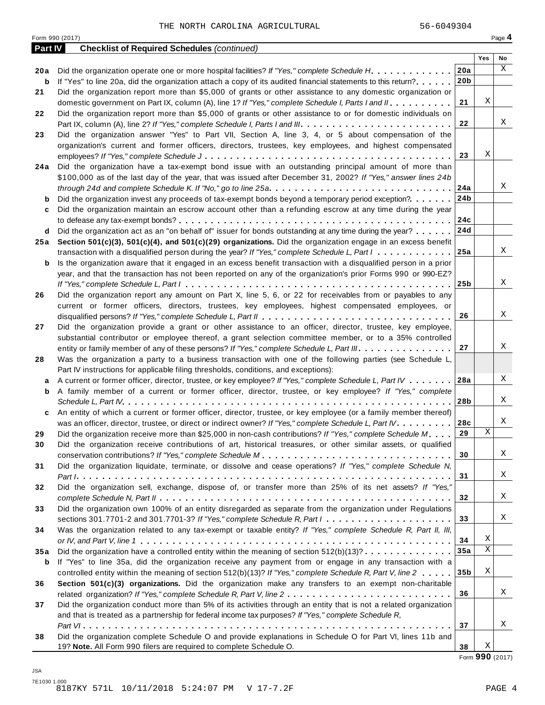|         | Form 990 (2017)                                                                                                             |                 |     | Page 4 |
|---------|-----------------------------------------------------------------------------------------------------------------------------|-----------------|-----|--------|
| Part IV | <b>Checklist of Required Schedules (continued)</b>                                                                          |                 |     |        |
|         |                                                                                                                             |                 | Yes | No     |
| 20 a    | Did the organization operate one or more hospital facilities? If "Yes," complete Schedule H.                                | 20a             |     | X      |
| b       | If "Yes" to line 20a, did the organization attach a copy of its audited financial statements to this return?                | 20 <sub>b</sub> |     |        |
| 21      | Did the organization report more than \$5,000 of grants or other assistance to any domestic organization or                 |                 |     |        |
|         | domestic government on Part IX, column (A), line 1? If "Yes," complete Schedule I, Parts I and II.                          | 21              | Χ   |        |
| 22      | Did the organization report more than \$5,000 of grants or other assistance to or for domestic individuals on               |                 |     |        |
|         |                                                                                                                             | 22              |     | Χ      |
| 23      | Did the organization answer "Yes" to Part VII, Section A, line 3, 4, or 5 about compensation of the                         |                 |     |        |
|         | organization's current and former officers, directors, trustees, key employees, and highest compensated                     |                 |     |        |
|         |                                                                                                                             | 23              | Χ   |        |
| 24 a    | Did the organization have a tax-exempt bond issue with an outstanding principal amount of more than                         |                 |     |        |
|         | \$100,000 as of the last day of the year, that was issued after December 31, 2002? If "Yes," answer lines 24b               |                 |     |        |
|         | through 24d and complete Schedule K. If "No," go to line 25a                                                                | 24a             |     | Χ      |
| b       | Did the organization invest any proceeds of tax-exempt bonds beyond a temporary period exception?                           | 24b             |     |        |
| c       | Did the organization maintain an escrow account other than a refunding escrow at any time during the year                   |                 |     |        |
|         |                                                                                                                             | 24c             |     |        |
| d       | Did the organization act as an "on behalf of" issuer for bonds outstanding at any time during the year?                     | 24d             |     |        |
| 25 a    | Section 501(c)(3), 501(c)(4), and 501(c)(29) organizations. Did the organization engage in an excess benefit                |                 |     |        |
|         | transaction with a disqualified person during the year? If "Yes," complete Schedule L, Part I                               | 25a             |     | Χ      |
| b       | Is the organization aware that it engaged in an excess benefit transaction with a disqualified person in a prior            |                 |     |        |
|         | year, and that the transaction has not been reported on any of the organization's prior Forms 990 or 990-EZ?                |                 |     |        |
|         |                                                                                                                             | 25 <sub>b</sub> |     | X      |
|         |                                                                                                                             |                 |     |        |
| 26      | Did the organization report any amount on Part X, line 5, 6, or 22 for receivables from or payables to any                  |                 |     |        |
|         | current or former officers, directors, trustees, key employees, highest compensated employees, or                           |                 |     | Χ      |
|         |                                                                                                                             | 26              |     |        |
| 27      | Did the organization provide a grant or other assistance to an officer, director, trustee, key employee,                    |                 |     |        |
|         | substantial contributor or employee thereof, a grant selection committee member, or to a 35% controlled                     |                 |     |        |
|         | entity or family member of any of these persons? If "Yes," complete Schedule L, Part III.                                   | 27              |     | Χ      |
| 28      | Was the organization a party to a business transaction with one of the following parties (see Schedule L,                   |                 |     |        |
|         | Part IV instructions for applicable filing thresholds, conditions, and exceptions):                                         |                 |     |        |
| а       | A current or former officer, director, trustee, or key employee? If "Yes," complete Schedule L, Part IV                     | 28a             |     | Χ      |
| b       | A family member of a current or former officer, director, trustee, or key employee? If "Yes," complete                      |                 |     |        |
|         |                                                                                                                             | 28b             |     | Χ      |
| c       | An entity of which a current or former officer, director, trustee, or key employee (or a family member thereof)             |                 |     |        |
|         | was an officer, director, trustee, or direct or indirect owner? If "Yes," complete Schedule L, Part IV.                     | 28c             |     | Χ      |
| 29      | Did the organization receive more than \$25,000 in non-cash contributions? If "Yes," complete Schedule M                    | 29              | Χ   |        |
| 30      | Did the organization receive contributions of art, historical treasures, or other similar assets, or qualified              |                 |     |        |
|         |                                                                                                                             | 30              |     | Χ      |
| 31      | Did the organization liquidate, terminate, or dissolve and cease operations? If "Yes," complete Schedule N,                 |                 |     |        |
|         |                                                                                                                             | 31              |     | Χ      |
| 32      | Did the organization sell, exchange, dispose of, or transfer more than 25% of its net assets? If "Yes,"                     |                 |     |        |
|         |                                                                                                                             | 32              |     | Χ      |
| 33      | Did the organization own 100% of an entity disregarded as separate from the organization under Regulations                  |                 |     |        |
|         | sections 301.7701-2 and 301.7701-3? If "Yes," complete Schedule R, Part $1, \ldots, \ldots, \ldots, \ldots, \ldots, \ldots$ | 33              |     | Χ      |
| 34      | Was the organization related to any tax-exempt or taxable entity? If "Yes," complete Schedule R, Part II, III,              |                 |     |        |
|         |                                                                                                                             | 34              | Χ   |        |
| 35a     | Did the organization have a controlled entity within the meaning of section $512(b)(13)? \ldots \ldots \ldots \ldots$       | 35a             | Χ   |        |
| b       | If "Yes" to line 35a, did the organization receive any payment from or engage in any transaction with a                     |                 |     |        |
|         | controlled entity within the meaning of section 512(b)(13)? If "Yes," complete Schedule R, Part V, line 2                   | 35 <sub>b</sub> | Χ   |        |
|         |                                                                                                                             |                 |     |        |
| 36      | Section 501(c)(3) organizations. Did the organization make any transfers to an exempt non-charitable                        | 36              |     | Χ      |
|         |                                                                                                                             |                 |     |        |
| 37      | Did the organization conduct more than 5% of its activities through an entity that is not a related organization            |                 |     |        |
|         | and that is treated as a partnership for federal income tax purposes? If "Yes," complete Schedule R,                        |                 |     | Χ      |
|         |                                                                                                                             |                 |     |        |
| 38      | Did the organization complete Schedule O and provide explanations in Schedule O for Part VI, lines 11b and                  | 37              |     |        |

Form **990** (2017)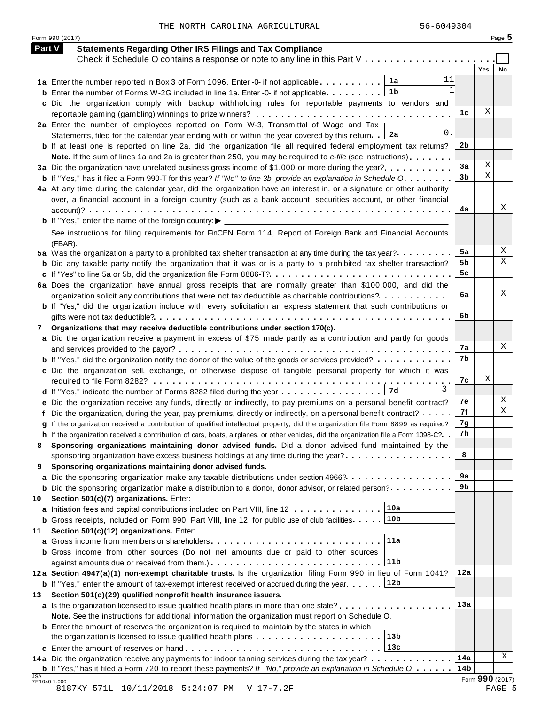Form <sup>990</sup> (2017) Page **5**

| <b>Part V</b> | <b>Statements Regarding Other IRS Filings and Tax Compliance</b>                                                                                                                                       |                |     |    |
|---------------|--------------------------------------------------------------------------------------------------------------------------------------------------------------------------------------------------------|----------------|-----|----|
|               | Check if Schedule O contains a response or note to any line in this Part V                                                                                                                             |                | Yes | No |
|               | 11<br>1a Enter the number reported in Box 3 of Form 1096. Enter -0- if not applicable $\ldots \ldots \ldots$                                                                                           |                |     |    |
|               | $\mathbf{1}$<br>1b<br><b>b</b> Enter the number of Forms W-2G included in line 1a. Enter -0- if not applicable. $\dots \dots \dots$                                                                    |                |     |    |
|               | c Did the organization comply with backup withholding rules for reportable payments to vendors and                                                                                                     |                |     |    |
|               |                                                                                                                                                                                                        | 1c             | Χ   |    |
|               | 2a Enter the number of employees reported on Form W-3, Transmittal of Wage and Tax                                                                                                                     |                |     |    |
|               | 0.<br>2a<br>Statements, filed for the calendar year ending with or within the year covered by this return.                                                                                             |                |     |    |
|               | <b>b</b> If at least one is reported on line 2a, did the organization file all required federal employment tax returns?                                                                                | 2 <sub>b</sub> |     |    |
|               | Note. If the sum of lines 1a and 2a is greater than 250, you may be required to e-file (see instructions)                                                                                              |                |     |    |
|               | 3a Did the organization have unrelated business gross income of \$1,000 or more during the year?                                                                                                       | 3a             | Χ   |    |
|               | <b>b</b> If "Yes," has it filed a Form 990-T for this year? If "No" to line 3b, provide an explanation in Schedule O.                                                                                  | 3 <sub>b</sub> | X   |    |
|               | 4a At any time during the calendar year, did the organization have an interest in, or a signature or other authority                                                                                   |                |     |    |
|               | over, a financial account in a foreign country (such as a bank account, securities account, or other financial                                                                                         |                |     |    |
|               |                                                                                                                                                                                                        | 4a             |     | Χ  |
|               |                                                                                                                                                                                                        |                |     |    |
|               | See instructions for filing requirements for FinCEN Form 114, Report of Foreign Bank and Financial Accounts                                                                                            |                |     |    |
|               | (FBAR).                                                                                                                                                                                                | 5a             |     | Х  |
|               | 5a Was the organization a party to a prohibited tax shelter transaction at any time during the tax year?                                                                                               | 5b             |     | X  |
|               | <b>b</b> Did any taxable party notify the organization that it was or is a party to a prohibited tax shelter transaction?                                                                              | 5 <sub>c</sub> |     |    |
|               | 6a Does the organization have annual gross receipts that are normally greater than \$100,000, and did the                                                                                              |                |     |    |
|               | organization solicit any contributions that were not tax deductible as charitable contributions?                                                                                                       | 6a             |     | X  |
|               | <b>b</b> If "Yes," did the organization include with every solicitation an express statement that such contributions or                                                                                |                |     |    |
|               |                                                                                                                                                                                                        | 6b             |     |    |
| 7             | Organizations that may receive deductible contributions under section 170(c).                                                                                                                          |                |     |    |
|               | a Did the organization receive a payment in excess of \$75 made partly as a contribution and partly for goods                                                                                          |                |     |    |
|               |                                                                                                                                                                                                        | 7а             |     | Χ  |
|               | <b>b</b> If "Yes," did the organization notify the donor of the value of the goods or services provided?                                                                                               | 7b             |     |    |
|               | c Did the organization sell, exchange, or otherwise dispose of tangible personal property for which it was                                                                                             |                |     |    |
|               |                                                                                                                                                                                                        | 7c             | Χ   |    |
|               | 3                                                                                                                                                                                                      |                |     |    |
|               | e Did the organization receive any funds, directly or indirectly, to pay premiums on a personal benefit contract?                                                                                      | 7e             |     | Χ  |
|               | f Did the organization, during the year, pay premiums, directly or indirectly, on a personal benefit contract?                                                                                         | 7f             |     | Χ  |
|               | g If the organization received a contribution of qualified intellectual property, did the organization file Form 8899 as required?                                                                     | 7g             |     |    |
|               | h If the organization received a contribution of cars, boats, airplanes, or other vehicles, did the organization file a Form 1098-C?. .                                                                | 7h             |     |    |
| 8             | Sponsoring organizations maintaining donor advised funds. Did a donor advised fund maintained by the                                                                                                   |                |     |    |
|               | sponsoring organization have excess business holdings at any time during the year?                                                                                                                     | 8              |     |    |
| 9             | Sponsoring organizations maintaining donor advised funds.                                                                                                                                              |                |     |    |
|               | a Did the sponsoring organization make any taxable distributions under section 4966?                                                                                                                   | 9a             |     |    |
|               | <b>b</b> Did the sponsoring organization make a distribution to a donor, donor advisor, or related person?                                                                                             | 9b             |     |    |
| 10            | Section 501(c)(7) organizations. Enter:<br>10a                                                                                                                                                         |                |     |    |
|               | a Initiation fees and capital contributions included on Part VIII, line 12<br>10 <sub>b</sub><br><b>b</b> Gross receipts, included on Form 990, Part VIII, line 12, for public use of club facilities. |                |     |    |
| 11            | Section 501(c)(12) organizations. Enter:                                                                                                                                                               |                |     |    |
|               | 11a                                                                                                                                                                                                    |                |     |    |
|               | <b>b</b> Gross income from other sources (Do not net amounts due or paid to other sources                                                                                                              |                |     |    |
|               | 11b                                                                                                                                                                                                    |                |     |    |
|               | 12a Section 4947(a)(1) non-exempt charitable trusts. Is the organization filing Form 990 in lieu of Form 1041?                                                                                         | 12a            |     |    |
|               | 12b<br><b>b</b> If "Yes," enter the amount of tax-exempt interest received or accrued during the year                                                                                                  |                |     |    |
| 13            | Section 501(c)(29) qualified nonprofit health insurance issuers.                                                                                                                                       |                |     |    |
|               | a Is the organization licensed to issue qualified health plans in more than one state?                                                                                                                 | 13a            |     |    |
|               | Note. See the instructions for additional information the organization must report on Schedule O.                                                                                                      |                |     |    |
|               | <b>b</b> Enter the amount of reserves the organization is required to maintain by the states in which                                                                                                  |                |     |    |
|               | 13 <sub>b</sub>                                                                                                                                                                                        |                |     |    |
|               | 13c                                                                                                                                                                                                    |                |     |    |
|               | 14a Did the organization receive any payments for indoor tanning services during the tax year?                                                                                                         | 14a            |     | Χ  |
|               | <b>b</b> If "Yes," has it filed a Form 720 to report these payments? If "No," provide an explanation in Schedule $0$                                                                                   | 14b            |     |    |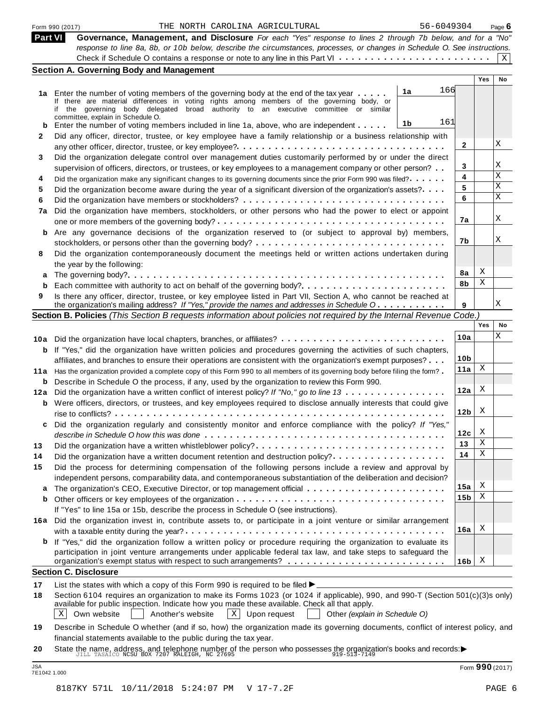|  | Form 990 (2017) |
|--|-----------------|
|  |                 |

### Form 990 (2017) Page **6** THE NORTH CAROLINA AGRICULTURAL 56-6049304

**Part VI Governance, Management, and Disclosure** *For each "Yes" response to lines 2 through 7b below, and for a "No" response to line 8a, 8b, or 10b below, describe the circumstances, processes, or changes in Schedule O. See instructions.* Form 990 (2017) THE NORTH CAROLINA AGRICULTURAL 56-6049304 INTERT CAROLINA AGRICULTURAL 56-6049304 INTERT CAROLINA AGRICULTURAL 56-6049304 Theory of the Sa, 8b, or 10b below, describe the circumstances, processes, or chang  $|X|$ 

| Part VI | Governance, Management, and Disclosure For each "Yes" response to lines 2 through 7b below, and for a "No"                                                                           |                 |     |             |
|---------|--------------------------------------------------------------------------------------------------------------------------------------------------------------------------------------|-----------------|-----|-------------|
|         | response to line 8a, 8b, or 10b below, describe the circumstances, processes, or changes in Schedule O. See instructions.                                                            |                 |     |             |
|         |                                                                                                                                                                                      |                 |     | $X \vert$   |
|         | <b>Section A. Governing Body and Management</b>                                                                                                                                      |                 |     |             |
|         |                                                                                                                                                                                      |                 | Yes | No          |
|         | 166<br>1a                                                                                                                                                                            |                 |     |             |
|         | 1a Enter the number of voting members of the governing body at the end of the tax year<br>If there are material differences in voting rights among members of the governing body, or |                 |     |             |
|         | if the governing body delegated broad authority to an executive committee or similar                                                                                                 |                 |     |             |
|         | committee, explain in Schedule O.                                                                                                                                                    |                 |     |             |
| b       | 161<br>1b<br>Enter the number of voting members included in line 1a, above, who are independent                                                                                      |                 |     |             |
| 2       | Did any officer, director, trustee, or key employee have a family relationship or a business relationship with                                                                       |                 |     |             |
|         |                                                                                                                                                                                      | $\mathbf{2}$    |     | Χ           |
| 3       | Did the organization delegate control over management duties customarily performed by or under the direct                                                                            |                 |     |             |
|         | supervision of officers, directors, or trustees, or key employees to a management company or other person?                                                                           | 3               |     | Χ           |
| 4       | Did the organization make any significant changes to its governing documents since the prior Form 990 was filed?                                                                     | 4               |     | $\mathbf X$ |
| 5       | Did the organization become aware during the year of a significant diversion of the organization's assets?                                                                           | 5               |     | X           |
| 6       |                                                                                                                                                                                      | 6               |     | X           |
|         |                                                                                                                                                                                      |                 |     |             |
| 7a      | Did the organization have members, stockholders, or other persons who had the power to elect or appoint                                                                              | 7a              |     | Χ           |
|         |                                                                                                                                                                                      |                 |     |             |
| b       | Are any governance decisions of the organization reserved to (or subject to approval by) members,                                                                                    |                 |     |             |
|         |                                                                                                                                                                                      | 7b              |     | Χ           |
| 8       | Did the organization contemporaneously document the meetings held or written actions undertaken during                                                                               |                 |     |             |
|         | the year by the following:                                                                                                                                                           |                 |     |             |
| а       |                                                                                                                                                                                      | 8a              | Χ   |             |
| b       | Each committee with authority to act on behalf of the governing body?                                                                                                                | 8b              | Χ   |             |
| 9       | Is there any officer, director, trustee, or key employee listed in Part VII, Section A, who cannot be reached at                                                                     |                 |     |             |
|         | the organization's mailing address? If "Yes," provide the names and addresses in Schedule O.                                                                                         | 9               |     | Χ           |
|         | Section B. Policies (This Section B requests information about policies not required by the Internal Revenue Code.)                                                                  |                 |     |             |
|         |                                                                                                                                                                                      |                 | Yes | No          |
|         |                                                                                                                                                                                      | 10a             |     | Χ           |
|         | 10a Did the organization have local chapters, branches, or affiliates?                                                                                                               |                 |     |             |
| b       | If "Yes," did the organization have written policies and procedures governing the activities of such chapters,                                                                       | 10 <sub>b</sub> |     |             |
|         | affiliates, and branches to ensure their operations are consistent with the organization's exempt purposes?                                                                          |                 | Χ   |             |
| 11 a    | Has the organization provided a complete copy of this Form 990 to all members of its governing body before filing the form?                                                          | 11a             |     |             |
| b       | Describe in Schedule O the process, if any, used by the organization to review this Form 990.                                                                                        |                 |     |             |
| 12a     | Did the organization have a written conflict of interest policy? If "No," go to line 13                                                                                              | 12a             | Χ   |             |
| b       | Were officers, directors, or trustees, and key employees required to disclose annually interests that could give                                                                     |                 |     |             |
|         |                                                                                                                                                                                      | 12 <sub>b</sub> | X   |             |
| c       | Did the organization regularly and consistently monitor and enforce compliance with the policy? If "Yes,"                                                                            |                 |     |             |
|         |                                                                                                                                                                                      | 12c             | х   |             |
| 13      |                                                                                                                                                                                      | 13              | Χ   |             |
| 14      | Did the organization have a written document retention and destruction policy?                                                                                                       | 14              | Χ   |             |
| 15      |                                                                                                                                                                                      |                 |     |             |
|         | Did the process for determining compensation of the following persons include a review and approval by                                                                               |                 |     |             |
|         | independent persons, comparability data, and contemporaneous substantiation of the deliberation and decision?                                                                        | 15a             | X   |             |
| а       | The organization's CEO, Executive Director, or top management official                                                                                                               | 15 <sub>b</sub> | Χ   |             |
| b       |                                                                                                                                                                                      |                 |     |             |
|         | If "Yes" to line 15a or 15b, describe the process in Schedule O (see instructions).                                                                                                  |                 |     |             |
| 16а     | Did the organization invest in, contribute assets to, or participate in a joint venture or similar arrangement                                                                       |                 |     |             |
|         |                                                                                                                                                                                      | 16a             | X   |             |
| b       | If "Yes," did the organization follow a written policy or procedure requiring the organization to evaluate its                                                                       |                 |     |             |
|         | participation in joint venture arrangements under applicable federal tax law, and take steps to safeguard the                                                                        |                 |     |             |
|         |                                                                                                                                                                                      | 16b             | X   |             |
|         | <b>Section C. Disclosure</b>                                                                                                                                                         |                 |     |             |
| 17      | List the states with which a copy of this Form 990 is required to be filed $\blacktriangleright$                                                                                     |                 |     |             |
| 18      | Section 6104 requires an organization to make its Forms 1023 (or 1024 if applicable), 990, and 990-T (Section 501(c)(3)s only)                                                       |                 |     |             |
|         | available for public inspection. Indicate how you made these available. Check all that apply.                                                                                        |                 |     |             |
|         | Own website<br>$\vert X \vert$<br>$X \mid$<br>Another's website<br>Upon request<br>Other (explain in Schedule O)                                                                     |                 |     |             |
|         |                                                                                                                                                                                      |                 |     |             |

**<sup>19</sup>** Describe in Schedule O whether (and if so, how) the organization made its governing documents, conflict of interest policy, and financial statements available to the public during the tax year.

**<sup>20</sup>** Imancial statements available to the public during the tax year.<br>State the name, address, and telephone number of the person who possesses the organization's books and records:<br> $\frac{J\text{ILL} \text{TSAICO NCSU BOX} \text{ROX} \text{7207 RALEIGH}, \text{NC} \$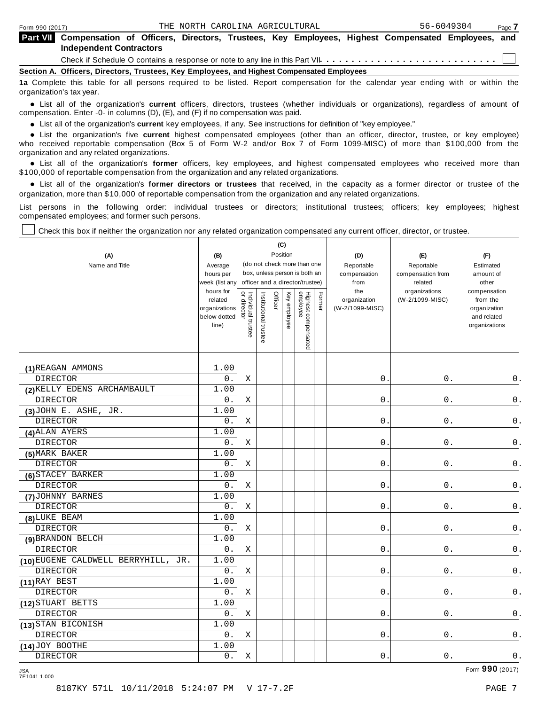|                                                                                            | <b>Independent Contractors</b> |  |  |  |  |  | <b>Part VII</b> Compensation of Officers, Directors, Trustees, Key Employees, Highest Compensated Employees, and                  |  |  |  |  |
|--------------------------------------------------------------------------------------------|--------------------------------|--|--|--|--|--|-----------------------------------------------------------------------------------------------------------------------------------|--|--|--|--|
|                                                                                            |                                |  |  |  |  |  |                                                                                                                                   |  |  |  |  |
| Section A. Officers, Directors, Trustees, Key Employees, and Highest Compensated Employees |                                |  |  |  |  |  |                                                                                                                                   |  |  |  |  |
|                                                                                            | organization's tax year.       |  |  |  |  |  | 1a Complete this table for all persons required to be listed. Report compensation for the calendar year ending with or within the |  |  |  |  |

anization's lax year.<br>● List all of the organization's **current** officers, directors, trustees (whether individuals or organizations), regardless of amount of<br>nnensation Enter -0- in columns (D) (E) and (E) if no compensa compensation. Enter -0- in columns (D), (E), and (F) if no compensation was paid.

• List all of the organization's **current** key employees, if any. See instructions for definition of "key employee."<br>● List the experientials five expect highest expressed explores (other than an efficer director of

**Example in the organization's current** key employees, if any. See instructions for definition of key employee.<br>• List the organization's five **current** highest compensated employees (other than an officer, director, trust who received reportable compensation (Box 5 of Form W-2 and/or Box 7 of Form 1099-MISC) of more than \$100,000 from the

organization and any related organizations.<br>• List all of the organization's **former** officers, key employees, and highest compensated employees who received more than<br>\$1.00.000 of reportable componention from the erganiza \$100,000 of reportable compensation from the organization and any related organizations.

% List all of the organization's **former directors or trustees** that received, in the capacity as a former director or trustee of the organization, more than \$10,000 of reportable compensation from the organization and any related organizations.

List persons in the following order: individual trustees or directors; institutional trustees; officers; key employees; highest compensated employees; and former such persons.

Check this box if neither the organization nor any related organization compensated any current officer, director, or trustee.

| (A)<br>Name and Title               | (B)<br>Average<br>hours per<br>week (list an <sub>'</sub><br>hours for<br>related<br>organizations<br>below dotted<br>line) | or director<br>Individual trustee | Institutional trustee | (C)<br>Officer | Position<br>Key employee | (do not check more than one<br>box, unless person is both an<br>officer and a director/trustee)<br>Highest compensated<br>employee | Former | (D)<br>Reportable<br>compensation<br>from<br>the<br>organization<br>(W-2/1099-MISC) | (E)<br>Reportable<br>compensation from<br>related<br>organizations<br>(W-2/1099-MISC) | (F)<br>Estimated<br>amount of<br>other<br>compensation<br>from the<br>organization<br>and related<br>organizations |
|-------------------------------------|-----------------------------------------------------------------------------------------------------------------------------|-----------------------------------|-----------------------|----------------|--------------------------|------------------------------------------------------------------------------------------------------------------------------------|--------|-------------------------------------------------------------------------------------|---------------------------------------------------------------------------------------|--------------------------------------------------------------------------------------------------------------------|
|                                     |                                                                                                                             |                                   |                       |                |                          |                                                                                                                                    |        |                                                                                     |                                                                                       |                                                                                                                    |
| (1) REAGAN AMMONS                   | 1.00                                                                                                                        |                                   |                       |                |                          |                                                                                                                                    |        |                                                                                     |                                                                                       |                                                                                                                    |
| <b>DIRECTOR</b>                     | $0$ .                                                                                                                       | Χ                                 |                       |                |                          |                                                                                                                                    |        | 0.                                                                                  | 0.                                                                                    | 0.                                                                                                                 |
| (2) KELLY EDENS ARCHAMBAULT         | 1.00                                                                                                                        |                                   |                       |                |                          |                                                                                                                                    |        |                                                                                     |                                                                                       |                                                                                                                    |
| <b>DIRECTOR</b>                     | $0$ .                                                                                                                       | Χ                                 |                       |                |                          |                                                                                                                                    |        | $0\,$ .                                                                             | $0$ .                                                                                 | $\mathsf 0$ .                                                                                                      |
| $(3)$ JOHN E. ASHE, JR.             | 1.00                                                                                                                        |                                   |                       |                |                          |                                                                                                                                    |        |                                                                                     |                                                                                       |                                                                                                                    |
| <b>DIRECTOR</b>                     | 0.                                                                                                                          | Χ                                 |                       |                |                          |                                                                                                                                    |        | $\overline{0}$ .                                                                    | 0.                                                                                    | $\mathsf 0$ .                                                                                                      |
| (4) ALAN AYERS                      | 1.00                                                                                                                        |                                   |                       |                |                          |                                                                                                                                    |        |                                                                                     |                                                                                       |                                                                                                                    |
| <b>DIRECTOR</b>                     | 0.                                                                                                                          | X                                 |                       |                |                          |                                                                                                                                    |        | 0.                                                                                  | $0$ .                                                                                 | $\mathsf 0$ .                                                                                                      |
| (5) MARK BAKER                      | 1.00                                                                                                                        |                                   |                       |                |                          |                                                                                                                                    |        |                                                                                     |                                                                                       |                                                                                                                    |
| <b>DIRECTOR</b>                     | $0$ .                                                                                                                       | Χ                                 |                       |                |                          |                                                                                                                                    |        | 0.                                                                                  | $0$ .                                                                                 | $\mathsf 0$ .                                                                                                      |
| (6) STACEY BARKER                   | 1.00                                                                                                                        |                                   |                       |                |                          |                                                                                                                                    |        |                                                                                     |                                                                                       |                                                                                                                    |
| <b>DIRECTOR</b>                     | $0$ .                                                                                                                       | Χ                                 |                       |                |                          |                                                                                                                                    |        | 0.                                                                                  | 0.                                                                                    | 0.                                                                                                                 |
| (7) JOHNNY BARNES                   | 1.00                                                                                                                        |                                   |                       |                |                          |                                                                                                                                    |        |                                                                                     |                                                                                       |                                                                                                                    |
| <b>DIRECTOR</b>                     | 0.                                                                                                                          | Χ                                 |                       |                |                          |                                                                                                                                    |        | 0.                                                                                  | 0.                                                                                    | 0.                                                                                                                 |
| (8) LUKE BEAM                       | 1.00                                                                                                                        |                                   |                       |                |                          |                                                                                                                                    |        |                                                                                     |                                                                                       |                                                                                                                    |
| <b>DIRECTOR</b>                     | 0.                                                                                                                          | X                                 |                       |                |                          |                                                                                                                                    |        | 0.                                                                                  | 0.                                                                                    | 0.                                                                                                                 |
| (9) BRANDON BELCH                   | 1.00                                                                                                                        |                                   |                       |                |                          |                                                                                                                                    |        |                                                                                     |                                                                                       |                                                                                                                    |
| <b>DIRECTOR</b>                     | $0$ .                                                                                                                       | $\mathbf X$                       |                       |                |                          |                                                                                                                                    |        | $\mathsf{O}$ .                                                                      | $\mathbf 0$ .                                                                         | $0$ .                                                                                                              |
| (10) EUGENE CALDWELL BERRYHILL, JR. | 1.00                                                                                                                        |                                   |                       |                |                          |                                                                                                                                    |        |                                                                                     |                                                                                       |                                                                                                                    |
| <b>DIRECTOR</b>                     | $0$ .                                                                                                                       | Χ                                 |                       |                |                          |                                                                                                                                    |        | 0.                                                                                  | 0.                                                                                    | $0$ .                                                                                                              |
| $(11)$ RAY BEST                     | 1.00                                                                                                                        |                                   |                       |                |                          |                                                                                                                                    |        |                                                                                     |                                                                                       |                                                                                                                    |
| <b>DIRECTOR</b>                     | $0$ .                                                                                                                       | Χ                                 |                       |                |                          |                                                                                                                                    |        | $0$ .                                                                               | $0$ .                                                                                 | 0.                                                                                                                 |
| (12) STUART BETTS                   | 1.00                                                                                                                        |                                   |                       |                |                          |                                                                                                                                    |        |                                                                                     |                                                                                       |                                                                                                                    |
| <b>DIRECTOR</b>                     | 0.                                                                                                                          | Χ                                 |                       |                |                          |                                                                                                                                    |        | 0.                                                                                  | 0.                                                                                    | 0.                                                                                                                 |
| (13) STAN BICONISH                  | 1.00                                                                                                                        |                                   |                       |                |                          |                                                                                                                                    |        |                                                                                     |                                                                                       |                                                                                                                    |
| <b>DIRECTOR</b>                     | 0.                                                                                                                          | Χ                                 |                       |                |                          |                                                                                                                                    |        | 0.                                                                                  | $0$ .                                                                                 | 0.                                                                                                                 |
| $(14)$ JOY BOOTHE                   | 1.00                                                                                                                        |                                   |                       |                |                          |                                                                                                                                    |        |                                                                                     |                                                                                       |                                                                                                                    |
| <b>DIRECTOR</b>                     | 0.                                                                                                                          | Χ                                 |                       |                |                          |                                                                                                                                    |        | 0.                                                                                  | $0$ .                                                                                 | $0$ .                                                                                                              |

Form **990** (2017) JSA 7E1041 1.000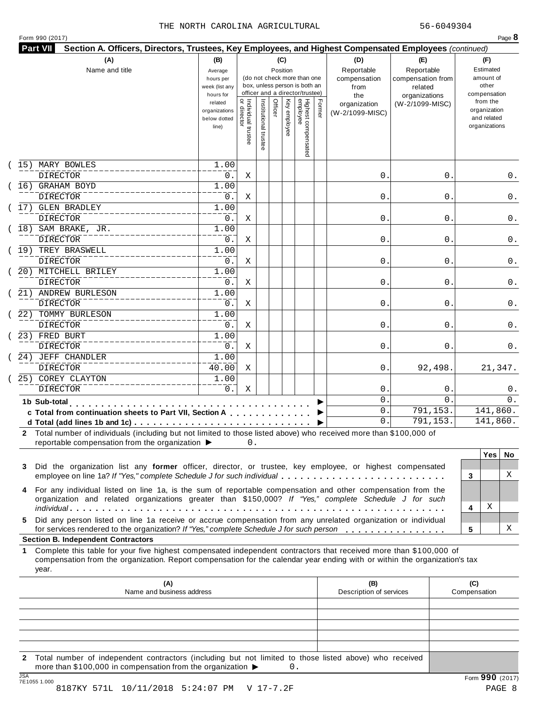|    | Section A. Officers, Directors, Trustees, Key Employees, and Highest Compensated Employees (continued)<br>(A)                                                                                             | (B)                  |                                     |                       |         | (C)          |                                                                  |        | (D)                 | (E)                              |   | (F)                   |     |
|----|-----------------------------------------------------------------------------------------------------------------------------------------------------------------------------------------------------------|----------------------|-------------------------------------|-----------------------|---------|--------------|------------------------------------------------------------------|--------|---------------------|----------------------------------|---|-----------------------|-----|
|    | Name and title                                                                                                                                                                                            | Average              |                                     |                       |         | Position     |                                                                  |        | Reportable          | Reportable                       |   | Estimated             |     |
|    |                                                                                                                                                                                                           | hours per            |                                     |                       |         |              | (do not check more than one                                      |        | compensation        | compensation from                |   | amount of             |     |
|    |                                                                                                                                                                                                           | week (list any       |                                     |                       |         |              | box, unless person is both an<br>officer and a director/trustee) |        | from                | related                          |   | other<br>compensation |     |
|    |                                                                                                                                                                                                           | hours for<br>related |                                     |                       |         |              |                                                                  |        | the<br>organization | organizations<br>(W-2/1099-MISC) |   | from the              |     |
|    |                                                                                                                                                                                                           | organizations        |                                     |                       | Officer |              |                                                                  | Former | (W-2/1099-MISC)     |                                  |   | organization          |     |
|    |                                                                                                                                                                                                           | below dotted         |                                     |                       |         |              |                                                                  |        |                     |                                  |   | and related           |     |
|    |                                                                                                                                                                                                           | line)                |                                     |                       |         | Key employee |                                                                  |        |                     |                                  |   | organizations         |     |
|    |                                                                                                                                                                                                           |                      | Individual trustee<br>  or director | Institutional trustee |         |              | Highest compensated<br>employee                                  |        |                     |                                  |   |                       |     |
|    |                                                                                                                                                                                                           |                      |                                     |                       |         |              |                                                                  |        |                     |                                  |   |                       |     |
|    | 15) MARY BOWLES<br><b>DIRECTOR</b>                                                                                                                                                                        | 1.00                 |                                     |                       |         |              |                                                                  |        | 0.                  | 0                                |   |                       | 0.  |
|    | 16) GRAHAM BOYD                                                                                                                                                                                           | 0.<br>1.00           | Χ                                   |                       |         |              |                                                                  |        |                     |                                  |   |                       |     |
|    | <b>DIRECTOR</b>                                                                                                                                                                                           | 0.                   | Χ                                   |                       |         |              |                                                                  |        | 0.                  | 0                                |   |                       | 0.  |
|    | 17) GLEN BRADLEY                                                                                                                                                                                          | 1.00                 |                                     |                       |         |              |                                                                  |        |                     |                                  |   |                       |     |
|    | <b>DIRECTOR</b>                                                                                                                                                                                           | 0.                   | Χ                                   |                       |         |              |                                                                  |        | 0.                  | 0                                |   |                       | 0.  |
|    | 18) SAM BRAKE, JR.                                                                                                                                                                                        | 1.00                 |                                     |                       |         |              |                                                                  |        |                     |                                  |   |                       |     |
|    | DIRECTOR                                                                                                                                                                                                  | 0.                   | Χ                                   |                       |         |              |                                                                  |        | 0.                  | 0                                |   |                       | 0.  |
|    | 19) TREY BRASWELL                                                                                                                                                                                         | 1.00                 |                                     |                       |         |              |                                                                  |        |                     |                                  |   |                       |     |
|    | DIRECTOR                                                                                                                                                                                                  | 0.                   | Χ                                   |                       |         |              |                                                                  |        | 0.                  | 0                                |   |                       | 0.  |
|    | 20) MITCHELL BRILEY                                                                                                                                                                                       | 1.00                 |                                     |                       |         |              |                                                                  |        |                     |                                  |   |                       |     |
|    | DIRECTOR                                                                                                                                                                                                  | 0.                   | Χ                                   |                       |         |              |                                                                  |        | 0.                  | 0                                |   |                       | 0.  |
|    | 21) ANDREW BURLESON                                                                                                                                                                                       | 1.00                 |                                     |                       |         |              |                                                                  |        |                     |                                  |   |                       |     |
|    | <b>DIRECTOR</b>                                                                                                                                                                                           | 0.                   | Χ                                   |                       |         |              |                                                                  |        | 0.                  | 0                                |   |                       | 0.  |
|    | 22) TOMMY BURLESON                                                                                                                                                                                        | 1.00                 |                                     |                       |         |              |                                                                  |        |                     |                                  |   |                       |     |
|    | <b>DIRECTOR</b>                                                                                                                                                                                           | 0.                   | Χ                                   |                       |         |              |                                                                  |        | 0.                  | 0                                |   |                       | 0.  |
|    | 23) FRED BURT                                                                                                                                                                                             | 1.00                 |                                     |                       |         |              |                                                                  |        |                     |                                  |   |                       |     |
|    | <b>DIRECTOR</b>                                                                                                                                                                                           | 0.                   | Χ                                   |                       |         |              |                                                                  |        | 0.                  | 0                                |   |                       | 0.  |
|    | 24) JEFF CHANDLER                                                                                                                                                                                         | 1.00                 |                                     |                       |         |              |                                                                  |        |                     |                                  |   |                       |     |
|    | <b>DIRECTOR</b>                                                                                                                                                                                           | 40.00                | X                                   |                       |         |              |                                                                  |        | 0.                  | 92,498.                          |   | 21,347.               |     |
|    | 25) COREY CLAYTON                                                                                                                                                                                         | 1.00                 |                                     |                       |         |              |                                                                  |        |                     |                                  |   |                       |     |
|    | <b>DIRECTOR</b>                                                                                                                                                                                           | 0.                   | Χ                                   |                       |         |              |                                                                  |        | 0.                  | 0                                |   |                       | 0.  |
|    | 1b Sub-total                                                                                                                                                                                              |                      |                                     |                       |         |              |                                                                  |        | 0.                  | 0                                |   |                       | 0.  |
|    | c Total from continuation sheets to Part VII, Section A                                                                                                                                                   |                      |                                     |                       |         |              |                                                                  |        | О.                  | 791,153.                         |   | 141,860.              |     |
|    |                                                                                                                                                                                                           |                      |                                     |                       |         |              |                                                                  |        | 0.                  | 791,153.                         |   | 141,860.              |     |
|    | 2 Total number of individuals (including but not limited to those listed above) who received more than \$100,000 of                                                                                       |                      |                                     |                       |         |              |                                                                  |        |                     |                                  |   |                       |     |
|    | reportable compensation from the organization $\blacktriangleright$                                                                                                                                       |                      | 0.                                  |                       |         |              |                                                                  |        |                     |                                  |   |                       |     |
|    |                                                                                                                                                                                                           |                      |                                     |                       |         |              |                                                                  |        |                     |                                  |   | Yes                   | No. |
| 3  | Did the organization list any former officer, director, or trustee, key employee, or highest compensated                                                                                                  |                      |                                     |                       |         |              |                                                                  |        |                     |                                  |   |                       |     |
|    | employee on line 1a? If "Yes," complete Schedule J for such individual                                                                                                                                    |                      |                                     |                       |         |              |                                                                  |        |                     |                                  | 3 |                       | X   |
| 4  | For any individual listed on line 1a, is the sum of reportable compensation and other compensation from the                                                                                               |                      |                                     |                       |         |              |                                                                  |        |                     |                                  |   |                       |     |
|    | organization and related organizations greater than \$150,000? If "Yes," complete Schedule J for such                                                                                                     |                      |                                     |                       |         |              |                                                                  |        |                     |                                  |   |                       |     |
|    |                                                                                                                                                                                                           |                      |                                     |                       |         |              |                                                                  |        |                     |                                  | 4 | Χ                     |     |
| 5. | Did any person listed on line 1a receive or accrue compensation from any unrelated organization or individual<br>for services rendered to the organization? If "Yes," complete Schedule J for such person |                      |                                     |                       |         |              |                                                                  |        |                     |                                  | 5 |                       | Χ   |
|    | <b>Section B. Independent Contractors</b>                                                                                                                                                                 |                      |                                     |                       |         |              |                                                                  |        |                     |                                  |   |                       |     |
| 1. | Complete this table for your five highest compensated independent contractors that received more than \$100,000 of                                                                                        |                      |                                     |                       |         |              |                                                                  |        |                     |                                  |   |                       |     |
|    | compensation from the organization. Report compensation for the calendar year ending with or within the organization's tax                                                                                |                      |                                     |                       |         |              |                                                                  |        |                     |                                  |   |                       |     |
|    |                                                                                                                                                                                                           |                      |                                     |                       |         |              |                                                                  |        |                     |                                  |   |                       |     |

|     | IName and business address                                                                                                                                              | Description of services | Compensation  |
|-----|-------------------------------------------------------------------------------------------------------------------------------------------------------------------------|-------------------------|---------------|
|     |                                                                                                                                                                         |                         |               |
|     |                                                                                                                                                                         |                         |               |
|     |                                                                                                                                                                         |                         |               |
|     |                                                                                                                                                                         |                         |               |
|     |                                                                                                                                                                         |                         |               |
|     | 2 Total number of independent contractors (including but not limited to those listed above) who received<br>more than \$100,000 in compensation from the organization ▶ |                         |               |
| 10A |                                                                                                                                                                         |                         | $\sim$ $\sim$ |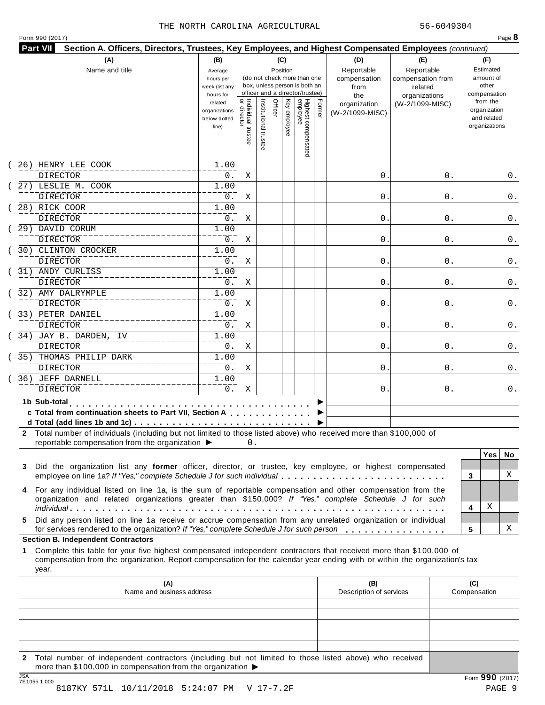|  | Form 990 (2017) |
|--|-----------------|
|  |                 |

|             | (A)<br>Name and title                                                                                                                                                                                                                                                                             |                                                   |                                     |                       | (C)<br>Position |              | (do not check more than one<br>box, unless person is both an<br>officer and a director/trustee) |        | (D)<br>Reportable<br>compensation<br>from<br>the | (E)<br>Reportable<br>compensation from<br>related<br>organizations |                     | (F)<br>Estimated<br>amount of<br>other<br>compensation   |     |
|-------------|---------------------------------------------------------------------------------------------------------------------------------------------------------------------------------------------------------------------------------------------------------------------------------------------------|---------------------------------------------------|-------------------------------------|-----------------------|-----------------|--------------|-------------------------------------------------------------------------------------------------|--------|--------------------------------------------------|--------------------------------------------------------------------|---------------------|----------------------------------------------------------|-----|
|             |                                                                                                                                                                                                                                                                                                   | related<br>organizations<br>below dotted<br>line) | Individual trustee<br>  or director | Institutional trustee | Officer         | Key employee | Highest compensated<br>employee                                                                 | Former | organization<br>(W-2/1099-MISC)                  | (W-2/1099-MISC)                                                    |                     | from the<br>organization<br>and related<br>organizations |     |
|             | 26) HENRY LEE COOK<br>DIRECTOR                                                                                                                                                                                                                                                                    | 1.00<br>0.                                        | Χ                                   |                       |                 |              |                                                                                                 |        | 0.                                               | 0                                                                  |                     |                                                          | 0.  |
|             | 27) LESLIE M. COOK<br><b>DIRECTOR</b>                                                                                                                                                                                                                                                             | 1.00<br>0.                                        | Χ                                   |                       |                 |              |                                                                                                 |        | 0.                                               | 0                                                                  |                     |                                                          | 0.  |
|             | 28) RICK COOR<br><b>DIRECTOR</b>                                                                                                                                                                                                                                                                  | 1.00<br>0.                                        | Χ                                   |                       |                 |              |                                                                                                 |        | 0.                                               | 0                                                                  |                     |                                                          | 0.  |
|             | 29) DAVID CORUM<br><b>DIRECTOR</b>                                                                                                                                                                                                                                                                | 1.00<br>0.                                        | Χ                                   |                       |                 |              |                                                                                                 |        | 0.                                               | 0                                                                  |                     |                                                          | 0.  |
|             | 30) CLINTON CROCKER<br>DIRECTOR                                                                                                                                                                                                                                                                   | 1.00<br>0.                                        | Χ                                   |                       |                 |              |                                                                                                 |        | 0.                                               | 0                                                                  |                     |                                                          | 0.  |
|             | 31) ANDY CURLISS<br><b>DIRECTOR</b>                                                                                                                                                                                                                                                               | 1.00<br>0.                                        | Χ                                   |                       |                 |              |                                                                                                 |        | 0.                                               | 0                                                                  |                     |                                                          | 0.  |
|             | 32) AMY DALRYMPLE<br><b>DIRECTOR</b>                                                                                                                                                                                                                                                              | 1.00<br>0.                                        | Χ                                   |                       |                 |              |                                                                                                 |        | 0.                                               | 0                                                                  |                     |                                                          | 0.  |
|             | 33) PETER DANIEL<br><b>DIRECTOR</b>                                                                                                                                                                                                                                                               | 1.00<br>0.                                        | Χ                                   |                       |                 |              |                                                                                                 |        | 0.                                               | 0                                                                  |                     |                                                          | 0.  |
|             | 34) JAY B. DARDEN, IV<br>DIRECTOR                                                                                                                                                                                                                                                                 | 1.00<br>0.                                        | Χ                                   |                       |                 |              |                                                                                                 |        | 0.                                               | 0                                                                  |                     |                                                          | 0.  |
|             | 35) THOMAS PHILIP DARK<br><b>DIRECTOR</b>                                                                                                                                                                                                                                                         | 1.00<br>0.                                        | Χ                                   |                       |                 |              |                                                                                                 |        | 0.                                               | 0                                                                  |                     |                                                          | 0.  |
|             | 36) JEFF DARNELL<br><b>DIRECTOR</b>                                                                                                                                                                                                                                                               | 1.00<br>0.                                        | Χ                                   |                       |                 |              |                                                                                                 |        | 0.                                               | 0                                                                  |                     |                                                          | 0.  |
|             | 1b Sub-total<br>.<br>c Total from continuation sheets to Part VII, Section A<br>2 Total number of individuals (including but not limited to those listed above) who received more than \$100,000 of                                                                                               |                                                   |                                     |                       |                 |              |                                                                                                 |        |                                                  |                                                                    |                     |                                                          |     |
|             | reportable compensation from the organization ▶                                                                                                                                                                                                                                                   |                                                   | 0.                                  |                       |                 |              |                                                                                                 |        |                                                  |                                                                    |                     | <b>Yes</b>                                               | No. |
| 3<br>4      | Did the organization list any former officer, director, or trustee, key employee, or highest compensated<br>employee on line 1a? If "Yes," complete Schedule J for such individual<br>For any individual listed on line 1a, is the sum of reportable compensation and other compensation from the |                                                   |                                     |                       |                 |              |                                                                                                 |        |                                                  |                                                                    | 3                   |                                                          | X   |
|             | organization and related organizations greater than \$150,000? If "Yes," complete Schedule J for such                                                                                                                                                                                             |                                                   |                                     |                       |                 |              |                                                                                                 |        |                                                  |                                                                    | 4                   | Χ                                                        |     |
| 5.          | Did any person listed on line 1a receive or accrue compensation from any unrelated organization or individual<br>for services rendered to the organization? If "Yes," complete Schedule J for such person                                                                                         |                                                   |                                     |                       |                 |              |                                                                                                 |        |                                                  |                                                                    | 5                   |                                                          | х   |
|             | <b>Section B. Independent Contractors</b>                                                                                                                                                                                                                                                         |                                                   |                                     |                       |                 |              |                                                                                                 |        |                                                  |                                                                    |                     |                                                          |     |
| 1.<br>year. | Complete this table for your five highest compensated independent contractors that received more than \$100,000 of<br>compensation from the organization. Report compensation for the calendar year ending with or within the organization's tax                                                  |                                                   |                                     |                       |                 |              |                                                                                                 |        |                                                  |                                                                    |                     |                                                          |     |
|             | (A)<br>Name and business address                                                                                                                                                                                                                                                                  |                                                   |                                     |                       |                 |              |                                                                                                 |        | (B)<br>Description of services                   |                                                                    | (C)<br>Compensation |                                                          |     |
|             |                                                                                                                                                                                                                                                                                                   |                                                   |                                     |                       |                 |              |                                                                                                 |        |                                                  |                                                                    |                     |                                                          |     |
|             |                                                                                                                                                                                                                                                                                                   |                                                   |                                     |                       |                 |              |                                                                                                 |        |                                                  |                                                                    |                     |                                                          |     |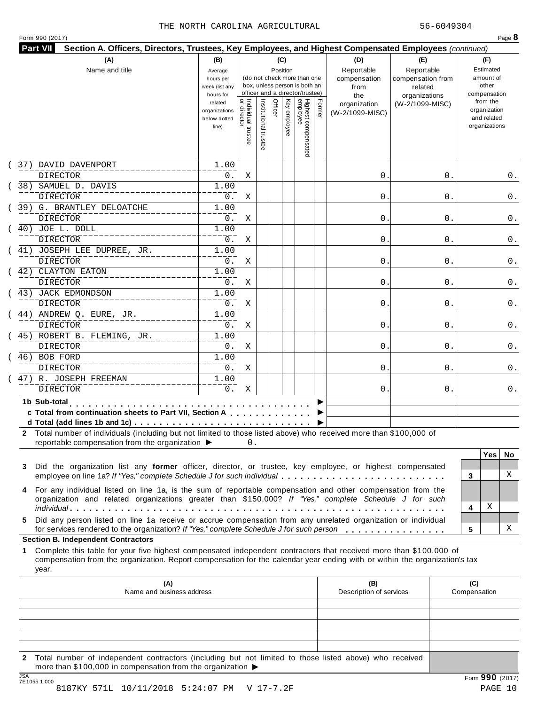|            | 37) DAVID DAVENPORT<br><b>DIRECTOR</b><br>38) SAMUEL D. DAVIS<br><b>DIRECTOR</b><br>39) G. BRANTLEY DELOATCHE<br><b>DIRECTOR</b><br>40) JOE L. DOLL<br><b>DIRECTOR</b><br>(41) JOSEPH LEE DUPREE, JR.<br>DIRECTOR<br>(42) CLAYTON EATON<br><b>DIRECTOR</b><br>(43) JACK EDMONDSON<br><b>DIRECTOR</b><br>(44) ANDREW Q. EURE, JR.<br><b>DIRECTOR</b>          | related<br>organizations<br>below dotted<br>line)<br>1.00<br>0.<br>1.00<br>0.<br>1.00<br>0.<br>1.00<br>0.<br>1.00<br>0.<br>1.00<br>0.<br>1.00<br>0. | Individual trustee<br>  or director<br>Χ<br>Χ<br>Χ<br>Χ<br>Χ<br>Χ | Institutional trustee | Officer | Key employee | Highest compensated<br>employee | Former | organization<br>(W-2/1099-MISC)<br>0.<br>0.<br>0.<br>0. | (W-2/1099-MISC)<br>0<br>0<br>0<br>0 | from the<br>organization<br>and related<br>organizations<br>0.<br>0.<br>0.<br>0. |
|------------|--------------------------------------------------------------------------------------------------------------------------------------------------------------------------------------------------------------------------------------------------------------------------------------------------------------------------------------------------------------|-----------------------------------------------------------------------------------------------------------------------------------------------------|-------------------------------------------------------------------|-----------------------|---------|--------------|---------------------------------|--------|---------------------------------------------------------|-------------------------------------|----------------------------------------------------------------------------------|
|            |                                                                                                                                                                                                                                                                                                                                                              |                                                                                                                                                     |                                                                   |                       |         |              |                                 |        |                                                         |                                     |                                                                                  |
|            |                                                                                                                                                                                                                                                                                                                                                              |                                                                                                                                                     |                                                                   |                       |         |              |                                 |        |                                                         |                                     |                                                                                  |
|            |                                                                                                                                                                                                                                                                                                                                                              |                                                                                                                                                     |                                                                   |                       |         |              |                                 |        |                                                         |                                     |                                                                                  |
|            |                                                                                                                                                                                                                                                                                                                                                              |                                                                                                                                                     |                                                                   |                       |         |              |                                 |        |                                                         |                                     |                                                                                  |
|            |                                                                                                                                                                                                                                                                                                                                                              |                                                                                                                                                     |                                                                   |                       |         |              |                                 |        |                                                         |                                     |                                                                                  |
|            |                                                                                                                                                                                                                                                                                                                                                              |                                                                                                                                                     |                                                                   |                       |         |              |                                 |        |                                                         |                                     |                                                                                  |
|            |                                                                                                                                                                                                                                                                                                                                                              |                                                                                                                                                     |                                                                   |                       |         |              |                                 |        |                                                         |                                     |                                                                                  |
|            |                                                                                                                                                                                                                                                                                                                                                              |                                                                                                                                                     |                                                                   |                       |         |              |                                 |        |                                                         |                                     |                                                                                  |
|            |                                                                                                                                                                                                                                                                                                                                                              |                                                                                                                                                     |                                                                   |                       |         |              |                                 |        |                                                         |                                     |                                                                                  |
|            |                                                                                                                                                                                                                                                                                                                                                              |                                                                                                                                                     |                                                                   |                       |         |              |                                 |        | 0.                                                      | 0                                   | 0.                                                                               |
|            |                                                                                                                                                                                                                                                                                                                                                              |                                                                                                                                                     |                                                                   |                       |         |              |                                 |        |                                                         |                                     |                                                                                  |
|            |                                                                                                                                                                                                                                                                                                                                                              |                                                                                                                                                     |                                                                   |                       |         |              |                                 |        | 0.                                                      | 0                                   | 0.                                                                               |
|            |                                                                                                                                                                                                                                                                                                                                                              |                                                                                                                                                     |                                                                   |                       |         |              |                                 |        | 0.                                                      | 0                                   | 0.                                                                               |
|            |                                                                                                                                                                                                                                                                                                                                                              | 1.00                                                                                                                                                | Χ                                                                 |                       |         |              |                                 |        |                                                         |                                     |                                                                                  |
|            |                                                                                                                                                                                                                                                                                                                                                              | 0.                                                                                                                                                  | Χ                                                                 |                       |         |              |                                 |        | 0.                                                      | 0                                   | 0.                                                                               |
|            | (45) ROBERT B. FLEMING, JR.                                                                                                                                                                                                                                                                                                                                  | 1.00                                                                                                                                                |                                                                   |                       |         |              |                                 |        |                                                         |                                     |                                                                                  |
|            | DIRECTOR                                                                                                                                                                                                                                                                                                                                                     | 0.                                                                                                                                                  | Χ                                                                 |                       |         |              |                                 |        | 0.                                                      | 0                                   | 0.                                                                               |
|            | 46) BOB FORD                                                                                                                                                                                                                                                                                                                                                 | 1.00                                                                                                                                                |                                                                   |                       |         |              |                                 |        |                                                         |                                     |                                                                                  |
|            | <b>DIRECTOR</b>                                                                                                                                                                                                                                                                                                                                              | $0$ .                                                                                                                                               | Χ                                                                 |                       |         |              |                                 |        | 0.                                                      | 0                                   | 0.                                                                               |
|            | 47) R. JOSEPH FREEMAN                                                                                                                                                                                                                                                                                                                                        | 1.00                                                                                                                                                |                                                                   |                       |         |              |                                 |        |                                                         |                                     |                                                                                  |
|            | <b>DIRECTOR</b>                                                                                                                                                                                                                                                                                                                                              | 0.                                                                                                                                                  | Χ                                                                 |                       |         |              |                                 |        | 0.                                                      | 0                                   | 0.                                                                               |
|            | 1b Sub-total<br>.<br>c Total from continuation sheets to Part VII, Section A                                                                                                                                                                                                                                                                                 |                                                                                                                                                     |                                                                   |                       |         |              |                                 |        |                                                         |                                     |                                                                                  |
| 3          | 2 Total number of individuals (including but not limited to those listed above) who received more than \$100,000 of<br>reportable compensation from the organization ▶<br>Did the organization list any former officer, director, or trustee, key employee, or highest compensated<br>employee on line 1a? If "Yes," complete Schedule J for such individual |                                                                                                                                                     | 0.                                                                |                       |         |              |                                 |        |                                                         |                                     | <b>Yes</b><br>No.<br>X<br>3                                                      |
| 4<br>5.    | For any individual listed on line 1a, is the sum of reportable compensation and other compensation from the<br>organization and related organizations greater than \$150,000? If "Yes," complete Schedule J for such<br>Did any person listed on line 1a receive or accrue compensation from any unrelated organization or individual                        |                                                                                                                                                     |                                                                   |                       |         |              |                                 |        |                                                         |                                     | х<br>4                                                                           |
|            | for services rendered to the organization? If "Yes," complete Schedule J for such person<br><b>Section B. Independent Contractors</b>                                                                                                                                                                                                                        |                                                                                                                                                     |                                                                   |                       |         |              |                                 |        |                                                         |                                     | х<br>5                                                                           |
| 1<br>year. | Complete this table for your five highest compensated independent contractors that received more than \$100,000 of<br>compensation from the organization. Report compensation for the calendar year ending with or within the organization's tax                                                                                                             |                                                                                                                                                     |                                                                   |                       |         |              |                                 |        |                                                         |                                     |                                                                                  |
|            | (A)<br>Name and business address                                                                                                                                                                                                                                                                                                                             |                                                                                                                                                     |                                                                   |                       |         |              |                                 |        | (B)<br>Description of services                          |                                     | (C)<br>Compensation                                                              |
|            |                                                                                                                                                                                                                                                                                                                                                              |                                                                                                                                                     |                                                                   |                       |         |              |                                 |        |                                                         |                                     |                                                                                  |
|            |                                                                                                                                                                                                                                                                                                                                                              |                                                                                                                                                     |                                                                   |                       |         |              |                                 |        |                                                         |                                     |                                                                                  |

JSA Form **990** (2017) 7E1055 1.000 8187KY 571L 10/11/2018 5:24:07 PM V 17-7.2F PAGE 10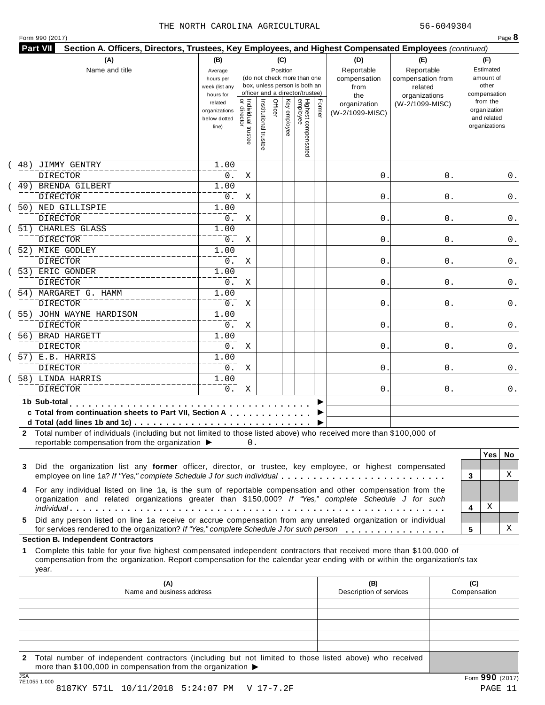| Form 990 (2017) |  |
|-----------------|--|
|-----------------|--|

|     | (A)<br>Name and title                                                                                                                                                                                                                                     | (B)<br>(C)<br>Position<br>Average<br>(do not check more than one<br>hours per<br>box, unless person is both an<br>week (list any<br>officer and a director/trustee)<br>hours for |                                     |                       |         |              |                                 |        | (D)<br>Reportable<br>compensation<br>from<br>the | (E)<br>Reportable<br>compensation from<br>related<br>organizations | (F)<br>Estimated<br>amount of<br>other<br>compensation   |     |
|-----|-----------------------------------------------------------------------------------------------------------------------------------------------------------------------------------------------------------------------------------------------------------|----------------------------------------------------------------------------------------------------------------------------------------------------------------------------------|-------------------------------------|-----------------------|---------|--------------|---------------------------------|--------|--------------------------------------------------|--------------------------------------------------------------------|----------------------------------------------------------|-----|
|     |                                                                                                                                                                                                                                                           | related<br>organizations<br>below dotted<br>line)                                                                                                                                | Individual trustee<br>  or director | Institutional trustee | Officer | Key employee | Highest compensated<br>employee | Former | organization<br>(W-2/1099-MISC)                  | (W-2/1099-MISC)                                                    | from the<br>organization<br>and related<br>organizations |     |
| 48) | JIMMY GENTRY                                                                                                                                                                                                                                              | 1.00                                                                                                                                                                             |                                     |                       |         |              |                                 |        |                                                  |                                                                    |                                                          |     |
|     | <b>DIRECTOR</b><br>49) BRENDA GILBERT                                                                                                                                                                                                                     | 0.<br>1.00                                                                                                                                                                       | Χ                                   |                       |         |              |                                 |        | 0.                                               | 0                                                                  |                                                          | 0.  |
|     | <b>DIRECTOR</b>                                                                                                                                                                                                                                           | 0.                                                                                                                                                                               | Χ                                   |                       |         |              |                                 |        | 0.                                               | 0                                                                  |                                                          | 0.  |
|     | 50) NED GILLISPIE                                                                                                                                                                                                                                         | 1.00                                                                                                                                                                             |                                     |                       |         |              |                                 |        |                                                  |                                                                    |                                                          |     |
|     | <b>DIRECTOR</b>                                                                                                                                                                                                                                           | 0.                                                                                                                                                                               | Χ                                   |                       |         |              |                                 |        | 0.                                               | 0                                                                  |                                                          | 0.  |
|     | 51) CHARLES GLASS<br>DIRECTOR                                                                                                                                                                                                                             | 1.00<br>0.                                                                                                                                                                       | Χ                                   |                       |         |              |                                 |        | 0.                                               | 0                                                                  |                                                          | 0.  |
|     | 52) MIKE GODLEY                                                                                                                                                                                                                                           | 1.00                                                                                                                                                                             |                                     |                       |         |              |                                 |        |                                                  |                                                                    |                                                          |     |
|     | <b>DIRECTOR</b>                                                                                                                                                                                                                                           | 0.                                                                                                                                                                               | Χ                                   |                       |         |              |                                 |        | 0.                                               | 0                                                                  |                                                          | 0.  |
|     | 53) ERIC GONDER<br><b>DIRECTOR</b>                                                                                                                                                                                                                        | 1.00<br>0.                                                                                                                                                                       | Χ                                   |                       |         |              |                                 |        | 0.                                               | 0                                                                  |                                                          | 0.  |
|     | 54) MARGARET G. HAMM                                                                                                                                                                                                                                      | 1.00                                                                                                                                                                             |                                     |                       |         |              |                                 |        |                                                  |                                                                    |                                                          |     |
|     | <b>DIRECTOR</b>                                                                                                                                                                                                                                           | 0.                                                                                                                                                                               | X                                   |                       |         |              |                                 |        | 0.                                               | 0                                                                  |                                                          | 0.  |
|     | 55) JOHN WAYNE HARDISON                                                                                                                                                                                                                                   | 1.00                                                                                                                                                                             |                                     |                       |         |              |                                 |        |                                                  |                                                                    |                                                          |     |
|     | <b>DIRECTOR</b>                                                                                                                                                                                                                                           | 0.                                                                                                                                                                               | Χ                                   |                       |         |              |                                 |        | 0.                                               | 0                                                                  |                                                          | 0.  |
|     | 56) BRAD HARGETT<br><b>DIRECTOR</b>                                                                                                                                                                                                                       | 1.00<br>0.                                                                                                                                                                       | Χ                                   |                       |         |              |                                 |        | 0.                                               | 0                                                                  |                                                          | 0.  |
|     | 57) E.B. HARRIS                                                                                                                                                                                                                                           | 1.00                                                                                                                                                                             |                                     |                       |         |              |                                 |        |                                                  |                                                                    |                                                          |     |
|     | <b>DIRECTOR</b>                                                                                                                                                                                                                                           | 0.                                                                                                                                                                               | Χ                                   |                       |         |              |                                 |        | 0.                                               | 0                                                                  |                                                          | 0.  |
|     | 58) LINDA HARRIS                                                                                                                                                                                                                                          | 1.00                                                                                                                                                                             |                                     |                       |         |              |                                 |        |                                                  |                                                                    |                                                          |     |
|     | <b>DIRECTOR</b>                                                                                                                                                                                                                                           | 0.                                                                                                                                                                               | Χ                                   |                       |         |              |                                 |        | 0.                                               | 0                                                                  |                                                          | 0.  |
|     | 1b Sub-total                                                                                                                                                                                                                                              |                                                                                                                                                                                  |                                     |                       |         |              |                                 |        |                                                  |                                                                    |                                                          |     |
|     | c Total from continuation sheets to Part VII, Section A                                                                                                                                                                                                   |                                                                                                                                                                                  |                                     |                       |         |              |                                 |        |                                                  |                                                                    |                                                          |     |
|     | 2 Total number of individuals (including but not limited to those listed above) who received more than \$100,000 of<br>reportable compensation from the organization ▶                                                                                    |                                                                                                                                                                                  | 0.                                  |                       |         |              |                                 |        |                                                  |                                                                    |                                                          |     |
| 3   | Did the organization list any former officer, director, or trustee, key employee, or highest compensated                                                                                                                                                  |                                                                                                                                                                                  |                                     |                       |         |              |                                 |        |                                                  |                                                                    | <b>Yes</b>                                               | No. |
|     | employee on line 1a? If "Yes," complete Schedule J for such individual                                                                                                                                                                                    |                                                                                                                                                                                  |                                     |                       |         |              |                                 |        |                                                  |                                                                    | 3                                                        | X   |
| 4   | For any individual listed on line 1a, is the sum of reportable compensation and other compensation from the                                                                                                                                               |                                                                                                                                                                                  |                                     |                       |         |              |                                 |        |                                                  |                                                                    |                                                          |     |
|     | organization and related organizations greater than \$150,000? If "Yes," complete Schedule J for such                                                                                                                                                     |                                                                                                                                                                                  |                                     |                       |         |              |                                 |        |                                                  |                                                                    | Χ                                                        |     |
| 5.  | Did any person listed on line 1a receive or accrue compensation from any unrelated organization or individual                                                                                                                                             |                                                                                                                                                                                  |                                     |                       |         |              |                                 |        |                                                  |                                                                    | 4                                                        |     |
|     | for services rendered to the organization? If "Yes," complete Schedule J for such person                                                                                                                                                                  |                                                                                                                                                                                  |                                     |                       |         |              |                                 |        |                                                  |                                                                    | 5                                                        | х   |
|     | <b>Section B. Independent Contractors</b>                                                                                                                                                                                                                 |                                                                                                                                                                                  |                                     |                       |         |              |                                 |        |                                                  |                                                                    |                                                          |     |
|     | Complete this table for your five highest compensated independent contractors that received more than \$100,000 of<br>compensation from the organization. Report compensation for the calendar year ending with or within the organization's tax<br>year. |                                                                                                                                                                                  |                                     |                       |         |              |                                 |        |                                                  |                                                                    |                                                          |     |
|     | (A)                                                                                                                                                                                                                                                       |                                                                                                                                                                                  |                                     |                       |         |              |                                 |        | (B)<br>Description of services                   |                                                                    | (C)<br>Compensation                                      |     |
|     | Name and business address                                                                                                                                                                                                                                 |                                                                                                                                                                                  |                                     |                       |         |              |                                 |        |                                                  |                                                                    |                                                          |     |
|     |                                                                                                                                                                                                                                                           |                                                                                                                                                                                  |                                     |                       |         |              |                                 |        |                                                  |                                                                    |                                                          |     |
| 1.  |                                                                                                                                                                                                                                                           |                                                                                                                                                                                  |                                     |                       |         |              |                                 |        |                                                  |                                                                    |                                                          |     |
|     |                                                                                                                                                                                                                                                           |                                                                                                                                                                                  |                                     |                       |         |              |                                 |        |                                                  |                                                                    |                                                          |     |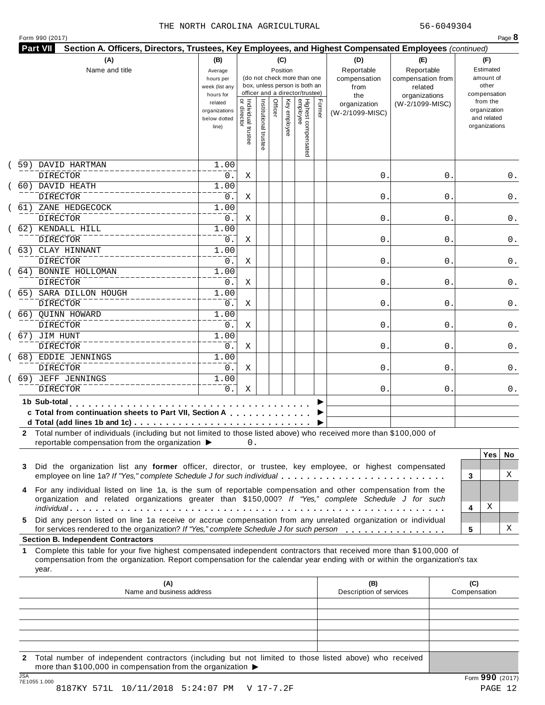| Form 990 (2017) |  |
|-----------------|--|
|-----------------|--|

|     | (A)<br>Name and title                                                                                                                                                                                                                                                                                                                                             | (B)<br>Average<br>hours per<br>week (list any<br>hours for |                                     |                       |         | (C)<br>Position | (do not check more than one<br>box, unless person is both an<br>officer and a director/trustee) |        | (D)<br>Reportable<br>compensation<br>from<br>the | (E)<br>Reportable<br>compensation from<br>related<br>organizations |                     | (F)<br>Estimated<br>amount of<br>other<br>compensation   |     |
|-----|-------------------------------------------------------------------------------------------------------------------------------------------------------------------------------------------------------------------------------------------------------------------------------------------------------------------------------------------------------------------|------------------------------------------------------------|-------------------------------------|-----------------------|---------|-----------------|-------------------------------------------------------------------------------------------------|--------|--------------------------------------------------|--------------------------------------------------------------------|---------------------|----------------------------------------------------------|-----|
|     |                                                                                                                                                                                                                                                                                                                                                                   | related<br>organizations<br>below dotted<br>line)          | Individual trustee<br>  or director | Institutional trustee | Officer | Key employee    | Highest compensated<br>employee                                                                 | Former | organization<br>(W-2/1099-MISC)                  | (W-2/1099-MISC)                                                    |                     | from the<br>organization<br>and related<br>organizations |     |
| 59) | DAVID HARTMAN<br><b>DIRECTOR</b>                                                                                                                                                                                                                                                                                                                                  | 1.00<br>0.                                                 | Χ                                   |                       |         |                 |                                                                                                 |        | 0.                                               | 0                                                                  |                     |                                                          | 0.  |
|     | 60) DAVID HEATH                                                                                                                                                                                                                                                                                                                                                   | 1.00                                                       |                                     |                       |         |                 |                                                                                                 |        |                                                  |                                                                    |                     |                                                          |     |
|     | <b>DIRECTOR</b><br>61) ZANE HEDGECOCK                                                                                                                                                                                                                                                                                                                             | 0.<br>1.00                                                 | Χ                                   |                       |         |                 |                                                                                                 |        | 0.                                               | 0                                                                  |                     |                                                          | 0.  |
|     | <b>DIRECTOR</b>                                                                                                                                                                                                                                                                                                                                                   | 0.                                                         | Χ                                   |                       |         |                 |                                                                                                 |        | 0.                                               | 0                                                                  |                     |                                                          | 0.  |
|     | 62) KENDALL HILL<br>DIRECTOR                                                                                                                                                                                                                                                                                                                                      | 1.00<br>0.                                                 | Χ                                   |                       |         |                 |                                                                                                 |        | 0.                                               | 0                                                                  |                     |                                                          | 0.  |
|     | 63) CLAY HINNANT                                                                                                                                                                                                                                                                                                                                                  | 1.00                                                       |                                     |                       |         |                 |                                                                                                 |        |                                                  |                                                                    |                     |                                                          |     |
|     | DIRECTOR<br>64) BONNIE HOLLOMAN                                                                                                                                                                                                                                                                                                                                   | 0.<br>1.00                                                 | Χ                                   |                       |         |                 |                                                                                                 |        | 0.                                               | 0                                                                  |                     |                                                          | 0.  |
|     | <b>DIRECTOR</b>                                                                                                                                                                                                                                                                                                                                                   | 0.                                                         | Χ                                   |                       |         |                 |                                                                                                 |        | 0.                                               | 0                                                                  |                     |                                                          | 0.  |
|     | 65) SARA DILLON HOUGH                                                                                                                                                                                                                                                                                                                                             | 1.00                                                       |                                     |                       |         |                 |                                                                                                 |        |                                                  |                                                                    |                     |                                                          |     |
|     | <b>DIRECTOR</b><br>66) OUINN HOWARD                                                                                                                                                                                                                                                                                                                               | 0.<br>1.00                                                 | Χ                                   |                       |         |                 |                                                                                                 |        | 0.                                               | 0                                                                  |                     |                                                          | 0.  |
|     | <b>DIRECTOR</b>                                                                                                                                                                                                                                                                                                                                                   | 0.                                                         | Χ                                   |                       |         |                 |                                                                                                 |        | 0.                                               | 0                                                                  |                     |                                                          | 0.  |
|     | 67) JIM HUNT                                                                                                                                                                                                                                                                                                                                                      | 1.00                                                       |                                     |                       |         |                 |                                                                                                 |        |                                                  |                                                                    |                     |                                                          |     |
|     | <b>DIRECTOR</b>                                                                                                                                                                                                                                                                                                                                                   | 0.                                                         | Χ                                   |                       |         |                 |                                                                                                 |        | 0.                                               | 0                                                                  |                     |                                                          | 0.  |
|     | 68) EDDIE JENNINGS<br><b>DIRECTOR</b>                                                                                                                                                                                                                                                                                                                             | 1.00<br>0.                                                 | Χ                                   |                       |         |                 |                                                                                                 |        | 0.                                               | 0                                                                  |                     |                                                          | 0.  |
|     | 69) JEFF JENNINGS                                                                                                                                                                                                                                                                                                                                                 | 1.00                                                       |                                     |                       |         |                 |                                                                                                 |        |                                                  |                                                                    |                     |                                                          |     |
|     | <b>DIRECTOR</b>                                                                                                                                                                                                                                                                                                                                                   | 0.                                                         | Χ                                   |                       |         |                 |                                                                                                 |        | 0.                                               | 0                                                                  |                     |                                                          | 0.  |
|     | 1b Sub-total<br>c Total from continuation sheets to Part VII, Section A<br>d Total (add lines 1b and 1c) $\ldots \ldots \ldots \ldots \ldots \ldots \ldots \ldots \ldots \ldots \ldots$<br>2 Total number of individuals (including but not limited to those listed above) who received more than \$100,000 of<br>reportable compensation from the organization ▶ |                                                            | 0.                                  |                       |         |                 |                                                                                                 |        |                                                  |                                                                    |                     |                                                          |     |
|     |                                                                                                                                                                                                                                                                                                                                                                   |                                                            |                                     |                       |         |                 |                                                                                                 |        |                                                  |                                                                    |                     | <b>Yes</b>                                               | No. |
| 3   | Did the organization list any former officer, director, or trustee, key employee, or highest compensated<br>employee on line 1a? If "Yes," complete Schedule J for such individual                                                                                                                                                                                |                                                            |                                     |                       |         |                 |                                                                                                 |        |                                                  |                                                                    | 3                   |                                                          | X   |
| 4   | For any individual listed on line 1a, is the sum of reportable compensation and other compensation from the<br>organization and related organizations greater than \$150,000? If "Yes," complete Schedule J for such                                                                                                                                              |                                                            |                                     |                       |         |                 |                                                                                                 |        |                                                  |                                                                    |                     |                                                          |     |
|     |                                                                                                                                                                                                                                                                                                                                                                   |                                                            |                                     |                       |         |                 |                                                                                                 |        |                                                  |                                                                    | 4                   | Χ                                                        |     |
| 5.  | Did any person listed on line 1a receive or accrue compensation from any unrelated organization or individual<br>for services rendered to the organization? If "Yes," complete Schedule J for such person<br><b>Section B. Independent Contractors</b>                                                                                                            |                                                            |                                     |                       |         |                 |                                                                                                 |        |                                                  |                                                                    | 5                   |                                                          | х   |
| 1.  | Complete this table for your five highest compensated independent contractors that received more than \$100,000 of<br>compensation from the organization. Report compensation for the calendar year ending with or within the organization's tax<br>year.                                                                                                         |                                                            |                                     |                       |         |                 |                                                                                                 |        |                                                  |                                                                    |                     |                                                          |     |
|     | (A)<br>Name and business address                                                                                                                                                                                                                                                                                                                                  |                                                            |                                     |                       |         |                 |                                                                                                 |        | (B)<br>Description of services                   |                                                                    | (C)<br>Compensation |                                                          |     |
|     |                                                                                                                                                                                                                                                                                                                                                                   |                                                            |                                     |                       |         |                 |                                                                                                 |        |                                                  |                                                                    |                     |                                                          |     |
|     |                                                                                                                                                                                                                                                                                                                                                                   |                                                            |                                     |                       |         |                 |                                                                                                 |        |                                                  |                                                                    |                     |                                                          |     |

JSA Form **990** (2017) 7E1055 1.000 8187KY 571L 10/11/2018 5:24:07 PM V 17-7.2F PAGE 12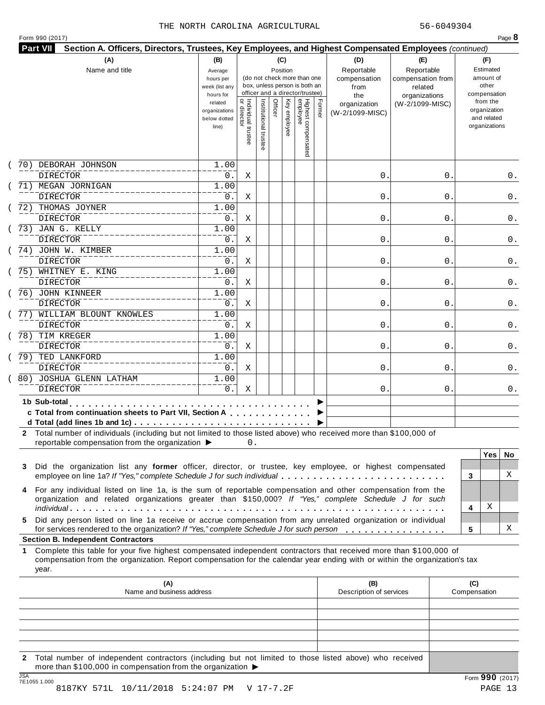| (A)<br>Name and title                                                                                                                                                                                                                                                                                    | (B)<br>Average<br>hours per<br>week (list any<br>hours for | (C)<br>Position<br>(do not check more than one<br>box, unless person is both an<br>officer and a director/trustee) |                       |                         |                                 |        |                                 | (E)<br>Reportable<br>compensation from<br>related<br>organizations | (F)<br>Estimated<br>amount of<br>other<br>compensation |                                                          |     |
|----------------------------------------------------------------------------------------------------------------------------------------------------------------------------------------------------------------------------------------------------------------------------------------------------------|------------------------------------------------------------|--------------------------------------------------------------------------------------------------------------------|-----------------------|-------------------------|---------------------------------|--------|---------------------------------|--------------------------------------------------------------------|--------------------------------------------------------|----------------------------------------------------------|-----|
|                                                                                                                                                                                                                                                                                                          | related<br>organizations<br>below dotted<br>line)          | Individual trustee<br>  or director                                                                                | Institutional trustee | Officer<br>Key employee | Highest compensated<br>employee | Former | organization<br>(W-2/1099-MISC) | (W-2/1099-MISC)                                                    |                                                        | from the<br>organization<br>and related<br>organizations |     |
| 70) DEBORAH JOHNSON<br><b>DIRECTOR</b>                                                                                                                                                                                                                                                                   | 1.00<br>0.                                                 | Χ                                                                                                                  |                       |                         |                                 |        | 0.                              | 0                                                                  |                                                        |                                                          | 0.  |
| 71) MEGAN JORNIGAN<br><b>DIRECTOR</b>                                                                                                                                                                                                                                                                    | 1.00<br>0.                                                 | Χ                                                                                                                  |                       |                         |                                 |        | 0.                              | 0                                                                  |                                                        |                                                          | 0.  |
| 72) THOMAS JOYNER<br><b>DIRECTOR</b>                                                                                                                                                                                                                                                                     | 1.00<br>0.                                                 | Χ                                                                                                                  |                       |                         |                                 |        | 0.                              | 0                                                                  |                                                        |                                                          | 0.  |
| 73) JAN G. KELLY<br><b>DIRECTOR</b>                                                                                                                                                                                                                                                                      | 1.00<br>0.                                                 | Χ                                                                                                                  |                       |                         |                                 |        | 0.                              | 0                                                                  |                                                        |                                                          | 0.  |
| 74) JOHN W. KIMBER<br><b>DIRECTOR</b>                                                                                                                                                                                                                                                                    | 1.00<br>0.                                                 | Χ                                                                                                                  |                       |                         |                                 |        | 0.                              | 0                                                                  |                                                        |                                                          | 0.  |
| 75) WHITNEY E. KING<br><b>DIRECTOR</b>                                                                                                                                                                                                                                                                   | 1.00<br>0.                                                 | Χ                                                                                                                  |                       |                         |                                 |        | 0.                              | 0                                                                  |                                                        |                                                          | 0.  |
| 76) JOHN KINNEER<br><b>DIRECTOR</b>                                                                                                                                                                                                                                                                      | 1.00<br>0.                                                 | Χ                                                                                                                  |                       |                         |                                 |        | 0.                              | 0                                                                  |                                                        |                                                          | 0.  |
| 77) WILLIAM BLOUNT KNOWLES<br><b>DIRECTOR</b>                                                                                                                                                                                                                                                            | 1.00<br>0.                                                 | Χ                                                                                                                  |                       |                         |                                 |        | 0.                              | 0                                                                  |                                                        |                                                          | 0.  |
| 78) TIM KREGER<br><b>DIRECTOR</b>                                                                                                                                                                                                                                                                        | 1.00<br>0.                                                 | Χ                                                                                                                  |                       |                         |                                 |        | 0.                              | 0                                                                  |                                                        |                                                          | 0.  |
| 79) TED LANKFORD<br><b>DIRECTOR</b><br>80) JOSHUA GLENN LATHAM                                                                                                                                                                                                                                           | 1.00<br>0.<br>1.00                                         | Χ                                                                                                                  |                       |                         |                                 |        | 0.                              | 0                                                                  |                                                        |                                                          | 0.  |
| <b>DIRECTOR</b>                                                                                                                                                                                                                                                                                          | 0.                                                         | Χ                                                                                                                  |                       |                         |                                 |        | 0.                              | 0                                                                  |                                                        |                                                          | 0.  |
| 1b Sub-total<br>c Total from continuation sheets to Part VII, Section A<br>2 Total number of individuals (including but not limited to those listed above) who received more than \$100,000 of                                                                                                           |                                                            |                                                                                                                    |                       |                         |                                 |        |                                 |                                                                    |                                                        |                                                          |     |
| reportable compensation from the organization ▶<br>Did the organization list any former officer, director, or trustee, key employee, or highest compensated                                                                                                                                              |                                                            | 0.                                                                                                                 |                       |                         |                                 |        |                                 |                                                                    |                                                        | <b>Yes</b>                                               | No. |
| 3<br>employee on line 1a? If "Yes," complete Schedule J for such individual<br>For any individual listed on line 1a, is the sum of reportable compensation and other compensation from the<br>4<br>organization and related organizations greater than \$150,000? If "Yes," complete Schedule J for such |                                                            |                                                                                                                    |                       |                         |                                 |        |                                 |                                                                    | 3                                                      |                                                          | X   |
| Did any person listed on line 1a receive or accrue compensation from any unrelated organization or individual<br>5.                                                                                                                                                                                      |                                                            |                                                                                                                    |                       |                         |                                 |        |                                 |                                                                    | 4                                                      | Χ                                                        |     |
| for services rendered to the organization? If "Yes," complete Schedule J for such person<br><b>Section B. Independent Contractors</b>                                                                                                                                                                    |                                                            |                                                                                                                    |                       |                         |                                 |        |                                 |                                                                    | 5                                                      |                                                          | х   |
| Complete this table for your five highest compensated independent contractors that received more than \$100,000 of<br>1.<br>compensation from the organization. Report compensation for the calendar year ending with or within the organization's tax<br>year.                                          |                                                            |                                                                                                                    |                       |                         |                                 |        |                                 |                                                                    |                                                        |                                                          |     |
| (A)<br>Name and business address                                                                                                                                                                                                                                                                         |                                                            |                                                                                                                    |                       |                         |                                 |        | (B)<br>Description of services  |                                                                    | (C)<br>Compensation                                    |                                                          |     |
|                                                                                                                                                                                                                                                                                                          |                                                            |                                                                                                                    |                       |                         |                                 |        |                                 |                                                                    |                                                        |                                                          |     |
|                                                                                                                                                                                                                                                                                                          |                                                            |                                                                                                                    |                       |                         |                                 |        |                                 |                                                                    |                                                        |                                                          |     |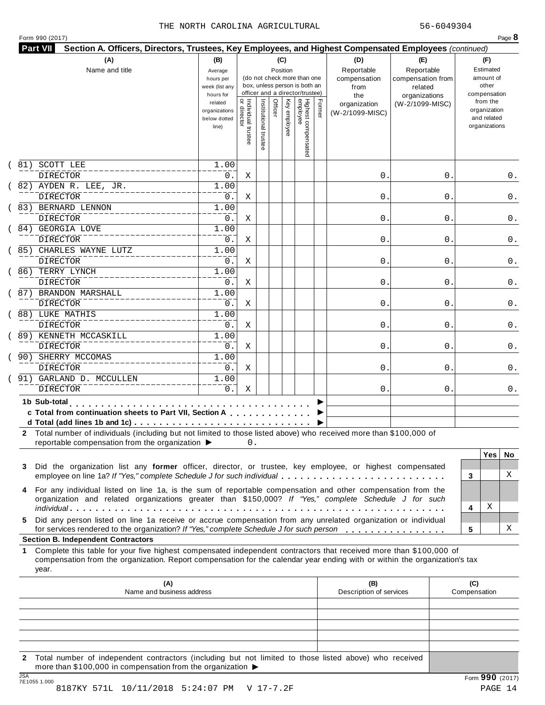| Form 990 (2017) |  |
|-----------------|--|
|-----------------|--|

|     | (A)<br>Name and title                                                                                                                                                                                                                                                                                                                                        | (B)<br>(C)<br>Position<br>Average<br>(do not check more than one<br>hours per<br>box, unless person is both an<br>week (list any<br>officer and a director/trustee)<br>hours for |                                     |                       |         |              |                                 |        | (D)<br>Reportable<br>compensation<br>from<br>the | (E)<br>Reportable<br>compensation from<br>related<br>organizations | (F)<br>Estimated<br>amount of<br>other<br>compensation   |
|-----|--------------------------------------------------------------------------------------------------------------------------------------------------------------------------------------------------------------------------------------------------------------------------------------------------------------------------------------------------------------|----------------------------------------------------------------------------------------------------------------------------------------------------------------------------------|-------------------------------------|-----------------------|---------|--------------|---------------------------------|--------|--------------------------------------------------|--------------------------------------------------------------------|----------------------------------------------------------|
|     |                                                                                                                                                                                                                                                                                                                                                              | related<br>organizations<br>below dotted<br>line)                                                                                                                                | Individual trustee<br>  or director | Institutional trustee | Officer | Key employee | Highest compensated<br>employee | Former | organization<br>(W-2/1099-MISC)                  | (W-2/1099-MISC)                                                    | from the<br>organization<br>and related<br>organizations |
| 81) | SCOTT LEE                                                                                                                                                                                                                                                                                                                                                    | 1.00                                                                                                                                                                             |                                     |                       |         |              |                                 |        |                                                  |                                                                    |                                                          |
|     | <b>DIRECTOR</b><br>82) AYDEN R. LEE, JR.                                                                                                                                                                                                                                                                                                                     | 0.<br>1.00                                                                                                                                                                       | Χ                                   |                       |         |              |                                 |        | 0.                                               | 0                                                                  | 0.                                                       |
|     | <b>DIRECTOR</b>                                                                                                                                                                                                                                                                                                                                              | 0.                                                                                                                                                                               | Χ                                   |                       |         |              |                                 |        | 0.                                               | 0                                                                  | 0.                                                       |
|     | 83) BERNARD LENNON                                                                                                                                                                                                                                                                                                                                           | 1.00                                                                                                                                                                             |                                     |                       |         |              |                                 |        |                                                  |                                                                    |                                                          |
|     | <b>DIRECTOR</b>                                                                                                                                                                                                                                                                                                                                              | 0.                                                                                                                                                                               | Χ                                   |                       |         |              |                                 |        | 0.                                               | 0                                                                  | 0.                                                       |
|     | 84) GEORGIA LOVE                                                                                                                                                                                                                                                                                                                                             | 1.00                                                                                                                                                                             |                                     |                       |         |              |                                 |        |                                                  |                                                                    |                                                          |
|     | <b>DIRECTOR</b>                                                                                                                                                                                                                                                                                                                                              | 0.                                                                                                                                                                               | Χ                                   |                       |         |              |                                 |        | 0.                                               | 0                                                                  | 0.                                                       |
|     | 85) CHARLES WAYNE LUTZ<br>DIRECTOR                                                                                                                                                                                                                                                                                                                           | 1.00<br>0.                                                                                                                                                                       | Χ                                   |                       |         |              |                                 |        | 0.                                               | 0                                                                  | 0.                                                       |
|     | 86) TERRY LYNCH                                                                                                                                                                                                                                                                                                                                              | 1.00                                                                                                                                                                             |                                     |                       |         |              |                                 |        |                                                  |                                                                    |                                                          |
|     | <b>DIRECTOR</b>                                                                                                                                                                                                                                                                                                                                              | 0.                                                                                                                                                                               | Χ                                   |                       |         |              |                                 |        | 0.                                               | 0                                                                  | 0.                                                       |
|     | 87) BRANDON MARSHALL                                                                                                                                                                                                                                                                                                                                         | 1.00                                                                                                                                                                             |                                     |                       |         |              |                                 |        |                                                  |                                                                    |                                                          |
|     | <b>DIRECTOR</b>                                                                                                                                                                                                                                                                                                                                              | 0.                                                                                                                                                                               | X                                   |                       |         |              |                                 |        | 0.                                               | 0                                                                  | 0.                                                       |
|     | 88) LUKE MATHIS                                                                                                                                                                                                                                                                                                                                              | 1.00                                                                                                                                                                             |                                     |                       |         |              |                                 |        |                                                  |                                                                    |                                                          |
|     | <b>DIRECTOR</b>                                                                                                                                                                                                                                                                                                                                              | 0.                                                                                                                                                                               | Χ                                   |                       |         |              |                                 |        | 0.                                               | 0                                                                  | 0.                                                       |
|     | 89) KENNETH MCCASKILL<br>DIRECTOR                                                                                                                                                                                                                                                                                                                            | 1.00<br>0.                                                                                                                                                                       | Χ                                   |                       |         |              |                                 |        | 0.                                               | 0                                                                  | 0.                                                       |
|     | 90) SHERRY MCCOMAS                                                                                                                                                                                                                                                                                                                                           | 1.00                                                                                                                                                                             |                                     |                       |         |              |                                 |        |                                                  |                                                                    |                                                          |
|     | <b>DIRECTOR</b>                                                                                                                                                                                                                                                                                                                                              | $0$ .                                                                                                                                                                            | X                                   |                       |         |              |                                 |        | 0.                                               | 0                                                                  | 0.                                                       |
|     | 91) GARLAND D. MCCULLEN                                                                                                                                                                                                                                                                                                                                      | 1.00                                                                                                                                                                             |                                     |                       |         |              |                                 |        |                                                  |                                                                    |                                                          |
|     | <b>DIRECTOR</b>                                                                                                                                                                                                                                                                                                                                              | 0.                                                                                                                                                                               | Χ                                   |                       |         |              |                                 |        | 0.                                               | 0                                                                  | 0.                                                       |
|     | 1b Sub-total<br>the company of the company of the company of the company of the company of the company of the company of the company of the company of the company of the company of the company of the company of the company of the company<br>c Total from continuation sheets to Part VII, Section A                                                     |                                                                                                                                                                                  |                                     |                       |         |              |                                 |        |                                                  |                                                                    |                                                          |
| 3   | 2 Total number of individuals (including but not limited to those listed above) who received more than \$100,000 of<br>reportable compensation from the organization ▶<br>Did the organization list any former officer, director, or trustee, key employee, or highest compensated<br>employee on line 1a? If "Yes," complete Schedule J for such individual |                                                                                                                                                                                  | 0.                                  |                       |         |              |                                 |        |                                                  |                                                                    | <b>Yes</b><br>No.<br>X<br>3                              |
| 4   | For any individual listed on line 1a, is the sum of reportable compensation and other compensation from the<br>organization and related organizations greater than \$150,000? If "Yes," complete Schedule J for such<br>Did any person listed on line 1a receive or accrue compensation from any unrelated organization or individual                        |                                                                                                                                                                                  |                                     |                       |         |              |                                 |        |                                                  |                                                                    | х<br>4                                                   |
| 5.  | for services rendered to the organization? If "Yes," complete Schedule J for such person                                                                                                                                                                                                                                                                     |                                                                                                                                                                                  |                                     |                       |         |              |                                 |        |                                                  |                                                                    | х<br>5                                                   |
|     |                                                                                                                                                                                                                                                                                                                                                              |                                                                                                                                                                                  |                                     |                       |         |              |                                 |        |                                                  |                                                                    |                                                          |
| 1   | <b>Section B. Independent Contractors</b><br>Complete this table for your five highest compensated independent contractors that received more than \$100,000 of<br>compensation from the organization. Report compensation for the calendar year ending with or within the organization's tax<br>year.                                                       |                                                                                                                                                                                  |                                     |                       |         |              |                                 |        |                                                  |                                                                    |                                                          |
|     | (A)<br>Name and business address                                                                                                                                                                                                                                                                                                                             |                                                                                                                                                                                  |                                     |                       |         |              |                                 |        | (B)<br>Description of services                   |                                                                    | (C)<br>Compensation                                      |
|     |                                                                                                                                                                                                                                                                                                                                                              |                                                                                                                                                                                  |                                     |                       |         |              |                                 |        |                                                  |                                                                    |                                                          |

JSA Form **990** (2017) 7E1055 1.000 8187KY 571L 10/11/2018 5:24:07 PM V 17-7.2F PAGE 14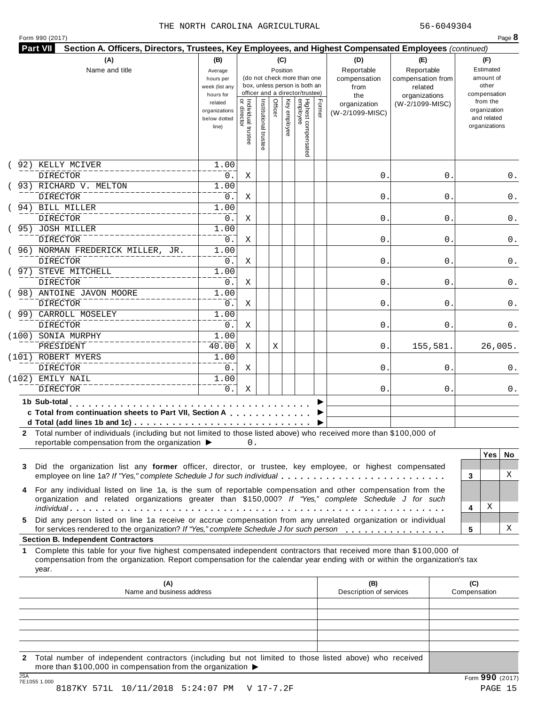| Form 990 (2017) |  |
|-----------------|--|
|-----------------|--|

| Highest compensated<br>employee<br> <br>  Individual trustee<br>  or director<br>related<br>(W-2/1099-MISC)<br>organization<br>organization<br>organizations<br>employee<br>(W-2/1099-MISC)<br>and related<br>below dotted<br>organizations<br>line)<br>92) KELLY MCIVER<br>1.00<br><b>DIRECTOR</b><br>0.<br>0.<br>Χ<br>0<br>93) RICHARD V. MELTON<br>1.00<br><b>DIRECTOR</b><br>0.<br>Χ<br>0.<br>0<br>94) BILL MILLER<br>1.00<br><b>DIRECTOR</b><br>0.<br>$\mathbf 0$ .<br>Χ<br>0<br>( 95) JOSH MILLER<br>1.00<br><b>DIRECTOR</b><br>0.<br>0.<br>Χ<br>0<br>(96) NORMAN FREDERICK MILLER, JR.<br>1.00<br><b>DIRECTOR</b><br>0.<br>0.<br>Χ<br>0<br>( 97) STEVE MITCHELL<br>1.00<br><b>DIRECTOR</b><br>0.<br>$\mathbf 0$ .<br>Χ<br>0<br>(98) ANTOINE JAVON MOORE<br>1.00<br><b>DIRECTOR</b><br>0.<br>0.<br>Χ<br>0<br>(99) CARROLL MOSELEY<br>1.00<br><b>DIRECTOR</b><br>0.<br>0.<br>Χ<br>0<br>(100) SONIA MURPHY<br>1.00<br>40.00<br>PRESIDENT<br>Χ<br>Χ<br>0.<br>155,581.<br>(101) ROBERT MYERS<br>1.00<br><b>DIRECTOR</b><br>$0$ .<br>0.<br>Χ<br>0<br>(102) EMILY NAIL<br>1.00<br><b>DIRECTOR</b><br>$0$ .<br>Χ<br>0.<br>0<br>0.<br>1b Sub-total<br>c Total from continuation sheets to Part VII, Section A<br>2 Total number of individuals (including but not limited to those listed above) who received more than \$100,000 of<br>reportable compensation from the organization ▶<br>0.<br><b>Yes</b><br>Did the organization list any former officer, director, or trustee, key employee, or highest compensated<br>employee on line 1a? If "Yes," complete Schedule J for such individual<br>3<br>4 For any individual listed on line 1a, is the sum of reportable compensation and other compensation from the<br>organization and related organizations greater than \$150,000? If "Yes," complete Schedule J for such<br>Χ<br>4<br>Did any person listed on line 1a receive or accrue compensation from any unrelated organization or individual<br>for services rendered to the organization? If "Yes," complete Schedule J for such person<br>5<br><b>Section B. Independent Contractors</b><br>Complete this table for your five highest compensated independent contractors that received more than \$100,000 of<br>1.<br>compensation from the organization. Report compensation for the calendar year ending with or within the organization's tax<br>year.<br>(A)<br>(B)<br>(C)<br>Description of services<br>Name and business address<br>Compensation |    | (A)<br>Name and title | (B)<br>(C)<br>Position<br>Average<br>(do not check more than one<br>hours per<br>box, unless person is both an<br>week (list any<br>officer and a director/trustee)<br>hours for |  |                      |         |     |  |        | (D)<br>Reportable<br>compensation<br>from<br>the | (E)<br>Reportable<br>compensation from<br>related<br>organizations | (F)<br>Estimated<br>amount of<br>other<br>compensation |
|-------------------------------------------------------------------------------------------------------------------------------------------------------------------------------------------------------------------------------------------------------------------------------------------------------------------------------------------------------------------------------------------------------------------------------------------------------------------------------------------------------------------------------------------------------------------------------------------------------------------------------------------------------------------------------------------------------------------------------------------------------------------------------------------------------------------------------------------------------------------------------------------------------------------------------------------------------------------------------------------------------------------------------------------------------------------------------------------------------------------------------------------------------------------------------------------------------------------------------------------------------------------------------------------------------------------------------------------------------------------------------------------------------------------------------------------------------------------------------------------------------------------------------------------------------------------------------------------------------------------------------------------------------------------------------------------------------------------------------------------------------------------------------------------------------------------------------------------------------------------------------------------------------------------------------------------------------------------------------------------------------------------------------------------------------------------------------------------------------------------------------------------------------------------------------------------------------------------------------------------------------------------------------------------------------------------------------------------------------------------------------------------------------------------------------------------------------------------------|----|-----------------------|----------------------------------------------------------------------------------------------------------------------------------------------------------------------------------|--|----------------------|---------|-----|--|--------|--------------------------------------------------|--------------------------------------------------------------------|--------------------------------------------------------|
|                                                                                                                                                                                                                                                                                                                                                                                                                                                                                                                                                                                                                                                                                                                                                                                                                                                                                                                                                                                                                                                                                                                                                                                                                                                                                                                                                                                                                                                                                                                                                                                                                                                                                                                                                                                                                                                                                                                                                                                                                                                                                                                                                                                                                                                                                                                                                                                                                                                                         |    |                       |                                                                                                                                                                                  |  | Institutional truste | Officer | Ķey |  | Former |                                                  |                                                                    | from the                                               |
|                                                                                                                                                                                                                                                                                                                                                                                                                                                                                                                                                                                                                                                                                                                                                                                                                                                                                                                                                                                                                                                                                                                                                                                                                                                                                                                                                                                                                                                                                                                                                                                                                                                                                                                                                                                                                                                                                                                                                                                                                                                                                                                                                                                                                                                                                                                                                                                                                                                                         |    |                       |                                                                                                                                                                                  |  |                      |         |     |  |        |                                                  |                                                                    |                                                        |
|                                                                                                                                                                                                                                                                                                                                                                                                                                                                                                                                                                                                                                                                                                                                                                                                                                                                                                                                                                                                                                                                                                                                                                                                                                                                                                                                                                                                                                                                                                                                                                                                                                                                                                                                                                                                                                                                                                                                                                                                                                                                                                                                                                                                                                                                                                                                                                                                                                                                         |    |                       |                                                                                                                                                                                  |  |                      |         |     |  |        |                                                  |                                                                    | 0.                                                     |
|                                                                                                                                                                                                                                                                                                                                                                                                                                                                                                                                                                                                                                                                                                                                                                                                                                                                                                                                                                                                                                                                                                                                                                                                                                                                                                                                                                                                                                                                                                                                                                                                                                                                                                                                                                                                                                                                                                                                                                                                                                                                                                                                                                                                                                                                                                                                                                                                                                                                         |    |                       |                                                                                                                                                                                  |  |                      |         |     |  |        |                                                  |                                                                    | 0.                                                     |
|                                                                                                                                                                                                                                                                                                                                                                                                                                                                                                                                                                                                                                                                                                                                                                                                                                                                                                                                                                                                                                                                                                                                                                                                                                                                                                                                                                                                                                                                                                                                                                                                                                                                                                                                                                                                                                                                                                                                                                                                                                                                                                                                                                                                                                                                                                                                                                                                                                                                         |    |                       |                                                                                                                                                                                  |  |                      |         |     |  |        |                                                  |                                                                    |                                                        |
|                                                                                                                                                                                                                                                                                                                                                                                                                                                                                                                                                                                                                                                                                                                                                                                                                                                                                                                                                                                                                                                                                                                                                                                                                                                                                                                                                                                                                                                                                                                                                                                                                                                                                                                                                                                                                                                                                                                                                                                                                                                                                                                                                                                                                                                                                                                                                                                                                                                                         |    |                       |                                                                                                                                                                                  |  |                      |         |     |  |        |                                                  |                                                                    | 0.                                                     |
|                                                                                                                                                                                                                                                                                                                                                                                                                                                                                                                                                                                                                                                                                                                                                                                                                                                                                                                                                                                                                                                                                                                                                                                                                                                                                                                                                                                                                                                                                                                                                                                                                                                                                                                                                                                                                                                                                                                                                                                                                                                                                                                                                                                                                                                                                                                                                                                                                                                                         |    |                       |                                                                                                                                                                                  |  |                      |         |     |  |        |                                                  |                                                                    |                                                        |
|                                                                                                                                                                                                                                                                                                                                                                                                                                                                                                                                                                                                                                                                                                                                                                                                                                                                                                                                                                                                                                                                                                                                                                                                                                                                                                                                                                                                                                                                                                                                                                                                                                                                                                                                                                                                                                                                                                                                                                                                                                                                                                                                                                                                                                                                                                                                                                                                                                                                         |    |                       |                                                                                                                                                                                  |  |                      |         |     |  |        |                                                  |                                                                    | 0.                                                     |
|                                                                                                                                                                                                                                                                                                                                                                                                                                                                                                                                                                                                                                                                                                                                                                                                                                                                                                                                                                                                                                                                                                                                                                                                                                                                                                                                                                                                                                                                                                                                                                                                                                                                                                                                                                                                                                                                                                                                                                                                                                                                                                                                                                                                                                                                                                                                                                                                                                                                         |    |                       |                                                                                                                                                                                  |  |                      |         |     |  |        |                                                  |                                                                    |                                                        |
|                                                                                                                                                                                                                                                                                                                                                                                                                                                                                                                                                                                                                                                                                                                                                                                                                                                                                                                                                                                                                                                                                                                                                                                                                                                                                                                                                                                                                                                                                                                                                                                                                                                                                                                                                                                                                                                                                                                                                                                                                                                                                                                                                                                                                                                                                                                                                                                                                                                                         |    |                       |                                                                                                                                                                                  |  |                      |         |     |  |        |                                                  |                                                                    | 0.                                                     |
|                                                                                                                                                                                                                                                                                                                                                                                                                                                                                                                                                                                                                                                                                                                                                                                                                                                                                                                                                                                                                                                                                                                                                                                                                                                                                                                                                                                                                                                                                                                                                                                                                                                                                                                                                                                                                                                                                                                                                                                                                                                                                                                                                                                                                                                                                                                                                                                                                                                                         |    |                       |                                                                                                                                                                                  |  |                      |         |     |  |        |                                                  |                                                                    |                                                        |
|                                                                                                                                                                                                                                                                                                                                                                                                                                                                                                                                                                                                                                                                                                                                                                                                                                                                                                                                                                                                                                                                                                                                                                                                                                                                                                                                                                                                                                                                                                                                                                                                                                                                                                                                                                                                                                                                                                                                                                                                                                                                                                                                                                                                                                                                                                                                                                                                                                                                         |    |                       |                                                                                                                                                                                  |  |                      |         |     |  |        |                                                  |                                                                    | 0.                                                     |
|                                                                                                                                                                                                                                                                                                                                                                                                                                                                                                                                                                                                                                                                                                                                                                                                                                                                                                                                                                                                                                                                                                                                                                                                                                                                                                                                                                                                                                                                                                                                                                                                                                                                                                                                                                                                                                                                                                                                                                                                                                                                                                                                                                                                                                                                                                                                                                                                                                                                         |    |                       |                                                                                                                                                                                  |  |                      |         |     |  |        |                                                  |                                                                    | 0.                                                     |
|                                                                                                                                                                                                                                                                                                                                                                                                                                                                                                                                                                                                                                                                                                                                                                                                                                                                                                                                                                                                                                                                                                                                                                                                                                                                                                                                                                                                                                                                                                                                                                                                                                                                                                                                                                                                                                                                                                                                                                                                                                                                                                                                                                                                                                                                                                                                                                                                                                                                         |    |                       |                                                                                                                                                                                  |  |                      |         |     |  |        |                                                  |                                                                    |                                                        |
|                                                                                                                                                                                                                                                                                                                                                                                                                                                                                                                                                                                                                                                                                                                                                                                                                                                                                                                                                                                                                                                                                                                                                                                                                                                                                                                                                                                                                                                                                                                                                                                                                                                                                                                                                                                                                                                                                                                                                                                                                                                                                                                                                                                                                                                                                                                                                                                                                                                                         |    |                       |                                                                                                                                                                                  |  |                      |         |     |  |        |                                                  |                                                                    | 0.                                                     |
|                                                                                                                                                                                                                                                                                                                                                                                                                                                                                                                                                                                                                                                                                                                                                                                                                                                                                                                                                                                                                                                                                                                                                                                                                                                                                                                                                                                                                                                                                                                                                                                                                                                                                                                                                                                                                                                                                                                                                                                                                                                                                                                                                                                                                                                                                                                                                                                                                                                                         |    |                       |                                                                                                                                                                                  |  |                      |         |     |  |        |                                                  |                                                                    |                                                        |
|                                                                                                                                                                                                                                                                                                                                                                                                                                                                                                                                                                                                                                                                                                                                                                                                                                                                                                                                                                                                                                                                                                                                                                                                                                                                                                                                                                                                                                                                                                                                                                                                                                                                                                                                                                                                                                                                                                                                                                                                                                                                                                                                                                                                                                                                                                                                                                                                                                                                         |    |                       |                                                                                                                                                                                  |  |                      |         |     |  |        |                                                  |                                                                    | 26,005.                                                |
|                                                                                                                                                                                                                                                                                                                                                                                                                                                                                                                                                                                                                                                                                                                                                                                                                                                                                                                                                                                                                                                                                                                                                                                                                                                                                                                                                                                                                                                                                                                                                                                                                                                                                                                                                                                                                                                                                                                                                                                                                                                                                                                                                                                                                                                                                                                                                                                                                                                                         |    |                       |                                                                                                                                                                                  |  |                      |         |     |  |        |                                                  |                                                                    |                                                        |
|                                                                                                                                                                                                                                                                                                                                                                                                                                                                                                                                                                                                                                                                                                                                                                                                                                                                                                                                                                                                                                                                                                                                                                                                                                                                                                                                                                                                                                                                                                                                                                                                                                                                                                                                                                                                                                                                                                                                                                                                                                                                                                                                                                                                                                                                                                                                                                                                                                                                         |    |                       |                                                                                                                                                                                  |  |                      |         |     |  |        |                                                  |                                                                    | 0.                                                     |
|                                                                                                                                                                                                                                                                                                                                                                                                                                                                                                                                                                                                                                                                                                                                                                                                                                                                                                                                                                                                                                                                                                                                                                                                                                                                                                                                                                                                                                                                                                                                                                                                                                                                                                                                                                                                                                                                                                                                                                                                                                                                                                                                                                                                                                                                                                                                                                                                                                                                         |    |                       |                                                                                                                                                                                  |  |                      |         |     |  |        |                                                  |                                                                    |                                                        |
|                                                                                                                                                                                                                                                                                                                                                                                                                                                                                                                                                                                                                                                                                                                                                                                                                                                                                                                                                                                                                                                                                                                                                                                                                                                                                                                                                                                                                                                                                                                                                                                                                                                                                                                                                                                                                                                                                                                                                                                                                                                                                                                                                                                                                                                                                                                                                                                                                                                                         |    |                       |                                                                                                                                                                                  |  |                      |         |     |  |        |                                                  |                                                                    |                                                        |
|                                                                                                                                                                                                                                                                                                                                                                                                                                                                                                                                                                                                                                                                                                                                                                                                                                                                                                                                                                                                                                                                                                                                                                                                                                                                                                                                                                                                                                                                                                                                                                                                                                                                                                                                                                                                                                                                                                                                                                                                                                                                                                                                                                                                                                                                                                                                                                                                                                                                         |    |                       |                                                                                                                                                                                  |  |                      |         |     |  |        |                                                  |                                                                    |                                                        |
|                                                                                                                                                                                                                                                                                                                                                                                                                                                                                                                                                                                                                                                                                                                                                                                                                                                                                                                                                                                                                                                                                                                                                                                                                                                                                                                                                                                                                                                                                                                                                                                                                                                                                                                                                                                                                                                                                                                                                                                                                                                                                                                                                                                                                                                                                                                                                                                                                                                                         |    |                       |                                                                                                                                                                                  |  |                      |         |     |  |        |                                                  |                                                                    | No.                                                    |
|                                                                                                                                                                                                                                                                                                                                                                                                                                                                                                                                                                                                                                                                                                                                                                                                                                                                                                                                                                                                                                                                                                                                                                                                                                                                                                                                                                                                                                                                                                                                                                                                                                                                                                                                                                                                                                                                                                                                                                                                                                                                                                                                                                                                                                                                                                                                                                                                                                                                         | 3  |                       |                                                                                                                                                                                  |  |                      |         |     |  |        |                                                  |                                                                    | X                                                      |
|                                                                                                                                                                                                                                                                                                                                                                                                                                                                                                                                                                                                                                                                                                                                                                                                                                                                                                                                                                                                                                                                                                                                                                                                                                                                                                                                                                                                                                                                                                                                                                                                                                                                                                                                                                                                                                                                                                                                                                                                                                                                                                                                                                                                                                                                                                                                                                                                                                                                         |    |                       |                                                                                                                                                                                  |  |                      |         |     |  |        |                                                  |                                                                    |                                                        |
|                                                                                                                                                                                                                                                                                                                                                                                                                                                                                                                                                                                                                                                                                                                                                                                                                                                                                                                                                                                                                                                                                                                                                                                                                                                                                                                                                                                                                                                                                                                                                                                                                                                                                                                                                                                                                                                                                                                                                                                                                                                                                                                                                                                                                                                                                                                                                                                                                                                                         | 5. |                       |                                                                                                                                                                                  |  |                      |         |     |  |        |                                                  |                                                                    | Χ                                                      |
|                                                                                                                                                                                                                                                                                                                                                                                                                                                                                                                                                                                                                                                                                                                                                                                                                                                                                                                                                                                                                                                                                                                                                                                                                                                                                                                                                                                                                                                                                                                                                                                                                                                                                                                                                                                                                                                                                                                                                                                                                                                                                                                                                                                                                                                                                                                                                                                                                                                                         |    |                       |                                                                                                                                                                                  |  |                      |         |     |  |        |                                                  |                                                                    |                                                        |
|                                                                                                                                                                                                                                                                                                                                                                                                                                                                                                                                                                                                                                                                                                                                                                                                                                                                                                                                                                                                                                                                                                                                                                                                                                                                                                                                                                                                                                                                                                                                                                                                                                                                                                                                                                                                                                                                                                                                                                                                                                                                                                                                                                                                                                                                                                                                                                                                                                                                         |    |                       |                                                                                                                                                                                  |  |                      |         |     |  |        |                                                  |                                                                    |                                                        |
|                                                                                                                                                                                                                                                                                                                                                                                                                                                                                                                                                                                                                                                                                                                                                                                                                                                                                                                                                                                                                                                                                                                                                                                                                                                                                                                                                                                                                                                                                                                                                                                                                                                                                                                                                                                                                                                                                                                                                                                                                                                                                                                                                                                                                                                                                                                                                                                                                                                                         |    |                       |                                                                                                                                                                                  |  |                      |         |     |  |        |                                                  |                                                                    |                                                        |
|                                                                                                                                                                                                                                                                                                                                                                                                                                                                                                                                                                                                                                                                                                                                                                                                                                                                                                                                                                                                                                                                                                                                                                                                                                                                                                                                                                                                                                                                                                                                                                                                                                                                                                                                                                                                                                                                                                                                                                                                                                                                                                                                                                                                                                                                                                                                                                                                                                                                         |    |                       |                                                                                                                                                                                  |  |                      |         |     |  |        |                                                  |                                                                    |                                                        |
|                                                                                                                                                                                                                                                                                                                                                                                                                                                                                                                                                                                                                                                                                                                                                                                                                                                                                                                                                                                                                                                                                                                                                                                                                                                                                                                                                                                                                                                                                                                                                                                                                                                                                                                                                                                                                                                                                                                                                                                                                                                                                                                                                                                                                                                                                                                                                                                                                                                                         |    |                       |                                                                                                                                                                                  |  |                      |         |     |  |        |                                                  |                                                                    |                                                        |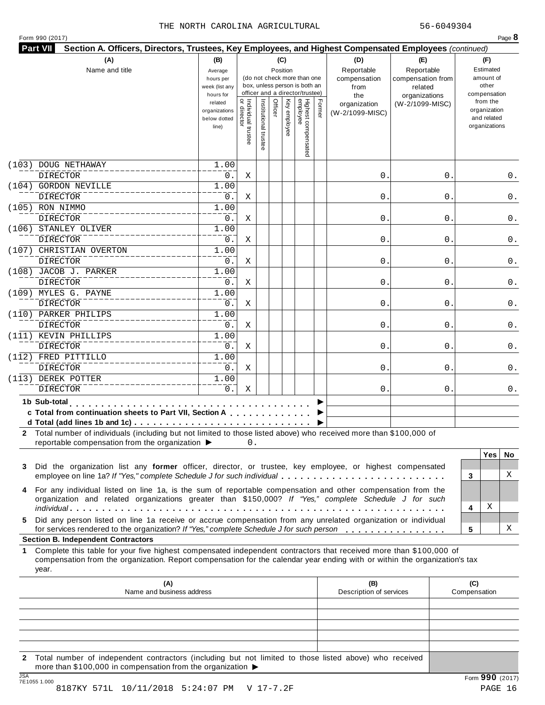| Form 990 (2017) |  |  |  |  |
|-----------------|--|--|--|--|
|-----------------|--|--|--|--|

| (A)<br>Name and title |                                                                                                                                                                                                                                                           |                                                   |                                   |                     | (C)<br>Position |                 | (do not check more than one<br>box, unless person is both an<br>officer and a director/trustee) |        | (D)<br>Reportable<br>compensation<br>from<br>the | (E)<br>Reportable<br>compensation from<br>related<br>organizations | (F)<br>Estimated<br>amount of<br>other<br>compensation   |
|-----------------------|-----------------------------------------------------------------------------------------------------------------------------------------------------------------------------------------------------------------------------------------------------------|---------------------------------------------------|-----------------------------------|---------------------|-----------------|-----------------|-------------------------------------------------------------------------------------------------|--------|--------------------------------------------------|--------------------------------------------------------------------|----------------------------------------------------------|
|                       |                                                                                                                                                                                                                                                           | related<br>organizations<br>below dotted<br>line) | Individual trustee<br>or director | Institutional trust | Officer         | Κey<br>employee | Highest compensated<br>employee                                                                 | Former | organization<br>(W-2/1099-MISC)                  | (W-2/1099-MISC)                                                    | from the<br>organization<br>and related<br>organizations |
|                       | (103) DOUG NETHAWAY                                                                                                                                                                                                                                       | 1.00                                              |                                   |                     |                 |                 |                                                                                                 |        |                                                  |                                                                    |                                                          |
|                       | <b>DIRECTOR</b>                                                                                                                                                                                                                                           | 0.                                                | Χ                                 |                     |                 |                 |                                                                                                 |        | $\mathsf{O}$ .                                   | 0                                                                  | 0.                                                       |
|                       | (104) GORDON NEVILLE                                                                                                                                                                                                                                      | 1.00                                              |                                   |                     |                 |                 |                                                                                                 |        |                                                  |                                                                    |                                                          |
|                       | <b>DIRECTOR</b>                                                                                                                                                                                                                                           | 0.                                                | Χ                                 |                     |                 |                 |                                                                                                 |        | $\mathsf{O}$ .                                   | 0                                                                  | 0.                                                       |
|                       | (105) RON NIMMO                                                                                                                                                                                                                                           | 1.00                                              |                                   |                     |                 |                 |                                                                                                 |        |                                                  |                                                                    |                                                          |
|                       | <b>DIRECTOR</b>                                                                                                                                                                                                                                           | $0$ .                                             | Χ                                 |                     |                 |                 |                                                                                                 |        | $\mathbf 0$                                      | 0                                                                  | 0.                                                       |
|                       | (106) STANLEY OLIVER                                                                                                                                                                                                                                      | 1.00                                              |                                   |                     |                 |                 |                                                                                                 |        |                                                  |                                                                    |                                                          |
|                       | <b>DIRECTOR</b>                                                                                                                                                                                                                                           | 0.                                                | Χ                                 |                     |                 |                 |                                                                                                 |        | $\mathsf{O}$ .                                   | 0                                                                  | 0.                                                       |
|                       | (107) CHRISTIAN OVERTON                                                                                                                                                                                                                                   | 1.00                                              |                                   |                     |                 |                 |                                                                                                 |        |                                                  |                                                                    |                                                          |
|                       | <b>DIRECTOR</b>                                                                                                                                                                                                                                           | 0.                                                | Χ                                 |                     |                 |                 |                                                                                                 |        | $\mathbf{0}$ .                                   | 0                                                                  | 0.                                                       |
|                       | (108) JACOB J. PARKER                                                                                                                                                                                                                                     | 1.00                                              |                                   |                     |                 |                 |                                                                                                 |        |                                                  |                                                                    |                                                          |
|                       | <b>DIRECTOR</b>                                                                                                                                                                                                                                           | $0$ .                                             | Χ                                 |                     |                 |                 |                                                                                                 |        | $\mathsf{O}$ .                                   | 0                                                                  | 0.                                                       |
|                       | (109) MYLES G. PAYNE                                                                                                                                                                                                                                      | 1.00                                              |                                   |                     |                 |                 |                                                                                                 |        |                                                  |                                                                    |                                                          |
|                       | <b>DIRECTOR</b>                                                                                                                                                                                                                                           | $0$ .                                             | Χ                                 |                     |                 |                 |                                                                                                 |        | $\mathsf{O}$ .                                   | 0                                                                  | 0.                                                       |
|                       | (110) PARKER PHILIPS                                                                                                                                                                                                                                      | 1.00                                              |                                   |                     |                 |                 |                                                                                                 |        |                                                  |                                                                    |                                                          |
|                       | <b>DIRECTOR</b>                                                                                                                                                                                                                                           | 0.                                                | Χ                                 |                     |                 |                 |                                                                                                 |        | $\mathbf{0}$ .                                   | 0                                                                  | 0.                                                       |
|                       | (111) KEVIN PHILLIPS                                                                                                                                                                                                                                      | 1.00                                              |                                   |                     |                 |                 |                                                                                                 |        |                                                  |                                                                    |                                                          |
|                       | <b>DIRECTOR</b>                                                                                                                                                                                                                                           | 0.                                                | Χ                                 |                     |                 |                 |                                                                                                 |        | $\mathsf{O}$ .                                   | 0                                                                  | 0.                                                       |
|                       | (112) FRED PITTILLO                                                                                                                                                                                                                                       | 1.00                                              |                                   |                     |                 |                 |                                                                                                 |        |                                                  |                                                                    |                                                          |
|                       | <b>DIRECTOR</b>                                                                                                                                                                                                                                           | $0$ .                                             | Χ                                 |                     |                 |                 |                                                                                                 |        | $\mathsf{O}$ .                                   | 0                                                                  | 0.                                                       |
|                       | (113) DEREK POTTER                                                                                                                                                                                                                                        | 1.00<br>$0$ .                                     |                                   |                     |                 |                 |                                                                                                 |        |                                                  |                                                                    |                                                          |
|                       | <b>DIRECTOR</b>                                                                                                                                                                                                                                           |                                                   | Χ                                 |                     |                 |                 |                                                                                                 |        | 0.                                               | 0                                                                  | 0.                                                       |
|                       | 1b Sub-total entertainment<br>c Total from continuation sheets to Part VII, Section A                                                                                                                                                                     |                                                   |                                   |                     |                 |                 |                                                                                                 |        |                                                  |                                                                    |                                                          |
|                       | 2 Total number of individuals (including but not limited to those listed above) who received more than \$100,000 of<br>reportable compensation from the organization ▶                                                                                    |                                                   | 0.                                |                     |                 |                 |                                                                                                 |        |                                                  |                                                                    | <b>Yes</b><br>No.                                        |
| 3                     | Did the organization list any former officer, director, or trustee, key employee, or highest compensated<br>employee on line 1a? If "Yes," complete Schedule J for such individual                                                                        |                                                   |                                   |                     |                 |                 |                                                                                                 |        |                                                  |                                                                    | X<br>3                                                   |
| 4                     | For any individual listed on line 1a, is the sum of reportable compensation and other compensation from the<br>organization and related organizations greater than \$150,000? If "Yes," complete Schedule J for such                                      |                                                   |                                   |                     |                 |                 |                                                                                                 |        |                                                  |                                                                    | Χ<br>4                                                   |
| 5                     | Did any person listed on line 1a receive or accrue compensation from any unrelated organization or individual<br>for services rendered to the organization? If "Yes," complete Schedule J for such person<br><b>Section B. Independent Contractors</b>    |                                                   |                                   |                     |                 |                 |                                                                                                 |        |                                                  |                                                                    | Χ<br>5                                                   |
| 1.                    | Complete this table for your five highest compensated independent contractors that received more than \$100,000 of<br>compensation from the organization. Report compensation for the calendar year ending with or within the organization's tax<br>year. |                                                   |                                   |                     |                 |                 |                                                                                                 |        |                                                  |                                                                    |                                                          |
|                       | (A)<br>Name and business address                                                                                                                                                                                                                          |                                                   |                                   |                     |                 |                 |                                                                                                 |        | (B)<br>Description of services                   |                                                                    | (C)<br>Compensation                                      |
|                       |                                                                                                                                                                                                                                                           |                                                   |                                   |                     |                 |                 |                                                                                                 |        |                                                  |                                                                    |                                                          |
|                       |                                                                                                                                                                                                                                                           |                                                   |                                   |                     |                 |                 |                                                                                                 |        |                                                  |                                                                    |                                                          |
|                       |                                                                                                                                                                                                                                                           |                                                   |                                   |                     |                 |                 |                                                                                                 |        |                                                  |                                                                    |                                                          |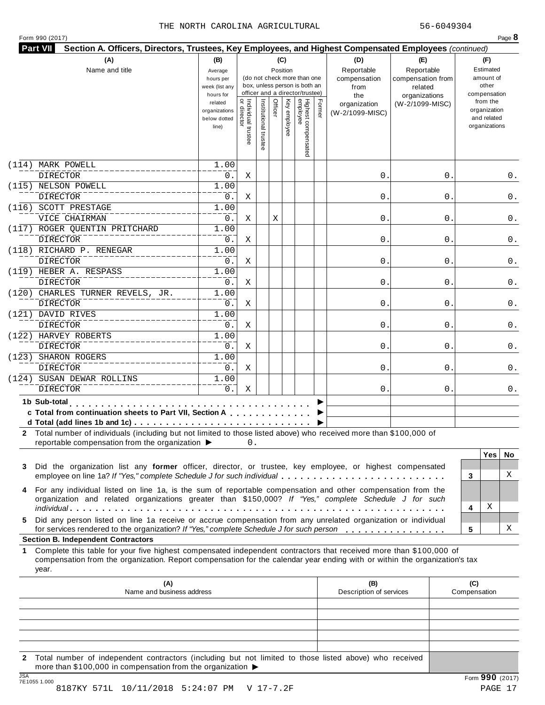| Form 990 (2017) |  |
|-----------------|--|
|-----------------|--|

|                                                                                                                                                                                                                                                                                                              | (B)                         |                    |                   | (C)            |                                                              |        | (D)                     | (E)                          |              | (F)                |          |
|--------------------------------------------------------------------------------------------------------------------------------------------------------------------------------------------------------------------------------------------------------------------------------------------------------------|-----------------------------|--------------------|-------------------|----------------|--------------------------------------------------------------|--------|-------------------------|------------------------------|--------------|--------------------|----------|
| Name and title                                                                                                                                                                                                                                                                                               | Average                     |                    |                   | Position       |                                                              |        | Reportable              | Reportable                   |              | Estimated          |          |
|                                                                                                                                                                                                                                                                                                              | hours per<br>week (list any |                    |                   |                | (do not check more than one<br>box, unless person is both an |        | compensation<br>from    | compensation from<br>related |              | amount of<br>other |          |
|                                                                                                                                                                                                                                                                                                              | hours for                   |                    |                   |                | officer and a director/trustee)                              |        | the                     | organizations                |              | compensation       |          |
|                                                                                                                                                                                                                                                                                                              | related                     |                    |                   | Officer<br>Ķey |                                                              |        | organization            | (W-2/1099-MISC)              |              | from the           |          |
|                                                                                                                                                                                                                                                                                                              | organizations               |                    |                   |                |                                                              | Former | (W-2/1099-MISC)         |                              |              | organization       |          |
|                                                                                                                                                                                                                                                                                                              | below dotted                |                    |                   |                |                                                              |        |                         |                              |              | and related        |          |
|                                                                                                                                                                                                                                                                                                              | line)                       | Individual trustee | Institutional tru | y employee     |                                                              |        |                         |                              |              | organizations      |          |
|                                                                                                                                                                                                                                                                                                              |                             |                    |                   |                | Highest compensated<br>employee                              |        |                         |                              |              |                    |          |
|                                                                                                                                                                                                                                                                                                              |                             |                    |                   |                |                                                              |        |                         |                              |              |                    |          |
| (114) MARK POWELL                                                                                                                                                                                                                                                                                            | 1.00                        |                    |                   |                |                                                              |        |                         |                              |              |                    |          |
| <b>DIRECTOR</b>                                                                                                                                                                                                                                                                                              | 0.                          | Χ                  |                   |                |                                                              |        | 0                       | 0                            |              |                    | 0.       |
| (115) NELSON POWELL                                                                                                                                                                                                                                                                                          | 1.00                        |                    |                   |                |                                                              |        |                         |                              |              |                    |          |
| <b>DIRECTOR</b>                                                                                                                                                                                                                                                                                              | 0.                          | Χ                  |                   |                |                                                              |        | $0$ .                   | 0                            |              |                    | 0.       |
| (116) SCOTT PRESTAGE                                                                                                                                                                                                                                                                                         | 1.00                        |                    |                   |                |                                                              |        |                         |                              |              |                    |          |
| VICE CHAIRMAN                                                                                                                                                                                                                                                                                                | 0.                          | Χ                  |                   | Χ              |                                                              |        | $\mathsf{O}$            | 0                            |              |                    | 0.       |
| (117) ROGER QUENTIN PRITCHARD                                                                                                                                                                                                                                                                                | 1.00                        |                    |                   |                |                                                              |        |                         |                              |              |                    |          |
| <b>DIRECTOR</b>                                                                                                                                                                                                                                                                                              | 0.                          | Χ                  |                   |                |                                                              |        | $\mathsf{O}$            | 0                            |              |                    | 0.       |
| (118) RICHARD P. RENEGAR                                                                                                                                                                                                                                                                                     | 1.00                        |                    |                   |                |                                                              |        |                         |                              |              |                    |          |
| <b>DIRECTOR</b>                                                                                                                                                                                                                                                                                              | 0.                          | Χ                  |                   |                |                                                              |        | $\mathbf 0$ .           | 0                            |              |                    | 0.       |
| (119) HEBER A. RESPASS                                                                                                                                                                                                                                                                                       | 1.00                        |                    |                   |                |                                                              |        |                         |                              |              |                    |          |
| <b>DIRECTOR</b>                                                                                                                                                                                                                                                                                              | 0.                          | Χ                  |                   |                |                                                              |        | $\mathbf 0$ .           | 0                            |              |                    | 0.       |
| (120) CHARLES TURNER REVELS, JR.                                                                                                                                                                                                                                                                             | 1.00                        |                    |                   |                |                                                              |        |                         |                              |              |                    |          |
| <b>DIRECTOR</b>                                                                                                                                                                                                                                                                                              | 0.                          | Χ                  |                   |                |                                                              |        | $\mathbf 0$ .           | 0                            |              |                    | 0.       |
| (121) DAVID RIVES                                                                                                                                                                                                                                                                                            | 1.00                        |                    |                   |                |                                                              |        |                         |                              |              |                    |          |
| <b>DIRECTOR</b>                                                                                                                                                                                                                                                                                              | 0.                          | Χ                  |                   |                |                                                              |        | $\mathbf 0$ .           | 0                            |              |                    | 0.       |
| (122) HARVEY ROBERTS                                                                                                                                                                                                                                                                                         | 1.00                        |                    |                   |                |                                                              |        |                         |                              |              |                    |          |
| <b>DIRECTOR</b>                                                                                                                                                                                                                                                                                              | 0.                          | Χ                  |                   |                |                                                              |        | $0$ .                   | 0                            |              |                    | 0.       |
| (123) SHARON ROGERS                                                                                                                                                                                                                                                                                          | 1.00                        |                    |                   |                |                                                              |        |                         |                              |              |                    |          |
| <b>DIRECTOR</b>                                                                                                                                                                                                                                                                                              | 0.                          | Χ                  |                   |                |                                                              |        | $\mathbf 0$ .           | 0                            |              |                    | 0.       |
| (124) SUSAN DEWAR ROLLINS                                                                                                                                                                                                                                                                                    | 1.00                        |                    |                   |                |                                                              |        |                         |                              |              |                    |          |
|                                                                                                                                                                                                                                                                                                              |                             |                    |                   |                |                                                              |        |                         |                              |              |                    |          |
| <b>DIRECTOR</b>                                                                                                                                                                                                                                                                                              | 0.                          | Χ                  |                   |                |                                                              |        | 0.                      | 0                            |              |                    | 0.       |
| 1b Sub-total                                                                                                                                                                                                                                                                                                 |                             |                    |                   |                |                                                              |        |                         |                              |              |                    |          |
|                                                                                                                                                                                                                                                                                                              |                             |                    |                   |                |                                                              |        |                         |                              |              |                    |          |
| c Total from continuation sheets to Part VII, Section A                                                                                                                                                                                                                                                      |                             |                    |                   |                |                                                              |        |                         |                              |              |                    |          |
|                                                                                                                                                                                                                                                                                                              |                             |                    |                   |                |                                                              |        |                         |                              |              |                    |          |
|                                                                                                                                                                                                                                                                                                              |                             | 0.                 |                   |                |                                                              |        |                         |                              |              |                    |          |
| reportable compensation from the organization ▶                                                                                                                                                                                                                                                              |                             |                    |                   |                |                                                              |        |                         |                              |              | <b>Yes</b>         |          |
| Did the organization list any former officer, director, or trustee, key employee, or highest compensated                                                                                                                                                                                                     |                             |                    |                   |                |                                                              |        |                         |                              |              |                    |          |
| 2 Total number of individuals (including but not limited to those listed above) who received more than \$100,000 of<br>3<br>employee on line 1a? If "Yes," complete Schedule J for such individual                                                                                                           |                             |                    |                   |                |                                                              |        |                         |                              | 3            |                    | No.<br>X |
|                                                                                                                                                                                                                                                                                                              |                             |                    |                   |                |                                                              |        |                         |                              |              |                    |          |
| 4 For any individual listed on line 1a, is the sum of reportable compensation and other compensation from the                                                                                                                                                                                                |                             |                    |                   |                |                                                              |        |                         |                              |              |                    |          |
| organization and related organizations greater than \$150,000? If "Yes," complete Schedule J for such                                                                                                                                                                                                        |                             |                    |                   |                |                                                              |        |                         |                              | 4            | Χ                  |          |
|                                                                                                                                                                                                                                                                                                              |                             |                    |                   |                |                                                              |        |                         |                              |              |                    |          |
| Did any person listed on line 1a receive or accrue compensation from any unrelated organization or individual<br>5.                                                                                                                                                                                          |                             |                    |                   |                |                                                              |        |                         |                              | 5            |                    | Χ        |
| for services rendered to the organization? If "Yes," complete Schedule J for such person                                                                                                                                                                                                                     |                             |                    |                   |                |                                                              |        |                         |                              |              |                    |          |
|                                                                                                                                                                                                                                                                                                              |                             |                    |                   |                |                                                              |        |                         |                              |              |                    |          |
| <b>Section B. Independent Contractors</b><br>Complete this table for your five highest compensated independent contractors that received more than \$100,000 of<br>1.<br>compensation from the organization. Report compensation for the calendar year ending with or within the organization's tax<br>year. |                             |                    |                   |                |                                                              |        |                         |                              |              |                    |          |
| (A)                                                                                                                                                                                                                                                                                                          |                             |                    |                   |                |                                                              |        | (B)                     |                              | (C)          |                    |          |
| Name and business address                                                                                                                                                                                                                                                                                    |                             |                    |                   |                |                                                              |        | Description of services |                              | Compensation |                    |          |
|                                                                                                                                                                                                                                                                                                              |                             |                    |                   |                |                                                              |        |                         |                              |              |                    |          |
|                                                                                                                                                                                                                                                                                                              |                             |                    |                   |                |                                                              |        |                         |                              |              |                    |          |
|                                                                                                                                                                                                                                                                                                              |                             |                    |                   |                |                                                              |        |                         |                              |              |                    |          |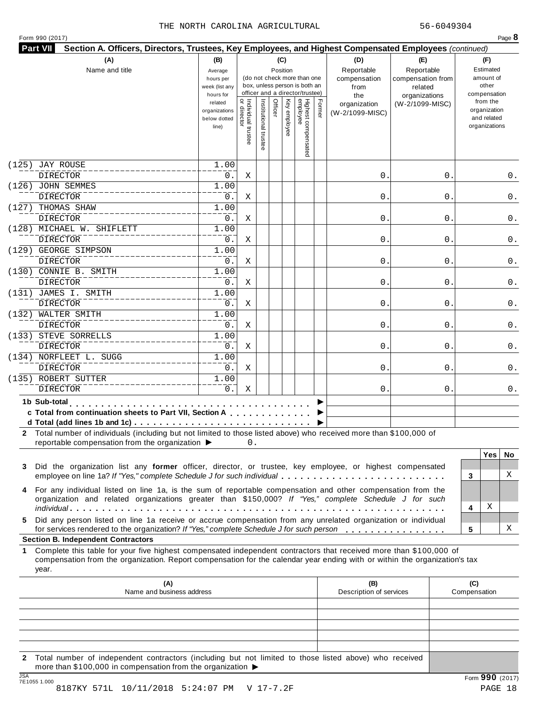| Form 990 (2017) |
|-----------------|
|-----------------|

| Highest compensated<br>employee<br>Individual trustee<br>Officer<br>Former<br>Institutional tru<br>Ķey<br>from the<br>related<br>(W-2/1099-MISC)<br>organization<br>organization<br>organizations<br>y employee<br>(W-2/1099-MISC)<br>and related<br>below dotted<br>organizations<br>line)<br><b>JAY ROUSE</b><br>1.00<br><b>DIRECTOR</b><br>0.<br>0<br>0<br>Χ<br>(126) JOHN SEMMES<br>1.00<br><b>DIRECTOR</b><br>$\mathsf{O}$<br>0.<br>Χ<br>0<br>0.<br>(127) THOMAS SHAW<br>1.00<br><b>DIRECTOR</b><br>0.<br>0<br>0<br>Χ<br>0.<br>(128) MICHAEL W. SHIFLETT<br>1.00<br><b>DIRECTOR</b><br>0.<br>$\mathsf{O}$<br>Χ<br>0<br>1.00<br><b>DIRECTOR</b><br>0.<br>$\mathsf{O}$<br>Χ<br>0<br>1.00<br><b>DIRECTOR</b><br>0.<br>$\mathsf{O}$<br>0<br>Χ<br>(131) JAMES I. SMITH<br>1.00<br><b>DIRECTOR</b><br>0.<br>$\mathbf 0$ .<br>Χ<br>0<br>0.<br>(132) WALTER SMITH<br>1.00<br><b>DIRECTOR</b><br>0.<br>0<br>0<br>Χ<br>(133) STEVE SORRELLS<br>1.00<br><b>DIRECTOR</b><br>0.<br>$\mathbf 0$ .<br>Χ<br>0<br>1.00<br><b>DIRECTOR</b><br>0.<br>0<br>Χ<br>0<br>(135) ROBERT SUTTER<br>1.00<br><b>DIRECTOR</b><br>0.<br>Χ<br>0.<br>0<br>1b Sub-total<br>.<br>c Total from continuation sheets to Part VII, Section A<br>2 Total number of individuals (including but not limited to those listed above) who received more than \$100,000 of<br>reportable compensation from the organization ▶<br>0.<br><b>Yes</b><br>No.<br>Did the organization list any former officer, director, or trustee, key employee, or highest compensated<br>employee on line 1a? If "Yes," complete Schedule J for such individual<br>3<br>4 For any individual listed on line 1a, is the sum of reportable compensation and other compensation from the<br>organization and related organizations greater than \$150,000? If "Yes," complete Schedule J for such<br>Χ<br>4<br>Did any person listed on line 1a receive or accrue compensation from any unrelated organization or individual<br>Χ<br>for services rendered to the organization? If "Yes," complete Schedule J for such person<br>5<br>Complete this table for your five highest compensated independent contractors that received more than \$100,000 of<br>compensation from the organization. Report compensation for the calendar year ending with or within the organization's tax<br>year.<br>(A)<br>(B)<br>(C)<br>Name and business address<br>Description of services<br>Compensation | Name and title                            | (B)<br>Average<br>hours per<br>week (list any<br>hours for |  | (C)<br>Position | (do not check more than one<br>box, unless person is both an<br>officer and a director/trustee) | (D)<br>Reportable<br>compensation<br>from<br>the | (E)<br>Reportable<br>compensation from<br>related<br>organizations | (F)<br>Estimated<br>amount of<br>other<br>compensation |
|---------------------------------------------------------------------------------------------------------------------------------------------------------------------------------------------------------------------------------------------------------------------------------------------------------------------------------------------------------------------------------------------------------------------------------------------------------------------------------------------------------------------------------------------------------------------------------------------------------------------------------------------------------------------------------------------------------------------------------------------------------------------------------------------------------------------------------------------------------------------------------------------------------------------------------------------------------------------------------------------------------------------------------------------------------------------------------------------------------------------------------------------------------------------------------------------------------------------------------------------------------------------------------------------------------------------------------------------------------------------------------------------------------------------------------------------------------------------------------------------------------------------------------------------------------------------------------------------------------------------------------------------------------------------------------------------------------------------------------------------------------------------------------------------------------------------------------------------------------------------------------------------------------------------------------------------------------------------------------------------------------------------------------------------------------------------------------------------------------------------------------------------------------------------------------------------------------------------------------------------------------------------------------------------------------------------------------------------------------------------------------------------------------------------------------|-------------------------------------------|------------------------------------------------------------|--|-----------------|-------------------------------------------------------------------------------------------------|--------------------------------------------------|--------------------------------------------------------------------|--------------------------------------------------------|
|                                                                                                                                                                                                                                                                                                                                                                                                                                                                                                                                                                                                                                                                                                                                                                                                                                                                                                                                                                                                                                                                                                                                                                                                                                                                                                                                                                                                                                                                                                                                                                                                                                                                                                                                                                                                                                                                                                                                                                                                                                                                                                                                                                                                                                                                                                                                                                                                                                 |                                           |                                                            |  |                 |                                                                                                 |                                                  |                                                                    |                                                        |
|                                                                                                                                                                                                                                                                                                                                                                                                                                                                                                                                                                                                                                                                                                                                                                                                                                                                                                                                                                                                                                                                                                                                                                                                                                                                                                                                                                                                                                                                                                                                                                                                                                                                                                                                                                                                                                                                                                                                                                                                                                                                                                                                                                                                                                                                                                                                                                                                                                 | (125)                                     |                                                            |  |                 |                                                                                                 |                                                  |                                                                    |                                                        |
|                                                                                                                                                                                                                                                                                                                                                                                                                                                                                                                                                                                                                                                                                                                                                                                                                                                                                                                                                                                                                                                                                                                                                                                                                                                                                                                                                                                                                                                                                                                                                                                                                                                                                                                                                                                                                                                                                                                                                                                                                                                                                                                                                                                                                                                                                                                                                                                                                                 |                                           |                                                            |  |                 |                                                                                                 |                                                  |                                                                    | 0.                                                     |
|                                                                                                                                                                                                                                                                                                                                                                                                                                                                                                                                                                                                                                                                                                                                                                                                                                                                                                                                                                                                                                                                                                                                                                                                                                                                                                                                                                                                                                                                                                                                                                                                                                                                                                                                                                                                                                                                                                                                                                                                                                                                                                                                                                                                                                                                                                                                                                                                                                 |                                           |                                                            |  |                 |                                                                                                 |                                                  |                                                                    |                                                        |
|                                                                                                                                                                                                                                                                                                                                                                                                                                                                                                                                                                                                                                                                                                                                                                                                                                                                                                                                                                                                                                                                                                                                                                                                                                                                                                                                                                                                                                                                                                                                                                                                                                                                                                                                                                                                                                                                                                                                                                                                                                                                                                                                                                                                                                                                                                                                                                                                                                 |                                           |                                                            |  |                 |                                                                                                 |                                                  |                                                                    |                                                        |
|                                                                                                                                                                                                                                                                                                                                                                                                                                                                                                                                                                                                                                                                                                                                                                                                                                                                                                                                                                                                                                                                                                                                                                                                                                                                                                                                                                                                                                                                                                                                                                                                                                                                                                                                                                                                                                                                                                                                                                                                                                                                                                                                                                                                                                                                                                                                                                                                                                 |                                           |                                                            |  |                 |                                                                                                 |                                                  |                                                                    |                                                        |
|                                                                                                                                                                                                                                                                                                                                                                                                                                                                                                                                                                                                                                                                                                                                                                                                                                                                                                                                                                                                                                                                                                                                                                                                                                                                                                                                                                                                                                                                                                                                                                                                                                                                                                                                                                                                                                                                                                                                                                                                                                                                                                                                                                                                                                                                                                                                                                                                                                 |                                           |                                                            |  |                 |                                                                                                 |                                                  |                                                                    |                                                        |
|                                                                                                                                                                                                                                                                                                                                                                                                                                                                                                                                                                                                                                                                                                                                                                                                                                                                                                                                                                                                                                                                                                                                                                                                                                                                                                                                                                                                                                                                                                                                                                                                                                                                                                                                                                                                                                                                                                                                                                                                                                                                                                                                                                                                                                                                                                                                                                                                                                 |                                           |                                                            |  |                 |                                                                                                 |                                                  |                                                                    | 0.                                                     |
|                                                                                                                                                                                                                                                                                                                                                                                                                                                                                                                                                                                                                                                                                                                                                                                                                                                                                                                                                                                                                                                                                                                                                                                                                                                                                                                                                                                                                                                                                                                                                                                                                                                                                                                                                                                                                                                                                                                                                                                                                                                                                                                                                                                                                                                                                                                                                                                                                                 | (129) GEORGE SIMPSON                      |                                                            |  |                 |                                                                                                 |                                                  |                                                                    |                                                        |
|                                                                                                                                                                                                                                                                                                                                                                                                                                                                                                                                                                                                                                                                                                                                                                                                                                                                                                                                                                                                                                                                                                                                                                                                                                                                                                                                                                                                                                                                                                                                                                                                                                                                                                                                                                                                                                                                                                                                                                                                                                                                                                                                                                                                                                                                                                                                                                                                                                 |                                           |                                                            |  |                 |                                                                                                 |                                                  |                                                                    | 0.                                                     |
|                                                                                                                                                                                                                                                                                                                                                                                                                                                                                                                                                                                                                                                                                                                                                                                                                                                                                                                                                                                                                                                                                                                                                                                                                                                                                                                                                                                                                                                                                                                                                                                                                                                                                                                                                                                                                                                                                                                                                                                                                                                                                                                                                                                                                                                                                                                                                                                                                                 | (130) CONNIE B. SMITH                     |                                                            |  |                 |                                                                                                 |                                                  |                                                                    |                                                        |
|                                                                                                                                                                                                                                                                                                                                                                                                                                                                                                                                                                                                                                                                                                                                                                                                                                                                                                                                                                                                                                                                                                                                                                                                                                                                                                                                                                                                                                                                                                                                                                                                                                                                                                                                                                                                                                                                                                                                                                                                                                                                                                                                                                                                                                                                                                                                                                                                                                 |                                           |                                                            |  |                 |                                                                                                 |                                                  |                                                                    | 0.                                                     |
|                                                                                                                                                                                                                                                                                                                                                                                                                                                                                                                                                                                                                                                                                                                                                                                                                                                                                                                                                                                                                                                                                                                                                                                                                                                                                                                                                                                                                                                                                                                                                                                                                                                                                                                                                                                                                                                                                                                                                                                                                                                                                                                                                                                                                                                                                                                                                                                                                                 |                                           |                                                            |  |                 |                                                                                                 |                                                  |                                                                    |                                                        |
|                                                                                                                                                                                                                                                                                                                                                                                                                                                                                                                                                                                                                                                                                                                                                                                                                                                                                                                                                                                                                                                                                                                                                                                                                                                                                                                                                                                                                                                                                                                                                                                                                                                                                                                                                                                                                                                                                                                                                                                                                                                                                                                                                                                                                                                                                                                                                                                                                                 |                                           |                                                            |  |                 |                                                                                                 |                                                  |                                                                    |                                                        |
|                                                                                                                                                                                                                                                                                                                                                                                                                                                                                                                                                                                                                                                                                                                                                                                                                                                                                                                                                                                                                                                                                                                                                                                                                                                                                                                                                                                                                                                                                                                                                                                                                                                                                                                                                                                                                                                                                                                                                                                                                                                                                                                                                                                                                                                                                                                                                                                                                                 |                                           |                                                            |  |                 |                                                                                                 |                                                  |                                                                    | 0.                                                     |
|                                                                                                                                                                                                                                                                                                                                                                                                                                                                                                                                                                                                                                                                                                                                                                                                                                                                                                                                                                                                                                                                                                                                                                                                                                                                                                                                                                                                                                                                                                                                                                                                                                                                                                                                                                                                                                                                                                                                                                                                                                                                                                                                                                                                                                                                                                                                                                                                                                 |                                           |                                                            |  |                 |                                                                                                 |                                                  |                                                                    |                                                        |
|                                                                                                                                                                                                                                                                                                                                                                                                                                                                                                                                                                                                                                                                                                                                                                                                                                                                                                                                                                                                                                                                                                                                                                                                                                                                                                                                                                                                                                                                                                                                                                                                                                                                                                                                                                                                                                                                                                                                                                                                                                                                                                                                                                                                                                                                                                                                                                                                                                 |                                           |                                                            |  |                 |                                                                                                 |                                                  |                                                                    | 0.                                                     |
|                                                                                                                                                                                                                                                                                                                                                                                                                                                                                                                                                                                                                                                                                                                                                                                                                                                                                                                                                                                                                                                                                                                                                                                                                                                                                                                                                                                                                                                                                                                                                                                                                                                                                                                                                                                                                                                                                                                                                                                                                                                                                                                                                                                                                                                                                                                                                                                                                                 | (134) NORFLEET L. SUGG                    |                                                            |  |                 |                                                                                                 |                                                  |                                                                    |                                                        |
|                                                                                                                                                                                                                                                                                                                                                                                                                                                                                                                                                                                                                                                                                                                                                                                                                                                                                                                                                                                                                                                                                                                                                                                                                                                                                                                                                                                                                                                                                                                                                                                                                                                                                                                                                                                                                                                                                                                                                                                                                                                                                                                                                                                                                                                                                                                                                                                                                                 |                                           |                                                            |  |                 |                                                                                                 |                                                  |                                                                    | 0.                                                     |
|                                                                                                                                                                                                                                                                                                                                                                                                                                                                                                                                                                                                                                                                                                                                                                                                                                                                                                                                                                                                                                                                                                                                                                                                                                                                                                                                                                                                                                                                                                                                                                                                                                                                                                                                                                                                                                                                                                                                                                                                                                                                                                                                                                                                                                                                                                                                                                                                                                 |                                           |                                                            |  |                 |                                                                                                 |                                                  |                                                                    |                                                        |
|                                                                                                                                                                                                                                                                                                                                                                                                                                                                                                                                                                                                                                                                                                                                                                                                                                                                                                                                                                                                                                                                                                                                                                                                                                                                                                                                                                                                                                                                                                                                                                                                                                                                                                                                                                                                                                                                                                                                                                                                                                                                                                                                                                                                                                                                                                                                                                                                                                 |                                           |                                                            |  |                 |                                                                                                 |                                                  |                                                                    | 0.                                                     |
|                                                                                                                                                                                                                                                                                                                                                                                                                                                                                                                                                                                                                                                                                                                                                                                                                                                                                                                                                                                                                                                                                                                                                                                                                                                                                                                                                                                                                                                                                                                                                                                                                                                                                                                                                                                                                                                                                                                                                                                                                                                                                                                                                                                                                                                                                                                                                                                                                                 |                                           |                                                            |  |                 |                                                                                                 |                                                  |                                                                    |                                                        |
|                                                                                                                                                                                                                                                                                                                                                                                                                                                                                                                                                                                                                                                                                                                                                                                                                                                                                                                                                                                                                                                                                                                                                                                                                                                                                                                                                                                                                                                                                                                                                                                                                                                                                                                                                                                                                                                                                                                                                                                                                                                                                                                                                                                                                                                                                                                                                                                                                                 |                                           |                                                            |  |                 |                                                                                                 |                                                  |                                                                    |                                                        |
|                                                                                                                                                                                                                                                                                                                                                                                                                                                                                                                                                                                                                                                                                                                                                                                                                                                                                                                                                                                                                                                                                                                                                                                                                                                                                                                                                                                                                                                                                                                                                                                                                                                                                                                                                                                                                                                                                                                                                                                                                                                                                                                                                                                                                                                                                                                                                                                                                                 | 3                                         |                                                            |  |                 |                                                                                                 |                                                  |                                                                    | X                                                      |
|                                                                                                                                                                                                                                                                                                                                                                                                                                                                                                                                                                                                                                                                                                                                                                                                                                                                                                                                                                                                                                                                                                                                                                                                                                                                                                                                                                                                                                                                                                                                                                                                                                                                                                                                                                                                                                                                                                                                                                                                                                                                                                                                                                                                                                                                                                                                                                                                                                 |                                           |                                                            |  |                 |                                                                                                 |                                                  |                                                                    |                                                        |
|                                                                                                                                                                                                                                                                                                                                                                                                                                                                                                                                                                                                                                                                                                                                                                                                                                                                                                                                                                                                                                                                                                                                                                                                                                                                                                                                                                                                                                                                                                                                                                                                                                                                                                                                                                                                                                                                                                                                                                                                                                                                                                                                                                                                                                                                                                                                                                                                                                 | 5                                         |                                                            |  |                 |                                                                                                 |                                                  |                                                                    |                                                        |
|                                                                                                                                                                                                                                                                                                                                                                                                                                                                                                                                                                                                                                                                                                                                                                                                                                                                                                                                                                                                                                                                                                                                                                                                                                                                                                                                                                                                                                                                                                                                                                                                                                                                                                                                                                                                                                                                                                                                                                                                                                                                                                                                                                                                                                                                                                                                                                                                                                 | <b>Section B. Independent Contractors</b> |                                                            |  |                 |                                                                                                 |                                                  |                                                                    |                                                        |
|                                                                                                                                                                                                                                                                                                                                                                                                                                                                                                                                                                                                                                                                                                                                                                                                                                                                                                                                                                                                                                                                                                                                                                                                                                                                                                                                                                                                                                                                                                                                                                                                                                                                                                                                                                                                                                                                                                                                                                                                                                                                                                                                                                                                                                                                                                                                                                                                                                 | 1.                                        |                                                            |  |                 |                                                                                                 |                                                  |                                                                    |                                                        |
|                                                                                                                                                                                                                                                                                                                                                                                                                                                                                                                                                                                                                                                                                                                                                                                                                                                                                                                                                                                                                                                                                                                                                                                                                                                                                                                                                                                                                                                                                                                                                                                                                                                                                                                                                                                                                                                                                                                                                                                                                                                                                                                                                                                                                                                                                                                                                                                                                                 |                                           |                                                            |  |                 |                                                                                                 |                                                  |                                                                    |                                                        |
|                                                                                                                                                                                                                                                                                                                                                                                                                                                                                                                                                                                                                                                                                                                                                                                                                                                                                                                                                                                                                                                                                                                                                                                                                                                                                                                                                                                                                                                                                                                                                                                                                                                                                                                                                                                                                                                                                                                                                                                                                                                                                                                                                                                                                                                                                                                                                                                                                                 |                                           |                                                            |  |                 |                                                                                                 |                                                  |                                                                    |                                                        |
|                                                                                                                                                                                                                                                                                                                                                                                                                                                                                                                                                                                                                                                                                                                                                                                                                                                                                                                                                                                                                                                                                                                                                                                                                                                                                                                                                                                                                                                                                                                                                                                                                                                                                                                                                                                                                                                                                                                                                                                                                                                                                                                                                                                                                                                                                                                                                                                                                                 |                                           |                                                            |  |                 |                                                                                                 |                                                  |                                                                    |                                                        |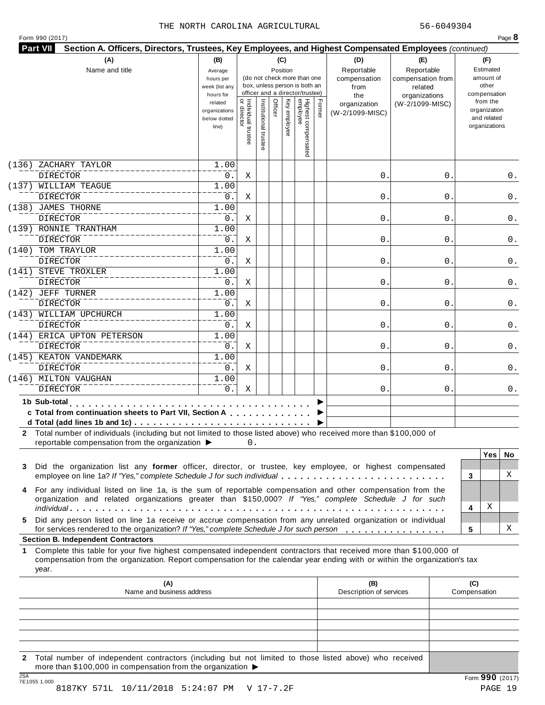| Form 990 (2017) |  |  |
|-----------------|--|--|
|-----------------|--|--|

| Name and title                                                                                                                                                                                                                                                  | (B)<br>Average<br>hours per<br>week (list any<br>hours for |                    |                   | (C)<br>Position              | (do not check more than one<br>box, unless person is both an<br>officer and a director/trustee) |        | (D)<br>Reportable<br>compensation<br>from<br>the | (E)<br>Reportable<br>compensation from<br>related<br>organizations | (F)<br>Estimated<br>amount of<br>other<br>compensation   |
|-----------------------------------------------------------------------------------------------------------------------------------------------------------------------------------------------------------------------------------------------------------------|------------------------------------------------------------|--------------------|-------------------|------------------------------|-------------------------------------------------------------------------------------------------|--------|--------------------------------------------------|--------------------------------------------------------------------|----------------------------------------------------------|
|                                                                                                                                                                                                                                                                 | related<br>organizations<br>below dotted<br>line)          | Individual trustee | Institutional tru | Officer<br>Ķey<br>y employee | Highest compensated<br>employee                                                                 | Former | organization<br>(W-2/1099-MISC)                  | (W-2/1099-MISC)                                                    | from the<br>organization<br>and related<br>organizations |
| (136)<br>ZACHARY TAYLOR                                                                                                                                                                                                                                         | 1.00                                                       |                    |                   |                              |                                                                                                 |        |                                                  |                                                                    |                                                          |
| <b>DIRECTOR</b>                                                                                                                                                                                                                                                 | 0.                                                         | Χ                  |                   |                              |                                                                                                 |        | 0                                                | 0                                                                  | 0.                                                       |
| (137) WILLIAM TEAGUE<br><b>DIRECTOR</b>                                                                                                                                                                                                                         | 1.00<br>0.                                                 | Χ                  |                   |                              |                                                                                                 |        | $\mathsf{O}$                                     | 0                                                                  | 0.                                                       |
| (138) JAMES THORNE                                                                                                                                                                                                                                              | 1.00                                                       |                    |                   |                              |                                                                                                 |        |                                                  |                                                                    |                                                          |
| <b>DIRECTOR</b>                                                                                                                                                                                                                                                 | 0.                                                         | Χ                  |                   |                              |                                                                                                 |        | 0                                                | 0                                                                  | 0.                                                       |
| (139) RONNIE TRANTHAM                                                                                                                                                                                                                                           | 1.00                                                       |                    |                   |                              |                                                                                                 |        |                                                  |                                                                    |                                                          |
| <b>DIRECTOR</b>                                                                                                                                                                                                                                                 | 0.                                                         | Χ                  |                   |                              |                                                                                                 |        | $\mathsf{O}$                                     | 0                                                                  | 0.                                                       |
| (140) TOM TRAYLOR                                                                                                                                                                                                                                               | 1.00                                                       |                    |                   |                              |                                                                                                 |        |                                                  |                                                                    |                                                          |
| <b>DIRECTOR</b>                                                                                                                                                                                                                                                 | 0.                                                         | Χ                  |                   |                              |                                                                                                 |        | 0                                                | 0                                                                  | 0.                                                       |
| (141) STEVE TROXLER                                                                                                                                                                                                                                             | 1.00                                                       |                    |                   |                              |                                                                                                 |        |                                                  |                                                                    |                                                          |
| <b>DIRECTOR</b>                                                                                                                                                                                                                                                 | 0.                                                         | Χ                  |                   |                              |                                                                                                 |        | $\mathbf 0$ .                                    | 0                                                                  | 0.                                                       |
| (142) JEFF TURNER                                                                                                                                                                                                                                               | 1.00                                                       |                    |                   |                              |                                                                                                 |        |                                                  |                                                                    |                                                          |
| <b>DIRECTOR</b><br>(143) WILLIAM UPCHURCH                                                                                                                                                                                                                       | 0.<br>1.00                                                 | Χ                  |                   |                              |                                                                                                 |        | $\mathbf 0$ .                                    | 0                                                                  | 0.                                                       |
| <b>DIRECTOR</b>                                                                                                                                                                                                                                                 | 0.                                                         | Χ                  |                   |                              |                                                                                                 |        | 0                                                | 0                                                                  | 0.                                                       |
| (144) ERICA UPTON PETERSON                                                                                                                                                                                                                                      | 1.00                                                       |                    |                   |                              |                                                                                                 |        |                                                  |                                                                    |                                                          |
| <b>DIRECTOR</b>                                                                                                                                                                                                                                                 | 0.                                                         | Χ                  |                   |                              |                                                                                                 |        | $\mathbf 0$ .                                    | 0                                                                  | 0.                                                       |
| (145) KEATON VANDEMARK                                                                                                                                                                                                                                          | 1.00                                                       |                    |                   |                              |                                                                                                 |        |                                                  |                                                                    |                                                          |
| <b>DIRECTOR</b>                                                                                                                                                                                                                                                 | 0.                                                         | Χ                  |                   |                              |                                                                                                 |        | 0                                                | 0                                                                  | 0.                                                       |
| (146) MILTON VAUGHAN                                                                                                                                                                                                                                            | 1.00                                                       |                    |                   |                              |                                                                                                 |        |                                                  |                                                                    |                                                          |
| <b>DIRECTOR</b>                                                                                                                                                                                                                                                 | 0.                                                         | Χ                  |                   |                              |                                                                                                 |        | 0.                                               | 0                                                                  | 0.                                                       |
| 1b Sub-total<br>c Total from continuation sheets to Part VII, Section A<br>2 Total number of individuals (including but not limited to those listed above) who received more than \$100,000 of                                                                  |                                                            |                    |                   |                              |                                                                                                 |        |                                                  |                                                                    |                                                          |
| reportable compensation from the organization ▶                                                                                                                                                                                                                 |                                                            | 0.                 |                   |                              |                                                                                                 |        |                                                  |                                                                    | <b>Yes</b><br>No.                                        |
| Did the organization list any former officer, director, or trustee, key employee, or highest compensated<br>3<br>employee on line 1a? If "Yes," complete Schedule J for such individual                                                                         |                                                            |                    |                   |                              |                                                                                                 |        |                                                  |                                                                    | X<br>3                                                   |
| 4 For any individual listed on line 1a, is the sum of reportable compensation and other compensation from the<br>organization and related organizations greater than \$150,000? If "Yes," complete Schedule J for such                                          |                                                            |                    |                   |                              |                                                                                                 |        |                                                  |                                                                    | Χ<br>4                                                   |
| Did any person listed on line 1a receive or accrue compensation from any unrelated organization or individual<br>5<br>for services rendered to the organization? If "Yes," complete Schedule J for such person                                                  |                                                            |                    |                   |                              |                                                                                                 |        |                                                  |                                                                    | х<br>5                                                   |
| <b>Section B. Independent Contractors</b>                                                                                                                                                                                                                       |                                                            |                    |                   |                              |                                                                                                 |        |                                                  |                                                                    |                                                          |
| Complete this table for your five highest compensated independent contractors that received more than \$100,000 of<br>1.<br>compensation from the organization. Report compensation for the calendar year ending with or within the organization's tax<br>year. |                                                            |                    |                   |                              |                                                                                                 |        |                                                  |                                                                    |                                                          |
| (A)<br>Name and business address                                                                                                                                                                                                                                |                                                            |                    |                   |                              |                                                                                                 |        | (B)<br>Description of services                   |                                                                    | (C)<br>Compensation                                      |
|                                                                                                                                                                                                                                                                 |                                                            |                    |                   |                              |                                                                                                 |        |                                                  |                                                                    |                                                          |
|                                                                                                                                                                                                                                                                 |                                                            |                    |                   |                              |                                                                                                 |        |                                                  |                                                                    |                                                          |
|                                                                                                                                                                                                                                                                 |                                                            |                    |                   |                              |                                                                                                 |        |                                                  |                                                                    |                                                          |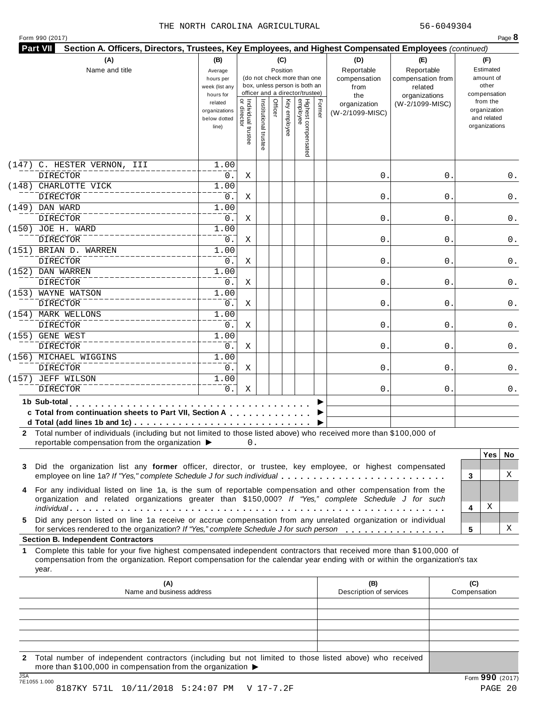|  | Form 990 (2017) |  |
|--|-----------------|--|
|  |                 |  |

|                                                                                                                                                                                                                                                           | (B)<br>Average<br>hours per<br>week (list any<br>hours for |                                   | (do not check more than one<br>box, unless person is both an<br>officer and a director/trustee) | (C)<br>Position |                                 |        | (D)<br>Reportable<br>compensation<br>from<br>the | (E)<br>Reportable<br>compensation from<br>related<br>organizations |                     | (F)<br>Estimated<br>amount of<br>other<br>compensation   |     |
|-----------------------------------------------------------------------------------------------------------------------------------------------------------------------------------------------------------------------------------------------------------|------------------------------------------------------------|-----------------------------------|-------------------------------------------------------------------------------------------------|-----------------|---------------------------------|--------|--------------------------------------------------|--------------------------------------------------------------------|---------------------|----------------------------------------------------------|-----|
|                                                                                                                                                                                                                                                           | related<br>organizations<br>below dotted<br>line)          | Individual trustee<br>or director | Institutional truste<br>Officer                                                                 | Ķey<br>employee | Highest compensated<br>employee | Former | organization<br>(W-2/1099-MISC)                  | (W-2/1099-MISC)                                                    |                     | from the<br>organization<br>and related<br>organizations |     |
| (147) C. HESTER VERNON, III                                                                                                                                                                                                                               | 1.00                                                       |                                   |                                                                                                 |                 |                                 |        |                                                  |                                                                    |                     |                                                          |     |
| <b>DIRECTOR</b><br>(148) CHARLOTTE VICK                                                                                                                                                                                                                   | 0.<br>1.00                                                 | Χ                                 |                                                                                                 |                 |                                 |        | $\mathsf{O}$ .                                   | 0                                                                  |                     |                                                          | 0.  |
| <b>DIRECTOR</b>                                                                                                                                                                                                                                           | 0.                                                         | Χ                                 |                                                                                                 |                 |                                 |        | $\mathbf 0$                                      | 0                                                                  |                     |                                                          | 0.  |
| (149) DAN WARD                                                                                                                                                                                                                                            | 1.00                                                       |                                   |                                                                                                 |                 |                                 |        |                                                  |                                                                    |                     |                                                          |     |
| <b>DIRECTOR</b>                                                                                                                                                                                                                                           | 0.                                                         | Χ                                 |                                                                                                 |                 |                                 |        | $\mathbf{0}$ .                                   | 0                                                                  |                     |                                                          | 0.  |
| (150) JOE H. WARD<br><b>DIRECTOR</b>                                                                                                                                                                                                                      | 1.00<br>0.                                                 | Χ                                 |                                                                                                 |                 |                                 |        | $\mathbf 0$                                      | 0                                                                  |                     |                                                          | 0.  |
| (151) BRIAN D. WARREN                                                                                                                                                                                                                                     | 1.00                                                       |                                   |                                                                                                 |                 |                                 |        |                                                  |                                                                    |                     |                                                          |     |
| <b>DIRECTOR</b>                                                                                                                                                                                                                                           | 0.                                                         | Χ                                 |                                                                                                 |                 |                                 |        | $\mathsf{O}$ .                                   | 0                                                                  |                     |                                                          | 0.  |
| (152) DAN WARREN                                                                                                                                                                                                                                          | 1.00                                                       |                                   |                                                                                                 |                 |                                 |        |                                                  |                                                                    |                     |                                                          |     |
| <b>DIRECTOR</b>                                                                                                                                                                                                                                           | 0.                                                         | Χ                                 |                                                                                                 |                 |                                 |        | $\mathbf{0}$ .                                   | 0                                                                  |                     |                                                          | 0.  |
| (153) WAYNE WATSON                                                                                                                                                                                                                                        | 1.00                                                       |                                   |                                                                                                 |                 |                                 |        |                                                  |                                                                    |                     |                                                          |     |
| <b>DIRECTOR</b>                                                                                                                                                                                                                                           | 0.                                                         | Χ                                 |                                                                                                 |                 |                                 |        | $\mathsf{O}$ .                                   | 0                                                                  |                     |                                                          | 0.  |
| (154) MARK WELLONS                                                                                                                                                                                                                                        | 1.00                                                       |                                   |                                                                                                 |                 |                                 |        |                                                  |                                                                    |                     |                                                          |     |
| <b>DIRECTOR</b>                                                                                                                                                                                                                                           | 0.                                                         | Χ                                 |                                                                                                 |                 |                                 |        | $0$ .                                            | 0                                                                  |                     |                                                          | 0.  |
| (155) GENE WEST<br><b>DIRECTOR</b>                                                                                                                                                                                                                        | 1.00<br>0.                                                 | Χ                                 |                                                                                                 |                 |                                 |        | $\mathbf{0}$ .                                   | 0                                                                  |                     |                                                          | 0.  |
| (156) MICHAEL WIGGINS                                                                                                                                                                                                                                     | 1.00                                                       |                                   |                                                                                                 |                 |                                 |        |                                                  |                                                                    |                     |                                                          |     |
| <b>DIRECTOR</b>                                                                                                                                                                                                                                           | 0.                                                         | Χ                                 |                                                                                                 |                 |                                 |        | $\mathbf 0$ .                                    | 0                                                                  |                     |                                                          | 0.  |
| (157) JEFF WILSON                                                                                                                                                                                                                                         | 1.00                                                       |                                   |                                                                                                 |                 |                                 |        |                                                  |                                                                    |                     |                                                          |     |
| <b>DIRECTOR</b>                                                                                                                                                                                                                                           | 0.                                                         | Χ                                 |                                                                                                 |                 |                                 |        | 0.                                               | 0                                                                  |                     |                                                          | 0.  |
| 1b Sub-total<br>c Total from continuation sheets to Part VII, Section A<br>2 Total number of individuals (including but not limited to those listed above) who received more than \$100,000 of<br>reportable compensation from the organization ▶         |                                                            | 0.                                |                                                                                                 |                 |                                 |        |                                                  |                                                                    |                     |                                                          |     |
|                                                                                                                                                                                                                                                           |                                                            |                                   |                                                                                                 |                 |                                 |        |                                                  |                                                                    |                     | <b>Yes</b>                                               | No. |
| Did the organization list any former officer, director, or trustee, key employee, or highest compensated<br>3                                                                                                                                             |                                                            |                                   |                                                                                                 |                 |                                 |        |                                                  |                                                                    |                     |                                                          |     |
| employee on line 1a? If "Yes," complete Schedule J for such individual                                                                                                                                                                                    |                                                            |                                   |                                                                                                 |                 |                                 |        |                                                  |                                                                    | 3                   |                                                          | X   |
| For any individual listed on line 1a, is the sum of reportable compensation and other compensation from the<br>4                                                                                                                                          |                                                            |                                   |                                                                                                 |                 |                                 |        |                                                  |                                                                    |                     |                                                          |     |
|                                                                                                                                                                                                                                                           |                                                            |                                   |                                                                                                 |                 |                                 |        |                                                  |                                                                    |                     | Χ                                                        |     |
| organization and related organizations greater than \$150,000? If "Yes," complete Schedule J for such                                                                                                                                                     |                                                            |                                   |                                                                                                 |                 |                                 |        |                                                  |                                                                    | 4                   |                                                          |     |
|                                                                                                                                                                                                                                                           |                                                            |                                   |                                                                                                 |                 |                                 |        |                                                  |                                                                    | 5                   |                                                          | х   |
| Did any person listed on line 1a receive or accrue compensation from any unrelated organization or individual                                                                                                                                             |                                                            |                                   |                                                                                                 |                 |                                 |        |                                                  |                                                                    |                     |                                                          |     |
| for services rendered to the organization? If "Yes," complete Schedule J for such person                                                                                                                                                                  |                                                            |                                   |                                                                                                 |                 |                                 |        |                                                  |                                                                    |                     |                                                          |     |
| Complete this table for your five highest compensated independent contractors that received more than \$100,000 of<br>compensation from the organization. Report compensation for the calendar year ending with or within the organization's tax<br>year. |                                                            |                                   |                                                                                                 |                 |                                 |        |                                                  |                                                                    |                     |                                                          |     |
| 5<br><b>Section B. Independent Contractors</b><br>1.<br>(A)<br>Name and business address                                                                                                                                                                  |                                                            |                                   |                                                                                                 |                 |                                 |        | (B)<br>Description of services                   |                                                                    | (C)<br>Compensation |                                                          |     |
|                                                                                                                                                                                                                                                           |                                                            |                                   |                                                                                                 |                 |                                 |        |                                                  |                                                                    |                     |                                                          |     |
|                                                                                                                                                                                                                                                           |                                                            |                                   |                                                                                                 |                 |                                 |        |                                                  |                                                                    |                     |                                                          |     |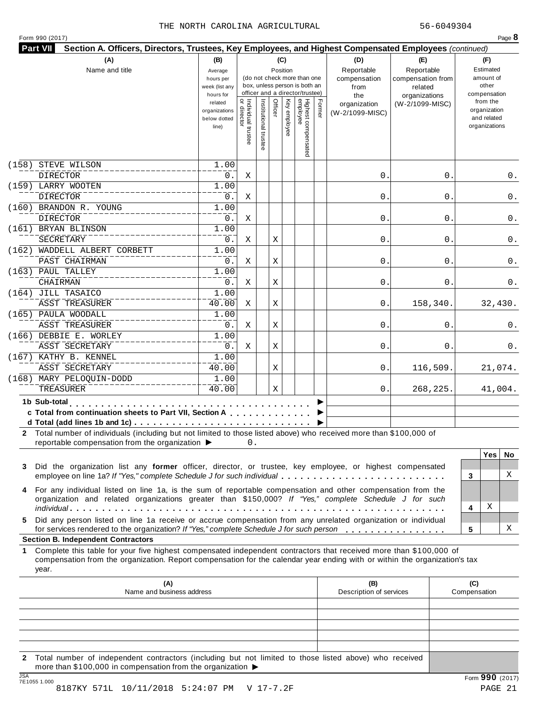| Form 990 (2017) |  |
|-----------------|--|
|-----------------|--|

| (A)                                                                                                                                                                                                                                              |                    |                                     |                                                                  |            |                                 |        |                                | Section A. Officers, Directors, Trustees, Key Employees, and Highest Compensated Employees (continued) |                     |          |
|--------------------------------------------------------------------------------------------------------------------------------------------------------------------------------------------------------------------------------------------------|--------------------|-------------------------------------|------------------------------------------------------------------|------------|---------------------------------|--------|--------------------------------|--------------------------------------------------------------------------------------------------------|---------------------|----------|
|                                                                                                                                                                                                                                                  | (B)                |                                     |                                                                  | (C)        |                                 |        | (D)                            | (E)                                                                                                    | (F)                 |          |
| Name and title                                                                                                                                                                                                                                   | Average            |                                     |                                                                  | Position   |                                 |        | Reportable                     | Reportable                                                                                             | Estimated           |          |
|                                                                                                                                                                                                                                                  | hours per          |                                     | (do not check more than one                                      |            |                                 |        | compensation                   | compensation from                                                                                      | amount of           |          |
|                                                                                                                                                                                                                                                  | week (list any     |                                     | box, unless person is both an<br>officer and a director/trustee) |            |                                 |        | from                           | related                                                                                                | other               |          |
|                                                                                                                                                                                                                                                  | hours for          |                                     |                                                                  |            |                                 |        | the                            | organizations                                                                                          | compensation        |          |
|                                                                                                                                                                                                                                                  | related            |                                     | Officer<br>Institutional                                         | Ķey        |                                 | Former | organization                   | (W-2/1099-MISC)                                                                                        | from the            |          |
|                                                                                                                                                                                                                                                  | organizations      |                                     |                                                                  |            |                                 |        | (W-2/1099-MISC)                |                                                                                                        | organization        |          |
|                                                                                                                                                                                                                                                  | below dotted       |                                     |                                                                  |            |                                 |        |                                |                                                                                                        | and related         |          |
|                                                                                                                                                                                                                                                  | line)              |                                     |                                                                  | y employee |                                 |        |                                |                                                                                                        | organizations       |          |
|                                                                                                                                                                                                                                                  |                    | Individual trustee<br>  or director | Ë                                                                |            |                                 |        |                                |                                                                                                        |                     |          |
|                                                                                                                                                                                                                                                  |                    |                                     |                                                                  |            | Highest compensated<br>employee |        |                                |                                                                                                        |                     |          |
| STEVE WILSON<br>(158)                                                                                                                                                                                                                            | 1.00               |                                     |                                                                  |            |                                 |        |                                |                                                                                                        |                     |          |
| <b>DIRECTOR</b>                                                                                                                                                                                                                                  | 0.                 | Χ                                   |                                                                  |            |                                 |        | 0                              | 0                                                                                                      |                     | 0.       |
| (159) LARRY WOOTEN                                                                                                                                                                                                                               | 1.00               |                                     |                                                                  |            |                                 |        |                                |                                                                                                        |                     |          |
| <b>DIRECTOR</b>                                                                                                                                                                                                                                  | 0.                 | Χ                                   |                                                                  |            |                                 |        | $\mathsf{O}$                   | 0                                                                                                      |                     | 0.       |
| (160) BRANDON R. YOUNG                                                                                                                                                                                                                           | 1.00               |                                     |                                                                  |            |                                 |        |                                |                                                                                                        |                     |          |
| <b>DIRECTOR</b>                                                                                                                                                                                                                                  | 0.                 | Χ                                   |                                                                  |            |                                 |        | $\mathsf{O}$                   | 0                                                                                                      |                     | 0.       |
| (161) BRYAN BLINSON                                                                                                                                                                                                                              | 1.00               |                                     |                                                                  |            |                                 |        |                                |                                                                                                        |                     |          |
| SECRETARY                                                                                                                                                                                                                                        | 0.                 | Χ                                   | Χ                                                                |            |                                 |        | $\mathsf{O}$                   | 0                                                                                                      |                     | 0.       |
|                                                                                                                                                                                                                                                  |                    |                                     |                                                                  |            |                                 |        |                                |                                                                                                        |                     |          |
| (162) WADDELL ALBERT CORBETT                                                                                                                                                                                                                     | 1.00               |                                     |                                                                  |            |                                 |        |                                |                                                                                                        |                     |          |
| PAST CHAIRMAN                                                                                                                                                                                                                                    | 0.                 | Χ                                   | Χ                                                                |            |                                 |        | $\mathsf{O}$                   | 0                                                                                                      |                     | 0.       |
| (163) PAUL TALLEY                                                                                                                                                                                                                                | 1.00               |                                     |                                                                  |            |                                 |        |                                |                                                                                                        |                     |          |
| CHAIRMAN                                                                                                                                                                                                                                         | $0$ .              | Χ                                   | Χ                                                                |            |                                 |        | $\mathsf{O}$                   | 0                                                                                                      |                     | 0.       |
| (164) JILL TASAICO                                                                                                                                                                                                                               | $\overline{1}$ .00 |                                     |                                                                  |            |                                 |        |                                |                                                                                                        |                     |          |
| <b>ASST TREASURER</b>                                                                                                                                                                                                                            | 40.00              | Χ                                   | Χ                                                                |            |                                 |        | $\mathsf{O}$                   | 158,340.                                                                                               |                     | 32,430.  |
| (165) PAULA WOODALL                                                                                                                                                                                                                              | 1.00               |                                     |                                                                  |            |                                 |        |                                |                                                                                                        |                     |          |
|                                                                                                                                                                                                                                                  |                    |                                     |                                                                  |            |                                 |        |                                |                                                                                                        |                     |          |
| <b>ASST TREASURER</b>                                                                                                                                                                                                                            | 0.                 | Χ                                   | Χ                                                                |            |                                 |        | 0                              | 0                                                                                                      |                     | 0.       |
| (166) DEBBIE E. WORLEY                                                                                                                                                                                                                           | 1.00               |                                     |                                                                  |            |                                 |        |                                |                                                                                                        |                     |          |
| ASST SECRETARY                                                                                                                                                                                                                                   | 0.                 | Χ                                   | Χ                                                                |            |                                 |        | $\mathsf{O}$                   | 0                                                                                                      |                     | 0.       |
| (167) KATHY B. KENNEL                                                                                                                                                                                                                            | $\overline{1}$ .00 |                                     |                                                                  |            |                                 |        |                                |                                                                                                        |                     |          |
| ASST SECRETARY                                                                                                                                                                                                                                   | 40.00              |                                     | Χ                                                                |            |                                 |        | 0.                             | 116,509.                                                                                               |                     | 21,074.  |
| (168) MARY PELOQUIN-DODD                                                                                                                                                                                                                         | 1.00               |                                     |                                                                  |            |                                 |        |                                |                                                                                                        |                     |          |
| TREASURER                                                                                                                                                                                                                                        | 40.00              |                                     | Χ                                                                |            |                                 |        | 0.                             | 268,225.                                                                                               |                     | 41,004.  |
|                                                                                                                                                                                                                                                  |                    |                                     |                                                                  |            |                                 |        |                                |                                                                                                        |                     |          |
|                                                                                                                                                                                                                                                  |                    |                                     |                                                                  |            |                                 |        |                                |                                                                                                        |                     |          |
| 1b Sub-total<br>.                                                                                                                                                                                                                                |                    |                                     |                                                                  |            |                                 |        |                                |                                                                                                        |                     |          |
| c Total from continuation sheets to Part VII, Section A                                                                                                                                                                                          |                    |                                     |                                                                  |            |                                 |        |                                |                                                                                                        |                     |          |
| d Total (add lines 1b and 1c) $\cdots$ $\cdots$ $\cdots$ $\cdots$ $\cdots$ $\cdots$ $\cdots$ $\cdots$ $\cdots$ $\cdots$ $\cdots$                                                                                                                 |                    |                                     |                                                                  |            |                                 |        |                                |                                                                                                        |                     |          |
| reportable compensation from the organization ▶                                                                                                                                                                                                  |                    | 0.                                  |                                                                  |            |                                 |        |                                |                                                                                                        |                     |          |
|                                                                                                                                                                                                                                                  |                    |                                     |                                                                  |            |                                 |        |                                |                                                                                                        | <b>Yes</b>          |          |
| Did the organization list any former officer, director, or trustee, key employee, or highest compensated                                                                                                                                         |                    |                                     |                                                                  |            |                                 |        |                                |                                                                                                        |                     |          |
| 2 Total number of individuals (including but not limited to those listed above) who received more than \$100,000 of<br>3<br>employee on line 1a? If "Yes," complete Schedule J for such individual                                               |                    |                                     |                                                                  |            |                                 |        |                                |                                                                                                        | 3                   | No.<br>X |
|                                                                                                                                                                                                                                                  |                    |                                     |                                                                  |            |                                 |        |                                |                                                                                                        |                     |          |
|                                                                                                                                                                                                                                                  |                    |                                     |                                                                  |            |                                 |        |                                |                                                                                                        |                     |          |
| 4 For any individual listed on line 1a, is the sum of reportable compensation and other compensation from the<br>organization and related organizations greater than \$150,000? If "Yes," complete Schedule J for such                           |                    |                                     |                                                                  |            |                                 |        |                                |                                                                                                        | Χ<br>4              |          |
|                                                                                                                                                                                                                                                  |                    |                                     |                                                                  |            |                                 |        |                                |                                                                                                        |                     |          |
| Did any person listed on line 1a receive or accrue compensation from any unrelated organization or individual                                                                                                                                    |                    |                                     |                                                                  |            |                                 |        |                                |                                                                                                        |                     |          |
| for services rendered to the organization? If "Yes," complete Schedule J for such person                                                                                                                                                         |                    |                                     |                                                                  |            |                                 |        |                                |                                                                                                        | 5                   |          |
|                                                                                                                                                                                                                                                  |                    |                                     |                                                                  |            |                                 |        |                                |                                                                                                        |                     |          |
| Complete this table for your five highest compensated independent contractors that received more than \$100,000 of<br>compensation from the organization. Report compensation for the calendar year ending with or within the organization's tax |                    |                                     |                                                                  |            |                                 |        |                                |                                                                                                        |                     |          |
| year.                                                                                                                                                                                                                                            |                    |                                     |                                                                  |            |                                 |        |                                |                                                                                                        |                     | х        |
| (A)<br>Name and business address                                                                                                                                                                                                                 |                    |                                     |                                                                  |            |                                 |        | (B)<br>Description of services |                                                                                                        | (C)<br>Compensation |          |
|                                                                                                                                                                                                                                                  |                    |                                     |                                                                  |            |                                 |        |                                |                                                                                                        |                     |          |
| 5.<br><b>Section B. Independent Contractors</b><br>1.                                                                                                                                                                                            |                    |                                     |                                                                  |            |                                 |        |                                |                                                                                                        |                     |          |
|                                                                                                                                                                                                                                                  |                    |                                     |                                                                  |            |                                 |        |                                |                                                                                                        |                     |          |
|                                                                                                                                                                                                                                                  |                    |                                     |                                                                  |            |                                 |        |                                |                                                                                                        |                     |          |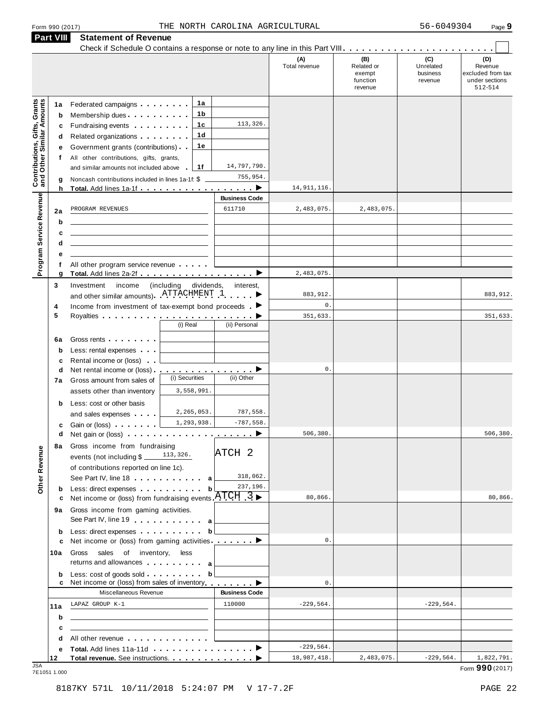|                                                                  | Part VIII                    | <b>Statement of Revenue</b>                                                                                                                                                                                                                                                                                                                                                                                                                                              |                                                                 |                                |                            |                                                    |                                         |                                                                  |
|------------------------------------------------------------------|------------------------------|--------------------------------------------------------------------------------------------------------------------------------------------------------------------------------------------------------------------------------------------------------------------------------------------------------------------------------------------------------------------------------------------------------------------------------------------------------------------------|-----------------------------------------------------------------|--------------------------------|----------------------------|----------------------------------------------------|-----------------------------------------|------------------------------------------------------------------|
|                                                                  |                              |                                                                                                                                                                                                                                                                                                                                                                                                                                                                          |                                                                 |                                | (A)<br>Total revenue       | (B)<br>Related or<br>exempt<br>function<br>revenue | (C)<br>Unrelated<br>business<br>revenue | (D)<br>Revenue<br>excluded from tax<br>under sections<br>512-514 |
| <b>Contributions, Gifts, Grants</b><br>and Other Similar Amounts | 1а<br>b<br>c<br>d<br>е<br>t. | Federated campaigns <b>Federated</b><br>Membership dues <b>All Accords</b> Membership dues<br>Fundraising events <b>Exercise State of America</b><br>Related organizations <b>contains</b> and the Related organizations and the Relations of the Relations of the Relations of the Relations of the Relations of Relations and Relations of Relations and Relations of Relations and Re<br>Government grants (contributions)<br>All other contributions, gifts, grants, | 1а<br>1b<br>1с<br>1d<br>1е                                      | 113,326.                       |                            |                                                    |                                         |                                                                  |
|                                                                  | g<br>h                       | and similar amounts not included above<br>Noncash contributions included in lines 1a-1f: \$<br>Total. Add lines 1a-1f ▶                                                                                                                                                                                                                                                                                                                                                  | 1f                                                              | 14,797,790.<br>755,954.        | 14, 911, 116.              |                                                    |                                         |                                                                  |
|                                                                  | 2a                           | PROGRAM REVENUES                                                                                                                                                                                                                                                                                                                                                                                                                                                         |                                                                 | <b>Business Code</b><br>611710 | 2,483,075.                 | 2,483,075.                                         |                                         |                                                                  |
| Program Service Revenue                                          | b<br>c<br>d                  |                                                                                                                                                                                                                                                                                                                                                                                                                                                                          |                                                                 |                                |                            |                                                    |                                         |                                                                  |
|                                                                  | е<br>f<br>g                  | All other program service revenue                                                                                                                                                                                                                                                                                                                                                                                                                                        |                                                                 |                                | 2,483,075.                 |                                                    |                                         |                                                                  |
|                                                                  | 3<br>4                       | Investment<br>income<br>and other similar amounts). ATTACHMENT 1<br>Income from investment of tax-exempt bond proceeds $\blacksquare$                                                                                                                                                                                                                                                                                                                                    | (including<br>dividends,                                        | interest,                      | 883,912.<br>$\mathbf{0}$ . |                                                    |                                         | 883,912.                                                         |
|                                                                  | 5                            |                                                                                                                                                                                                                                                                                                                                                                                                                                                                          | (i) Real                                                        | (ii) Personal                  | 351,633.                   |                                                    |                                         | 351,633.                                                         |
|                                                                  | 6a<br>b<br>c                 | Gross rents <b>contains a state of the state of the state of the state of the state of the state of the state of the state of the state of the state of the state of the state of the state of the state of the state of the sta</b><br>Less: rental expenses<br>Rental income or (loss)                                                                                                                                                                                 |                                                                 |                                |                            |                                                    |                                         |                                                                  |
|                                                                  | d<br>7а                      | Net rental income or (loss) ▶<br>Gross amount from sales of<br>assets other than inventory                                                                                                                                                                                                                                                                                                                                                                               | (i) Securities<br>3,558,991.                                    | (ii) Other                     | $\mathbf 0$ .              |                                                    |                                         |                                                                  |
|                                                                  | b                            | Less: cost or other basis<br>and sales expenses                                                                                                                                                                                                                                                                                                                                                                                                                          | 2,265,053.<br>1,293,938.                                        | 787,558.<br>$-787,558.$        |                            |                                                    |                                         |                                                                  |
| Revenue                                                          | c<br>d<br>8а                 | Gain or (loss)<br>Gross income from fundraising<br>events (not including \$                                                                                                                                                                                                                                                                                                                                                                                              | 113,326.                                                        | ATCH <sub>2</sub>              | 506,380.                   |                                                    |                                         | 506,380                                                          |
| Other                                                            | b                            | of contributions reported on line 1c).<br>See Part IV, line 18 a<br>Less: direct expenses                                                                                                                                                                                                                                                                                                                                                                                | b                                                               | 318,062.<br>237,196.           |                            |                                                    |                                         |                                                                  |
|                                                                  | c<br>9а                      | Net income or (loss) from fundraising events $\text{ATCH}$ 3<br>Gross income from gaming activities.<br>See Part IV, line 19 <b>Container a</b>                                                                                                                                                                                                                                                                                                                          |                                                                 |                                | 80,866.                    |                                                    |                                         | 80,866.                                                          |
|                                                                  | b<br>c                       | Less: direct expenses b<br>Net income or (loss) from gaming activities ________                                                                                                                                                                                                                                                                                                                                                                                          |                                                                 |                                | $\mathbf{0}$ .             |                                                    |                                         |                                                                  |
|                                                                  | 10a<br>b                     | sales of inventory,<br>Gross<br>returns and allowances and allowances<br>Less: cost of goods sold b                                                                                                                                                                                                                                                                                                                                                                      | less                                                            |                                |                            |                                                    |                                         |                                                                  |
|                                                                  | c                            | Net income or (loss) from sales of inventory ▶ ▶ ▶                                                                                                                                                                                                                                                                                                                                                                                                                       |                                                                 |                                | $\mathbf{0}$ .             |                                                    |                                         |                                                                  |
|                                                                  | 11a<br>b                     | Miscellaneous Revenue<br>LAPAZ GROUP K-1                                                                                                                                                                                                                                                                                                                                                                                                                                 |                                                                 | <b>Business Code</b><br>110000 | $-229,564.$                |                                                    | $-229,564.$                             |                                                                  |
|                                                                  | c<br>d                       | All other revenue experience in the set of the set of the set of the set of the set of the set of the set of the set of the set of the set of the set of the set of the set of the set of the set of the set of the set of the                                                                                                                                                                                                                                           | the control of the control of the control of the control of the |                                | $-229,564.$                |                                                    |                                         |                                                                  |
| .ISA                                                             | е<br>12                      | Total. Add lines 11a-11d ▶                                                                                                                                                                                                                                                                                                                                                                                                                                               |                                                                 |                                | 18,987,418.                | 2,483,075.                                         | $-229,564.$                             | 1,822,791.                                                       |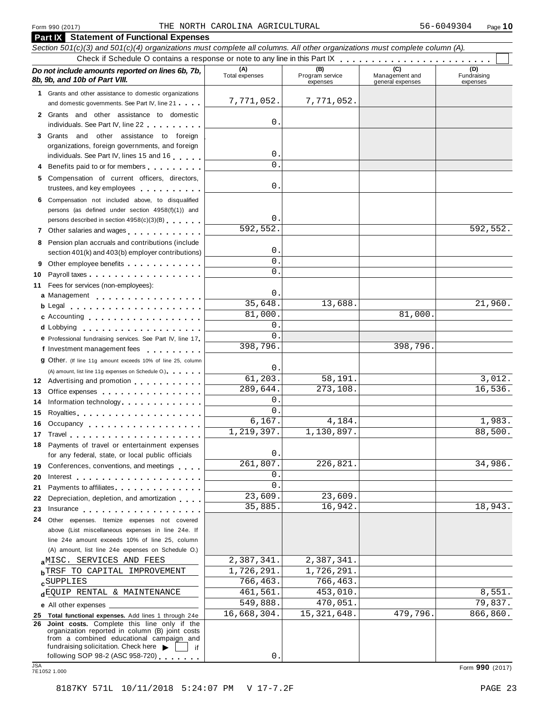| <b>Part IX</b> Statement of Functional Expenses                                                                                                                                                                                                                                  |                       |                        |                                    |                    |
|----------------------------------------------------------------------------------------------------------------------------------------------------------------------------------------------------------------------------------------------------------------------------------|-----------------------|------------------------|------------------------------------|--------------------|
| Section 501(c)(3) and 501(c)(4) organizations must complete all columns. All other organizations must complete column (A).                                                                                                                                                       |                       |                        |                                    |                    |
| Do not include amounts reported on lines 6b, 7b,<br>8b, 9b, and 10b of Part VIII.                                                                                                                                                                                                | (A)<br>Total expenses | (B)<br>Program service | Management and<br>general expenses | (D)<br>Fundraising |
| 1 Grants and other assistance to domestic organizations                                                                                                                                                                                                                          | 7,771,052.            | expenses<br>7,771,052. |                                    | expenses           |
| and domestic governments. See Part IV, line 21                                                                                                                                                                                                                                   |                       |                        |                                    |                    |
| 2 Grants and other assistance to domestic                                                                                                                                                                                                                                        | 0                     |                        |                                    |                    |
| individuals. See Part IV, line 22                                                                                                                                                                                                                                                |                       |                        |                                    |                    |
| 3 Grants and other assistance to foreign<br>organizations, foreign governments, and foreign                                                                                                                                                                                      | 0                     |                        |                                    |                    |
| individuals. See Part IV, lines 15 and 16                                                                                                                                                                                                                                        | 0                     |                        |                                    |                    |
| Benefits paid to or for members                                                                                                                                                                                                                                                  |                       |                        |                                    |                    |
| 5 Compensation of current officers, directors,<br>trustees, and key employees expressed as a set of the set of the set of the set of the set of the set of the set of the set of the set of the set of the set of the set of the set of the set of the set of the set of the set | 0                     |                        |                                    |                    |
| 6 Compensation not included above, to disqualified                                                                                                                                                                                                                               |                       |                        |                                    |                    |
| persons (as defined under section 4958(f)(1)) and                                                                                                                                                                                                                                | 0                     |                        |                                    |                    |
| persons described in section 4958(c)(3)(B)                                                                                                                                                                                                                                       | 592,552.              |                        |                                    | 592,552.           |
| 7 Other salaries and wages<br>1.1.1.1.1.1                                                                                                                                                                                                                                        |                       |                        |                                    |                    |
| 8 Pension plan accruals and contributions (include                                                                                                                                                                                                                               | 0                     |                        |                                    |                    |
| section 401(k) and 403(b) employer contributions)                                                                                                                                                                                                                                | 0                     |                        |                                    |                    |
| 9                                                                                                                                                                                                                                                                                | 0                     |                        |                                    |                    |
| Payroll taxes<br>10                                                                                                                                                                                                                                                              |                       |                        |                                    |                    |
| 11 Fees for services (non-employees):                                                                                                                                                                                                                                            | 0                     |                        |                                    |                    |
| a Management                                                                                                                                                                                                                                                                     | 35,648.               | 13,688.                |                                    | 21,960.            |
| c Accounting                                                                                                                                                                                                                                                                     | 81,000.               |                        | 81,000.                            |                    |
|                                                                                                                                                                                                                                                                                  | 0                     |                        |                                    |                    |
|                                                                                                                                                                                                                                                                                  | 0                     |                        |                                    |                    |
| e Professional fundraising services. See Part IV, line 17<br>f Investment management fees                                                                                                                                                                                        | 398,796.              |                        | 398,796.                           |                    |
| 9 Other. (If line 11g amount exceeds 10% of line 25, column                                                                                                                                                                                                                      |                       |                        |                                    |                    |
| (A) amount, list line 11g expenses on Schedule O.)                                                                                                                                                                                                                               | 0                     |                        |                                    |                    |
| 12 Advertising and promotion                                                                                                                                                                                                                                                     | 61,203.               | 58,191.                |                                    | 3,012.             |
| Office expenses extensive to the set of the set of the set of the set of the set of the set of the set of the<br>13                                                                                                                                                              | 289,644.              | 273,108.               |                                    | 16,536.            |
| Information technology<br>14                                                                                                                                                                                                                                                     | 0                     |                        |                                    |                    |
| 15                                                                                                                                                                                                                                                                               | 0                     |                        |                                    |                    |
| 16 Occupancy                                                                                                                                                                                                                                                                     | 6,167.                | 4,184.                 |                                    | 1,983.             |
| 17 Travel                                                                                                                                                                                                                                                                        | 1,219,397.            | 1,130,897              |                                    | 88,500.            |
| 18 Payments of travel or entertainment expenses                                                                                                                                                                                                                                  |                       |                        |                                    |                    |
| for any federal, state, or local public officials                                                                                                                                                                                                                                | 0                     |                        |                                    |                    |
| 19 Conferences, conventions, and meetings                                                                                                                                                                                                                                        | 261,807.              | 226,821.               |                                    | 34,986.            |
| 20                                                                                                                                                                                                                                                                               | 0                     |                        |                                    |                    |
| Payments to affiliates <b>container and the set of the set of the set of the set of the set of the set of the set of the set of the set of the set of the set of the set of the set of the set of the set of the set of the set </b><br>21                                       | 0                     |                        |                                    |                    |
| Depreciation, depletion, and amortization<br>22                                                                                                                                                                                                                                  | 23,609.               | 23,609.                |                                    |                    |
| 23<br>Insurance                                                                                                                                                                                                                                                                  | 35,885.               | 16,942.                |                                    | 18,943.            |
| 24 Other expenses. Itemize expenses not covered                                                                                                                                                                                                                                  |                       |                        |                                    |                    |
| above (List miscellaneous expenses in line 24e. If                                                                                                                                                                                                                               |                       |                        |                                    |                    |
| line 24e amount exceeds 10% of line 25, column                                                                                                                                                                                                                                   |                       |                        |                                    |                    |
| (A) amount, list line 24e expenses on Schedule O.)                                                                                                                                                                                                                               |                       |                        |                                    |                    |
| aMISC. SERVICES AND FEES                                                                                                                                                                                                                                                         | 2,387,341.            | 2,387,341.             |                                    |                    |
| <b>bTRSF TO CAPITAL IMPROVEMENT</b>                                                                                                                                                                                                                                              | 1,726,291.            | 1,726,291.             |                                    |                    |
| <b>c</b> SUPPLIES                                                                                                                                                                                                                                                                | 766,463.              | 766,463.               |                                    |                    |
| dEQUIP RENTAL & MAINTENANCE                                                                                                                                                                                                                                                      | 461,561.              | 453,010.               |                                    | 8,551.             |
| e All other expenses ___                                                                                                                                                                                                                                                         | 549,888.              | 470,051.               |                                    | 79,837.            |
| 25 Total functional expenses. Add lines 1 through 24e                                                                                                                                                                                                                            | 16,668,304.           | 15, 321, 648.          | 479,796.                           | 866,860.           |
| Joint costs. Complete this line only if the<br>26<br>organization reported in column (B) joint costs<br>from a combined educational campaign and<br>fundraising solicitation. Check here $\blacktriangleright$                                                                   |                       |                        |                                    |                    |
| if<br>following SOP 98-2 (ASC 958-720)                                                                                                                                                                                                                                           | 0                     |                        |                                    |                    |
| <b>JSA</b><br>7E1052 1.000                                                                                                                                                                                                                                                       |                       |                        |                                    | Form 990 (2017)    |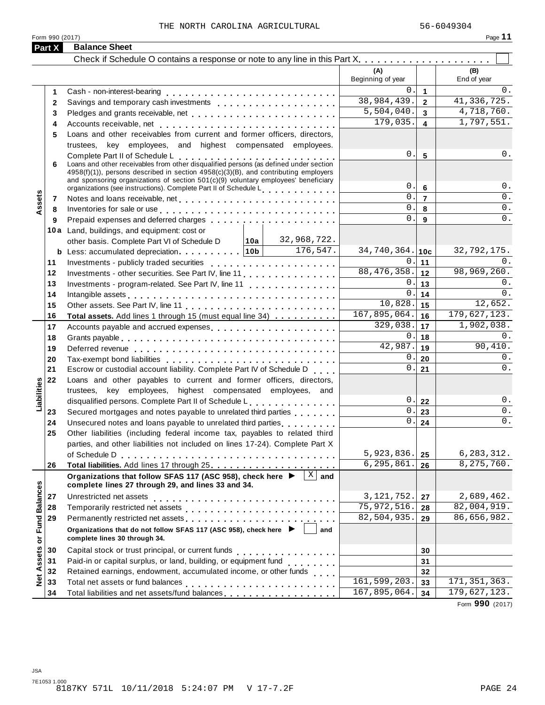|                             | Form 990 (2017) |                                                                                                                                                                                                                                                                                                        |                             |                 | Page 11                   |
|-----------------------------|-----------------|--------------------------------------------------------------------------------------------------------------------------------------------------------------------------------------------------------------------------------------------------------------------------------------------------------|-----------------------------|-----------------|---------------------------|
|                             | Part X          | <b>Balance Sheet</b>                                                                                                                                                                                                                                                                                   |                             |                 |                           |
|                             |                 |                                                                                                                                                                                                                                                                                                        |                             |                 |                           |
|                             |                 |                                                                                                                                                                                                                                                                                                        | Beginning of year           |                 | (B)<br>End of year        |
|                             | 1               |                                                                                                                                                                                                                                                                                                        | 0.                          | $\mathbf{1}$    | 0.                        |
|                             | $\mathbf{2}$    | Savings and temporary cash investments                                                                                                                                                                                                                                                                 | 38,984,439.                 | $\overline{2}$  | 41, 336, 725.             |
|                             | 3               | Pledges and grants receivable, net                                                                                                                                                                                                                                                                     | 5,504,040.                  | $\overline{3}$  | 4,718,760.                |
|                             | 4               |                                                                                                                                                                                                                                                                                                        | 179,035.                    | 4               | 1,797,551.                |
|                             | 5               | Loans and other receivables from current and former officers, directors,                                                                                                                                                                                                                               |                             |                 |                           |
|                             |                 | trustees, key employees, and highest compensated employees.                                                                                                                                                                                                                                            |                             |                 |                           |
|                             | 6               | Complete Part II of Schedule L<br>Loans and other receivables from other disqualified persons (as defined under section<br>4958(f)(1)), persons described in section 4958(c)(3)(B), and contributing employers<br>and sponsoring organizations of section $501(c)(9)$ voluntary employees' beneficiary | 0.                          | 5               | 0.                        |
|                             |                 | organizations (see instructions). Complete Part II of Schedule Letter entries networks                                                                                                                                                                                                                 | 0.                          | 6               | 0.                        |
| Assets                      | 7               |                                                                                                                                                                                                                                                                                                        | 0.                          | $\overline{7}$  | $\overline{0}$ .          |
|                             | 8               | Inventories for sale or use enterpreteral resources in the set of the set of the set of the set of the set of the set of the set of the set of the set of the set of the set of the set of the set of the set of the set of th                                                                         | $\mathsf{O}$ .              | 8               | 0.                        |
|                             | 9               |                                                                                                                                                                                                                                                                                                        | 0.                          | 9               | $\overline{0}$ .          |
|                             |                 | 10a Land, buildings, and equipment: cost or<br>32,968,722.                                                                                                                                                                                                                                             |                             |                 |                           |
|                             |                 | │ 10a │<br>other basis. Complete Part VI of Schedule D                                                                                                                                                                                                                                                 | 34,740,364.                 |                 | 32,792,175.               |
|                             |                 | <b>b</b> Less: accumulated depreciation   10b   $\boxed{176,547}$ .                                                                                                                                                                                                                                    | 0.                          | 10 <sub>c</sub> | 0.                        |
|                             | 11<br>12        | Investments - publicly traded securities<br>Investments - other securities. See Part IV, line 11                                                                                                                                                                                                       | 88,476,358.                 | 11<br>12        | 98,969,260.               |
|                             | 13              | Investments - program-related. See Part IV, line 11                                                                                                                                                                                                                                                    | 0.                          | 13              | 0.                        |
|                             | 14              |                                                                                                                                                                                                                                                                                                        | 0.                          | 14              | 0.                        |
|                             | 15              | Intangible assets enterpreteration of the contract of the contract of the contract of the contract of the contract of the contract of the contract of the contract of the contract of the contract of the contract of the cont                                                                         | 10,828.                     | 15              | 12,652.                   |
|                             | 16              | Total assets. Add lines 1 through 15 (must equal line 34)                                                                                                                                                                                                                                              | 167,895,064.                | 16              | 179,627,123.              |
|                             | 17              | Accounts payable and accrued expenses extensive and accrue and accrued expenses                                                                                                                                                                                                                        | 329,038.                    | 17              | $\overline{1,}$ 902, 038. |
|                             | 18              |                                                                                                                                                                                                                                                                                                        | 0.                          | 18              | 0.                        |
|                             | 19              |                                                                                                                                                                                                                                                                                                        | 42,987.                     | 19              | 90,410.                   |
|                             | 20              |                                                                                                                                                                                                                                                                                                        | 0                           | 20              | 0.                        |
|                             | 21              | Escrow or custodial account liability. Complete Part IV of Schedule D                                                                                                                                                                                                                                  | 0.                          | 21              | $\overline{0}$ .          |
|                             | 22              | Loans and other payables to current and former officers, directors,                                                                                                                                                                                                                                    |                             |                 |                           |
|                             |                 | trustees, key employees, highest compensated employees, and                                                                                                                                                                                                                                            |                             |                 |                           |
| Liabilities                 |                 | disqualified persons. Complete Part II of Schedule L.                                                                                                                                                                                                                                                  | 0.                          | 22              | 0.                        |
|                             | 23              | Secured mortgages and notes payable to unrelated third parties                                                                                                                                                                                                                                         | 0                           | 23              | $\overline{0}$ .          |
|                             | 24              | Unsecured notes and loans payable to unrelated third parties <b>Common State and State and America</b>                                                                                                                                                                                                 | $0$ .                       | 24              | 0.                        |
|                             | 25              | Other liabilities (including federal income tax, payables to related third                                                                                                                                                                                                                             |                             |                 |                           |
|                             |                 | parties, and other liabilities not included on lines 17-24). Complete Part X                                                                                                                                                                                                                           |                             |                 |                           |
|                             |                 |                                                                                                                                                                                                                                                                                                        | 5,923,836.                  | 25              | 6, 283, 312.              |
|                             | 26              |                                                                                                                                                                                                                                                                                                        | 6,295,861.                  | 26              | 8, 275, 760.              |
|                             |                 | Organizations that follow SFAS 117 (ASC 958), check here $\blacktriangleright \begin{bmatrix} \mathbb{X} & \mathbb{X} \end{bmatrix}$ and<br>complete lines 27 through 29, and lines 33 and 34.                                                                                                         |                             |                 |                           |
|                             | 27              | Unrestricted net assets                                                                                                                                                                                                                                                                                | 3, 121, 752.                | 27              | 2,689,462.                |
|                             | 28              |                                                                                                                                                                                                                                                                                                        | 75, 972, 516.               | 28              | 82,004,919.               |
|                             | 29              | Permanently restricted net assets entertainment and an article in the set of the set of the set of the set of the set of the set of the set of the set of the set of the set of the set of the set of the set of the set of th                                                                         | $\overline{82}$ , 504, 935. | 29              | 86,656,982.               |
| Net Assets or Fund Balances |                 | Organizations that do not follow SFAS 117 (ASC 958), check here ▶ │<br>and<br>complete lines 30 through 34.                                                                                                                                                                                            |                             |                 |                           |
|                             | 30              |                                                                                                                                                                                                                                                                                                        |                             | 30              |                           |
|                             | 31              |                                                                                                                                                                                                                                                                                                        |                             | 31              |                           |
|                             | 32              | Retained earnings, endowment, accumulated income, or other funds                                                                                                                                                                                                                                       |                             | 32              |                           |
|                             | 33              |                                                                                                                                                                                                                                                                                                        | 161,599,203.                | 33              | 171, 351, 363.            |
|                             | 34              |                                                                                                                                                                                                                                                                                                        | 167,895,064.                | 34              | 179,627,123.              |

Form **990** (2017)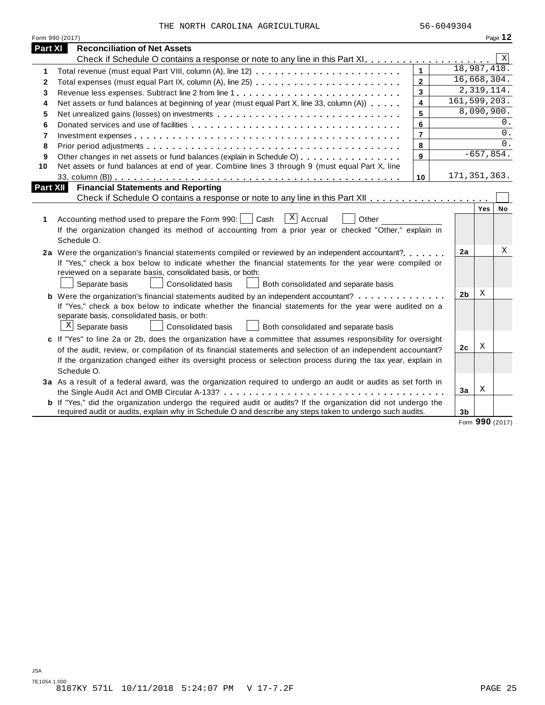|  |  |  |  | THE NORTH CAROLINA AGRICULTURAL |
|--|--|--|--|---------------------------------|
|--|--|--|--|---------------------------------|

|                | Form 990 (2017)                                                                                                       |                         |                |                         | Page 12 |
|----------------|-----------------------------------------------------------------------------------------------------------------------|-------------------------|----------------|-------------------------|---------|
| Part XI        | <b>Reconciliation of Net Assets</b>                                                                                   |                         |                |                         |         |
|                |                                                                                                                       |                         |                |                         | Χ       |
| 1              |                                                                                                                       | $\mathbf{1}$            | 18,987,418.    |                         |         |
| $\mathbf{2}$   | Total expenses (must equal Part IX, column (A), line 25)                                                              | $\overline{2}$          | 16,668,304.    |                         |         |
| 3              | Revenue less expenses. Subtract line 2 from line 1                                                                    | 3                       |                | 2,319,114.              |         |
| 4              | Net assets or fund balances at beginning of year (must equal Part X, line 33, column (A))                             | $\overline{\mathbf{4}}$ | 161,599,203.   |                         |         |
| 5              |                                                                                                                       | 5                       |                | 8,090,900.              |         |
| 6              |                                                                                                                       | 6                       |                |                         | 0.      |
| $\overline{7}$ |                                                                                                                       | $\overline{\mathbf{r}}$ |                |                         | 0.      |
| 8              |                                                                                                                       | 8                       |                |                         | 0.      |
| 9              | Other changes in net assets or fund balances (explain in Schedule O)                                                  | 9                       |                | $-657,854.$             |         |
| 10             | Net assets or fund balances at end of year. Combine lines 3 through 9 (must equal Part X, line                        |                         |                |                         |         |
|                |                                                                                                                       | 10                      | 171, 351, 363. |                         |         |
| Part XII       | <b>Financial Statements and Reporting</b>                                                                             |                         |                |                         |         |
|                |                                                                                                                       |                         |                |                         |         |
| 1              | $\overline{X}$ Accrual<br>Accounting method used to prepare the Form 990:<br>Cash<br>Other                            |                         |                | Yes                     | No      |
|                | If the organization changed its method of accounting from a prior year or checked "Other," explain in                 |                         |                |                         |         |
|                | Schedule O.                                                                                                           |                         |                |                         |         |
|                | 2a Were the organization's financial statements compiled or reviewed by an independent accountant?                    |                         | 2a             |                         | Χ       |
|                | If "Yes," check a box below to indicate whether the financial statements for the year were compiled or                |                         |                |                         |         |
|                | reviewed on a separate basis, consolidated basis, or both:                                                            |                         |                |                         |         |
|                | Consolidated basis<br>Separate basis<br>Both consolidated and separate basis                                          |                         |                |                         |         |
|                | <b>b</b> Were the organization's financial statements audited by an independent accountant?                           |                         | 2 <sub>b</sub> | Χ                       |         |
|                | If "Yes," check a box below to indicate whether the financial statements for the year were audited on a               |                         |                |                         |         |
|                | separate basis, consolidated basis, or both:                                                                          |                         |                |                         |         |
|                | $X$ Separate basis<br><b>Consolidated basis</b><br>Both consolidated and separate basis                               |                         |                |                         |         |
|                | c If "Yes" to line 2a or 2b, does the organization have a committee that assumes responsibility for oversight         |                         |                |                         |         |
|                | of the audit, review, or compilation of its financial statements and selection of an independent accountant?          |                         | 2c             | Χ                       |         |
|                | If the organization changed either its oversight process or selection process during the tax year, explain in         |                         |                |                         |         |
|                | Schedule O.                                                                                                           |                         |                |                         |         |
|                | 3a As a result of a federal award, was the organization required to undergo an audit or audits as set forth in        |                         |                |                         |         |
|                |                                                                                                                       |                         | 3a             | Χ                       |         |
|                | <b>b</b> If "Yes," did the organization undergo the required audit or audits? If the organization did not undergo the |                         |                |                         |         |
|                | required audit or audits, explain why in Schedule O and describe any steps taken to undergo such audits.              |                         | 3b             |                         |         |
|                |                                                                                                                       |                         |                | $\mathbf{a} \mathbf{a}$ |         |

Form **990** (2017)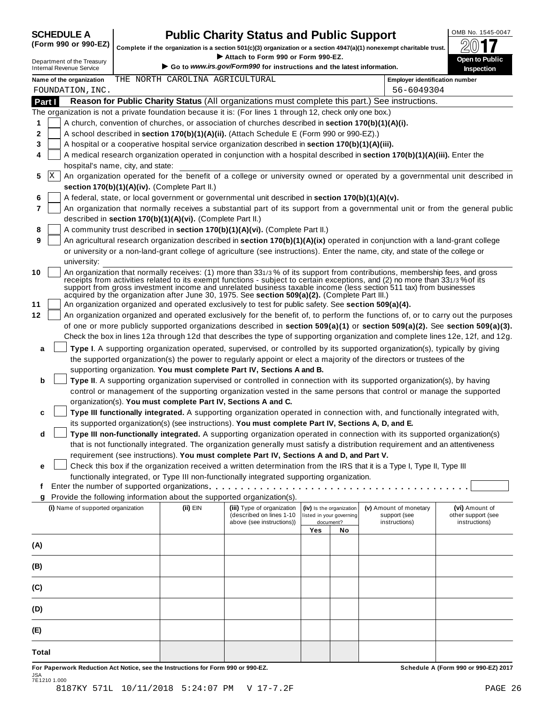# OMB No. 1545-0047 **SCHEDULE A Public Charity Status and Public Support**

Complete if the organization is a section 501(c)(3) organization or a section 4947(a)(1) nonexempt charitable trust.<br>• Attach to Form 990 or Form 990-EZ.

Complete if the organization is a section 501(c)(3) organization or a section 4947(a)(1) nonexempt charitable trust.<br>
Department of the Treasury Complete if the organization is a section 501(c)(3) organization or a sectio **Name of the organization Employer identification number** THE NORTH CAROLINA AGRICULTURAL **Part I Reason for Public Charity Status** (All organizations must complete this part.) See instructions. The organization is not a private foundation because it is: (For lines 1 through 12, check only one box.) **1 2 3 4 5** X **6 7 8 9 10 11 12** A church, convention of churches, or association of churches described in **section 170(b)(1)(A)(i).** A school described in **section 170(b)(1)(A)(ii).** (Attach Schedule E (Form 990 or 990-EZ).) A hospital or a cooperative hospital service organization described in **section 170(b)(1)(A)(iii).** A medical research organization operated in conjunction with a hospital described in **section 170(b)(1)(A)(iii).** Enter the hospital's name, city, and state: An organization operated for the benefit of a college or university owned or operated by a governmental unit described in **section 170(b)(1)(A)(iv).** (Complete Part II.) A federal, state, or local government or governmental unit described in **section 170(b)(1)(A)(v).** An organization that normally receives a substantial part of its support from a governmental unit or from the general public described in **section 170(b)(1)(A)(vi).** (Complete Part II.) A community trust described in **section 170(b)(1)(A)(vi).** (Complete Part II.) An agricultural research organization described in **section 170(b)(1)(A)(ix)** operated in conjunction with a land-grant college or university or a non-land-grant college of agriculture (see instructions). Enter the name, city, and state of the college or university: An organization that normally receives: (1) more than 331/3 % of its support from contributions, membership fees, and gross receipts from activities related to its exempt functions - subject to certain exceptions, and (2) no more than 331/3 %of its support from gross investment income and unrelated business taxable income (less section 511 tax) from businesses acquired by the organization after June 30, 1975. See **section 509(a)(2).** (Complete Part III.) An organization organized and operated exclusively to test for public safety. See **section 509(a)(4).** An organization organized and operated exclusively for the benefit of, to perform the functions of, or to carry out the purposes of one or more publicly supported organizations described in **section 509(a)(1)** or **section 509(a)(2).** See **section 509(a)(3).** Check the box in lines 12a through 12d that describes the type of supporting organization and complete lines 12e, 12f, and 12g. **a b c d e Type I**. A supporting organization operated, supervised, or controlled by its supported organization(s), typically by giving the supported organization(s) the power to regularly appoint or elect a majority of the directors or trustees of the supporting organization. **You must complete Part IV, Sections A and B. Type II**. A supporting organization supervised or controlled in connection with its supported organization(s), by having control or management of the supporting organization vested in the same persons that control or manage the supported organization(s). **You must complete Part IV, Sections A and C. Type III functionally integrated.** A supporting organization operated in connection with, and functionally integrated with, its supported organization(s) (see instructions). **You must complete Part IV, Sections A, D, and E. Type III non-functionally integrated.** A supporting organization operated in connection with its supported organization(s) that is not functionally integrated. The organization generally must satisfy a distribution requirement and an attentiveness requirement (see instructions). **You must complete Part IV, Sections A and D, and Part V.** Check this box if the organization received a written determination from the IRS that it is a Type I, Type II, Type III functionally integrated, or Type III non-functionally integrated supporting organization. m m m m m m m m m m m m m m m m m m m m m m m m m m m m m m m m m m m m m m m m m **f g** Provide the following information about the supported organization(s). Enter the number of supported organizations **(i)** Name of supported organization **(ii)** EIN **(iii)** Type of organization (described on lines 1-10 above (see instructions)) **(iv)** Is the organization listed in your governing document? **(v)** Amount of monetary support (see instructions) **(vi)** Amount of other support (see instructions) **Yes No (A) (B) (C) (D) (E) Total** FOUNDATION,INC. 56-6049304

For Paperwork Reduction Act Notice, see the Instructions for Form 990 or 990-EZ. The Schedule A (Form 990 or 990-EZ) 2017 JSA 7E1210 1.000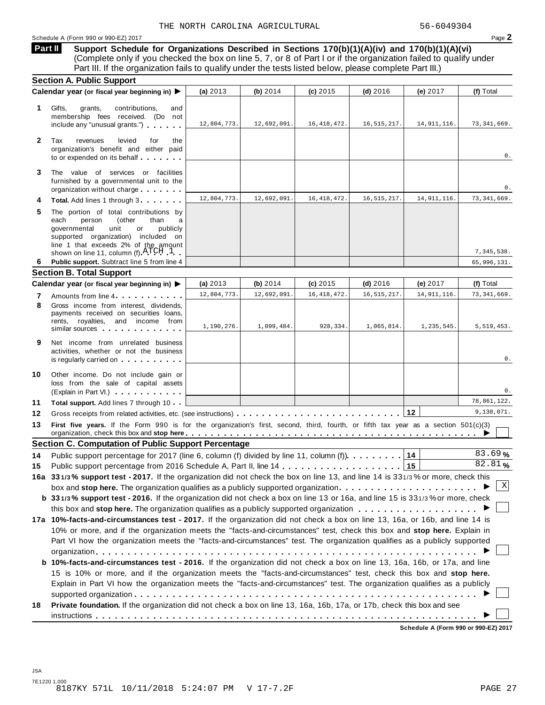Schedule <sup>A</sup> (Form <sup>990</sup> or 990-EZ) <sup>2017</sup> Page **2**

**Support Schedule for Organizations Described in Sections 170(b)(1)(A)(iv) and 170(b)(1)(A)(vi)** (Complete only if you checked the box on line 5, 7, or 8 of Part I or if the organization failed to qualify under Part III. If the organization fails to qualify under the tests listed below, please complete Part III.) **Part II**

|              | <b>Section A. Public Support</b>                                                                                                                                                                                                                          |             |             |               |               |               |               |
|--------------|-----------------------------------------------------------------------------------------------------------------------------------------------------------------------------------------------------------------------------------------------------------|-------------|-------------|---------------|---------------|---------------|---------------|
|              | Calendar year (or fiscal year beginning in) ▶                                                                                                                                                                                                             | (a) 2013    | (b) 2014    | (c) 2015      | $(d)$ 2016    | (e) 2017      | (f) Total     |
| 1.           | Gifts,<br>contributions,<br>grants,<br>and<br>membership fees received. (Do not<br>include any "unusual grants.")                                                                                                                                         | 12,804,773. | 12,692,091. | 16, 418, 472. | 16, 515, 217. | 14, 911, 116. | 73, 341, 669. |
| $\mathbf{2}$ | Tax<br>revenues<br>levied<br>for<br>the<br>organization's benefit and either paid<br>to or expended on its behalf                                                                                                                                         |             |             |               |               |               | 0.            |
| 3            | The value of services or facilities<br>furnished by a governmental unit to the<br>organization without charge                                                                                                                                             |             |             |               |               |               | 0.            |
| 4            | Total. Add lines 1 through 3                                                                                                                                                                                                                              | 12,804,773  | 12,692,091  | 16, 418, 472. | 16, 515, 217. | 14, 911, 116. | 73, 341, 669. |
| 5            | The portion of total contributions by<br>each<br>person<br>(other<br>than<br>a<br>governmental<br>unit<br>publicly<br>or<br>supported organization) included on<br>line 1 that exceeds 2% of the amount<br>shown on line 11, column (f) $\text{ATCH}$ 1   |             |             |               |               |               | 7,345,538.    |
| 6            | Public support. Subtract line 5 from line 4                                                                                                                                                                                                               |             |             |               |               |               | 65,996,131.   |
|              | <b>Section B. Total Support</b>                                                                                                                                                                                                                           |             |             |               |               |               |               |
|              | Calendar year (or fiscal year beginning in) ▶                                                                                                                                                                                                             | (a) $2013$  | (b) 2014    | $(c)$ 2015    | $(d)$ 2016    | (e) 2017      | (f) Total     |
| 7            | Amounts from line 4                                                                                                                                                                                                                                       | 12,804,773. | 12,692,091. | 16, 418, 472. | 16, 515, 217. | 14, 911, 116. | 73, 341, 669. |
| 8            | Gross income from interest, dividends,<br>payments received on securities loans,<br>rents, royalties, and income from<br>similar sources experiences                                                                                                      | 1,190,276.  | 1,099,484.  | 928,334.      | 1,065,814.    | 1,235,545.    | 5,519,453.    |
| 9            | Net income from unrelated business<br>activities, whether or not the business<br>is regularly carried on the control of the set of the set of the set of the set of the set of the set of the s                                                           |             |             |               |               |               | 0.            |
| 10           | Other income. Do not include gain or<br>loss from the sale of capital assets<br>(Explain in Part VI.)                                                                                                                                                     |             |             |               |               |               | 0.            |
| 11           | Total support. Add lines 7 through 10                                                                                                                                                                                                                     |             |             |               |               |               | 78,861,122.   |
| 12           |                                                                                                                                                                                                                                                           |             |             |               |               | 12            | 9,130,071.    |
| 13           | First five years. If the Form 990 is for the organization's first, second, third, fourth, or fifth tax year as a section 501(c)(3)<br>organization, check this box and stop here <u>entistical properties in the context of the state of the state of</u> |             |             |               |               |               |               |
|              | <b>Section C. Computation of Public Support Percentage</b>                                                                                                                                                                                                |             |             |               |               |               |               |
| 14           | Public support percentage for 2017 (line 6, column (f) divided by line 11, column (f).                                                                                                                                                                    |             |             |               |               | 14            | 83.69%        |
| 15           |                                                                                                                                                                                                                                                           |             |             |               |               | 15            | 82.81%        |
|              |                                                                                                                                                                                                                                                           |             |             |               |               |               |               |
|              | 16a 331/3% support test - 2017. If the organization did not check the box on line 13, and line 14 is 331/3% or more, check this                                                                                                                           |             |             |               |               |               |               |
|              | box and stop here. The organization qualifies as a publicly supported organization $\ldots$ , , , , ,                                                                                                                                                     |             |             |               |               |               | Χ             |
|              | b 331/3% support test - 2016. If the organization did not check a box on line 13 or 16a, and line 15 is 331/3% or more, check                                                                                                                             |             |             |               |               |               |               |
|              |                                                                                                                                                                                                                                                           |             |             |               |               |               |               |
|              | 17a 10%-facts-and-circumstances test - 2017. If the organization did not check a box on line 13, 16a, or 16b, and line 14 is                                                                                                                              |             |             |               |               |               |               |
|              | 10% or more, and if the organization meets the "facts-and-circumstances" test, check this box and stop here. Explain in                                                                                                                                   |             |             |               |               |               |               |
|              | Part VI how the organization meets the "facts-and-circumstances" test. The organization qualifies as a publicly supported                                                                                                                                 |             |             |               |               |               |               |
|              |                                                                                                                                                                                                                                                           |             |             |               |               |               |               |
|              | b 10%-facts-and-circumstances test - 2016. If the organization did not check a box on line 13, 16a, 16b, or 17a, and line<br>15 is 10% or more, and if the organization meets the "facts-and-circumstances" test, check this box and stop here.           |             |             |               |               |               |               |
|              | Explain in Part VI how the organization meets the "facts-and-circumstances" test. The organization qualifies as a publicly                                                                                                                                |             |             |               |               |               |               |
| 18           | Private foundation. If the organization did not check a box on line 13, 16a, 16b, 17a, or 17b, check this box and see                                                                                                                                     |             |             |               |               |               |               |

**Schedule A (Form 990 or 990-EZ) 2017**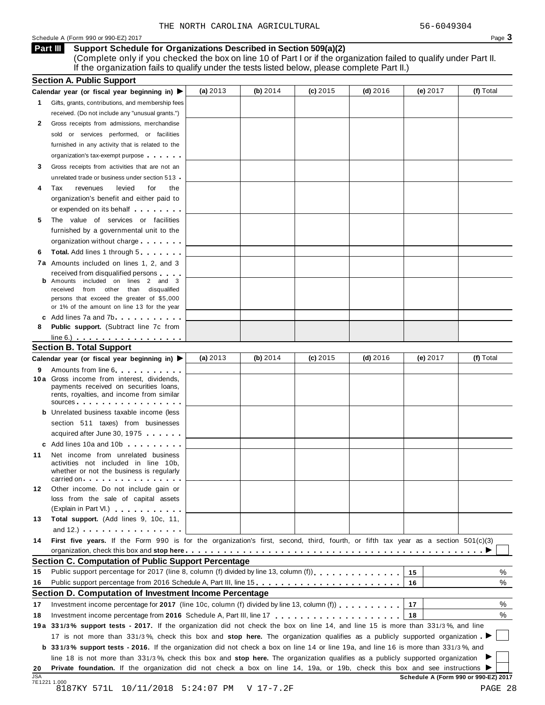### Schedule A (Form 990 or 990-EZ) 2017  $\qquad \qquad$

### **Support Schedule for Organizations Described in Section 509(a)(2) Part III**

(Complete only if you checked the box on line 10 of Part I or if the organization failed to qualify under Part II. If the organization fails to qualify under the tests listed below, please complete Part II.)

|                  | <b>Section A. Public Support</b>                                                                                                                                                                                                     |            |            |            |            |            |                                      |
|------------------|--------------------------------------------------------------------------------------------------------------------------------------------------------------------------------------------------------------------------------------|------------|------------|------------|------------|------------|--------------------------------------|
|                  | Calendar year (or fiscal year beginning in) $\blacktriangleright$                                                                                                                                                                    | (a) $2013$ | (b) $2014$ | $(c)$ 2015 | $(d)$ 2016 | (e) 2017   | (f) Total                            |
| 1.               | Gifts, grants, contributions, and membership fees                                                                                                                                                                                    |            |            |            |            |            |                                      |
|                  | received. (Do not include any "unusual grants.")                                                                                                                                                                                     |            |            |            |            |            |                                      |
| 2                | Gross receipts from admissions, merchandise                                                                                                                                                                                          |            |            |            |            |            |                                      |
|                  | or services performed, or facilities<br>sold                                                                                                                                                                                         |            |            |            |            |            |                                      |
|                  | furnished in any activity that is related to the                                                                                                                                                                                     |            |            |            |            |            |                                      |
|                  | organization's tax-exempt purpose                                                                                                                                                                                                    |            |            |            |            |            |                                      |
| 3                | Gross receipts from activities that are not an                                                                                                                                                                                       |            |            |            |            |            |                                      |
|                  | unrelated trade or business under section 513                                                                                                                                                                                        |            |            |            |            |            |                                      |
| 4                | Tax<br>revenues<br>levied<br>for<br>the                                                                                                                                                                                              |            |            |            |            |            |                                      |
|                  | organization's benefit and either paid to                                                                                                                                                                                            |            |            |            |            |            |                                      |
|                  | or expended on its behalf <b>contains the set of the set of the set of the set of the set of the set of the set of the set of the set of the set of the set of the set of the set of the set of the set of the set of the set of</b> |            |            |            |            |            |                                      |
| 5                | The value of services or facilities                                                                                                                                                                                                  |            |            |            |            |            |                                      |
|                  | furnished by a governmental unit to the                                                                                                                                                                                              |            |            |            |            |            |                                      |
|                  |                                                                                                                                                                                                                                      |            |            |            |            |            |                                      |
|                  | organization without charge                                                                                                                                                                                                          |            |            |            |            |            |                                      |
| 6                | Total. Add lines 1 through 5                                                                                                                                                                                                         |            |            |            |            |            |                                      |
|                  | 7a Amounts included on lines 1, 2, and 3                                                                                                                                                                                             |            |            |            |            |            |                                      |
|                  | received from disqualified persons<br><b>b</b> Amounts included on lines 2 and 3                                                                                                                                                     |            |            |            |            |            |                                      |
|                  | from other than disqualified<br>received                                                                                                                                                                                             |            |            |            |            |            |                                      |
|                  | persons that exceed the greater of \$5,000                                                                                                                                                                                           |            |            |            |            |            |                                      |
|                  | or 1% of the amount on line 13 for the year                                                                                                                                                                                          |            |            |            |            |            |                                      |
|                  | c Add lines 7a and 7b                                                                                                                                                                                                                |            |            |            |            |            |                                      |
| 8                | <b>Public support.</b> (Subtract line 7c from                                                                                                                                                                                        |            |            |            |            |            |                                      |
|                  | $line 6.)$ $\ldots$ $\ldots$ $\ldots$ $\ldots$ $\ldots$ $\ldots$ $\ldots$                                                                                                                                                            |            |            |            |            |            |                                      |
|                  | <b>Section B. Total Support</b>                                                                                                                                                                                                      |            |            |            |            |            |                                      |
|                  | Calendar year (or fiscal year beginning in) ▶                                                                                                                                                                                        | (a) $2013$ | (b) $2014$ | $(c)$ 2015 | $(d)$ 2016 | (e) $2017$ | (f) Total                            |
| 9                | Amounts from line 6. The state of the state of the state of the state of the state of the state of the state of the state of the state of the state of the state of the state of the state of the state of the state of the st       |            |            |            |            |            |                                      |
|                  | 10 a Gross income from interest, dividends,                                                                                                                                                                                          |            |            |            |            |            |                                      |
|                  | payments received on securities loans,<br>rents, royalties, and income from similar                                                                                                                                                  |            |            |            |            |            |                                      |
|                  | sources                                                                                                                                                                                                                              |            |            |            |            |            |                                      |
|                  | <b>b</b> Unrelated business taxable income (less                                                                                                                                                                                     |            |            |            |            |            |                                      |
|                  | section 511 taxes) from businesses                                                                                                                                                                                                   |            |            |            |            |            |                                      |
|                  | acquired after June 30, 1975                                                                                                                                                                                                         |            |            |            |            |            |                                      |
|                  | c Add lines 10a and 10b                                                                                                                                                                                                              |            |            |            |            |            |                                      |
|                  | Net income from unrelated business                                                                                                                                                                                                   |            |            |            |            |            |                                      |
| 11               | activities not included in line 10b,                                                                                                                                                                                                 |            |            |            |            |            |                                      |
|                  | whether or not the business is regularly                                                                                                                                                                                             |            |            |            |            |            |                                      |
|                  | carried on the carried on the control of the care of the control of the control of the control of the control o                                                                                                                      |            |            |            |            |            |                                      |
| 12               | Other income. Do not include gain or                                                                                                                                                                                                 |            |            |            |            |            |                                      |
|                  | loss from the sale of capital assets                                                                                                                                                                                                 |            |            |            |            |            |                                      |
|                  | (Explain in Part VI.) <b>All Accords</b>                                                                                                                                                                                             |            |            |            |            |            |                                      |
| 13               | Total support. (Add lines 9, 10c, 11,                                                                                                                                                                                                |            |            |            |            |            |                                      |
|                  | and $12.$ ) $\cdots$ $\cdots$ $\cdots$ $\cdots$                                                                                                                                                                                      |            |            |            |            |            |                                      |
| 14               | First five years. If the Form 990 is for the organization's first, second, third, fourth, or fifth tax year as a section 501(c)(3)                                                                                                   |            |            |            |            |            |                                      |
|                  |                                                                                                                                                                                                                                      |            |            |            |            |            |                                      |
|                  | Section C. Computation of Public Support Percentage                                                                                                                                                                                  |            |            |            |            |            |                                      |
| 15               |                                                                                                                                                                                                                                      |            |            |            |            | 15         | %                                    |
| 16               | Public support percentage from 2016 Schedule A, Part III, line 15.                                                                                                                                                                   |            |            |            |            | 16         | %                                    |
|                  | Section D. Computation of Investment Income Percentage                                                                                                                                                                               |            |            |            |            |            |                                      |
| 17               | Investment income percentage for 2017 (line 10c, column (f) divided by line 13, column (f) $\ldots$ ,,,,,,,                                                                                                                          |            |            |            |            | 17         | %                                    |
| 18               | Investment income percentage from 2016 Schedule A, Part III, line 17                                                                                                                                                                 |            |            |            |            | 18         | %                                    |
|                  | 19a 331/3% support tests - 2017. If the organization did not check the box on line 14, and line 15 is more than 331/3%, and line                                                                                                     |            |            |            |            |            |                                      |
|                  | 17 is not more than 331/3%, check this box and stop here. The organization qualifies as a publicly supported organization                                                                                                            |            |            |            |            |            |                                      |
|                  | <b>b</b> 331/3% support tests - 2016. If the organization did not check a box on line 14 or line 19a, and line 16 is more than 331/3%, and                                                                                           |            |            |            |            |            |                                      |
|                  | line 18 is not more than 331/3%, check this box and stop here. The organization qualifies as a publicly supported organization                                                                                                       |            |            |            |            |            |                                      |
|                  |                                                                                                                                                                                                                                      |            |            |            |            |            |                                      |
|                  |                                                                                                                                                                                                                                      |            |            |            |            |            |                                      |
| 20<br><b>JSA</b> | Private foundation. If the organization did not check a box on line 14, 19a, or 19b, check this box and see instructions ▶                                                                                                           |            |            |            |            |            | Schedule A (Form 990 or 990-EZ) 2017 |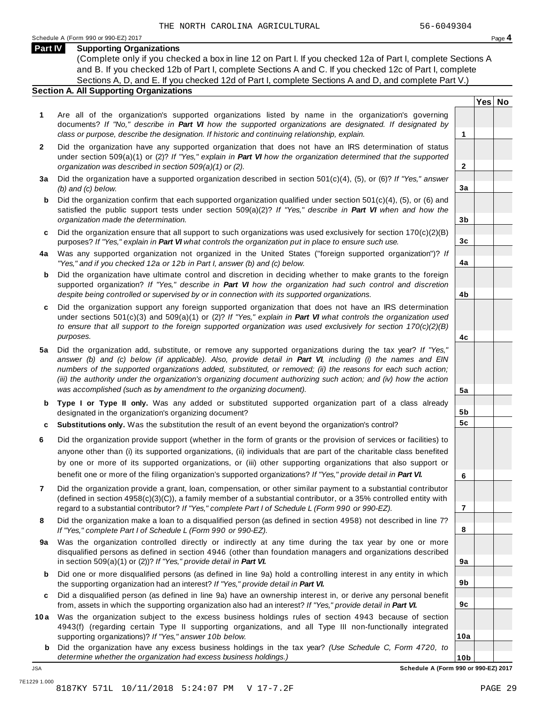**Yes No**

**2**

**3a**

**3b**

**3c**

**4a**

**4b**

**4c**

**5a**

**5b 5c**

**6**

**7**

**8**

**9a**

**9b**

**9c**

**10a**

### **Part IV Supporting Organizations**

(Complete only if you checked a box in line 12 on Part I. If you checked 12a of Part I, complete Sections A and B. If you checked 12b of Part I, complete Sections A and C. If you checked 12c of Part I, complete Sections A, D, and E. If you checked 12d of Part I, complete Sections A and D, and complete Part V.)

### **Section A. All Supporting Organizations**

- **1** Are all of the organization's supported organizations listed by name in the organization's governing documents? *If "No," describe in Part VI how the supported organizations are designated. If designated by class or purpose, describe the designation. If historic and continuing relationship, explain.* **1**
- **2** Did the organization have any supported organization that does not have an IRS determination of status under section 509(a)(1) or (2)? *If"Yes," explain in Part VI how the organization determined that the supported organization was described in section 509(a)(1) or (2).*
- **3 a** Did the organization have a supported organization described in section 501(c)(4), (5), or (6)? *If "Yes," answer (b) and (c) below.*
- **b** Did the organization confirm that each supported organization qualified under section 501(c)(4), (5), or (6) and | satisfied the public support tests under section 509(a)(2)? *If "Yes," describe in Part VI when and how the organization made the determination.*
- **c** Did the organization ensure that all support to such organizations was used exclusively for section 170(c)(2)(B) purposes? *If"Yes," explain in Part VI what controls the organization put in place to ensure such use.*
- **4 a** Was any supported organization not organized in the United States ("foreign supported organization")? *If "Yes," and if you checked 12a or 12b in Part I, answer (b) and (c) below.*
- **b** Did the organization have ultimate control and discretion in deciding whether to make grants to the foreign | supported organization? *If "Yes," describe in Part VI how the organization had such control and discretion despite being controlled or supervised by or in connection with its supported organizations.*
- **c** Did the organization support any foreign supported organization that does not have an IRS determination | under sections 501(c)(3) and 509(a)(1) or (2)? *If "Yes," explain in Part VI what controls the organization used to ensure that all support to the foreign supported organization was used exclusively for section 170(c)(2)(B) purposes.*
- **5 a** Did the organization add, substitute, or remove any supported organizations during the tax year? *If "Yes,"* answer (b) and (c) below (if applicable). Also, provide detail in Part VI, including (i) the names and EIN *numbers of the supported organizations added, substituted, or removed; (ii) the reasons for each such action;* (iii) the authority under the organization's organizing document authorizing such action; and (iv) how the action *was accomplished (such as by amendment to the organizing document).*
- **b** Type I or Type II only. Was any added or substituted supported organization part of a class already | designated in the organization's organizing document?
- **c Substitutions only.** Was the substitution the result of an event beyond the organization's control?
- **6** Did the organization provide support (whether in the form of grants or the provision of services or facilities) to anyone other than (i) its supported organizations, (ii) individuals that are part of the charitable class benefited by one or more of its supported organizations, or (iii) other supporting organizations that also support or benefit one or more of the filing organization's supported organizations? *If"Yes," provide detail in Part VI.*
- **7** Did the organization provide a grant, loan, compensation, or other similar payment to a substantial contributor (defined in section 4958(c)(3)(C)), a family member of a substantial contributor, or a 35% controlled entity with regard to a substantial contributor? *If"Yes," complete Part I of Schedule L (Form 990 or 990-EZ).*
- **8** Did the organization make a loan to a disqualified person (as defined in section 4958) not described in line 7? *If "Yes," complete Part I of Schedule L (Form 990 or 990-EZ).*
- **a** Was the organization controlled directly or indirectly at any time during the tax year by one or more | **9** disqualified persons as defined in section 4946 (other than foundation managers and organizations described in section 509(a)(1) or (2))? *If"Yes," provide detail in Part VI.*
- **b** Did one or more disqualified persons (as defined in line 9a) hold a controlling interest in any entity in which | the supporting organization had an interest? *If"Yes," provide detail in Part VI.*
- **c** Did a disqualified person (as defined in line 9a) have an ownership interest in, or derive any personal benefit from, assets in which the supporting organization also had an interest? *If"Yes," provide detail in Part VI.*
- **10a** Was the organization subject to the excess business holdings rules of section 4943 because of section | 4943(f) (regarding certain Type II supporting organizations, and all Type III non-functionally integrated supporting organizations)? *If"Yes," answer 10b below.*
	- **b** Did the organization have any excess business holdings in the tax year? *(Use Schedule C, Form 4720, to determine whether the organization had excess business holdings.)*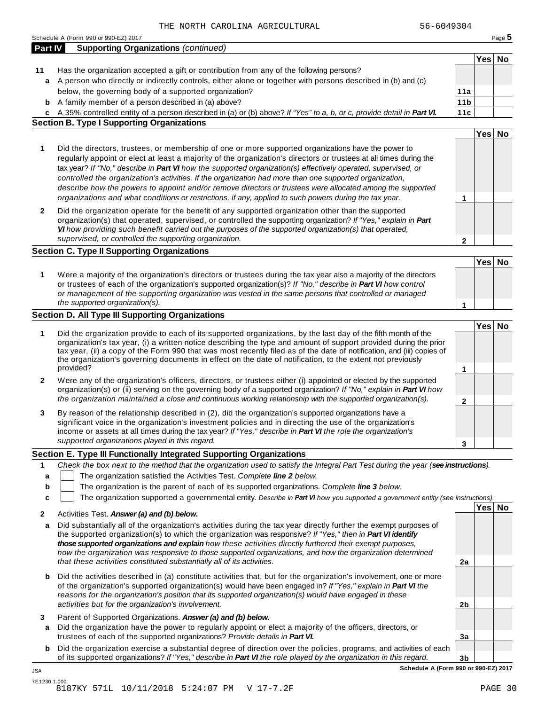| Part IV      | <b>Supporting Organizations (continued)</b>                                                                                                                                                                                                 |                 |        |  |
|--------------|---------------------------------------------------------------------------------------------------------------------------------------------------------------------------------------------------------------------------------------------|-----------------|--------|--|
|              |                                                                                                                                                                                                                                             |                 | Yes No |  |
| 11           | Has the organization accepted a gift or contribution from any of the following persons?                                                                                                                                                     |                 |        |  |
|              | a A person who directly or indirectly controls, either alone or together with persons described in (b) and (c)                                                                                                                              |                 |        |  |
|              | below, the governing body of a supported organization?                                                                                                                                                                                      | 11a             |        |  |
| b            | A family member of a person described in (a) above?                                                                                                                                                                                         | 11 <sub>b</sub> |        |  |
| c            | A 35% controlled entity of a person described in (a) or (b) above? If "Yes" to a, b, or c, provide detail in Part VI.                                                                                                                       | 11c             |        |  |
|              | <b>Section B. Type I Supporting Organizations</b>                                                                                                                                                                                           |                 |        |  |
|              |                                                                                                                                                                                                                                             |                 | Yes No |  |
| 1            | Did the directors, trustees, or membership of one or more supported organizations have the power to                                                                                                                                         |                 |        |  |
|              | regularly appoint or elect at least a majority of the organization's directors or trustees at all times during the                                                                                                                          |                 |        |  |
|              | tax year? If "No," describe in Part VI how the supported organization(s) effectively operated, supervised, or                                                                                                                               |                 |        |  |
|              | controlled the organization's activities. If the organization had more than one supported organization,                                                                                                                                     |                 |        |  |
|              | describe how the powers to appoint and/or remove directors or trustees were allocated among the supported                                                                                                                                   |                 |        |  |
|              | organizations and what conditions or restrictions, if any, applied to such powers during the tax year.                                                                                                                                      | 1               |        |  |
| $\mathbf{2}$ | Did the organization operate for the benefit of any supported organization other than the supported                                                                                                                                         |                 |        |  |
|              | organization(s) that operated, supervised, or controlled the supporting organization? If "Yes," explain in Part                                                                                                                             |                 |        |  |
|              | VI how providing such benefit carried out the purposes of the supported organization(s) that operated,                                                                                                                                      |                 |        |  |
|              | supervised, or controlled the supporting organization.                                                                                                                                                                                      | $\mathbf{2}$    |        |  |
|              | <b>Section C. Type II Supporting Organizations</b>                                                                                                                                                                                          |                 |        |  |
|              |                                                                                                                                                                                                                                             |                 | Yes No |  |
| 1            | Were a majority of the organization's directors or trustees during the tax year also a majority of the directors                                                                                                                            |                 |        |  |
|              | or trustees of each of the organization's supported organization(s)? If "No," describe in Part VI how control                                                                                                                               |                 |        |  |
|              | or management of the supporting organization was vested in the same persons that controlled or managed                                                                                                                                      |                 |        |  |
|              | the supported organization(s).                                                                                                                                                                                                              | 1               |        |  |
|              | Section D. All Type III Supporting Organizations                                                                                                                                                                                            |                 |        |  |
|              |                                                                                                                                                                                                                                             |                 | Yes No |  |
| 1            | Did the organization provide to each of its supported organizations, by the last day of the fifth month of the                                                                                                                              |                 |        |  |
|              | organization's tax year, (i) a written notice describing the type and amount of support provided during the prior<br>tax year, (ii) a copy of the Form 990 that was most recently filed as of the date of notification, and (iii) copies of |                 |        |  |
|              | the organization's governing documents in effect on the date of notification, to the extent not previously                                                                                                                                  |                 |        |  |
|              | provided?                                                                                                                                                                                                                                   | 1               |        |  |
| $\mathbf{2}$ | Were any of the organization's officers, directors, or trustees either (i) appointed or elected by the supported                                                                                                                            |                 |        |  |
|              | organization(s) or (ii) serving on the governing body of a supported organization? If "No," explain in Part VI how                                                                                                                          |                 |        |  |
|              | the organization maintained a close and continuous working relationship with the supported organization(s).                                                                                                                                 | $\mathbf{2}$    |        |  |
|              |                                                                                                                                                                                                                                             |                 |        |  |
| 3            | By reason of the relationship described in (2), did the organization's supported organizations have a<br>significant voice in the organization's investment policies and in directing the use of the organization's                         |                 |        |  |
|              | income or assets at all times during the tax year? If "Yes," describe in Part VI the role the organization's                                                                                                                                |                 |        |  |
|              | supported organizations played in this regard.                                                                                                                                                                                              |                 |        |  |
|              |                                                                                                                                                                                                                                             | 3               |        |  |
|              | Section E. Type III Functionally Integrated Supporting Organizations                                                                                                                                                                        |                 |        |  |
| 1            | Check the box next to the method that the organization used to satisfy the Integral Part Test during the year (see instructions).                                                                                                           |                 |        |  |
| a            | The organization satisfied the Activities Test. Complete line 2 below.                                                                                                                                                                      |                 |        |  |
| b            | The organization is the parent of each of its supported organizations. Complete line 3 below.                                                                                                                                               |                 |        |  |
| c            | The organization supported a governmental entity. Describe in Part VI how you supported a government entity (see instructions).                                                                                                             |                 |        |  |
| 2            | Activities Test. Answer (a) and (b) below.                                                                                                                                                                                                  |                 | Yes No |  |
| a            | Did substantially all of the organization's activities during the tax year directly further the exempt purposes of                                                                                                                          |                 |        |  |
|              | the supported organization(s) to which the organization was responsive? If "Yes," then in Part VI identify                                                                                                                                  |                 |        |  |
|              | those supported organizations and explain how these activities directly furthered their exempt purposes,                                                                                                                                    |                 |        |  |
|              | how the organization was responsive to those supported organizations, and how the organization determined                                                                                                                                   |                 |        |  |
|              | that these activities constituted substantially all of its activities.                                                                                                                                                                      | 2a              |        |  |
| b            | Did the activities described in (a) constitute activities that, but for the organization's involvement, one or more                                                                                                                         |                 |        |  |
|              | of the organization's supported organization(s) would have been engaged in? If "Yes," explain in Part VI the                                                                                                                                |                 |        |  |
|              | reasons for the organization's position that its supported organization(s) would have engaged in these                                                                                                                                      |                 |        |  |
|              | activities but for the organization's involvement.                                                                                                                                                                                          | 2 <sub>b</sub>  |        |  |
| 3            | Parent of Supported Organizations. Answer (a) and (b) below.                                                                                                                                                                                |                 |        |  |
| a            | Did the organization have the power to regularly appoint or elect a majority of the officers, directors, or                                                                                                                                 |                 |        |  |
|              | trustees of each of the supported organizations? Provide details in Part VI.                                                                                                                                                                | 3a              |        |  |
|              |                                                                                                                                                                                                                                             |                 |        |  |

**b** Did the organization exercise a substantial degree of direction over the policies, programs, and activities of each of its supported organizations? *If"Yes," describe in Part VI the role played by the organization in this regard.*

**3b Schedule A (Form 990 or 990-EZ) 2017**

JSA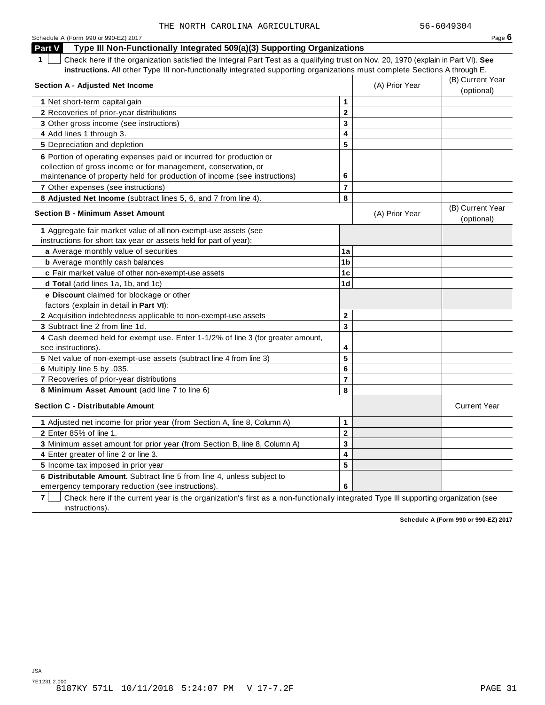| Schedule A (Form 990 or 990-EZ) 2017                                                                                                            |                         |                | Page $6$            |
|-------------------------------------------------------------------------------------------------------------------------------------------------|-------------------------|----------------|---------------------|
| Type III Non-Functionally Integrated 509(a)(3) Supporting Organizations<br>Part V                                                               |                         |                |                     |
| $\mathbf 1$<br>Check here if the organization satisfied the Integral Part Test as a qualifying trust on Nov. 20, 1970 (explain in Part VI). See |                         |                |                     |
| instructions. All other Type III non-functionally integrated supporting organizations must complete Sections A through E.                       |                         |                |                     |
| <b>Section A - Adjusted Net Income</b>                                                                                                          |                         | (A) Prior Year | (B) Current Year    |
|                                                                                                                                                 |                         |                | (optional)          |
| 1 Net short-term capital gain                                                                                                                   | $\mathbf{1}$            |                |                     |
| 2 Recoveries of prior-year distributions                                                                                                        | $\mathbf 2$             |                |                     |
| 3 Other gross income (see instructions)                                                                                                         | 3                       |                |                     |
| 4 Add lines 1 through 3.                                                                                                                        | 4                       |                |                     |
| 5 Depreciation and depletion                                                                                                                    | 5                       |                |                     |
| 6 Portion of operating expenses paid or incurred for production or                                                                              |                         |                |                     |
| collection of gross income or for management, conservation, or                                                                                  |                         |                |                     |
| maintenance of property held for production of income (see instructions)                                                                        | 6                       |                |                     |
| <b>7</b> Other expenses (see instructions)                                                                                                      | $\overline{7}$          |                |                     |
| 8 Adjusted Net Income (subtract lines 5, 6, and 7 from line 4).                                                                                 | 8                       |                |                     |
| <b>Section B - Minimum Asset Amount</b>                                                                                                         |                         | (A) Prior Year | (B) Current Year    |
|                                                                                                                                                 |                         |                | (optional)          |
| 1 Aggregate fair market value of all non-exempt-use assets (see                                                                                 |                         |                |                     |
| instructions for short tax year or assets held for part of year):                                                                               |                         |                |                     |
| a Average monthly value of securities                                                                                                           | 1a                      |                |                     |
| <b>b</b> Average monthly cash balances                                                                                                          | 1 <sub>b</sub>          |                |                     |
| c Fair market value of other non-exempt-use assets                                                                                              | 1 <sub>c</sub>          |                |                     |
| d Total (add lines 1a, 1b, and 1c)                                                                                                              | 1d                      |                |                     |
| e Discount claimed for blockage or other                                                                                                        |                         |                |                     |
| factors (explain in detail in Part VI):                                                                                                         |                         |                |                     |
| 2 Acquisition indebtedness applicable to non-exempt-use assets                                                                                  | $\mathbf 2$             |                |                     |
| 3 Subtract line 2 from line 1d.                                                                                                                 | 3                       |                |                     |
| 4 Cash deemed held for exempt use. Enter 1-1/2% of line 3 (for greater amount,                                                                  |                         |                |                     |
| see instructions).                                                                                                                              | 4                       |                |                     |
| 5 Net value of non-exempt-use assets (subtract line 4 from line 3)                                                                              | 5                       |                |                     |
| 6 Multiply line 5 by .035.                                                                                                                      | 6                       |                |                     |
| 7 Recoveries of prior-year distributions                                                                                                        | $\overline{7}$          |                |                     |
| 8 Minimum Asset Amount (add line 7 to line 6)                                                                                                   | 8                       |                |                     |
| <b>Section C - Distributable Amount</b>                                                                                                         |                         |                | <b>Current Year</b> |
| 1 Adjusted net income for prior year (from Section A, line 8, Column A)                                                                         | $\mathbf{1}$            |                |                     |
| 2 Enter 85% of line 1.                                                                                                                          | $\mathbf 2$             |                |                     |
| 3 Minimum asset amount for prior year (from Section B, line 8, Column A)                                                                        | 3                       |                |                     |
| 4 Enter greater of line 2 or line 3.                                                                                                            | $\overline{\mathbf{4}}$ |                |                     |
| 5 Income tax imposed in prior year                                                                                                              | 5                       |                |                     |
| 6 Distributable Amount. Subtract line 5 from line 4, unless subject to                                                                          |                         |                |                     |
| emergency temporary reduction (see instructions).                                                                                               | 6                       |                |                     |

**7**  $\Box$  Check here if the current year is the organization's first as a non-functionally integrated Type III supporting organization (see instructions).

**Schedule A (Form 990 or 990-EZ) 2017**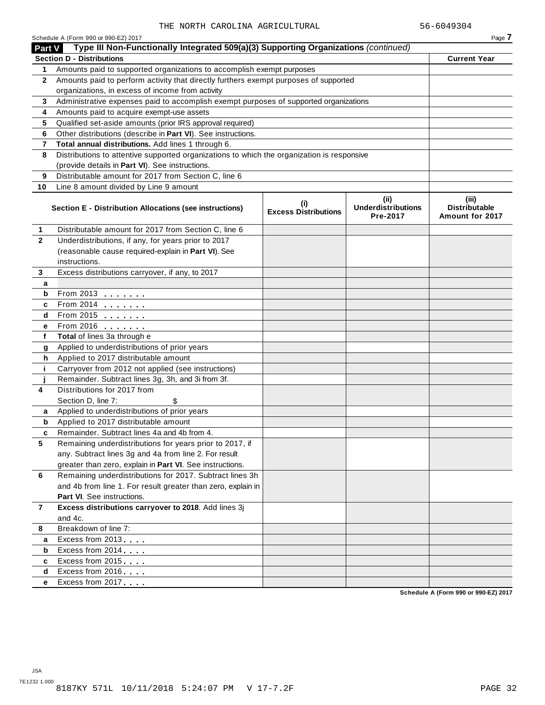|                | Schedule A (Form 990 or 990-EZ) 2017                                                       |                                          |                                               | Page 7                                           |
|----------------|--------------------------------------------------------------------------------------------|------------------------------------------|-----------------------------------------------|--------------------------------------------------|
| Part V         | Type III Non-Functionally Integrated 509(a)(3) Supporting Organizations (continued)        |                                          |                                               |                                                  |
|                | <b>Section D - Distributions</b>                                                           |                                          |                                               | <b>Current Year</b>                              |
| 1              | Amounts paid to supported organizations to accomplish exempt purposes                      |                                          |                                               |                                                  |
| $\mathbf{2}$   | Amounts paid to perform activity that directly furthers exempt purposes of supported       |                                          |                                               |                                                  |
|                | organizations, in excess of income from activity                                           |                                          |                                               |                                                  |
| 3              | Administrative expenses paid to accomplish exempt purposes of supported organizations      |                                          |                                               |                                                  |
| 4              | Amounts paid to acquire exempt-use assets                                                  |                                          |                                               |                                                  |
| 5              | Qualified set-aside amounts (prior IRS approval required)                                  |                                          |                                               |                                                  |
| 6              | Other distributions (describe in Part VI). See instructions.                               |                                          |                                               |                                                  |
| 7              | Total annual distributions. Add lines 1 through 6.                                         |                                          |                                               |                                                  |
| 8              | Distributions to attentive supported organizations to which the organization is responsive |                                          |                                               |                                                  |
|                | (provide details in Part VI). See instructions.                                            |                                          |                                               |                                                  |
| 9              | Distributable amount for 2017 from Section C, line 6                                       |                                          |                                               |                                                  |
| 10             | Line 8 amount divided by Line 9 amount                                                     |                                          |                                               |                                                  |
|                | Section E - Distribution Allocations (see instructions)                                    | $\sf (i)$<br><b>Excess Distributions</b> | (ii)<br><b>Underdistributions</b><br>Pre-2017 | (iii)<br><b>Distributable</b><br>Amount for 2017 |
| 1              | Distributable amount for 2017 from Section C, line 6                                       |                                          |                                               |                                                  |
| $\mathbf{2}$   | Underdistributions, if any, for years prior to 2017                                        |                                          |                                               |                                                  |
|                | (reasonable cause required-explain in Part VI). See                                        |                                          |                                               |                                                  |
|                | instructions.                                                                              |                                          |                                               |                                                  |
| 3              | Excess distributions carryover, if any, to 2017                                            |                                          |                                               |                                                  |
| a              |                                                                                            |                                          |                                               |                                                  |
| b              | From 2013                                                                                  |                                          |                                               |                                                  |
| c              | From 2014                                                                                  |                                          |                                               |                                                  |
| d              | From 2015                                                                                  |                                          |                                               |                                                  |
| е              | From 2016 <b></b>                                                                          |                                          |                                               |                                                  |
| f              | Total of lines 3a through e                                                                |                                          |                                               |                                                  |
| g              | Applied to underdistributions of prior years                                               |                                          |                                               |                                                  |
| h              | Applied to 2017 distributable amount                                                       |                                          |                                               |                                                  |
| j.             | Carryover from 2012 not applied (see instructions)                                         |                                          |                                               |                                                  |
|                | Remainder. Subtract lines 3g, 3h, and 3i from 3f.                                          |                                          |                                               |                                                  |
| 4              | Distributions for 2017 from                                                                |                                          |                                               |                                                  |
|                | Section D, line 7:<br>\$                                                                   |                                          |                                               |                                                  |
| а              | Applied to underdistributions of prior years                                               |                                          |                                               |                                                  |
| b              | Applied to 2017 distributable amount                                                       |                                          |                                               |                                                  |
|                | Remainder. Subtract lines 4a and 4b from 4.                                                |                                          |                                               |                                                  |
| 5              | Remaining underdistributions for years prior to 2017, if                                   |                                          |                                               |                                                  |
|                | any. Subtract lines 3g and 4a from line 2. For result                                      |                                          |                                               |                                                  |
|                | greater than zero, explain in Part VI. See instructions.                                   |                                          |                                               |                                                  |
| 6              | Remaining underdistributions for 2017. Subtract lines 3h                                   |                                          |                                               |                                                  |
|                | and 4b from line 1. For result greater than zero, explain in                               |                                          |                                               |                                                  |
|                | Part VI. See instructions.                                                                 |                                          |                                               |                                                  |
| $\overline{7}$ | Excess distributions carryover to 2018. Add lines 3j                                       |                                          |                                               |                                                  |
|                | and 4c.                                                                                    |                                          |                                               |                                                  |
| 8              | Breakdown of line 7:                                                                       |                                          |                                               |                                                  |
| a              | Excess from 2013                                                                           |                                          |                                               |                                                  |
| b              | Excess from 2014                                                                           |                                          |                                               |                                                  |
| c              | Excess from 2015                                                                           |                                          |                                               |                                                  |
| d              | Excess from 2016                                                                           |                                          |                                               |                                                  |
| е              | Excess from 2017                                                                           |                                          |                                               |                                                  |
|                |                                                                                            |                                          |                                               |                                                  |

**Schedule A (Form 990 or 990-EZ) 2017**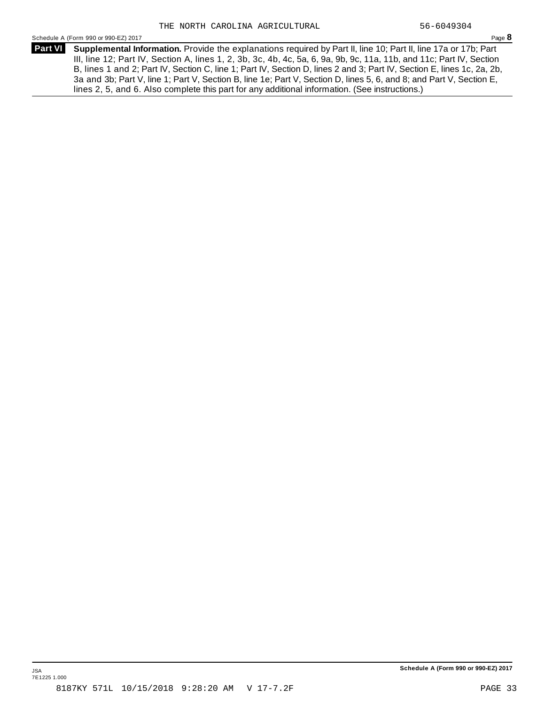Schedule <sup>A</sup> (Form <sup>990</sup> or 990-EZ) <sup>2017</sup> Page **8**

**Supplemental Information.** Provide the explanations required by Part II, line 10; Part II, line 17a or 17b; Part **Part VI** III, line 12; Part IV, Section A, lines 1, 2, 3b, 3c, 4b, 4c, 5a, 6, 9a, 9b, 9c, 11a, 11b, and 11c; Part IV, Section B, lines 1 and 2; Part IV, Section C, line 1; Part IV, Section D, lines 2 and 3; Part IV, Section E, lines 1c, 2a, 2b, 3a and 3b; Part V, line 1; Part V, Section B, line 1e; Part V, Section D, lines 5, 6, and 8; and Part V, Section E, lines 2, 5, and 6. Also complete this part for any additional information. (See instructions.)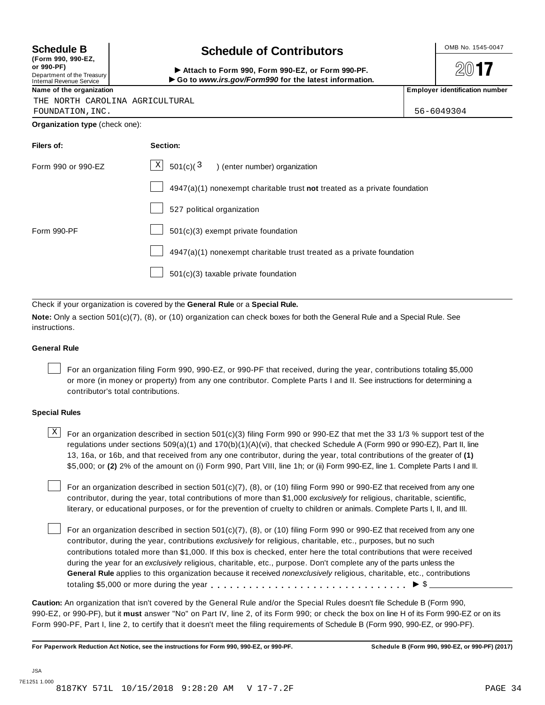| (Form 990, 990-EZ,         |  |
|----------------------------|--|
| or 990-PF)                 |  |
| Department of the Treasury |  |
| Internal Revenue Service   |  |

## **S** OMB No. 1545-0047 **chedule B Schedule of Contributors**

(Porm 990, Form 990, Form 990-EZ, or Form 990-PF.<br>Department of the Treasury → Attach to Form 990, Form 990-EZ, or Form 990-PF.<br>Internal Revenue Service → → Go to www.irs.gov/Form990 for the latest information.<br>Name of th

 $20$ **17** 

|  |  |  | THE NORTH CAROLINA AGRICULTURAL |
|--|--|--|---------------------------------|
|--|--|--|---------------------------------|

FOUNDATION,INC. 56-6049304

**Organization type** (check one):

| Filers of:         | Section:                                                                    |
|--------------------|-----------------------------------------------------------------------------|
| Form 990 or 990-EZ | $\lfloor x \rfloor$ 501(c)( $\frac{3}{2}$ ) (enter number) organization     |
|                    | $4947(a)(1)$ nonexempt charitable trust not treated as a private foundation |
|                    | 527 political organization                                                  |
| Form 990-PF        | 501(c)(3) exempt private foundation                                         |
|                    | 4947(a)(1) nonexempt charitable trust treated as a private foundation       |
|                    | 501(c)(3) taxable private foundation                                        |

Check if your organization is covered by the **General Rule** or a **Special Rule.**

**Note:** Only a section 501(c)(7), (8), or (10) organization can check boxes for both the General Rule and a Special Rule. See instructions.

### **General Rule**

For an organization filing Form 990, 990-EZ, or 990-PF that received, during the year, contributions totaling \$5,000 or more (in money or property) from any one contributor. Complete Parts I and II. See instructions for determining a contributor's total contributions.

### **Special Rules**

 $\text{X}$  For an organization described in section 501(c)(3) filing Form 990 or 990-EZ that met the 33 1/3 % support test of the regulations under sections 509(a)(1) and 170(b)(1)(A)(vi), that checked Schedule A (Form 990 or 990-EZ), Part II, line 13, 16a, or 16b, and that received from any one contributor, during the year, total contributions of the greater of **(1)** \$5,000; or **(2)** 2% of the amount on (i) Form 990, Part VIII, line 1h; or (ii) Form 990-EZ, line 1. Complete Parts I and II.

For an organization described in section 501(c)(7), (8), or (10) filing Form 990 or 990-EZ that received from any one contributor, during the year, total contributions of more than \$1,000 *exclusively* for religious, charitable, scientific, literary, or educational purposes, or for the prevention of cruelty to children or animals. Complete Parts I, II, and III.

For an organization described in section 501(c)(7), (8), or (10) filing Form 990 or 990-EZ that received from any one contributor, during the year, contributions *exclusively* for religious, charitable, etc., purposes, but no such contributions totaled more than \$1,000. If this box is checked, enter here the total contributions that were received during the year for an *exclusively* religious, charitable, etc., purpose. Don't complete any of the parts unless the **General Rule** applies to this organization because it received *nonexclusively* religious, charitable, etc., contributions totaling \$5,000 or more during the year m m m m m m m m m m m m m m m m m m m m m m m m m m m m m m m I \$

**Caution:** An organization that isn't covered by the General Rule and/or the Special Rules doesn't file Schedule B (Form 990, 990-EZ, or 990-PF), but it **must** answer "No" on Part IV, line 2, of its Form 990; or check the box on line H of its Form 990-EZ or on its Form 990-PF, Part I, line 2, to certify that it doesn't meet the filing requirements of Schedule B (Form 990, 990-EZ, or 990-PF).

For Paperwork Reduction Act Notice, see the instructions for Form 990, 990-EZ, or 990-PF. Schedule B (Form 990, 990-EZ, or 990-PF) (2017)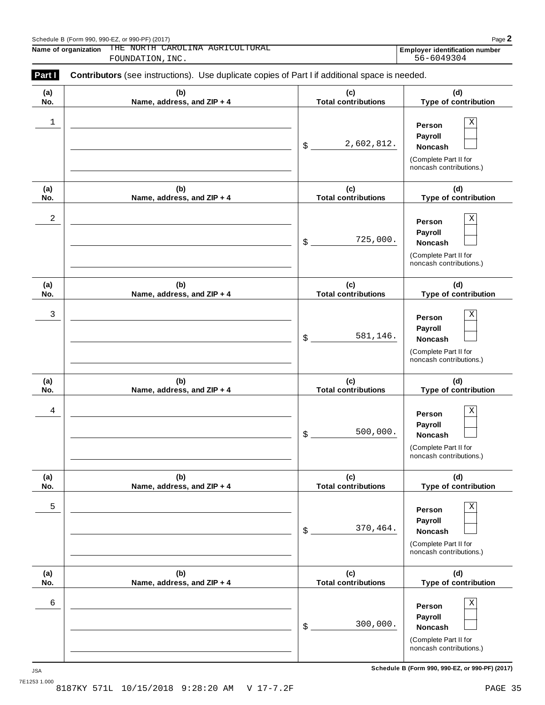**Name of organization Employer identification number** THE NORTH CAROLINA AGRICULTURAL THE NORTH CAROLINA AGRICULTURAL **Employer identification number**<br>FOUNDATION, INC. 56-6049304

| (a) | (b)                        | (c)                        | (d)                                                                                             |
|-----|----------------------------|----------------------------|-------------------------------------------------------------------------------------------------|
| No. | Name, address, and ZIP + 4 | <b>Total contributions</b> | Type of contribution                                                                            |
| 1   |                            | 2,602,812.<br>\$           | $\rm X$<br>Person<br>Payroll<br>Noncash<br>(Complete Part II for<br>noncash contributions.)     |
| (a) | (b)                        | (c)                        | (d)                                                                                             |
| No. | Name, address, and ZIP + 4 | <b>Total contributions</b> | Type of contribution                                                                            |
| 2   |                            | 725,000.<br>\$             | $\rm X$<br>Person<br>Payroll<br>Noncash<br>(Complete Part II for<br>noncash contributions.)     |
| (a) | (b)                        | (c)                        | (d)                                                                                             |
| No. | Name, address, and ZIP + 4 | <b>Total contributions</b> | Type of contribution                                                                            |
| 3   |                            | 581,146.<br>\$             | Χ<br>Person<br>Payroll<br>Noncash<br>(Complete Part II for<br>noncash contributions.)           |
| (a) | (b)                        | (c)                        | (d)                                                                                             |
| No. | Name, address, and ZIP + 4 | <b>Total contributions</b> | Type of contribution                                                                            |
| 4   |                            | 500,000.<br>\$             | $\mathbf X$<br>Person<br>Payroll<br>Noncash<br>(Complete Part II for<br>noncash contributions.) |
| (a) | (b)                        | (c)                        | (d)                                                                                             |
| No. | Name, address, and ZIP + 4 | <b>Total contributions</b> | Type of contribution                                                                            |
| 5   |                            | 370,464.<br>\$             | $\rm X$<br>Person<br>Payroll<br>Noncash<br>(Complete Part II for<br>noncash contributions.)     |
| (a) | (b)                        | (c)                        | (d)                                                                                             |
| No. | Name, address, and ZIP + 4 | <b>Total contributions</b> | Type of contribution                                                                            |
| 6   |                            | 300,000.<br>\$             | $\rm X$<br>Person<br>Payroll<br>Noncash<br>(Complete Part II for<br>noncash contributions.)     |

**Schedule B (Form 990, 990-EZ, or 990-PF) (2017)** JSA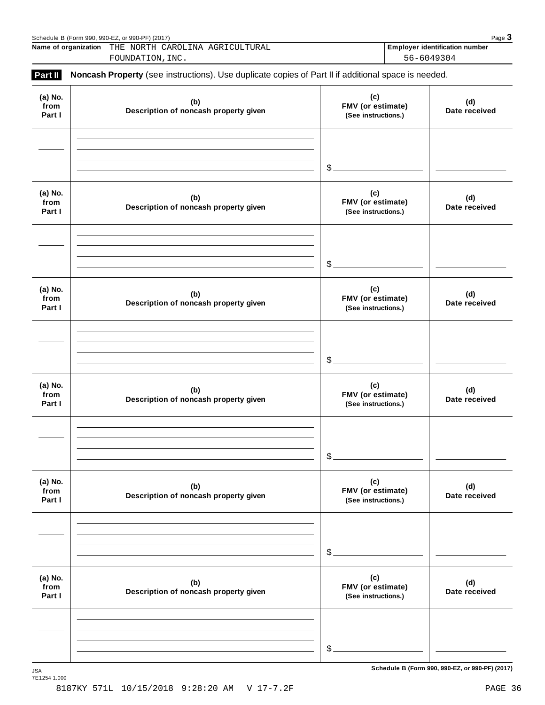|                           | Name of organization THE NORTH CAROLINA AGRICULTURAL<br>FOUNDATION, INC.                            |                                                 | Employer identification number<br>56-6049304 |  |  |  |
|---------------------------|-----------------------------------------------------------------------------------------------------|-------------------------------------------------|----------------------------------------------|--|--|--|
| Part II                   | Noncash Property (see instructions). Use duplicate copies of Part II if additional space is needed. |                                                 |                                              |  |  |  |
| (a) No.<br>from<br>Part I | (b)<br>Description of noncash property given                                                        | (c)<br>FMV (or estimate)<br>(See instructions.) | (d)<br>Date received                         |  |  |  |
|                           |                                                                                                     | $\frac{1}{2}$                                   |                                              |  |  |  |
| (a) No.<br>from<br>Part I | (b)<br>Description of noncash property given                                                        | (c)<br>FMV (or estimate)<br>(See instructions.) | (d)<br>Date received                         |  |  |  |
|                           |                                                                                                     | $\frac{1}{2}$                                   |                                              |  |  |  |
| (a) No.<br>from<br>Part I | (b)<br>Description of noncash property given                                                        | (c)<br>FMV (or estimate)<br>(See instructions.) | (d)<br>Date received                         |  |  |  |
|                           |                                                                                                     | $\frac{1}{2}$                                   |                                              |  |  |  |
| (a) No.<br>from<br>Part I | (b)<br>Description of noncash property given                                                        | (c)<br>FMV (or estimate)<br>(See instructions.) | (d)<br>Date received                         |  |  |  |
|                           |                                                                                                     | \$                                              |                                              |  |  |  |
| (a) No.<br>from<br>Part I | (b)<br>Description of noncash property given                                                        | (c)<br>FMV (or estimate)<br>(See instructions.) | (d)<br>Date received                         |  |  |  |
|                           |                                                                                                     | $$^{\circ}$                                     |                                              |  |  |  |
| (a) No.<br>from<br>Part I | (b)<br>Description of noncash property given                                                        | (c)<br>FMV (or estimate)<br>(See instructions.) | (d)<br>Date received                         |  |  |  |
|                           |                                                                                                     |                                                 |                                              |  |  |  |
|                           |                                                                                                     | \$                                              |                                              |  |  |  |

Schedule <sup>B</sup> (Form 990, 990-EZ, or 990-PF) (2017) Page **3**

 $S$ chedule B (Form 990, 990-EZ, or 990-PF) (2017)

7E1254 1.000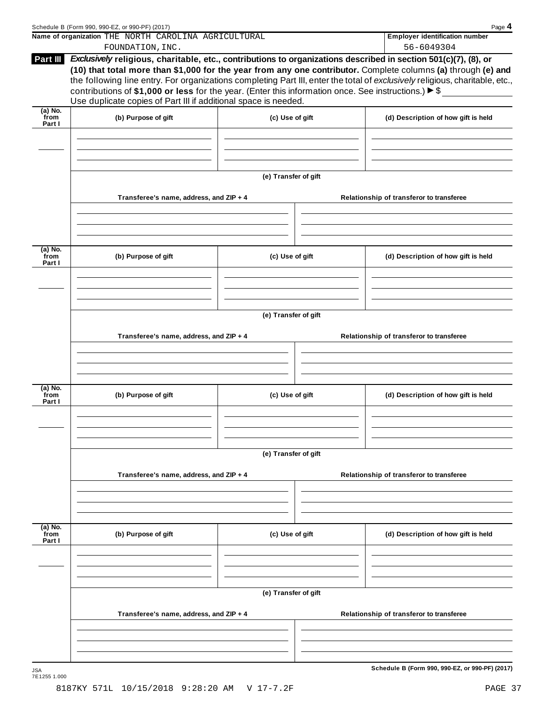|                             | Schedule B (Form 990, 990-EZ, or 990-PF) (2017)                                                                                                                                                                                                                                                                                                                                                                                         |                      |                                          | Page 4                                          |  |  |  |  |
|-----------------------------|-----------------------------------------------------------------------------------------------------------------------------------------------------------------------------------------------------------------------------------------------------------------------------------------------------------------------------------------------------------------------------------------------------------------------------------------|----------------------|------------------------------------------|-------------------------------------------------|--|--|--|--|
|                             | Name of organization THE NORTH CAROLINA AGRICULTURAL                                                                                                                                                                                                                                                                                                                                                                                    |                      |                                          | <b>Employer identification number</b>           |  |  |  |  |
| Part III                    | FOUNDATION, INC.<br>Exclusively religious, charitable, etc., contributions to organizations described in section 501(c)(7), (8), or                                                                                                                                                                                                                                                                                                     |                      |                                          | 56-6049304                                      |  |  |  |  |
|                             | (10) that total more than \$1,000 for the year from any one contributor. Complete columns (a) through (e) and<br>the following line entry. For organizations completing Part III, enter the total of exclusively religious, charitable, etc.,<br>contributions of \$1,000 or less for the year. (Enter this information once. See instructions.) $\triangleright$ \$<br>Use duplicate copies of Part III if additional space is needed. |                      |                                          |                                                 |  |  |  |  |
| $(a)$ No.<br>from           |                                                                                                                                                                                                                                                                                                                                                                                                                                         |                      |                                          |                                                 |  |  |  |  |
| Part I                      | (b) Purpose of gift                                                                                                                                                                                                                                                                                                                                                                                                                     | (c) Use of gift      |                                          | (d) Description of how gift is held             |  |  |  |  |
|                             |                                                                                                                                                                                                                                                                                                                                                                                                                                         | (e) Transfer of gift |                                          |                                                 |  |  |  |  |
|                             | Transferee's name, address, and ZIP + 4                                                                                                                                                                                                                                                                                                                                                                                                 |                      |                                          | Relationship of transferor to transferee        |  |  |  |  |
|                             |                                                                                                                                                                                                                                                                                                                                                                                                                                         |                      |                                          |                                                 |  |  |  |  |
| $(a)$ No.<br>from<br>Part I | (b) Purpose of gift                                                                                                                                                                                                                                                                                                                                                                                                                     | (c) Use of gift      |                                          | (d) Description of how gift is held             |  |  |  |  |
|                             |                                                                                                                                                                                                                                                                                                                                                                                                                                         |                      |                                          |                                                 |  |  |  |  |
|                             | (e) Transfer of gift                                                                                                                                                                                                                                                                                                                                                                                                                    |                      |                                          |                                                 |  |  |  |  |
|                             | Transferee's name, address, and ZIP + 4                                                                                                                                                                                                                                                                                                                                                                                                 |                      | Relationship of transferor to transferee |                                                 |  |  |  |  |
|                             |                                                                                                                                                                                                                                                                                                                                                                                                                                         |                      |                                          |                                                 |  |  |  |  |
|                             |                                                                                                                                                                                                                                                                                                                                                                                                                                         |                      |                                          |                                                 |  |  |  |  |
| (a) No.<br>from<br>Part I   | (b) Purpose of gift                                                                                                                                                                                                                                                                                                                                                                                                                     | (c) Use of gift      |                                          | (d) Description of how gift is held             |  |  |  |  |
|                             |                                                                                                                                                                                                                                                                                                                                                                                                                                         |                      |                                          |                                                 |  |  |  |  |
|                             | (e) Transfer of gift                                                                                                                                                                                                                                                                                                                                                                                                                    |                      |                                          |                                                 |  |  |  |  |
|                             | Transferee's name, address, and ZIP + 4                                                                                                                                                                                                                                                                                                                                                                                                 |                      |                                          | Relationship of transferor to transferee        |  |  |  |  |
|                             |                                                                                                                                                                                                                                                                                                                                                                                                                                         |                      |                                          |                                                 |  |  |  |  |
| $(a)$ No.<br>from<br>Part I | (b) Purpose of gift                                                                                                                                                                                                                                                                                                                                                                                                                     | (c) Use of gift      |                                          | (d) Description of how gift is held             |  |  |  |  |
|                             |                                                                                                                                                                                                                                                                                                                                                                                                                                         |                      |                                          |                                                 |  |  |  |  |
|                             |                                                                                                                                                                                                                                                                                                                                                                                                                                         |                      |                                          |                                                 |  |  |  |  |
|                             | Transferee's name, address, and ZIP + 4                                                                                                                                                                                                                                                                                                                                                                                                 |                      |                                          | Relationship of transferor to transferee        |  |  |  |  |
|                             |                                                                                                                                                                                                                                                                                                                                                                                                                                         |                      |                                          |                                                 |  |  |  |  |
|                             |                                                                                                                                                                                                                                                                                                                                                                                                                                         |                      |                                          |                                                 |  |  |  |  |
| <b>JSA</b>                  |                                                                                                                                                                                                                                                                                                                                                                                                                                         | (e) Transfer of gift |                                          | Schedule B (Form 990, 990-EZ, or 990-PF) (2017) |  |  |  |  |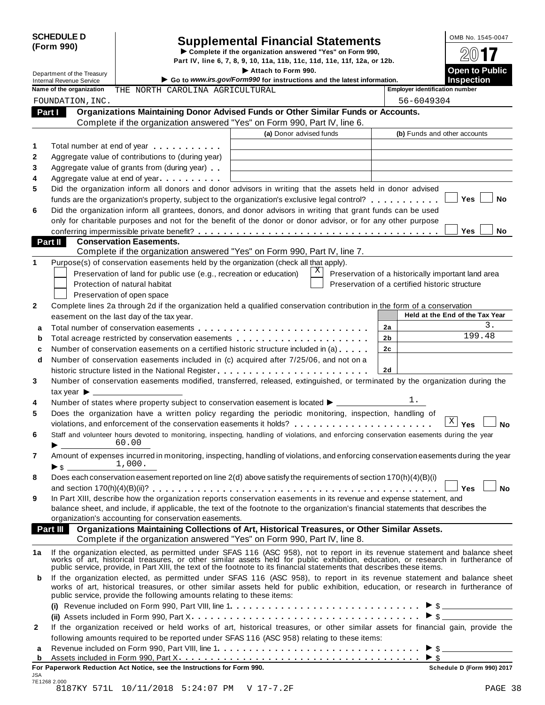# SCHEDULE D<br>
Supplemental Financial Statements<br>  $\begin{array}{r} \text{Complete if the organization answered "Yes" on Form 990,} \\ \text{Part IV, line 6, 7, 8, 9, 10, 11a, 11b, 11c, 11d, 11e, 11f, 12a, or 12b.} \end{array}$

**Department of the Treasury** I **Attach Part IV, line 6, 7, 8, 9, 10, 11a, 11b, 11c, 11d, 11e, 11f, 12a, or 12b.**<br>■ **Attach to Form 990.** 

|                                 | Department of the Treasury     |                                                                                                                                                                                                                                                              | Attach to Form 990.                                                    |                | <b>Open to Public</b>                              |
|---------------------------------|--------------------------------|--------------------------------------------------------------------------------------------------------------------------------------------------------------------------------------------------------------------------------------------------------------|------------------------------------------------------------------------|----------------|----------------------------------------------------|
| <b>Internal Revenue Service</b> |                                |                                                                                                                                                                                                                                                              | Go to www.irs.gov/Form990 for instructions and the latest information. |                | <b>Inspection</b>                                  |
|                                 | Name of the organization       | THE NORTH CAROLINA AGRICULTURAL                                                                                                                                                                                                                              |                                                                        |                | <b>Employer identification number</b>              |
|                                 | FOUNDATION, INC.               |                                                                                                                                                                                                                                                              |                                                                        |                | 56-6049304                                         |
|                                 | Part I                         | Organizations Maintaining Donor Advised Funds or Other Similar Funds or Accounts.                                                                                                                                                                            |                                                                        |                |                                                    |
|                                 |                                | Complete if the organization answered "Yes" on Form 990, Part IV, line 6.                                                                                                                                                                                    |                                                                        |                |                                                    |
|                                 |                                |                                                                                                                                                                                                                                                              | (a) Donor advised funds                                                |                | (b) Funds and other accounts                       |
| 1                               |                                | Total number at end of year <b>that the state of the state of the state of the state of the state of the state of the state of the state of the state of the state of the state of the state of the state of the state of the st</b>                         |                                                                        |                |                                                    |
| 2                               |                                | Aggregate value of contributions to (during year)                                                                                                                                                                                                            |                                                                        |                |                                                    |
| 3                               |                                | Aggregate value of grants from (during year)                                                                                                                                                                                                                 |                                                                        |                |                                                    |
| 4                               |                                | Aggregate value at end of year                                                                                                                                                                                                                               |                                                                        |                |                                                    |
| 5                               |                                | Did the organization inform all donors and donor advisors in writing that the assets held in donor advised                                                                                                                                                   |                                                                        |                |                                                    |
|                                 |                                | funds are the organization's property, subject to the organization's exclusive legal control?                                                                                                                                                                |                                                                        |                | Yes<br>No                                          |
| 6                               |                                | Did the organization inform all grantees, donors, and donor advisors in writing that grant funds can be used                                                                                                                                                 |                                                                        |                |                                                    |
|                                 |                                | only for charitable purposes and not for the benefit of the donor or donor advisor, or for any other purpose                                                                                                                                                 |                                                                        |                |                                                    |
|                                 |                                |                                                                                                                                                                                                                                                              |                                                                        |                | Yes<br>No                                          |
|                                 | Part II                        | <b>Conservation Easements.</b>                                                                                                                                                                                                                               |                                                                        |                |                                                    |
|                                 |                                | Complete if the organization answered "Yes" on Form 990, Part IV, line 7.                                                                                                                                                                                    |                                                                        |                |                                                    |
| 1                               |                                | Purpose(s) of conservation easements held by the organization (check all that apply).                                                                                                                                                                        |                                                                        |                |                                                    |
|                                 |                                | Preservation of land for public use (e.g., recreation or education)                                                                                                                                                                                          | X                                                                      |                | Preservation of a historically important land area |
|                                 |                                | Protection of natural habitat                                                                                                                                                                                                                                |                                                                        |                | Preservation of a certified historic structure     |
|                                 |                                | Preservation of open space                                                                                                                                                                                                                                   |                                                                        |                |                                                    |
| 2                               |                                | Complete lines 2a through 2d if the organization held a qualified conservation contribution in the form of a conservation                                                                                                                                    |                                                                        |                | Held at the End of the Tax Year                    |
|                                 |                                | easement on the last day of the tax year.                                                                                                                                                                                                                    |                                                                        |                | 3.                                                 |
| a                               |                                |                                                                                                                                                                                                                                                              |                                                                        | 2a             | 199.48                                             |
| b                               |                                | Total acreage restricted by conservation easements                                                                                                                                                                                                           |                                                                        | 2b             |                                                    |
| c                               |                                | Number of conservation easements on a certified historic structure included in (a)                                                                                                                                                                           |                                                                        | 2 <sub>c</sub> |                                                    |
| d                               |                                | Number of conservation easements included in (c) acquired after 7/25/06, and not on a                                                                                                                                                                        |                                                                        |                |                                                    |
|                                 |                                |                                                                                                                                                                                                                                                              |                                                                        | 2d             |                                                    |
| 3                               |                                | Number of conservation easements modified, transferred, released, extinguished, or terminated by the organization during the                                                                                                                                 |                                                                        |                |                                                    |
|                                 | tax year $\triangleright$ ____ |                                                                                                                                                                                                                                                              |                                                                        |                | ı.                                                 |
| 4<br>5                          |                                | Number of states where property subject to conservation easement is located $\blacktriangleright$<br>Does the organization have a written policy regarding the periodic monitoring, inspection, handling of                                                  |                                                                        |                |                                                    |
|                                 |                                |                                                                                                                                                                                                                                                              |                                                                        |                | $\mathbf{X}$<br>Yes<br><b>No</b>                   |
| 6                               |                                | Staff and volunteer hours devoted to monitoring, inspecting, handling of violations, and enforcing conservation easements during the year                                                                                                                    |                                                                        |                |                                                    |
|                                 |                                | 60.00                                                                                                                                                                                                                                                        |                                                                        |                |                                                    |
| 7                               |                                | Amount of expenses incurred in monitoring, inspecting, handling of violations, and enforcing conservation easements during the year                                                                                                                          |                                                                        |                |                                                    |
|                                 | $\triangleright$ s             | 1,000.                                                                                                                                                                                                                                                       |                                                                        |                |                                                    |
| 8                               |                                | Does each conservation easement reported on line 2(d) above satisfy the requirements of section 170(h)(4)(B)(i)                                                                                                                                              |                                                                        |                |                                                    |
|                                 |                                |                                                                                                                                                                                                                                                              |                                                                        |                | No<br>Yes                                          |
| 9                               |                                | In Part XIII, describe how the organization reports conservation easements in its revenue and expense statement, and                                                                                                                                         |                                                                        |                |                                                    |
|                                 |                                | balance sheet, and include, if applicable, the text of the footnote to the organization's financial statements that describes the                                                                                                                            |                                                                        |                |                                                    |
|                                 |                                | organization's accounting for conservation easements.                                                                                                                                                                                                        |                                                                        |                |                                                    |
|                                 | Part III                       | Organizations Maintaining Collections of Art, Historical Treasures, or Other Similar Assets.                                                                                                                                                                 |                                                                        |                |                                                    |
|                                 |                                | Complete if the organization answered "Yes" on Form 990, Part IV, line 8.                                                                                                                                                                                    |                                                                        |                |                                                    |
| 1a                              |                                | If the organization elected, as permitted under SFAS 116 (ASC 958), not to report in its revenue statement and balance sheet                                                                                                                                 |                                                                        |                |                                                    |
|                                 |                                | works of art, historical treasures, or other similar assets held for public exhibition, education, or research in furtherance of<br>public service, provide, in Part XIII, the text of the footnote to its financial statements that describes these items.  |                                                                        |                |                                                    |
|                                 |                                |                                                                                                                                                                                                                                                              |                                                                        |                |                                                    |
| b                               |                                | If the organization elected, as permitted under SFAS 116 (ASC 958), to report in its revenue statement and balance sheet<br>works of art, historical treasures, or other similar assets held for public exhibition, education, or research in furtherance of |                                                                        |                |                                                    |
|                                 |                                | public service, provide the following amounts relating to these items:                                                                                                                                                                                       |                                                                        |                |                                                    |
|                                 |                                |                                                                                                                                                                                                                                                              |                                                                        |                | $\triangleright$ \$                                |
|                                 |                                |                                                                                                                                                                                                                                                              |                                                                        |                | $\triangleright$ \$                                |
| 2                               |                                | If the organization received or held works of art, historical treasures, or other similar assets for financial gain, provide the                                                                                                                             |                                                                        |                |                                                    |
|                                 |                                | following amounts required to be reported under SFAS 116 (ASC 958) relating to these items:                                                                                                                                                                  |                                                                        |                |                                                    |
| a                               |                                |                                                                                                                                                                                                                                                              |                                                                        |                |                                                    |
| b                               |                                | Assets included in Form 990, Part $X_1, \ldots, X_n, \ldots, X_n, \ldots, X_n, \ldots, \ldots, \ldots, \ldots, \ldots, \blacktriangleright \S$                                                                                                               |                                                                        |                |                                                    |
|                                 |                                |                                                                                                                                                                                                                                                              |                                                                        |                |                                                    |

**For Paperwork Reduction Act Notice, see the Instructions for Form 990. Schedule D (Form 990) 2017**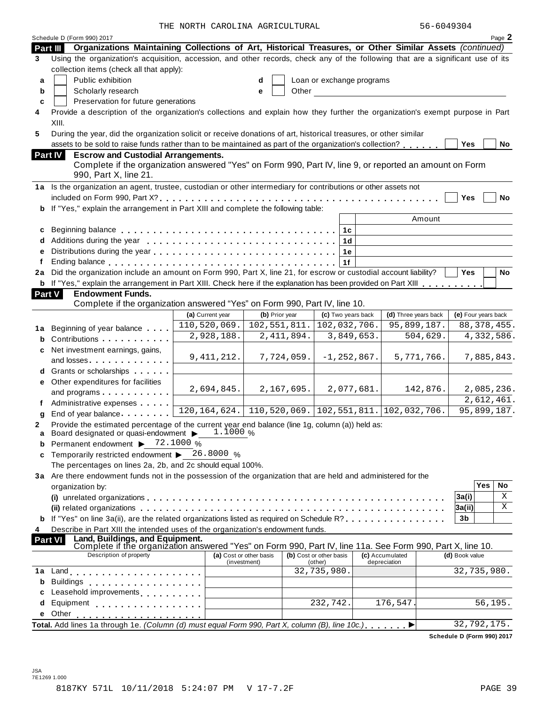| 56-6049304 |  |
|------------|--|
|------------|--|

|        | Schedule D (Form 990) 2017                                                                                                                                             |                         |                |              |                                    |            |                                                |        |                | Page 2                     |
|--------|------------------------------------------------------------------------------------------------------------------------------------------------------------------------|-------------------------|----------------|--------------|------------------------------------|------------|------------------------------------------------|--------|----------------|----------------------------|
|        | Organizations Maintaining Collections of Art, Historical Treasures, or Other Similar Assets (continued)<br>Part III                                                    |                         |                |              |                                    |            |                                                |        |                |                            |
| 3      | Using the organization's acquisition, accession, and other records, check any of the following that are a significant use of its                                       |                         |                |              |                                    |            |                                                |        |                |                            |
|        | collection items (check all that apply):                                                                                                                               |                         |                |              |                                    |            |                                                |        |                |                            |
| a      | Public exhibition                                                                                                                                                      |                         | d              |              | Loan or exchange programs          |            |                                                |        |                |                            |
| b      | Scholarly research                                                                                                                                                     |                         | е              | Other        |                                    |            |                                                |        |                |                            |
| C      | Preservation for future generations                                                                                                                                    |                         |                |              |                                    |            |                                                |        |                |                            |
| 4      | Provide a description of the organization's collections and explain how they further the organization's exempt purpose in Part                                         |                         |                |              |                                    |            |                                                |        |                |                            |
|        | XIII.<br>During the year, did the organization solicit or receive donations of art, historical treasures, or other similar                                             |                         |                |              |                                    |            |                                                |        |                |                            |
| 5      |                                                                                                                                                                        |                         |                |              |                                    |            |                                                |        |                |                            |
|        | assets to be sold to raise funds rather than to be maintained as part of the organization's collection?                                                                |                         |                |              |                                    |            |                                                |        | <b>Yes</b>     | No                         |
|        | <b>Part IV</b><br><b>Escrow and Custodial Arrangements.</b><br>Complete if the organization answered "Yes" on Form 990, Part IV, line 9, or reported an amount on Form |                         |                |              |                                    |            |                                                |        |                |                            |
|        | 990, Part X, line 21.                                                                                                                                                  |                         |                |              |                                    |            |                                                |        |                |                            |
|        | 1a Is the organization an agent, trustee, custodian or other intermediary for contributions or other assets not                                                        |                         |                |              |                                    |            |                                                |        |                |                            |
|        |                                                                                                                                                                        |                         |                |              |                                    |            |                                                |        | Yes            | <b>No</b>                  |
|        | b If "Yes," explain the arrangement in Part XIII and complete the following table:                                                                                     |                         |                |              |                                    |            |                                                |        |                |                            |
|        |                                                                                                                                                                        |                         |                |              |                                    |            |                                                | Amount |                |                            |
| c      |                                                                                                                                                                        |                         |                |              | 1 <sub>c</sub>                     |            |                                                |        |                |                            |
| d      |                                                                                                                                                                        |                         |                |              | 1d                                 |            |                                                |        |                |                            |
| e<br>f |                                                                                                                                                                        |                         |                |              | 1e<br>1f                           |            |                                                |        |                |                            |
| 2a     | Did the organization include an amount on Form 990, Part X, line 21, for escrow or custodial account liability?                                                        |                         |                |              |                                    |            |                                                |        | <b>Yes</b>     | <b>No</b>                  |
|        | <b>b</b> If "Yes," explain the arrangement in Part XIII. Check here if the explanation has been provided on Part XIII                                                  |                         |                |              |                                    |            |                                                |        |                |                            |
|        | Part V<br><b>Endowment Funds.</b>                                                                                                                                      |                         |                |              |                                    |            |                                                |        |                |                            |
|        | Complete if the organization answered "Yes" on Form 990, Part IV, line 10.                                                                                             |                         |                |              |                                    |            |                                                |        |                |                            |
|        |                                                                                                                                                                        | (a) Current year        | (b) Prior year |              | (c) Two years back                 |            | (d) Three years back                           |        |                | (e) Four years back        |
| 1a     | Beginning of year balance                                                                                                                                              | 110,520,069.            | 102, 551, 811. |              | 102,032,706.                       |            | 95,899,187.                                    |        |                | 88, 378, 455.              |
| b      | Contributions                                                                                                                                                          | 2,928,188.              |                | 2, 411, 894. |                                    | 3,849,653. | 504,629.                                       |        |                | 4,332,586.                 |
| c      | Net investment earnings, gains,                                                                                                                                        |                         |                |              |                                    |            |                                                |        |                |                            |
|        | and losses                                                                                                                                                             | 9, 411, 212.            |                | 7,724,059.   | $-1, 252, 867.$                    |            | 5,771,766.                                     |        |                | 7,885,843.                 |
|        |                                                                                                                                                                        |                         |                |              |                                    |            |                                                |        |                |                            |
| е      | Other expenditures for facilities                                                                                                                                      |                         |                |              |                                    |            |                                                |        |                |                            |
|        | and programs expansion and programs                                                                                                                                    | 2,694,845.              |                | 2,167,695.   |                                    | 2,077,681. | 142,876.                                       |        |                | 2,085,236.                 |
|        | Administrative expenses                                                                                                                                                | 120, 164, 624.          |                |              |                                    |            | $110, 520, 069.$ 102, 551, 811. 102, 032, 706. |        |                | 2,612,461.                 |
| g      | End of year balance                                                                                                                                                    |                         |                |              |                                    |            |                                                |        |                | 95,899,187.                |
| 2      | Provide the estimated percentage of the current year end balance (line 1g, column (a)) held as:<br>Board designated or quasi-endowment > 1.1000 %                      |                         |                |              |                                    |            |                                                |        |                |                            |
| a<br>b | Permanent endowment ▶ 72.1000 %                                                                                                                                        |                         |                |              |                                    |            |                                                |        |                |                            |
| c      | Temporarily restricted endowment $\blacktriangleright$ 26.8000 %                                                                                                       |                         |                |              |                                    |            |                                                |        |                |                            |
|        | The percentages on lines 2a, 2b, and 2c should equal 100%.                                                                                                             |                         |                |              |                                    |            |                                                |        |                |                            |
|        | 3a Are there endowment funds not in the possession of the organization that are held and administered for the                                                          |                         |                |              |                                    |            |                                                |        |                |                            |
|        | organization by:                                                                                                                                                       |                         |                |              |                                    |            |                                                |        |                | Yes<br>No                  |
|        |                                                                                                                                                                        |                         |                |              |                                    |            |                                                |        | 3a(i)          | Χ                          |
|        |                                                                                                                                                                        |                         |                |              |                                    |            |                                                |        | 3a(ii)         | Χ                          |
|        | If "Yes" on line 3a(ii), are the related organizations listed as required on Schedule R?                                                                               |                         |                |              |                                    |            |                                                |        | 3 <sub>b</sub> |                            |
| 4      | Describe in Part XIII the intended uses of the organization's endowment funds.                                                                                         |                         |                |              |                                    |            |                                                |        |                |                            |
|        | Land, Buildings, and Equipment.<br><b>Part VI</b><br>Complete if the organization answered "Yes" on Form 990, Part IV, line 11a. See Form 990, Part X, line 10.        |                         |                |              |                                    |            |                                                |        |                |                            |
|        | Description of property                                                                                                                                                | (a) Cost or other basis | (investment)   |              | (b) Cost or other basis<br>(other) |            | (c) Accumulated<br>depreciation                |        | (d) Book value |                            |
| 1a     | Land experience and the set of the set of the set of the set of the set of the set of the set of the set of th                                                         |                         |                |              | 32,735,980.                        |            |                                                |        |                | 32,735,980.                |
| b      | <b>Buildings</b><br>. <b>.</b> .                                                                                                                                       |                         |                |              |                                    |            |                                                |        |                |                            |
| C      | Leasehold improvements <b>Leasehold</b> improvements                                                                                                                   |                         |                |              |                                    |            |                                                |        |                |                            |
| d      | Equipment                                                                                                                                                              |                         |                |              | 232,742.                           |            | 176,547                                        |        |                | 56,195.                    |
| е      | Other                                                                                                                                                                  |                         |                |              |                                    |            |                                                |        |                |                            |
|        | Total. Add lines 1a through 1e. (Column (d) must equal Form 990, Part X, column (B), line 10c.)                                                                        |                         |                |              |                                    |            | ▶                                              |        |                | 32,792,175.                |
|        |                                                                                                                                                                        |                         |                |              |                                    |            |                                                |        |                | Schedule D (Form 990) 2017 |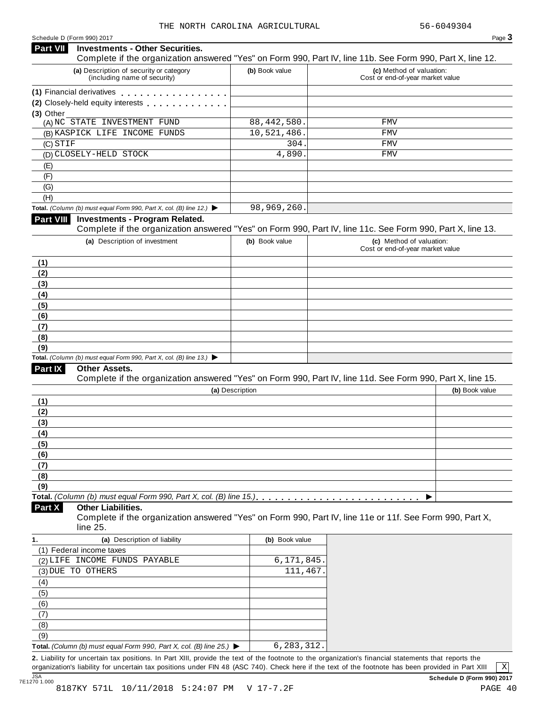### **Investments - Other Securities. Part VII** Investments - Other Securities.<br>Complete if the organization answered "Yes" on Form 990, Part IV, line 11b. See Form 990, Part X, line 12. **(a)** Description of security or category (including name of security) **(b)** Book value **(c)** Method of valuation: Cost or end-of-year market value **(1)** Financial derivatives **(2)** Closely-held equity interests **(3)** Other (A) NC STATE INVESTMENT FUND 88,442,580. FMV (B) KASPICK LIFE INCOME FUNDS 10,521,486. FMV (C) (D) CLOSELY-HELD STOCK 4,890. FMV (E) (F)  $\overline{(G)}$ (H) **Total.** *(Column (b) must equal Form 990, Part X, col. (B) line 12.)* I **Investments - Program Related.** Complete if the organization answered "Yes" on Form 990, Part IV, line 11c. See Form 990, Part X, line 13. **(a)** Description of investment **(b)** Book value **(c)** Method of valuation: Cost or end-of-year market value **(1) (2) (3) (4) (5) (6) (7) (8) (9) Total.** *(Column (b) must equal Form 990, Part X, col. (B) line 13.)* I **Other Assets.** Complete if the organization answered "Yes" on Form 990, Part IV, line 11d. See Form 990, Part X, line 15. **(a)** Description **(b)** Book value **(1) (2) (3) (4) (5) (6) (7) (8) (9)**  $\blacksquare$   $\blacksquare$   $\blacksquare$   $\blacksquare$   $\lozenge$   $\lozenge$   $\blacksquare$   $\blacksquare$   $\blacksquare$   $\blacksquare$   $\blacksquare$   $\blacksquare$   $\blacksquare$   $\blacksquare$   $\blacksquare$   $\blacksquare$   $\blacksquare$   $\blacksquare$   $\blacksquare$   $\blacksquare$   $\blacksquare$   $\blacksquare$   $\blacksquare$   $\blacksquare$   $\blacksquare$   $\blacksquare$   $\blacksquare$   $\blacksquare$   $\blacksquare$   $\blacksquare$   $\blacksquare$   $\blacks$ **Other Liabilities.** Complete if the organization answered "Yes" on Form 990, Part IV, line 11e or 11f. See Form 990, Part X, line 25. **Part X 1. (a)** Description of liability **(b)** Book value (1) Federal income taxes (2) LIFE INCOME FUNDS PAYABLE 6,171,845. (3) DUE TO OTHERS (3) 2012 111,467. (4) (5) (6) (7) (8) (9) **Total.** *(Column (b) must equal Form 990, Part X, col. (B) line 25.)* I **2.** Liability for uncertain tax positions. In Part XIII, provide the text of the footnote to the organization's financial statements that reports the organization's liability for uncertain tax positions under FIN 48 (ASC 740). Check here if the text of the footnote has been provided in Part XIII  $STIF$  FMV 98,969,260. 6,283,312. X

JSA<br>7E1270 1.000 8187KY 571L 10/11/2018 5:24:07 PM V 17-7.2F PAGE 40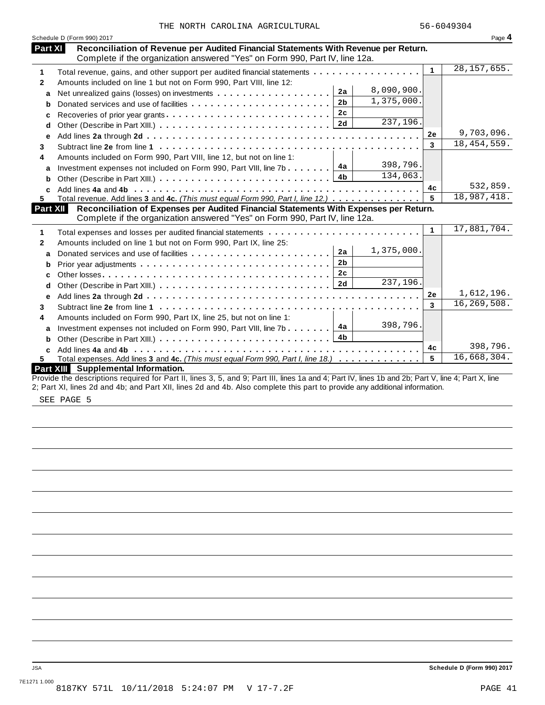| THE NORTH CAROLINA AGRICULTURAL |  |
|---------------------------------|--|
|---------------------------------|--|

| Reconciliation of Revenue per Audited Financial Statements With Revenue per Return.<br>Part XI<br>Complete if the organization answered "Yes" on Form 990, Part IV, line 12a.<br>28, 157, 655.<br>$\mathbf{1}$<br>Total revenue, gains, and other support per audited financial statements<br>Amounts included on line 1 but not on Form 990, Part VIII, line 12:<br>8,090,900.<br>2a<br>a<br>1,375,000.<br>2 <sub>b</sub><br>Donated services and use of facilities<br>b<br>2c<br>Recoveries of prior year grants<br>c<br>$\overline{237,196}$ .<br>d<br>9,703,096.<br>2e<br>е<br>18, 454, 559.<br>3<br>Amounts included on Form 990, Part VIII, line 12, but not on line 1:<br>398,796.<br>4a<br>Investment expenses not included on Form 990, Part VIII, line 7b<br>a<br>134,063.<br>4 <sub>b</sub><br>b<br>532,859.<br>4c<br>18,987,418.<br>Total revenue. Add lines 3 and 4c. (This must equal Form 990, Part I, line 12.)<br>5<br>Reconciliation of Expenses per Audited Financial Statements With Expenses per Return.<br><b>Part XII</b><br>Complete if the organization answered "Yes" on Form 990, Part IV, line 12a.<br>17,881,704.<br>$\mathbf{1}$<br>Total expenses and losses per audited financial statements<br>1<br>Amounts included on line 1 but not on Form 990, Part IX, line 25:<br>$\mathbf{2}$<br>1,375,000.<br>2a<br>a<br>2 <sub>b</sub><br>b<br>2 <sub>c</sub><br>c<br>237,196.<br>2d<br>d<br>1,612,196.<br>2e<br>е<br>16,269,508.<br>3<br>Amounts included on Form 990, Part IX, line 25, but not on line 1:<br>398,796.<br>4a<br>Investment expenses not included on Form 990, Part VIII, line 7b<br>a<br>4b<br>b<br>398,796.<br>4c<br>C<br>16,668,304.<br>5<br>Total expenses. Add lines 3 and 4c. (This must equal Form 990, Part I, line 18.) $\ldots \ldots \ldots \ldots$<br>Part XIII<br><b>Supplemental Information.</b><br>Provide the descriptions required for Part II, lines 3, 5, and 9; Part III, lines 1a and 4; Part IV, lines 1b and 2b; Part V, line 4; Part X, line |              | Schedule D (Form 990) 2017                                                                                                 |  | Page 4 |
|-------------------------------------------------------------------------------------------------------------------------------------------------------------------------------------------------------------------------------------------------------------------------------------------------------------------------------------------------------------------------------------------------------------------------------------------------------------------------------------------------------------------------------------------------------------------------------------------------------------------------------------------------------------------------------------------------------------------------------------------------------------------------------------------------------------------------------------------------------------------------------------------------------------------------------------------------------------------------------------------------------------------------------------------------------------------------------------------------------------------------------------------------------------------------------------------------------------------------------------------------------------------------------------------------------------------------------------------------------------------------------------------------------------------------------------------------------------------------------------------------------------------------------------------------------------------------------------------------------------------------------------------------------------------------------------------------------------------------------------------------------------------------------------------------------------------------------------------------------------------------------------------------------------------------------------------------------------------------------------------------------------------|--------------|----------------------------------------------------------------------------------------------------------------------------|--|--------|
|                                                                                                                                                                                                                                                                                                                                                                                                                                                                                                                                                                                                                                                                                                                                                                                                                                                                                                                                                                                                                                                                                                                                                                                                                                                                                                                                                                                                                                                                                                                                                                                                                                                                                                                                                                                                                                                                                                                                                                                                                   |              |                                                                                                                            |  |        |
|                                                                                                                                                                                                                                                                                                                                                                                                                                                                                                                                                                                                                                                                                                                                                                                                                                                                                                                                                                                                                                                                                                                                                                                                                                                                                                                                                                                                                                                                                                                                                                                                                                                                                                                                                                                                                                                                                                                                                                                                                   | 1            |                                                                                                                            |  |        |
|                                                                                                                                                                                                                                                                                                                                                                                                                                                                                                                                                                                                                                                                                                                                                                                                                                                                                                                                                                                                                                                                                                                                                                                                                                                                                                                                                                                                                                                                                                                                                                                                                                                                                                                                                                                                                                                                                                                                                                                                                   | $\mathbf{2}$ |                                                                                                                            |  |        |
|                                                                                                                                                                                                                                                                                                                                                                                                                                                                                                                                                                                                                                                                                                                                                                                                                                                                                                                                                                                                                                                                                                                                                                                                                                                                                                                                                                                                                                                                                                                                                                                                                                                                                                                                                                                                                                                                                                                                                                                                                   |              |                                                                                                                            |  |        |
|                                                                                                                                                                                                                                                                                                                                                                                                                                                                                                                                                                                                                                                                                                                                                                                                                                                                                                                                                                                                                                                                                                                                                                                                                                                                                                                                                                                                                                                                                                                                                                                                                                                                                                                                                                                                                                                                                                                                                                                                                   |              |                                                                                                                            |  |        |
|                                                                                                                                                                                                                                                                                                                                                                                                                                                                                                                                                                                                                                                                                                                                                                                                                                                                                                                                                                                                                                                                                                                                                                                                                                                                                                                                                                                                                                                                                                                                                                                                                                                                                                                                                                                                                                                                                                                                                                                                                   |              |                                                                                                                            |  |        |
|                                                                                                                                                                                                                                                                                                                                                                                                                                                                                                                                                                                                                                                                                                                                                                                                                                                                                                                                                                                                                                                                                                                                                                                                                                                                                                                                                                                                                                                                                                                                                                                                                                                                                                                                                                                                                                                                                                                                                                                                                   |              |                                                                                                                            |  |        |
|                                                                                                                                                                                                                                                                                                                                                                                                                                                                                                                                                                                                                                                                                                                                                                                                                                                                                                                                                                                                                                                                                                                                                                                                                                                                                                                                                                                                                                                                                                                                                                                                                                                                                                                                                                                                                                                                                                                                                                                                                   |              |                                                                                                                            |  |        |
|                                                                                                                                                                                                                                                                                                                                                                                                                                                                                                                                                                                                                                                                                                                                                                                                                                                                                                                                                                                                                                                                                                                                                                                                                                                                                                                                                                                                                                                                                                                                                                                                                                                                                                                                                                                                                                                                                                                                                                                                                   | 3            |                                                                                                                            |  |        |
|                                                                                                                                                                                                                                                                                                                                                                                                                                                                                                                                                                                                                                                                                                                                                                                                                                                                                                                                                                                                                                                                                                                                                                                                                                                                                                                                                                                                                                                                                                                                                                                                                                                                                                                                                                                                                                                                                                                                                                                                                   | 4            |                                                                                                                            |  |        |
|                                                                                                                                                                                                                                                                                                                                                                                                                                                                                                                                                                                                                                                                                                                                                                                                                                                                                                                                                                                                                                                                                                                                                                                                                                                                                                                                                                                                                                                                                                                                                                                                                                                                                                                                                                                                                                                                                                                                                                                                                   |              |                                                                                                                            |  |        |
|                                                                                                                                                                                                                                                                                                                                                                                                                                                                                                                                                                                                                                                                                                                                                                                                                                                                                                                                                                                                                                                                                                                                                                                                                                                                                                                                                                                                                                                                                                                                                                                                                                                                                                                                                                                                                                                                                                                                                                                                                   |              |                                                                                                                            |  |        |
|                                                                                                                                                                                                                                                                                                                                                                                                                                                                                                                                                                                                                                                                                                                                                                                                                                                                                                                                                                                                                                                                                                                                                                                                                                                                                                                                                                                                                                                                                                                                                                                                                                                                                                                                                                                                                                                                                                                                                                                                                   |              |                                                                                                                            |  |        |
|                                                                                                                                                                                                                                                                                                                                                                                                                                                                                                                                                                                                                                                                                                                                                                                                                                                                                                                                                                                                                                                                                                                                                                                                                                                                                                                                                                                                                                                                                                                                                                                                                                                                                                                                                                                                                                                                                                                                                                                                                   | 5.           |                                                                                                                            |  |        |
|                                                                                                                                                                                                                                                                                                                                                                                                                                                                                                                                                                                                                                                                                                                                                                                                                                                                                                                                                                                                                                                                                                                                                                                                                                                                                                                                                                                                                                                                                                                                                                                                                                                                                                                                                                                                                                                                                                                                                                                                                   |              |                                                                                                                            |  |        |
|                                                                                                                                                                                                                                                                                                                                                                                                                                                                                                                                                                                                                                                                                                                                                                                                                                                                                                                                                                                                                                                                                                                                                                                                                                                                                                                                                                                                                                                                                                                                                                                                                                                                                                                                                                                                                                                                                                                                                                                                                   |              |                                                                                                                            |  |        |
|                                                                                                                                                                                                                                                                                                                                                                                                                                                                                                                                                                                                                                                                                                                                                                                                                                                                                                                                                                                                                                                                                                                                                                                                                                                                                                                                                                                                                                                                                                                                                                                                                                                                                                                                                                                                                                                                                                                                                                                                                   |              |                                                                                                                            |  |        |
|                                                                                                                                                                                                                                                                                                                                                                                                                                                                                                                                                                                                                                                                                                                                                                                                                                                                                                                                                                                                                                                                                                                                                                                                                                                                                                                                                                                                                                                                                                                                                                                                                                                                                                                                                                                                                                                                                                                                                                                                                   |              |                                                                                                                            |  |        |
|                                                                                                                                                                                                                                                                                                                                                                                                                                                                                                                                                                                                                                                                                                                                                                                                                                                                                                                                                                                                                                                                                                                                                                                                                                                                                                                                                                                                                                                                                                                                                                                                                                                                                                                                                                                                                                                                                                                                                                                                                   |              |                                                                                                                            |  |        |
|                                                                                                                                                                                                                                                                                                                                                                                                                                                                                                                                                                                                                                                                                                                                                                                                                                                                                                                                                                                                                                                                                                                                                                                                                                                                                                                                                                                                                                                                                                                                                                                                                                                                                                                                                                                                                                                                                                                                                                                                                   |              |                                                                                                                            |  |        |
|                                                                                                                                                                                                                                                                                                                                                                                                                                                                                                                                                                                                                                                                                                                                                                                                                                                                                                                                                                                                                                                                                                                                                                                                                                                                                                                                                                                                                                                                                                                                                                                                                                                                                                                                                                                                                                                                                                                                                                                                                   |              |                                                                                                                            |  |        |
|                                                                                                                                                                                                                                                                                                                                                                                                                                                                                                                                                                                                                                                                                                                                                                                                                                                                                                                                                                                                                                                                                                                                                                                                                                                                                                                                                                                                                                                                                                                                                                                                                                                                                                                                                                                                                                                                                                                                                                                                                   |              |                                                                                                                            |  |        |
|                                                                                                                                                                                                                                                                                                                                                                                                                                                                                                                                                                                                                                                                                                                                                                                                                                                                                                                                                                                                                                                                                                                                                                                                                                                                                                                                                                                                                                                                                                                                                                                                                                                                                                                                                                                                                                                                                                                                                                                                                   |              |                                                                                                                            |  |        |
|                                                                                                                                                                                                                                                                                                                                                                                                                                                                                                                                                                                                                                                                                                                                                                                                                                                                                                                                                                                                                                                                                                                                                                                                                                                                                                                                                                                                                                                                                                                                                                                                                                                                                                                                                                                                                                                                                                                                                                                                                   | 3            |                                                                                                                            |  |        |
|                                                                                                                                                                                                                                                                                                                                                                                                                                                                                                                                                                                                                                                                                                                                                                                                                                                                                                                                                                                                                                                                                                                                                                                                                                                                                                                                                                                                                                                                                                                                                                                                                                                                                                                                                                                                                                                                                                                                                                                                                   | 4            |                                                                                                                            |  |        |
|                                                                                                                                                                                                                                                                                                                                                                                                                                                                                                                                                                                                                                                                                                                                                                                                                                                                                                                                                                                                                                                                                                                                                                                                                                                                                                                                                                                                                                                                                                                                                                                                                                                                                                                                                                                                                                                                                                                                                                                                                   |              |                                                                                                                            |  |        |
|                                                                                                                                                                                                                                                                                                                                                                                                                                                                                                                                                                                                                                                                                                                                                                                                                                                                                                                                                                                                                                                                                                                                                                                                                                                                                                                                                                                                                                                                                                                                                                                                                                                                                                                                                                                                                                                                                                                                                                                                                   |              |                                                                                                                            |  |        |
|                                                                                                                                                                                                                                                                                                                                                                                                                                                                                                                                                                                                                                                                                                                                                                                                                                                                                                                                                                                                                                                                                                                                                                                                                                                                                                                                                                                                                                                                                                                                                                                                                                                                                                                                                                                                                                                                                                                                                                                                                   |              |                                                                                                                            |  |        |
|                                                                                                                                                                                                                                                                                                                                                                                                                                                                                                                                                                                                                                                                                                                                                                                                                                                                                                                                                                                                                                                                                                                                                                                                                                                                                                                                                                                                                                                                                                                                                                                                                                                                                                                                                                                                                                                                                                                                                                                                                   | 5.           |                                                                                                                            |  |        |
|                                                                                                                                                                                                                                                                                                                                                                                                                                                                                                                                                                                                                                                                                                                                                                                                                                                                                                                                                                                                                                                                                                                                                                                                                                                                                                                                                                                                                                                                                                                                                                                                                                                                                                                                                                                                                                                                                                                                                                                                                   |              |                                                                                                                            |  |        |
|                                                                                                                                                                                                                                                                                                                                                                                                                                                                                                                                                                                                                                                                                                                                                                                                                                                                                                                                                                                                                                                                                                                                                                                                                                                                                                                                                                                                                                                                                                                                                                                                                                                                                                                                                                                                                                                                                                                                                                                                                   |              | 2; Part XI, lines 2d and 4b; and Part XII, lines 2d and 4b. Also complete this part to provide any additional information. |  |        |

SEE PAGE 5

JSA **Schedule D (Form 990) 2017**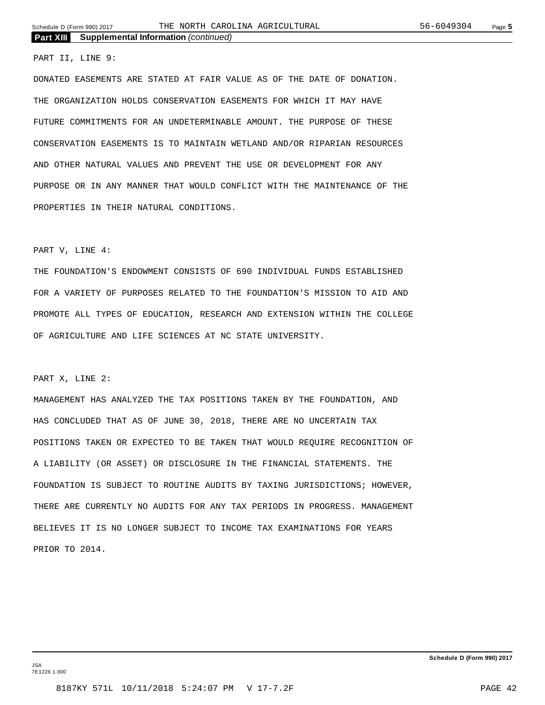### PART II, LINE 9:

DONATED EASEMENTS ARE STATED AT FAIR VALUE AS OF THE DATE OF DONATION. THE ORGANIZATION HOLDS CONSERVATION EASEMENTS FOR WHICH IT MAY HAVE FUTURE COMMITMENTS FOR AN UNDETERMINABLE AMOUNT. THE PURPOSE OF THESE CONSERVATION EASEMENTS IS TO MAINTAIN WETLAND AND/OR RIPARIAN RESOURCES AND OTHER NATURAL VALUES AND PREVENT THE USE OR DEVELOPMENT FOR ANY PURPOSE OR IN ANY MANNER THAT WOULD CONFLICT WITH THE MAINTENANCE OF THE PROPERTIES IN THEIR NATURAL CONDITIONS.

### PART V, LINE 4:

THE FOUNDATION'S ENDOWMENT CONSISTS OF 690 INDIVIDUAL FUNDS ESTABLISHED FOR A VARIETY OF PURPOSES RELATED TO THE FOUNDATION'S MISSION TO AID AND PROMOTE ALL TYPES OF EDUCATION, RESEARCH AND EXTENSION WITHIN THE COLLEGE OF AGRICULTURE AND LIFE SCIENCES AT NC STATE UNIVERSITY.

### PART X, LINE 2:

MANAGEMENT HAS ANALYZED THE TAX POSITIONS TAKEN BY THE FOUNDATION, AND HAS CONCLUDED THAT AS OF JUNE 30, 2018, THERE ARE NO UNCERTAIN TAX POSITIONS TAKEN OR EXPECTED TO BE TAKEN THAT WOULD REQUIRE RECOGNITION OF A LIABILITY (OR ASSET) OR DISCLOSURE IN THE FINANCIAL STATEMENTS. THE FOUNDATION IS SUBJECT TO ROUTINE AUDITS BY TAXING JURISDICTIONS; HOWEVER, THERE ARE CURRENTLY NO AUDITS FOR ANY TAX PERIODS IN PROGRESS. MANAGEMENT BELIEVES IT IS NO LONGER SUBJECT TO INCOME TAX EXAMINATIONS FOR YEARS PRIOR TO 2014.

JSA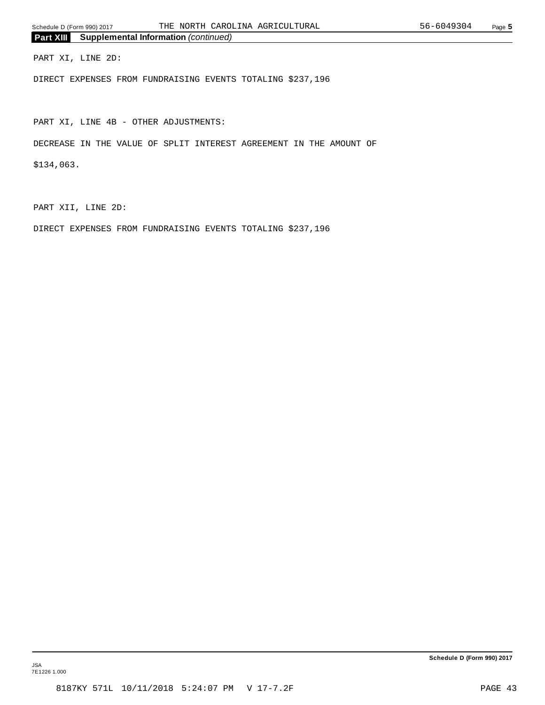PART XI, LINE 2D:

DIRECT EXPENSES FROM FUNDRAISING EVENTS TOTALING \$237,196

PART XI, LINE 4B - OTHER ADJUSTMENTS:

DECREASE IN THE VALUE OF SPLIT INTEREST AGREEMENT IN THE AMOUNT OF

\$134,063.

PART XII, LINE 2D:

DIRECT EXPENSES FROM FUNDRAISING EVENTS TOTALING \$237,196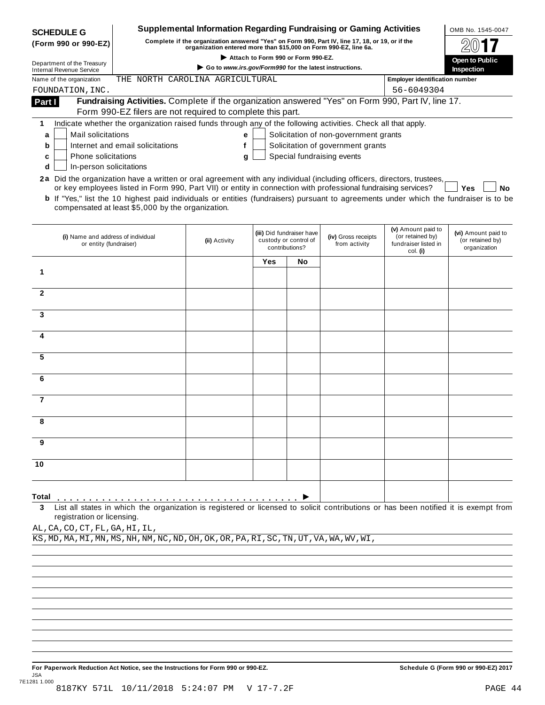| (Form 990 or 990-EZ)                                          |                                                                                                                                              |                                                                                                                                                                     |                                    |                           | <b>Supplemental Information Regarding Fundraising or Gaming Activities</b> |                                                                                                                                     | OMB No. 1545-0047     |
|---------------------------------------------------------------|----------------------------------------------------------------------------------------------------------------------------------------------|---------------------------------------------------------------------------------------------------------------------------------------------------------------------|------------------------------------|---------------------------|----------------------------------------------------------------------------|-------------------------------------------------------------------------------------------------------------------------------------|-----------------------|
|                                                               |                                                                                                                                              | Complete if the organization answered "Yes" on Form 990, Part IV, line 17, 18, or 19, or if the<br>organization entered more than \$15,000 on Form 990-EZ, line 6a. |                                    |                           |                                                                            |                                                                                                                                     |                       |
|                                                               |                                                                                                                                              |                                                                                                                                                                     | Attach to Form 990 or Form 990-EZ. |                           |                                                                            |                                                                                                                                     | <b>Open to Public</b> |
| Department of the Treasury<br><b>Internal Revenue Service</b> |                                                                                                                                              | Go to www.irs.gov/Form990 for the latest instructions.                                                                                                              |                                    |                           |                                                                            |                                                                                                                                     | Inspection            |
| Name of the organization                                      | THE NORTH CAROLINA AGRICULTURAL                                                                                                              |                                                                                                                                                                     |                                    |                           |                                                                            | <b>Employer identification number</b>                                                                                               |                       |
| FOUNDATION, INC.                                              |                                                                                                                                              |                                                                                                                                                                     |                                    |                           |                                                                            | 56-6049304                                                                                                                          |                       |
| Part I                                                        | Fundraising Activities. Complete if the organization answered "Yes" on Form 990, Part IV, line 17.                                           |                                                                                                                                                                     |                                    |                           |                                                                            |                                                                                                                                     |                       |
|                                                               | Form 990-EZ filers are not required to complete this part.                                                                                   |                                                                                                                                                                     |                                    |                           |                                                                            |                                                                                                                                     |                       |
| 1                                                             | Indicate whether the organization raised funds through any of the following activities. Check all that apply.                                |                                                                                                                                                                     |                                    |                           |                                                                            |                                                                                                                                     |                       |
| Mail solicitations<br>a                                       |                                                                                                                                              | е                                                                                                                                                                   |                                    |                           | Solicitation of non-government grants                                      |                                                                                                                                     |                       |
| b                                                             | Internet and email solicitations                                                                                                             | f                                                                                                                                                                   |                                    |                           | Solicitation of government grants                                          |                                                                                                                                     |                       |
| Phone solicitations<br>c                                      |                                                                                                                                              | g                                                                                                                                                                   |                                    |                           | Special fundraising events                                                 |                                                                                                                                     |                       |
| In-person solicitations<br>d                                  |                                                                                                                                              |                                                                                                                                                                     |                                    |                           |                                                                            |                                                                                                                                     |                       |
|                                                               | 2a Did the organization have a written or oral agreement with any individual (including officers, directors, trustees,                       |                                                                                                                                                                     |                                    |                           |                                                                            |                                                                                                                                     |                       |
|                                                               | or key employees listed in Form 990, Part VII) or entity in connection with professional fundraising services?                               |                                                                                                                                                                     |                                    |                           |                                                                            |                                                                                                                                     | <b>Yes</b><br>No      |
|                                                               | <b>b</b> If "Yes," list the 10 highest paid individuals or entities (fundraisers) pursuant to agreements under which the fundraiser is to be |                                                                                                                                                                     |                                    |                           |                                                                            |                                                                                                                                     |                       |
|                                                               | compensated at least \$5,000 by the organization.                                                                                            |                                                                                                                                                                     |                                    |                           |                                                                            |                                                                                                                                     |                       |
|                                                               |                                                                                                                                              |                                                                                                                                                                     |                                    |                           |                                                                            |                                                                                                                                     |                       |
|                                                               |                                                                                                                                              |                                                                                                                                                                     |                                    | (iii) Did fundraiser have |                                                                            | (v) Amount paid to<br>(or retained by)                                                                                              | (vi) Amount paid to   |
| (i) Name and address of individual<br>or entity (fundraiser)  |                                                                                                                                              | (ii) Activity                                                                                                                                                       |                                    | custody or control of     | (iv) Gross receipts<br>from activity                                       | fundraiser listed in                                                                                                                | (or retained by)      |
|                                                               |                                                                                                                                              |                                                                                                                                                                     |                                    | contributions?            |                                                                            | col. (i)                                                                                                                            | organization          |
|                                                               |                                                                                                                                              |                                                                                                                                                                     | Yes                                | No                        |                                                                            |                                                                                                                                     |                       |
| 1                                                             |                                                                                                                                              |                                                                                                                                                                     |                                    |                           |                                                                            |                                                                                                                                     |                       |
|                                                               |                                                                                                                                              |                                                                                                                                                                     |                                    |                           |                                                                            |                                                                                                                                     |                       |
| $\mathbf{2}$                                                  |                                                                                                                                              |                                                                                                                                                                     |                                    |                           |                                                                            |                                                                                                                                     |                       |
|                                                               |                                                                                                                                              |                                                                                                                                                                     |                                    |                           |                                                                            |                                                                                                                                     |                       |
| 3                                                             |                                                                                                                                              |                                                                                                                                                                     |                                    |                           |                                                                            |                                                                                                                                     |                       |
|                                                               |                                                                                                                                              |                                                                                                                                                                     |                                    |                           |                                                                            |                                                                                                                                     |                       |
| 4                                                             |                                                                                                                                              |                                                                                                                                                                     |                                    |                           |                                                                            |                                                                                                                                     |                       |
|                                                               |                                                                                                                                              |                                                                                                                                                                     |                                    |                           |                                                                            |                                                                                                                                     |                       |
| 5                                                             |                                                                                                                                              |                                                                                                                                                                     |                                    |                           |                                                                            |                                                                                                                                     |                       |
|                                                               |                                                                                                                                              |                                                                                                                                                                     |                                    |                           |                                                                            |                                                                                                                                     |                       |
| 6                                                             |                                                                                                                                              |                                                                                                                                                                     |                                    |                           |                                                                            |                                                                                                                                     |                       |
|                                                               |                                                                                                                                              |                                                                                                                                                                     |                                    |                           |                                                                            |                                                                                                                                     |                       |
| $\overline{7}$                                                |                                                                                                                                              |                                                                                                                                                                     |                                    |                           |                                                                            |                                                                                                                                     |                       |
|                                                               |                                                                                                                                              |                                                                                                                                                                     |                                    |                           |                                                                            |                                                                                                                                     |                       |
| 8                                                             |                                                                                                                                              |                                                                                                                                                                     |                                    |                           |                                                                            |                                                                                                                                     |                       |
|                                                               |                                                                                                                                              |                                                                                                                                                                     |                                    |                           |                                                                            |                                                                                                                                     |                       |
| 9                                                             |                                                                                                                                              |                                                                                                                                                                     |                                    |                           |                                                                            |                                                                                                                                     |                       |
|                                                               |                                                                                                                                              |                                                                                                                                                                     |                                    |                           |                                                                            |                                                                                                                                     |                       |
| 10                                                            |                                                                                                                                              |                                                                                                                                                                     |                                    |                           |                                                                            |                                                                                                                                     |                       |
|                                                               |                                                                                                                                              |                                                                                                                                                                     |                                    |                           |                                                                            |                                                                                                                                     |                       |
|                                                               |                                                                                                                                              |                                                                                                                                                                     |                                    |                           |                                                                            |                                                                                                                                     |                       |
| Total                                                         |                                                                                                                                              |                                                                                                                                                                     |                                    |                           |                                                                            |                                                                                                                                     |                       |
| 3                                                             |                                                                                                                                              |                                                                                                                                                                     |                                    |                           |                                                                            | List all states in which the organization is registered or licensed to solicit contributions or has been notified it is exempt from |                       |

AL,CA,CO,CT,FL,GA,HI,IL,

KS,MD,MA,MI,MN,MS,NH,NM,NC,ND,OH,OK,OR,PA,RI,SC,TN,UT,VA,WA,WV,WI,

For Paperwork Reduction Act Notice, see the Instructions for Form 990 or 990-EZ. Schedule G (Form 990 or 990-EZ) 2017 JSA 7E1281 1.000 8187KY 571L 10/11/2018 5:24:07 PM V 17-7.2F PAGE 44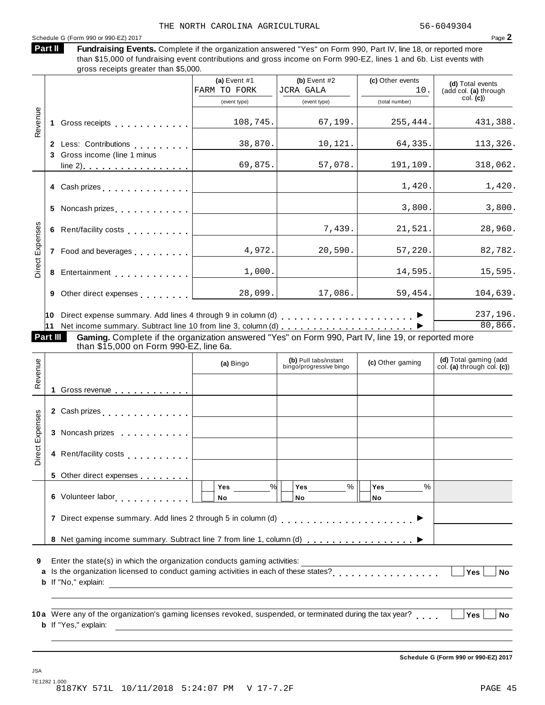### Schedule <sup>G</sup> (Form <sup>990</sup> or 990-EZ) <sup>2017</sup> Page **2**

| Part II | <b>Fundraising Events.</b> Complete if the organization answered "Yes" on Form 990, Part IV, line 18, or reported more |
|---------|------------------------------------------------------------------------------------------------------------------------|
|         | than \$15,000 of fundraising event contributions and gross income on Form 990-EZ, lines 1 and 6b. List events with     |
|         | gross receipts greater than \$5,000.                                                                                   |

|                 |  |                                                                                                                                               | (a) Event $#1$ | (b) Event $#2$                                   | (c) Other events | (d) Total events                                    |
|-----------------|--|-----------------------------------------------------------------------------------------------------------------------------------------------|----------------|--------------------------------------------------|------------------|-----------------------------------------------------|
|                 |  |                                                                                                                                               | FARM TO FORK   | <b>JCRA GALA</b>                                 | 10.              | (add col. (a) through<br>col. (c)                   |
|                 |  |                                                                                                                                               | (event type)   | (event type)                                     | (total number)   |                                                     |
| Revenue         |  | 1 Gross receipts                                                                                                                              | 108,745.       | 67, 199.                                         | 255,444.         | 431,388.                                            |
|                 |  |                                                                                                                                               | 38,870.        | 10, 121.                                         | 64,335.          | 113,326.                                            |
|                 |  | 3 Gross income (line 1 minus                                                                                                                  | 69,875.        | 57,078.                                          | 191,109.         | 318,062.                                            |
|                 |  | 4 Cash prizes                                                                                                                                 |                |                                                  | 1,420.           | 1,420.                                              |
|                 |  | 5 Noncash prizes [1,1,1,1,1,1,1,1]                                                                                                            |                |                                                  | 3,800.           | 3,800.                                              |
|                 |  | 6 Rent/facility costs                                                                                                                         |                | 7,439.                                           | 21,521.          | 28,960.                                             |
| Expenses        |  | 7 Food and beverages [1,1,1,1,1,1]                                                                                                            | 4,972.         | 20,590.                                          | 57,220.          | 82,782.                                             |
| Direct          |  | 8 Entertainment                                                                                                                               | 1,000.         |                                                  | 14,595.          | 15,595.                                             |
|                 |  | 9 Other direct expenses [1]                                                                                                                   | 28,099.        | 17,086.                                          | 59,454.          | 104,639.                                            |
|                 |  |                                                                                                                                               |                |                                                  |                  | 237,196.<br>80, 866.                                |
| Part III        |  | Gaming. Complete if the organization answered "Yes" on Form 990, Part IV, line 19, or reported more<br>than \$15,000 on Form 990-EZ, line 6a. |                |                                                  |                  |                                                     |
| Revenue         |  |                                                                                                                                               | (a) Bingo      | (b) Pull tabs/instant<br>bingo/progressive bingo | (c) Other gaming | (d) Total gaming (add<br>col. (a) through col. (c)) |
|                 |  | 1 Gross revenue                                                                                                                               |                |                                                  |                  |                                                     |
|                 |  | 2 Cash prizes <b>contained 2</b> Cash prizes                                                                                                  |                |                                                  |                  |                                                     |
|                 |  | 3 Noncash prizes                                                                                                                              |                |                                                  |                  |                                                     |
| Direct Expenses |  | 4 Rent/facility costs [19]                                                                                                                    |                |                                                  |                  |                                                     |
|                 |  |                                                                                                                                               |                |                                                  |                  |                                                     |

| Enter the state(s) in which the organization conducts gaming activities: |  |  |  |
|--------------------------------------------------------------------------|--|--|--|
|                                                                          |  |  |  |

. <u>. . . . . . .</u>

**5** Other direct expenses

JSA

**6** Volunteer labor **manual** m m m m m m m m m

Is the organization licensed to conduct gaming activities in each of these states? **a** m m m m m m m m m m m m m m m m m **Yes No b** If "No," explain:

**Yes No**

**Yes**

**No** % % %

**7** Direct expense summary. Add lines 2 through 5 in column (d) m m m m m m m m m m m m m m m m m m m m m I

**Yes No**

**8** Net gaming income summary. Subtract line 7 from line 1, column (d)  $\ldots$   $\ldots$   $\ldots$   $\ldots$   $\ldots$   $\ldots$ 

**10a** Were any of the organization's gaming licenses revoked, suspended, or terminated during the tax year?<br> **a** *Were* **and** *a* **b** If "Yes," explain:

**Schedule G (Form 990 or 990-EZ) 2017**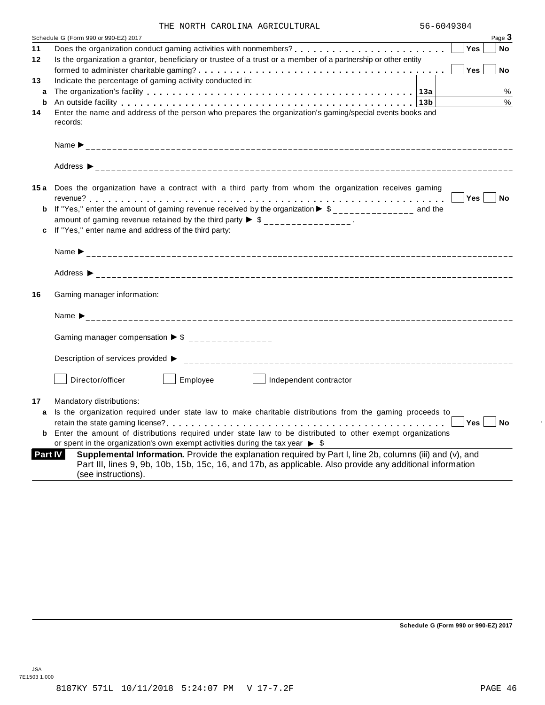|  |  |  | THE NORTH CAROLINA AGRICULTURAL |
|--|--|--|---------------------------------|
|--|--|--|---------------------------------|

|         | Page 3<br>Schedule G (Form 990 or 990-EZ) 2017                                                                                                                                                                                                           |
|---------|----------------------------------------------------------------------------------------------------------------------------------------------------------------------------------------------------------------------------------------------------------|
| 11      | <b>Yes</b><br>No                                                                                                                                                                                                                                         |
| $12 \,$ | Is the organization a grantor, beneficiary or trustee of a trust or a member of a partnership or other entity                                                                                                                                            |
|         | Yes<br><b>No</b>                                                                                                                                                                                                                                         |
| 13      | Indicate the percentage of gaming activity conducted in:                                                                                                                                                                                                 |
| a       | %                                                                                                                                                                                                                                                        |
| b       | %<br>An outside facility enterpreteration of the control of the control of the control of the control of the control of the control of the control of the control of the control of the control of the control of the control of th                      |
| 14      | Enter the name and address of the person who prepares the organization's gaming/special events books and<br>records:                                                                                                                                     |
|         |                                                                                                                                                                                                                                                          |
|         |                                                                                                                                                                                                                                                          |
|         | 15a Does the organization have a contract with a third party from whom the organization receives gaming                                                                                                                                                  |
|         | Yes No                                                                                                                                                                                                                                                   |
|         | <b>b</b> If "Yes," enter the amount of gaming revenue received by the organization $\triangleright$ \$______________ and the                                                                                                                             |
|         | amount of gaming revenue retained by the third party $\triangleright$ \$ ________________.                                                                                                                                                               |
|         | c If "Yes," enter name and address of the third party:                                                                                                                                                                                                   |
|         |                                                                                                                                                                                                                                                          |
|         |                                                                                                                                                                                                                                                          |
| 16      | Gaming manager information:                                                                                                                                                                                                                              |
|         |                                                                                                                                                                                                                                                          |
|         | Gaming manager compensation $\triangleright$ \$ _______________                                                                                                                                                                                          |
|         | Description of services provided ▶                                                                                                                                                                                                                       |
|         | Employee<br>Director/officer<br>Independent contractor                                                                                                                                                                                                   |
| 17      | Mandatory distributions:                                                                                                                                                                                                                                 |
| a       | Is the organization required under state law to make charitable distributions from the gaming proceeds to                                                                                                                                                |
|         | Yes <sub>1</sub><br>i No                                                                                                                                                                                                                                 |
|         | Enter the amount of distributions required under state law to be distributed to other exempt organizations                                                                                                                                               |
|         | or spent in the organization's own exempt activities during the tax year $\triangleright$ \$                                                                                                                                                             |
|         | Supplemental Information. Provide the explanation required by Part I, line 2b, columns (iii) and (v), and<br>Part IV<br>Part III, lines 9, 9b, 10b, 15b, 15c, 16, and 17b, as applicable. Also provide any additional information<br>(see instructions). |

**Schedule G (Form 990 or 990-EZ) 2017**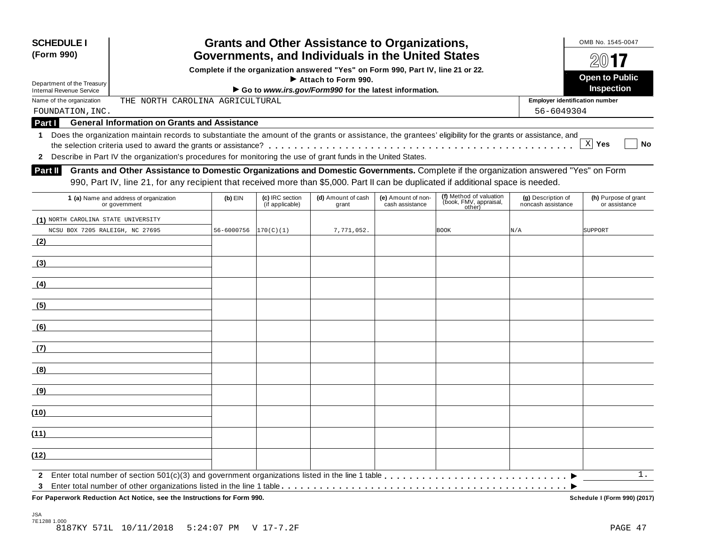| <b>SCHEDULE I</b><br>(Form 990)     |                                                                                                                                                                                                                                                                           |            |                                    | <b>Grants and Other Assistance to Organizations,</b><br>Governments, and Individuals in the United States |                                       |                                                             |                                          | OMB No. 1545-0047<br>$200$ 17         |
|-------------------------------------|---------------------------------------------------------------------------------------------------------------------------------------------------------------------------------------------------------------------------------------------------------------------------|------------|------------------------------------|-----------------------------------------------------------------------------------------------------------|---------------------------------------|-------------------------------------------------------------|------------------------------------------|---------------------------------------|
|                                     |                                                                                                                                                                                                                                                                           |            |                                    | Complete if the organization answered "Yes" on Form 990, Part IV, line 21 or 22.                          |                                       |                                                             |                                          |                                       |
| Department of the Treasury          |                                                                                                                                                                                                                                                                           |            |                                    | $\blacktriangleright$ Attach to Form 990.                                                                 |                                       |                                                             |                                          | <b>Open to Public</b>                 |
| <b>Internal Revenue Service</b>     |                                                                                                                                                                                                                                                                           |            |                                    | Go to www.irs.gov/Form990 for the latest information.                                                     |                                       |                                                             |                                          | Inspection                            |
| Name of the organization            | THE NORTH CAROLINA AGRICULTURAL                                                                                                                                                                                                                                           |            |                                    |                                                                                                           |                                       |                                                             | <b>Employer identification number</b>    |                                       |
| FOUNDATION, INC.                    |                                                                                                                                                                                                                                                                           |            |                                    |                                                                                                           |                                       |                                                             | 56-6049304                               |                                       |
| Part I                              | <b>General Information on Grants and Assistance</b>                                                                                                                                                                                                                       |            |                                    |                                                                                                           |                                       |                                                             |                                          |                                       |
| 1.                                  | Does the organization maintain records to substantiate the amount of the grants or assistance, the grantees' eligibility for the grants or assistance, and                                                                                                                |            |                                    |                                                                                                           |                                       |                                                             |                                          | $X$ Yes<br>No                         |
| $\mathbf{2}$                        | Describe in Part IV the organization's procedures for monitoring the use of grant funds in the United States.                                                                                                                                                             |            |                                    |                                                                                                           |                                       |                                                             |                                          |                                       |
| <b>Part II</b>                      | Grants and Other Assistance to Domestic Organizations and Domestic Governments. Complete if the organization answered "Yes" on Form<br>990, Part IV, line 21, for any recipient that received more than \$5,000. Part II can be duplicated if additional space is needed. |            |                                    |                                                                                                           |                                       |                                                             |                                          |                                       |
|                                     | 1 (a) Name and address of organization<br>or government                                                                                                                                                                                                                   | $(b)$ EIN  | (c) IRC section<br>(if applicable) | (d) Amount of cash<br>grant                                                                               | (e) Amount of non-<br>cash assistance | (f) Method of valuation<br>(book, FMV, appraisal,<br>other) | (g) Description of<br>noncash assistance | (h) Purpose of grant<br>or assistance |
| (1) NORTH CAROLINA STATE UNIVERSITY |                                                                                                                                                                                                                                                                           |            |                                    |                                                                                                           |                                       |                                                             |                                          |                                       |
| NCSU BOX 7205 RALEIGH, NC 27695     |                                                                                                                                                                                                                                                                           | 56-6000756 | 170(C)(1)                          | 7,771,052.                                                                                                |                                       | <b>BOOK</b>                                                 | N/A                                      | SUPPORT                               |
| (2)                                 |                                                                                                                                                                                                                                                                           |            |                                    |                                                                                                           |                                       |                                                             |                                          |                                       |
| (3)                                 |                                                                                                                                                                                                                                                                           |            |                                    |                                                                                                           |                                       |                                                             |                                          |                                       |
| (4)                                 |                                                                                                                                                                                                                                                                           |            |                                    |                                                                                                           |                                       |                                                             |                                          |                                       |
| (5)                                 |                                                                                                                                                                                                                                                                           |            |                                    |                                                                                                           |                                       |                                                             |                                          |                                       |
| (6)                                 |                                                                                                                                                                                                                                                                           |            |                                    |                                                                                                           |                                       |                                                             |                                          |                                       |
| (7)                                 |                                                                                                                                                                                                                                                                           |            |                                    |                                                                                                           |                                       |                                                             |                                          |                                       |
| (8)                                 |                                                                                                                                                                                                                                                                           |            |                                    |                                                                                                           |                                       |                                                             |                                          |                                       |
| (9)                                 |                                                                                                                                                                                                                                                                           |            |                                    |                                                                                                           |                                       |                                                             |                                          |                                       |
| (10)                                |                                                                                                                                                                                                                                                                           |            |                                    |                                                                                                           |                                       |                                                             |                                          |                                       |
| (11)                                |                                                                                                                                                                                                                                                                           |            |                                    |                                                                                                           |                                       |                                                             |                                          |                                       |
| (12)                                |                                                                                                                                                                                                                                                                           |            |                                    |                                                                                                           |                                       |                                                             |                                          |                                       |
| $\mathbf{2}$                        |                                                                                                                                                                                                                                                                           |            |                                    |                                                                                                           |                                       |                                                             |                                          | 1.                                    |
| 3                                   | For Paperwork Reduction Act Notice, see the Instructions for Form 990.                                                                                                                                                                                                    |            |                                    |                                                                                                           |                                       |                                                             |                                          | Schedule I (Form 990) (2017)          |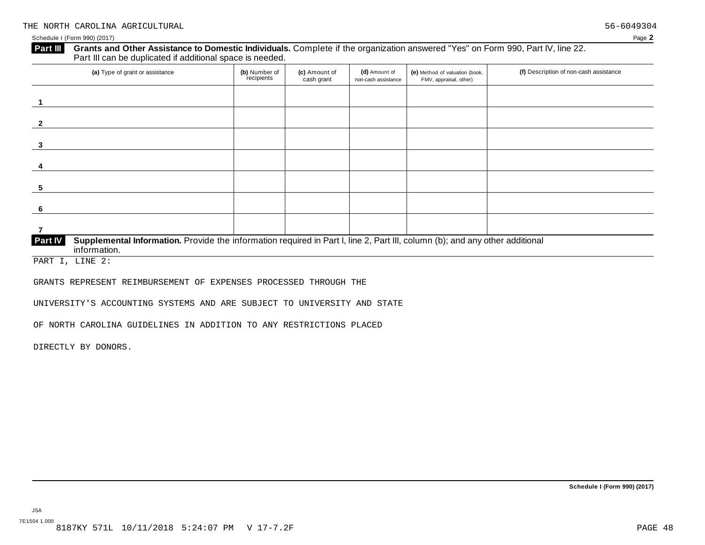**2**

**3**

**4**

**5**

**6**

### **Grants and Other Assistance to Domestic Individuals.** Complete ifthe organization answered "Yes" on Form 990, Part IV, line 22. **Part III** Grants and Other Assistance to Domestic Individuals<br>Part III can be duplicated if additional space is needed. (a) Type of grant or assistance **(b)** Number of **(c)** Amount of **(d)** Amount of **(e)** Method of valuation (book, **(f)** Description of non-cash assistance FMV, appraisal, other) **(b)** Number of recipients **(d)** Amount of non-cash assistance **(c)** Amount of cash grant **1**

| <b>Part IV</b> | Supplemental Information. Provide the information required in Part I, line 2, Part III, column (b); and any other additional<br>ntormation. |  |  |  |
|----------------|---------------------------------------------------------------------------------------------------------------------------------------------|--|--|--|

PART I, LINE 2:

GRANTS REPRESENT REIMBURSEMENT OF EXPENSES PROCESSED THROUGH THE

UNIVERSITY'S ACCOUNTING SYSTEMS AND ARE SUBJECT TO UNIVERSITY AND STATE

OF NORTH CAROLINA GUIDELINES IN ADDITION TO ANY RESTRICTIONS PLACED

DIRECTLY BY DONORS.

JSA 7E1504 1.000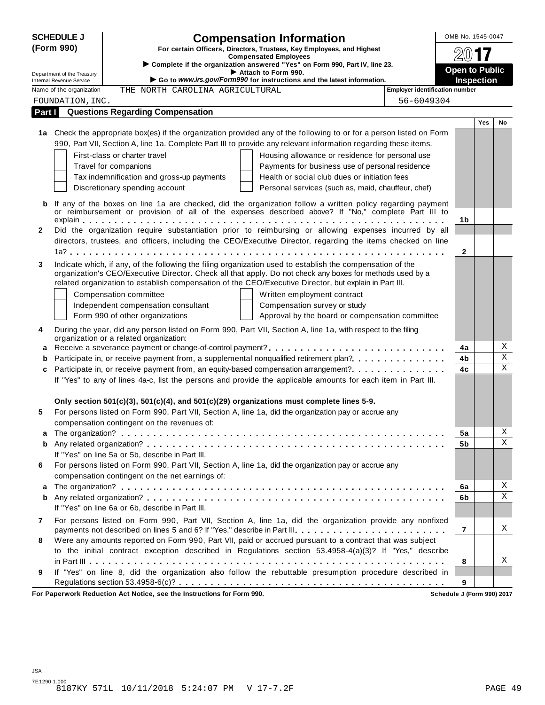| <b>SCHEDULE J</b><br>(Form 990) |                            |                                                  | <b>Compensation Information</b>                                                                                                                                                                                    |                                                     | OMB No. 1545-0047     |     |                         |
|---------------------------------|----------------------------|--------------------------------------------------|--------------------------------------------------------------------------------------------------------------------------------------------------------------------------------------------------------------------|-----------------------------------------------------|-----------------------|-----|-------------------------|
|                                 |                            |                                                  | For certain Officers, Directors, Trustees, Key Employees, and Highest                                                                                                                                              |                                                     |                       |     |                         |
|                                 |                            |                                                  | <b>Compensated Employees</b><br>Complete if the organization answered "Yes" on Form 990, Part IV, line 23.                                                                                                         |                                                     |                       |     |                         |
|                                 | Department of the Treasury |                                                  | Attach to Form 990.                                                                                                                                                                                                |                                                     | <b>Open to Public</b> |     |                         |
|                                 | Internal Revenue Service   |                                                  | Go to www.irs.gov/Form990 for instructions and the latest information.                                                                                                                                             |                                                     | <b>Inspection</b>     |     |                         |
|                                 | Name of the organization   | THE NORTH CAROLINA AGRICULTURAL                  |                                                                                                                                                                                                                    | <b>Employer identification number</b><br>56-6049304 |                       |     |                         |
|                                 | FOUNDATION, INC.           | <b>Questions Regarding Compensation</b>          |                                                                                                                                                                                                                    |                                                     |                       |     |                         |
| Part I                          |                            |                                                  |                                                                                                                                                                                                                    |                                                     |                       | Yes | No                      |
|                                 |                            |                                                  | 1a Check the appropriate box(es) if the organization provided any of the following to or for a person listed on Form                                                                                               |                                                     |                       |     |                         |
|                                 |                            |                                                  | 990, Part VII, Section A, line 1a. Complete Part III to provide any relevant information regarding these items.                                                                                                    |                                                     |                       |     |                         |
|                                 |                            | First-class or charter travel                    | Housing allowance or residence for personal use                                                                                                                                                                    |                                                     |                       |     |                         |
|                                 |                            | Travel for companions                            | Payments for business use of personal residence                                                                                                                                                                    |                                                     |                       |     |                         |
|                                 |                            | Tax indemnification and gross-up payments        | Health or social club dues or initiation fees                                                                                                                                                                      |                                                     |                       |     |                         |
|                                 |                            | Discretionary spending account                   | Personal services (such as, maid, chauffeur, chef)                                                                                                                                                                 |                                                     |                       |     |                         |
|                                 |                            |                                                  |                                                                                                                                                                                                                    |                                                     |                       |     |                         |
| b                               |                            |                                                  | If any of the boxes on line 1a are checked, did the organization follow a written policy regarding payment<br>or reimbursement or provision of all of the expenses described above? If "No," complete Part III to  |                                                     |                       |     |                         |
|                                 |                            |                                                  |                                                                                                                                                                                                                    |                                                     | 1 <sub>b</sub>        |     |                         |
| $\mathbf{2}$                    |                            |                                                  | Did the organization require substantiation prior to reimbursing or allowing expenses incurred by all                                                                                                              |                                                     |                       |     |                         |
|                                 |                            |                                                  | directors, trustees, and officers, including the CEO/Executive Director, regarding the items checked on line                                                                                                       |                                                     |                       |     |                         |
|                                 |                            |                                                  |                                                                                                                                                                                                                    |                                                     | $\mathbf{2}$          |     |                         |
| 3                               |                            |                                                  | Indicate which, if any, of the following the filing organization used to establish the compensation of the                                                                                                         |                                                     |                       |     |                         |
|                                 |                            |                                                  | organization's CEO/Executive Director. Check all that apply. Do not check any boxes for methods used by a                                                                                                          |                                                     |                       |     |                         |
|                                 |                            |                                                  | related organization to establish compensation of the CEO/Executive Director, but explain in Part III.                                                                                                             |                                                     |                       |     |                         |
|                                 |                            | Compensation committee                           | Written employment contract                                                                                                                                                                                        |                                                     |                       |     |                         |
|                                 |                            | Independent compensation consultant              | Compensation survey or study                                                                                                                                                                                       |                                                     |                       |     |                         |
|                                 |                            | Form 990 of other organizations                  | Approval by the board or compensation committee                                                                                                                                                                    |                                                     |                       |     |                         |
| 4                               |                            | organization or a related organization:          | During the year, did any person listed on Form 990, Part VII, Section A, line 1a, with respect to the filing                                                                                                       |                                                     |                       |     |                         |
| a                               |                            |                                                  | Receive a severance payment or change-of-control payment?                                                                                                                                                          |                                                     | 4a                    |     | Χ                       |
| b                               |                            |                                                  | Participate in, or receive payment from, a supplemental nonqualified retirement plan?.                                                                                                                             |                                                     | 4b                    |     | $\overline{\textbf{X}}$ |
| c                               |                            |                                                  |                                                                                                                                                                                                                    |                                                     | 4c                    |     | $\overline{\mathbf{x}}$ |
|                                 |                            |                                                  | If "Yes" to any of lines 4a-c, list the persons and provide the applicable amounts for each item in Part III.                                                                                                      |                                                     |                       |     |                         |
|                                 |                            |                                                  | Only section 501(c)(3), 501(c)(4), and 501(c)(29) organizations must complete lines 5-9.                                                                                                                           |                                                     |                       |     |                         |
| 5                               |                            |                                                  | For persons listed on Form 990, Part VII, Section A, line 1a, did the organization pay or accrue any                                                                                                               |                                                     |                       |     |                         |
|                                 |                            | compensation contingent on the revenues of:      |                                                                                                                                                                                                                    |                                                     |                       |     |                         |
|                                 |                            |                                                  |                                                                                                                                                                                                                    |                                                     | 5a                    |     | Χ                       |
| b                               |                            |                                                  |                                                                                                                                                                                                                    |                                                     | 5b                    |     | $\mathbf X$             |
|                                 |                            | If "Yes" on line 5a or 5b, describe in Part III. |                                                                                                                                                                                                                    |                                                     |                       |     |                         |
| 6                               |                            |                                                  | For persons listed on Form 990, Part VII, Section A, line 1a, did the organization pay or accrue any                                                                                                               |                                                     |                       |     |                         |
|                                 |                            | compensation contingent on the net earnings of:  |                                                                                                                                                                                                                    |                                                     |                       |     |                         |
| a                               |                            |                                                  |                                                                                                                                                                                                                    |                                                     | 6a                    |     | Χ<br>Χ                  |
| b                               |                            |                                                  |                                                                                                                                                                                                                    |                                                     | 6b                    |     |                         |
|                                 |                            | If "Yes" on line 6a or 6b, describe in Part III. |                                                                                                                                                                                                                    |                                                     |                       |     |                         |
| 7                               |                            |                                                  | For persons listed on Form 990, Part VII, Section A, line 1a, did the organization provide any nonfixed                                                                                                            |                                                     |                       |     | X                       |
|                                 |                            |                                                  | payments not described on lines 5 and 6? If "Yes," describe in Part III.                                                                                                                                           |                                                     | 7                     |     |                         |
| 8                               |                            |                                                  | Were any amounts reported on Form 990, Part VII, paid or accrued pursuant to a contract that was subject<br>to the initial contract exception described in Regulations section 53.4958-4(a)(3)? If "Yes," describe |                                                     |                       |     |                         |
|                                 |                            |                                                  |                                                                                                                                                                                                                    |                                                     | 8                     |     | X                       |
| 9                               |                            |                                                  | If "Yes" on line 8, did the organization also follow the rebuttable presumption procedure described in                                                                                                             |                                                     |                       |     |                         |
|                                 |                            |                                                  |                                                                                                                                                                                                                    |                                                     | 9                     |     |                         |
|                                 |                            |                                                  |                                                                                                                                                                                                                    |                                                     |                       |     |                         |

**For Paperwork Reduction Act Notice, see the Instructions for Form 990. Schedule J (Form 990) 2017**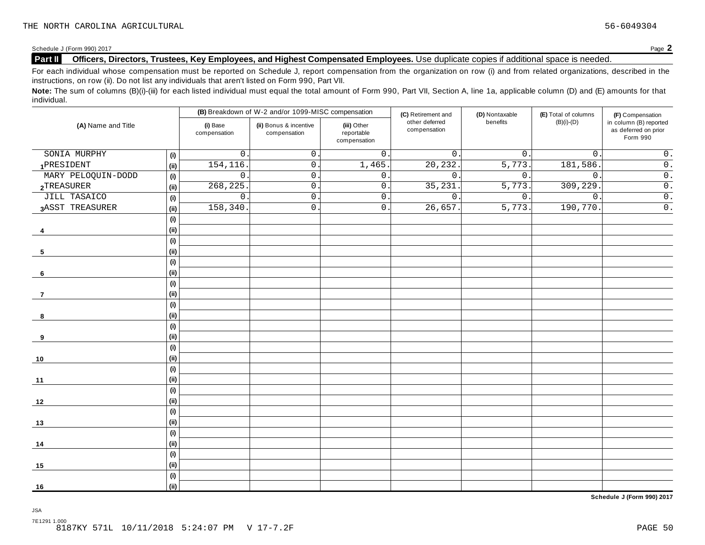### **Part II Officers, Directors, Trustees, Key Employees, and Highest Compensated Employees.** Use duplicate copies ifadditional space is needed.

For each individual whose compensation must be reported on Schedule J, report compensation from the organization on row (i) and from related organizations, described in the instructions, on row (ii). Do not list any individuals that aren't listed on Form 990, Part VII.

Note: The sum of columns (B)(i)-(iii) for each listed individual must equal the total amount of Form 990, Part VII, Section A, line 1a, applicable column (D) and (E) amounts for that individual.

|                     |      |                          | (B) Breakdown of W-2 and/or 1099-MISC compensation |                                           | (C) Retirement and             | (D) Nontaxable   | (E) Total of columns | (F) Compensation                                           |  |
|---------------------|------|--------------------------|----------------------------------------------------|-------------------------------------------|--------------------------------|------------------|----------------------|------------------------------------------------------------|--|
| (A) Name and Title  |      | (i) Base<br>compensation | (ii) Bonus & incentive<br>compensation             | (iii) Other<br>reportable<br>compensation | other deferred<br>compensation | benefits         | $(B)(i)-(D)$         | in column (B) reported<br>as deferred on prior<br>Form 990 |  |
| SONIA MURPHY        | (i)  | $\mathsf{O}$             | $\mathsf{O}$ .                                     | $\overline{0}$ .                          | $\overline{0}$ .               | $\overline{0}$ . | $\mathsf{O}$ .       | $\overline{0}$ .                                           |  |
| 1PRESIDENT          | (i)  | 154, 116                 | $0\,$ .                                            | 1,465.                                    | 20,232                         | 5,773.           | 181,586.             | $\overline{0}$ .                                           |  |
| MARY PELOQUIN-DODD  | (i)  | $\mathbf 0$              | $\mathbf 0$ .                                      | $\overline{0}$ .                          | $\overline{0}$ .               | 0.               | $\mathbf 0$ .        | $\overline{0}$ .                                           |  |
| 2TREASURER          | (i)  | 268, 225                 | $\mathsf{O}$ .                                     | $\overline{0}$ .                          | 35,231                         | 5,773.           | 309, 229.            | $\overline{0}$ .                                           |  |
| <b>JILL TASAICO</b> | (i)  | $\mathbf 0$              | $\mathbf 0$                                        | 0.                                        | $0$ .                          | 0.               | $\mathbf 0$ .        | $\overline{0}$ .                                           |  |
| 3ASST TREASURER     | (i)  | 158,340                  | $0\,$ .                                            | 0.                                        | 26,657.                        | 5,773.           | 190,770.             | $\overline{0}$ .                                           |  |
|                     | (i)  |                          |                                                    |                                           |                                |                  |                      |                                                            |  |
| 4                   | (ii) |                          |                                                    |                                           |                                |                  |                      |                                                            |  |
|                     | (i)  |                          |                                                    |                                           |                                |                  |                      |                                                            |  |
| 5                   | (i)  |                          |                                                    |                                           |                                |                  |                      |                                                            |  |
|                     | (i)  |                          |                                                    |                                           |                                |                  |                      |                                                            |  |
| 6                   | (i)  |                          |                                                    |                                           |                                |                  |                      |                                                            |  |
|                     | (i)  |                          |                                                    |                                           |                                |                  |                      |                                                            |  |
| $\overline{7}$      | (ii) |                          |                                                    |                                           |                                |                  |                      |                                                            |  |
|                     | (i)  |                          |                                                    |                                           |                                |                  |                      |                                                            |  |
| 8                   | (i)  |                          |                                                    |                                           |                                |                  |                      |                                                            |  |
|                     | (i)  |                          |                                                    |                                           |                                |                  |                      |                                                            |  |
| 9                   | (i)  |                          |                                                    |                                           |                                |                  |                      |                                                            |  |
|                     | (i)  |                          |                                                    |                                           |                                |                  |                      |                                                            |  |
| 10                  | (i)  |                          |                                                    |                                           |                                |                  |                      |                                                            |  |
|                     | (i)  |                          |                                                    |                                           |                                |                  |                      |                                                            |  |
| 11                  | (i)  |                          |                                                    |                                           |                                |                  |                      |                                                            |  |
|                     | (i)  |                          |                                                    |                                           |                                |                  |                      |                                                            |  |
| 12                  | (i)  |                          |                                                    |                                           |                                |                  |                      |                                                            |  |
|                     | (i)  |                          |                                                    |                                           |                                |                  |                      |                                                            |  |
| 13                  | (i)  |                          |                                                    |                                           |                                |                  |                      |                                                            |  |
|                     | (i)  |                          |                                                    |                                           |                                |                  |                      |                                                            |  |
| 14                  | (i)  |                          |                                                    |                                           |                                |                  |                      |                                                            |  |
|                     | (i)  |                          |                                                    |                                           |                                |                  |                      |                                                            |  |
| 15                  | (i)  |                          |                                                    |                                           |                                |                  |                      |                                                            |  |
|                     | (i)  |                          |                                                    |                                           |                                |                  |                      |                                                            |  |
| 16                  | (ii) |                          |                                                    |                                           |                                |                  |                      |                                                            |  |

**Schedule J (Form 990) 2017**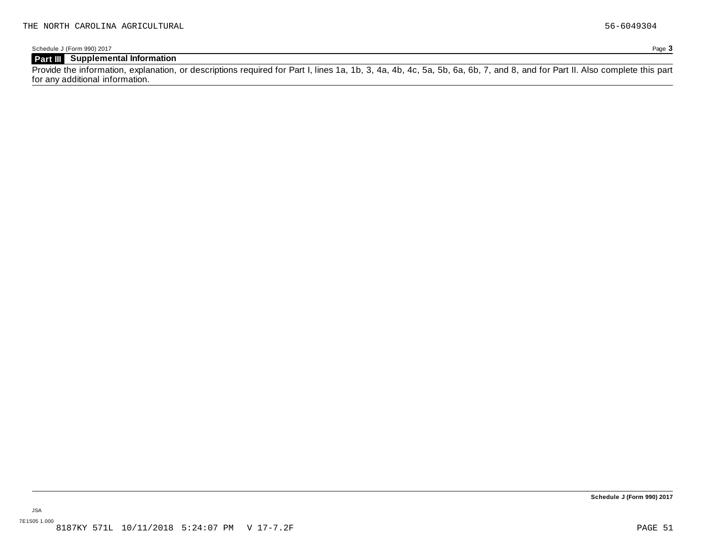### **Part III Supplemental Information**

Provide the information, explanation, or descriptions required for Part I, lines 1a, 1b, 3, 4a, 4b, 4c, 5a, 5b, 6a, 6b, 7, and 8, and for Part II. Also complete this part for any additional information.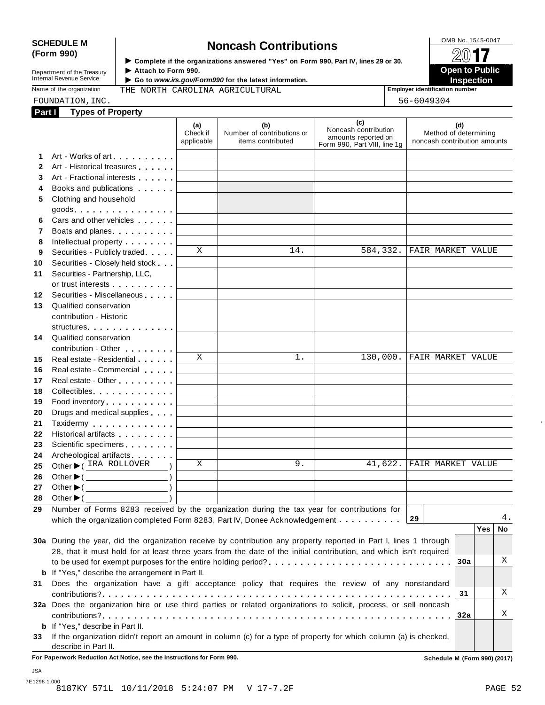# SCHEDULE M<br> **SCHEDULE M SCHEDULE M SCHEDULE M Noncash Contributions**<br> **SCHEDULE M None All <b>non- SCHEDULE M SCHEDULE M SCHEDULE M SCHEDULE M SCHEDULE M SCHEDULE M SCHEDULE M SC**

**Department of the Treasury<br>Internal Revenue Service** 

**Examplete** if the organizations answered "Yes" on Form 990, Part Ⅳ, lines 29 or 30. 
<br>● Attach to Form 990. **Department of the Treasury** ▶ Attach to Form 990.<br>Internal Revenue Service ▶ Go to *www.irs.gov/Form990* for the latest information.<br>Nome of the organization and **I France Inspection** 

### Name of the organization **Employer identification number** THE NORTH CAROLINA AGRICULTURAL FOUNDATION, INC. 56-6049304

| Part I | <b>Types of Property</b>                                                                                                                                                                                                      |                               |                                                        |                                                                                    |                                                              |
|--------|-------------------------------------------------------------------------------------------------------------------------------------------------------------------------------------------------------------------------------|-------------------------------|--------------------------------------------------------|------------------------------------------------------------------------------------|--------------------------------------------------------------|
|        |                                                                                                                                                                                                                               | (a)<br>Check if<br>applicable | (b)<br>Number of contributions or<br>items contributed | (c)<br>Noncash contribution<br>amounts reported on<br>Form 990, Part VIII, line 1g | (d)<br>Method of determining<br>noncash contribution amounts |
| 1      | Art - Works of art                                                                                                                                                                                                            |                               |                                                        |                                                                                    |                                                              |
| 2      | Art - Historical treasures                                                                                                                                                                                                    |                               |                                                        |                                                                                    |                                                              |
| 3      | Art - Fractional interests                                                                                                                                                                                                    |                               |                                                        |                                                                                    |                                                              |
| 4      | Books and publications <b>contains</b>                                                                                                                                                                                        |                               |                                                        |                                                                                    |                                                              |
| 5      | Clothing and household                                                                                                                                                                                                        |                               |                                                        |                                                                                    |                                                              |
|        | $goods.$                                                                                                                                                                                                                      |                               |                                                        |                                                                                    |                                                              |
| 6      | Cars and other vehicles [100]                                                                                                                                                                                                 |                               |                                                        |                                                                                    |                                                              |
| 7      | Boats and planes                                                                                                                                                                                                              |                               |                                                        |                                                                                    |                                                              |
| 8      | Intellectual property                                                                                                                                                                                                         |                               |                                                        |                                                                                    |                                                              |
| 9      | Securities - Publicly traded                                                                                                                                                                                                  | X                             | 14.                                                    | 584,332.                                                                           | FAIR MARKET VALUE                                            |
| 10     | Securities - Closely held stock                                                                                                                                                                                               |                               |                                                        |                                                                                    |                                                              |
| 11     | Securities - Partnership, LLC,                                                                                                                                                                                                |                               |                                                        |                                                                                    |                                                              |
|        | or trust interests [1] and the set of the set of the set of the set of the set of the set of the set of the set of the set of the set of the set of the set of the set of the set of the set of the set of the set of the set |                               |                                                        |                                                                                    |                                                              |
| 12     | Securities - Miscellaneous                                                                                                                                                                                                    |                               |                                                        |                                                                                    |                                                              |
| 13     | Qualified conservation                                                                                                                                                                                                        |                               |                                                        |                                                                                    |                                                              |
|        | contribution - Historic                                                                                                                                                                                                       |                               |                                                        |                                                                                    |                                                              |
|        | structures                                                                                                                                                                                                                    |                               |                                                        |                                                                                    |                                                              |
| 14     | Qualified conservation                                                                                                                                                                                                        |                               |                                                        |                                                                                    |                                                              |
|        | contribution - Other <b>Canadian Contribution</b>                                                                                                                                                                             |                               |                                                        |                                                                                    |                                                              |
| 15     | Real estate - Residential                                                                                                                                                                                                     | X                             | $1$ .                                                  |                                                                                    | 130,000. FAIR MARKET VALUE                                   |
| 16     | Real estate - Commercial                                                                                                                                                                                                      |                               |                                                        |                                                                                    |                                                              |
| 17     | Real estate - Other                                                                                                                                                                                                           |                               |                                                        |                                                                                    |                                                              |
| 18     | Collectibles.                                                                                                                                                                                                                 |                               |                                                        |                                                                                    |                                                              |
| 19     | Food inventory                                                                                                                                                                                                                |                               |                                                        |                                                                                    |                                                              |
| 20     | Drugs and medical supplies                                                                                                                                                                                                    |                               |                                                        |                                                                                    |                                                              |
| 21     | Taxidermy Particular and Taxidermy                                                                                                                                                                                            |                               |                                                        |                                                                                    |                                                              |
| 22     | Historical artifacts <b>All Accords</b>                                                                                                                                                                                       |                               |                                                        |                                                                                    |                                                              |
| 23     | Scientific specimens <b>Scientific specimens</b>                                                                                                                                                                              |                               |                                                        |                                                                                    |                                                              |
| 24     | Archeological artifacts                                                                                                                                                                                                       |                               |                                                        |                                                                                    |                                                              |
| 25     | Other C IRA ROLLOVER                                                                                                                                                                                                          | X                             | 9.                                                     | 41,622.                                                                            | <b>FAIR MARKET VALUE</b>                                     |
| 26     |                                                                                                                                                                                                                               |                               |                                                        |                                                                                    |                                                              |
| 27     | Other $\blacktriangleright$ ( $\_\_\_\_\_\_\_\_$ )                                                                                                                                                                            |                               |                                                        |                                                                                    |                                                              |
| 28     | Other $\blacktriangleright$ (<br><u> 1989 - Johann Barnett, fransk politiker (</u>                                                                                                                                            |                               |                                                        |                                                                                    |                                                              |
| 29     | Number of Forms 8283 received by the organization during the tax year for contributions for                                                                                                                                   |                               |                                                        |                                                                                    |                                                              |
|        | which the organization completed Form 8283, Part IV, Donee Acknowledgement                                                                                                                                                    |                               |                                                        |                                                                                    | 4.<br>29                                                     |
|        |                                                                                                                                                                                                                               |                               |                                                        |                                                                                    | <b>Yes</b><br>No                                             |
|        | 30a During the year, did the organization receive by contribution any property reported in Part I, lines 1 through                                                                                                            |                               |                                                        |                                                                                    |                                                              |
|        | 28, that it must hold for at least three years from the date of the initial contribution, and which isn't required                                                                                                            |                               |                                                        |                                                                                    | Χ                                                            |
|        |                                                                                                                                                                                                                               |                               |                                                        |                                                                                    | 30a                                                          |
|        | b If "Yes," describe the arrangement in Part II.                                                                                                                                                                              |                               |                                                        |                                                                                    |                                                              |
| 31     | Does the organization have a gift acceptance policy that requires the review of any nonstandard                                                                                                                               |                               |                                                        |                                                                                    |                                                              |
|        |                                                                                                                                                                                                                               |                               |                                                        |                                                                                    | Χ<br>31                                                      |
|        | 32a Does the organization hire or use third parties or related organizations to solicit, process, or sell noncash                                                                                                             |                               |                                                        |                                                                                    | Χ                                                            |
|        |                                                                                                                                                                                                                               |                               |                                                        |                                                                                    | 32a                                                          |
|        | <b>b</b> If "Yes," describe in Part II.                                                                                                                                                                                       |                               |                                                        |                                                                                    |                                                              |
| 33     | If the organization didn't report an amount in column (c) for a type of property for which column (a) is checked,                                                                                                             |                               |                                                        |                                                                                    |                                                              |
|        | describe in Part II.<br>For Paperwork Reduction Act Notice, see the Instructions for Form 990.                                                                                                                                |                               |                                                        |                                                                                    | Schedule M (Form 990) (2017)                                 |

JSA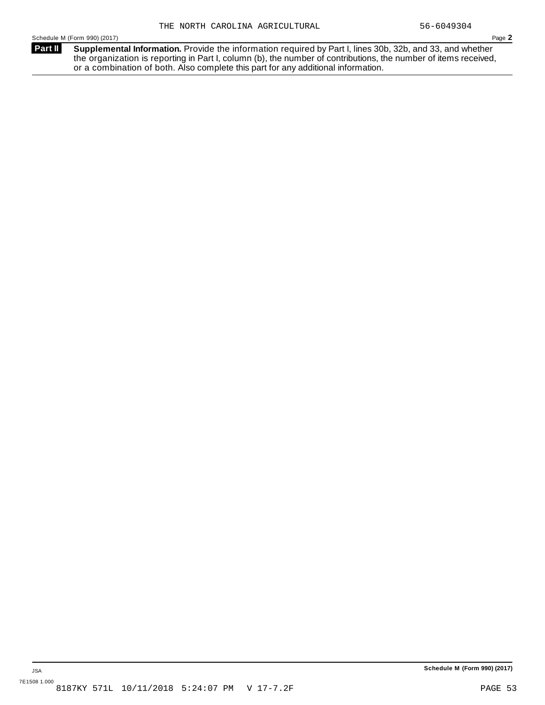**Supplemental Information.** Provide the information required by Part I, lines 30b, 32b, and 33, and whether the organization is reporting in Part I, column (b), the number of contributions, the number of items received, or a combination of both. Also complete this part for any additional information. **Part II**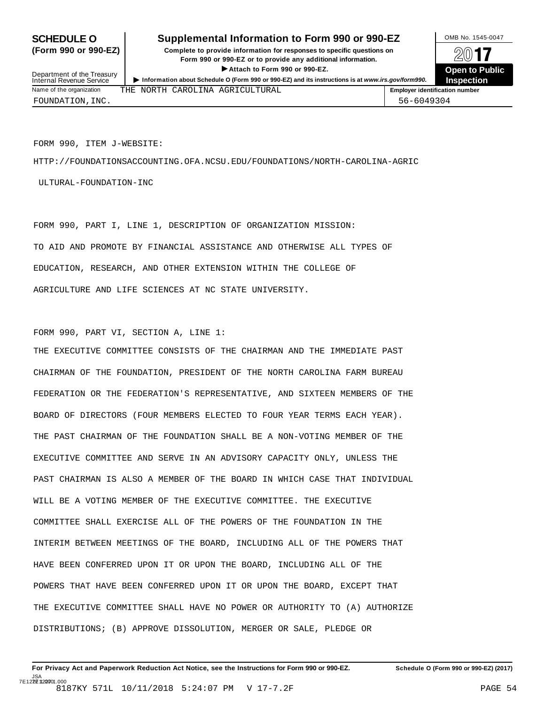### **SCHEDULE O** Supplemental Information to Form 990 or 990-EZ DMB No. 1545-0047

**(Form 990 or 990-EZ) Complete to provide information for responses to specific questions on** plete to provide information for responses to specific questions on  $\Box$   $\Box$   $\Box$ **EXECTED TO PUBLIC 2012 CONSIDER**<br> **EXECTED EXECTED COPEN COPEN COPEN COPEN COPEN COPEN COPEN COPEN COPEN COPEN COPEN COPEN COPEN COPEN COPEN COPEN COPEN COPEN COPEN COPEN C** 



Department of the Treasury<br>Internal Revenue Service FOUNDATION,INC. 56-6049304

FORM 990, ITEM J-WEBSITE:

HTTP://FOUNDATIONSACCOUNTING.OFA.NCSU.EDU/FOUNDATIONS/NORTH-CAROLINA-AGRIC

ULTURAL-FOUNDATION-INC

FORM 990, PART I, LINE 1, DESCRIPTION OF ORGANIZATION MISSION: TO AID AND PROMOTE BY FINANCIAL ASSISTANCE AND OTHERWISE ALL TYPES OF EDUCATION, RESEARCH, AND OTHER EXTENSION WITHIN THE COLLEGE OF AGRICULTURE AND LIFE SCIENCES AT NC STATE UNIVERSITY.

FORM 990, PART VI, SECTION A, LINE 1:

THE EXECUTIVE COMMITTEE CONSISTS OF THE CHAIRMAN AND THE IMMEDIATE PAST CHAIRMAN OF THE FOUNDATION, PRESIDENT OF THE NORTH CAROLINA FARM BUREAU FEDERATION OR THE FEDERATION'S REPRESENTATIVE, AND SIXTEEN MEMBERS OF THE BOARD OF DIRECTORS (FOUR MEMBERS ELECTED TO FOUR YEAR TERMS EACH YEAR). THE PAST CHAIRMAN OF THE FOUNDATION SHALL BE A NON-VOTING MEMBER OF THE EXECUTIVE COMMITTEE AND SERVE IN AN ADVISORY CAPACITY ONLY, UNLESS THE PAST CHAIRMAN IS ALSO A MEMBER OF THE BOARD IN WHICH CASE THAT INDIVIDUAL WILL BE A VOTING MEMBER OF THE EXECUTIVE COMMITTEE. THE EXECUTIVE COMMITTEE SHALL EXERCISE ALL OF THE POWERS OF THE FOUNDATION IN THE INTERIM BETWEEN MEETINGS OF THE BOARD, INCLUDING ALL OF THE POWERS THAT HAVE BEEN CONFERRED UPON IT OR UPON THE BOARD, INCLUDING ALL OF THE POWERS THAT HAVE BEEN CONFERRED UPON IT OR UPON THE BOARD, EXCEPT THAT THE EXECUTIVE COMMITTEE SHALL HAVE NO POWER OR AUTHORITY TO (A) AUTHORIZE DISTRIBUTIONS; (B) APPROVE DISSOLUTION, MERGER OR SALE, PLEDGE OR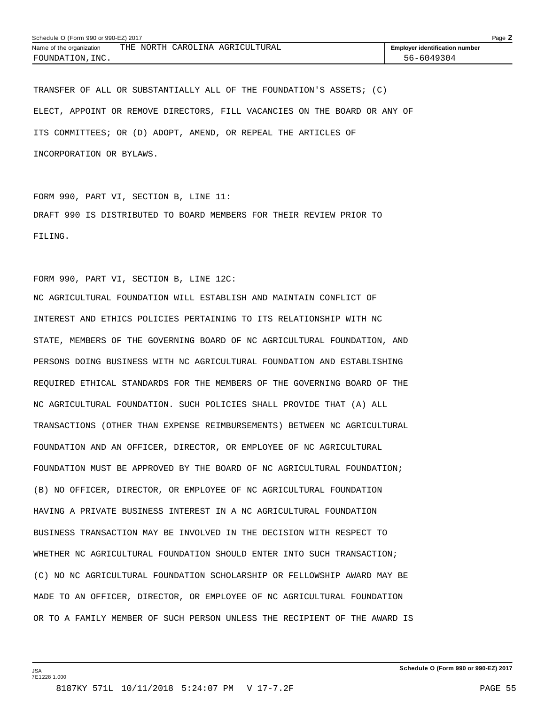| Schedule O (Form 990 or 990-EZ) 2017 |  |  |  |                                 | Page $\lambda$                        |  |
|--------------------------------------|--|--|--|---------------------------------|---------------------------------------|--|
| Name of the organization             |  |  |  | THE NORTH CAROLINA AGRICULTURAL | <b>Employer identification number</b> |  |
| FOUNDATION, INC.                     |  |  |  |                                 | 56-6049304                            |  |

TRANSFER OF ALL OR SUBSTANTIALLY ALL OF THE FOUNDATION'S ASSETS; (C) ELECT, APPOINT OR REMOVE DIRECTORS, FILL VACANCIES ON THE BOARD OR ANY OF ITS COMMITTEES; OR (D) ADOPT, AMEND, OR REPEAL THE ARTICLES OF INCORPORATION OR BYLAWS.

FORM 990, PART VI, SECTION B, LINE 11: DRAFT 990 IS DISTRIBUTED TO BOARD MEMBERS FOR THEIR REVIEW PRIOR TO FILING.

FORM 990, PART VI, SECTION B, LINE 12C:

NC AGRICULTURAL FOUNDATION WILL ESTABLISH AND MAINTAIN CONFLICT OF INTEREST AND ETHICS POLICIES PERTAINING TO ITS RELATIONSHIP WITH NC STATE, MEMBERS OF THE GOVERNING BOARD OF NC AGRICULTURAL FOUNDATION, AND PERSONS DOING BUSINESS WITH NC AGRICULTURAL FOUNDATION AND ESTABLISHING REQUIRED ETHICAL STANDARDS FOR THE MEMBERS OF THE GOVERNING BOARD OF THE NC AGRICULTURAL FOUNDATION. SUCH POLICIES SHALL PROVIDE THAT (A) ALL TRANSACTIONS (OTHER THAN EXPENSE REIMBURSEMENTS) BETWEEN NC AGRICULTURAL FOUNDATION AND AN OFFICER, DIRECTOR, OR EMPLOYEE OF NC AGRICULTURAL FOUNDATION MUST BE APPROVED BY THE BOARD OF NC AGRICULTURAL FOUNDATION; (B) NO OFFICER, DIRECTOR, OR EMPLOYEE OF NC AGRICULTURAL FOUNDATION HAVING A PRIVATE BUSINESS INTEREST IN A NC AGRICULTURAL FOUNDATION BUSINESS TRANSACTION MAY BE INVOLVED IN THE DECISION WITH RESPECT TO WHETHER NC AGRICULTURAL FOUNDATION SHOULD ENTER INTO SUCH TRANSACTION; (C) NO NC AGRICULTURAL FOUNDATION SCHOLARSHIP OR FELLOWSHIP AWARD MAY BE MADE TO AN OFFICER, DIRECTOR, OR EMPLOYEE OF NC AGRICULTURAL FOUNDATION OR TO A FAMILY MEMBER OF SUCH PERSON UNLESS THE RECIPIENT OF THE AWARD IS

**Schedule O (Form 990 or 990-EZ) 2017**

JSA 7E1228 1.000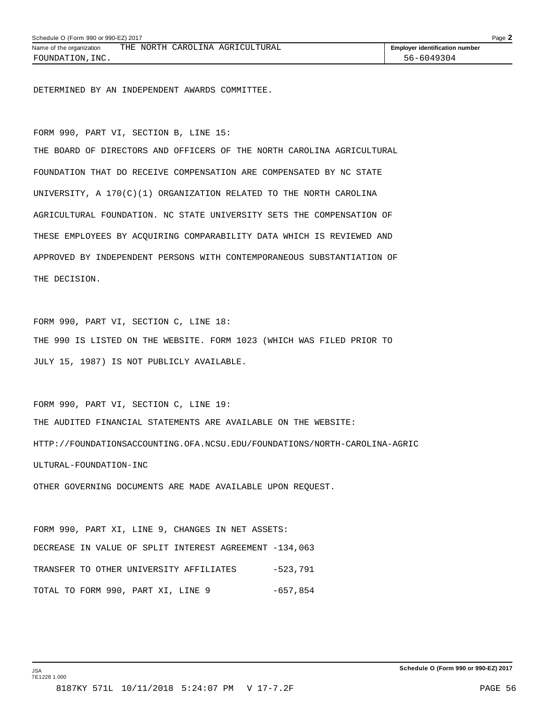DETERMINED BY AN INDEPENDENT AWARDS COMMITTEE.

FORM 990, PART VI, SECTION B, LINE 15:

THE BOARD OF DIRECTORS AND OFFICERS OF THE NORTH CAROLINA AGRICULTURAL FOUNDATION THAT DO RECEIVE COMPENSATION ARE COMPENSATED BY NC STATE UNIVERSITY, A 170(C)(1) ORGANIZATION RELATED TO THE NORTH CAROLINA AGRICULTURAL FOUNDATION. NC STATE UNIVERSITY SETS THE COMPENSATION OF THESE EMPLOYEES BY ACQUIRING COMPARABILITY DATA WHICH IS REVIEWED AND APPROVED BY INDEPENDENT PERSONS WITH CONTEMPORANEOUS SUBSTANTIATION OF THE DECISION.

FORM 990, PART VI, SECTION C, LINE 18: THE 990 IS LISTED ON THE WEBSITE. FORM 1023 (WHICH WAS FILED PRIOR TO JULY 15, 1987) IS NOT PUBLICLY AVAILABLE.

FORM 990, PART VI, SECTION C, LINE 19: THE AUDITED FINANCIAL STATEMENTS ARE AVAILABLE ON THE WEBSITE: HTTP://FOUNDATIONSACCOUNTING.OFA.NCSU.EDU/FOUNDATIONS/NORTH-CAROLINA-AGRIC ULTURAL-FOUNDATION-INC

OTHER GOVERNING DOCUMENTS ARE MADE AVAILABLE UPON REQUEST.

FORM 990, PART XI, LINE 9, CHANGES IN NET ASSETS: DECREASE IN VALUE OF SPLIT INTEREST AGREEMENT -134,063 TRANSFER TO OTHER UNIVERSITY AFFILIATES -523,791 TOTAL TO FORM 990, PART XI, LINE 9 -657,854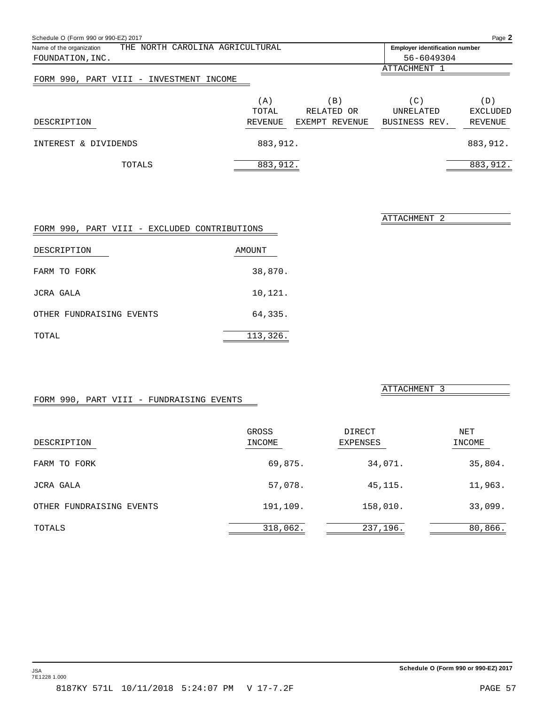<span id="page-57-0"></span>

| Schedule O (Form 990 or 990-EZ) 2017                        |                                       |                |               | Page 2          |
|-------------------------------------------------------------|---------------------------------------|----------------|---------------|-----------------|
| THE NORTH CAROLINA AGRICULTURAL<br>Name of the organization | <b>Employer identification number</b> |                |               |                 |
| FOUNDATION, INC.                                            |                                       |                | 56-6049304    |                 |
|                                                             |                                       |                | ATTACHMENT 1  |                 |
| FORM 990, PART VIII - INVESTMENT INCOME                     |                                       |                |               |                 |
|                                                             | (A)                                   | B)             | (C)           | (D)             |
|                                                             | TOTAL                                 | RELATED OR     | UNRELATED     | <b>EXCLUDED</b> |
| DESCRIPTION                                                 | REVENUE                               | EXEMPT REVENUE | BUSINESS REV. | REVENUE         |
| INTEREST & DIVIDENDS                                        | 883,912.                              |                |               | 883,912.        |
| TOTALS                                                      | 883,912.                              |                |               | 883,912.        |

| FORM 990, PART VIII - EXCLUDED CONTRIBUTIONS |          |
|----------------------------------------------|----------|
| DESCRIPTION                                  | AMOUNT   |
| FARM TO FORK                                 | 38,870.  |
| JCRA GALA                                    | 10,121.  |
| OTHER FUNDRAISING EVENTS                     | 64,335.  |
| TOTAL                                        | 113,326. |

ATTACHMENT 3

ATTACHMENT 2

### FORM 990, PART VIII - FUNDRAISING EVENTS

| DESCRIPTION              | GROSS<br>INCOME | DIRECT<br><b>EXPENSES</b> | NET<br>INCOME |
|--------------------------|-----------------|---------------------------|---------------|
| FARM TO FORK             | 69,875.         | 34,071.                   | 35,804.       |
| JCRA GALA                | 57,078.         | 45,115.                   | 11,963.       |
| OTHER FUNDRAISING EVENTS | 191,109.        | 158,010.                  | 33,099.       |
| TOTALS                   | 318,062.        | 237,196.                  | 80,866.       |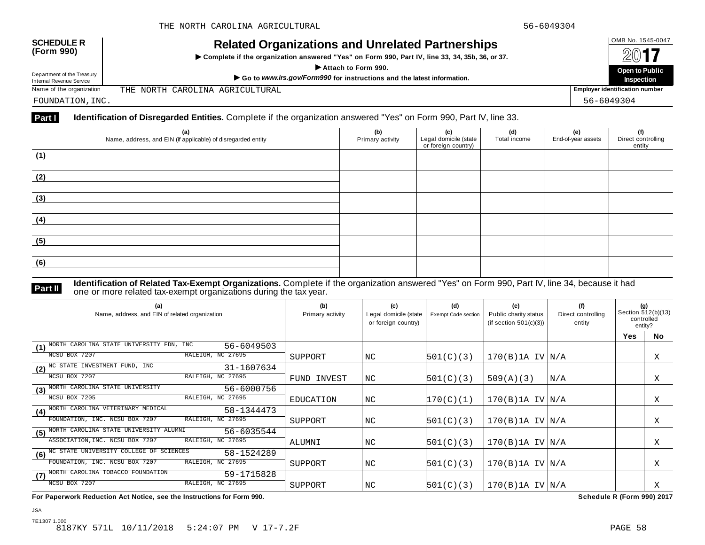| <b>SCHEDULE R</b> |  |
|-------------------|--|
| (Form 990)        |  |

Department of the Treasury

# OMB No. 1545-0047 **SCHEDULE R (Form 990) Related Organizations and Unrelated Partnerships**

 $\triangleright$  Complete if the organization answered "Yes" on Form 990, Part IV, line 33, 34, 35b, 36, or 37.



THE NORTH CAROLINA AGRICULTURAL

FOUNDATION,INC. 56-6049304

### **Part I Identification of Disregarded Entities.** Complete if the organization answered "Yes" on Form 990, Part IV, line 33.

| (a)<br>Name, address, and EIN (if applicable) of disregarded entity | (b)<br>Primary activity | (c)<br>Legal domicile (state | (d)<br>Total income | (e)<br>End-of-year assets | (f)<br>Direct controlling |
|---------------------------------------------------------------------|-------------------------|------------------------------|---------------------|---------------------------|---------------------------|
|                                                                     |                         | or foreign country)          |                     |                           | entity                    |
| (1)                                                                 |                         |                              |                     |                           |                           |
|                                                                     |                         |                              |                     |                           |                           |
| (2)                                                                 |                         |                              |                     |                           |                           |
|                                                                     |                         |                              |                     |                           |                           |
| (3)                                                                 |                         |                              |                     |                           |                           |
|                                                                     |                         |                              |                     |                           |                           |
| (4)                                                                 |                         |                              |                     |                           |                           |
|                                                                     |                         |                              |                     |                           |                           |
| (5)                                                                 |                         |                              |                     |                           |                           |
|                                                                     |                         |                              |                     |                           |                           |
| (6)                                                                 |                         |                              |                     |                           |                           |
|                                                                     |                         |                              |                     |                           |                           |

JSA

**Identification of Related Tax-Exempt Organizations.** Complete if the organization answered "Yes" on Form 990, Part IV, line 34, because it had **Part II** one or more related tax-exempt organizations during the tax year.

| (a)<br>Name, address, and EIN of related organization         | (b)<br>Primary activity | (c)<br>Legal domicile (state<br>or foreign country) | (d)<br>Exempt Code section | (e)<br>Public charity status<br>(if section $501(c)(3)$ ) | (f)<br>Direct controlling<br>entity | (g)<br>Section 512(b)(13)<br>controlled<br>entity? |           |
|---------------------------------------------------------------|-------------------------|-----------------------------------------------------|----------------------------|-----------------------------------------------------------|-------------------------------------|----------------------------------------------------|-----------|
|                                                               |                         |                                                     |                            |                                                           |                                     | <b>Yes</b>                                         | <b>No</b> |
| NORTH CAROLINA STATE UNIVERSITY FDN, INC<br>56-6049503<br>(1) |                         |                                                     |                            |                                                           |                                     |                                                    |           |
| RALEIGH, NC 27695<br>NCSU BOX 7207                            | SUPPORT                 | NC                                                  | 501(C)(3)                  | $170(B)$ 1A IV $N/A$                                      |                                     |                                                    | Χ         |
| NC STATE INVESTMENT FUND, INC<br>31-1607634<br>(2)            |                         |                                                     |                            |                                                           |                                     |                                                    |           |
| RALEIGH, NC 27695<br>NCSU BOX 7207                            | FUND INVEST             | ΝC                                                  | 501(C)(3)                  | 509(A)(3)                                                 | N/A                                 |                                                    | Χ         |
| NORTH CAROLINA STATE UNIVERSITY<br>56-6000756<br>(3)          |                         |                                                     |                            |                                                           |                                     |                                                    |           |
| RALEIGH, NC 27695<br>NCSU BOX 7205                            | EDUCATION               | NC                                                  | 170(C)(1)                  | $170(B)$ 1A IV $N/A$                                      |                                     |                                                    | X         |
| NORTH CAROLINA VETERINARY MEDICAL<br>58-1344473<br>(4)        |                         |                                                     |                            |                                                           |                                     |                                                    |           |
| RALEIGH, NC 27695<br>FOUNDATION, INC. NCSU BOX 7207           | SUPPORT                 | NC                                                  | 501(C)(3)                  | $170(B)$ 1A IV $N/A$                                      |                                     |                                                    | Χ         |
| NORTH CAROLINA STATE UNIVERSITY ALUMNI<br>56-6035544<br>(5)   |                         |                                                     |                            |                                                           |                                     |                                                    |           |
| ASSOCIATION, INC. NCSU BOX 7207<br>RALEIGH, NC 27695          | ALUMNI                  | ΝC                                                  | 501(C)(3)                  | $170(B)$ 1A IV $ N/A$                                     |                                     |                                                    | Χ         |
| (6) NC STATE UNIVERSITY COLLEGE OF SCIENCES<br>58-1524289     |                         |                                                     |                            |                                                           |                                     |                                                    |           |
| FOUNDATION, INC. NCSU BOX 7207<br>RALEIGH, NC 27695           | SUPPORT                 | ΝC                                                  | 501(C)(3)                  | $170(B)$ 1A IV $ N/A$                                     |                                     |                                                    | X         |
| (7) NORTH CAROLINA TOBACCO FOUNDATION<br>59-1715828           |                         |                                                     |                            |                                                           |                                     |                                                    |           |
| NCSU BOX 7207<br>RALEIGH, NC 27695                            | SUPPORT                 | ΝC                                                  | 501(C)(3)                  | $170(B)$ 1A IV $ N/A$                                     |                                     |                                                    | Χ         |

**For Paperwork Reduction Act Notice, see the Instructions for Form 990. Schedule R (Form 990) 2017**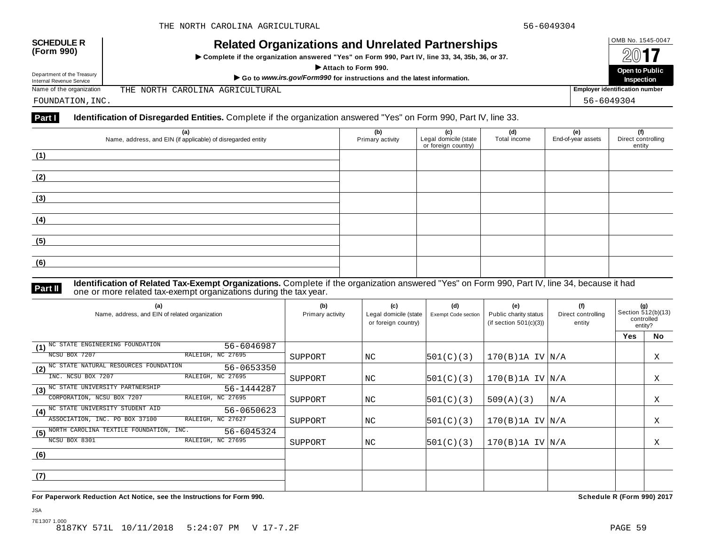| <b>SCHEDULE R</b> |  |
|-------------------|--|
| (Form 990)        |  |

# OMB No. 1545-0047 **SCHEDULE R (Form 990) Related Organizations and Unrelated Partnerships**

 $\triangleright$  Complete if the organization answered "Yes" on Form 990, Part IV, line 33, 34, 35b, 36, or 37.



Department of the Treasury

THE NORTH CAROLINA AGRICULTURAL

FOUNDATION,INC. 56-6049304

### **Part I Identification of Disregarded Entities.** Complete if the organization answered "Yes" on Form 990, Part IV, line 33.

| (a)<br>Name, address, and EIN (if applicable) of disregarded entity | (b)<br>Primary activity | (c)<br>Legal domicile (state<br>or foreign country) | (d)<br>Total income | (e)<br>End-of-year assets | (f)<br>Direct controlling<br>entity |
|---------------------------------------------------------------------|-------------------------|-----------------------------------------------------|---------------------|---------------------------|-------------------------------------|
| (1)                                                                 |                         |                                                     |                     |                           |                                     |
| (2)                                                                 |                         |                                                     |                     |                           |                                     |
| (3)                                                                 |                         |                                                     |                     |                           |                                     |
| (4)                                                                 |                         |                                                     |                     |                           |                                     |
| (5)                                                                 |                         |                                                     |                     |                           |                                     |
| (6)                                                                 |                         |                                                     |                     |                           |                                     |

**Identification of Related Tax-Exempt Organizations.** Complete if the organization answered "Yes" on Form 990, Part IV, line 34, because it had **Part II** one or more related tax-exempt organizations during the tax year.

| (a)<br>Name, address, and EIN of related organization        | (b)<br>Primary activity | (c)<br>Legal domicile (state<br>or foreign country) | (d)<br><b>Exempt Code section</b> | (e)<br>Public charity status<br>(if section $501(c)(3)$ ) | (f)<br>Direct controlling<br>entity | (g)<br>Section 512(b)(13)<br>controlled<br>entity? |    |
|--------------------------------------------------------------|-------------------------|-----------------------------------------------------|-----------------------------------|-----------------------------------------------------------|-------------------------------------|----------------------------------------------------|----|
|                                                              |                         |                                                     |                                   |                                                           |                                     | Yes                                                | No |
| NC STATE ENGINEERING FOUNDATION<br>56-6046987<br>(1)         |                         |                                                     |                                   |                                                           |                                     |                                                    |    |
| RALEIGH, NC 27695<br>NCSU BOX 7207                           | SUPPORT                 | NC                                                  | 501(C)(3)                         | $170(B)$ 1A IV $N/A$                                      |                                     |                                                    | Χ  |
| (2) NC STATE NATURAL RESOURCES FOUNDATION<br>56-0653350      |                         |                                                     |                                   |                                                           |                                     |                                                    |    |
| RALEIGH, NC 27695<br>INC. NCSU BOX 7207                      | SUPPORT                 | NC.                                                 | 501(C)(3)                         | $170(B)$ 1A IV $N/A$                                      |                                     |                                                    | X  |
| (3) <sup>NC</sup> STATE UNIVERSITY PARTNERSHIP<br>56-1444287 |                         |                                                     |                                   |                                                           |                                     |                                                    |    |
| CORPORATION, NCSU BOX 7207<br>RALEIGH, NC 27695              | SUPPORT                 | NC                                                  | 501(C)(3)                         | 509(A)(3)                                                 | N/A                                 |                                                    | Χ  |
| (4) <sup>NC</sup> STATE UNIVERSITY STUDENT AID<br>56-0650623 |                         |                                                     |                                   |                                                           |                                     |                                                    |    |
| ASSOCIATION, INC. PO BOX 37100<br>RALEIGH, NC 27627          | SUPPORT                 | NC.                                                 | 501(C)(3)                         | $170(B)$ 1A IV $N/A$                                      |                                     |                                                    | X  |
| NORTH CAROLINA TEXTILE FOUNDATION, INC.<br>56-6045324<br>(5) |                         |                                                     |                                   |                                                           |                                     |                                                    |    |
| NCSU BOX 8301<br>RALEIGH, NC 27695                           | SUPPORT                 | NC                                                  | 501(C)(3)                         | $170(B)$ 1A IV $ N/A$                                     |                                     |                                                    | Χ  |
| (6)                                                          |                         |                                                     |                                   |                                                           |                                     |                                                    |    |
|                                                              |                         |                                                     |                                   |                                                           |                                     |                                                    |    |
| (7)                                                          |                         |                                                     |                                   |                                                           |                                     |                                                    |    |
|                                                              |                         |                                                     |                                   |                                                           |                                     |                                                    |    |

**For Paperwork Reduction Act Notice, see the Instructions for Form 990. Schedule R (Form 990) 2017**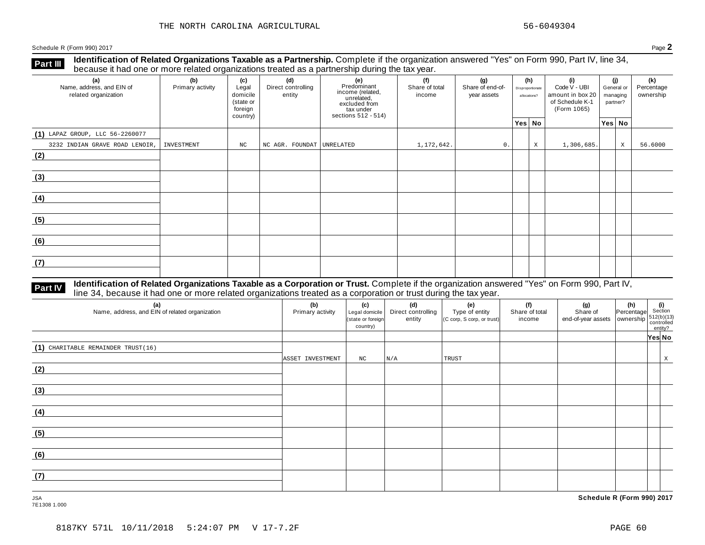**Identification of Related Organizations Taxable as a Partnership.** Complete if the organization answered "Yes" on Form 990, Part IV, line 34, **because it had one or more related organizations Taxable as a Partnership.** Complete it the organization of Recause it had one or more related organizations treated as a partnership during the tax year.

| (a)<br>Name, address, and EIN of<br>related organization | (b)<br>Primary activity | (c)<br>Legal<br>domicile<br>(state or<br>foreign<br>country) | (d)<br>Direct controlling<br>entity | (e)<br>Predominant<br>income (related,<br>unrelated,<br>excluded from<br>tax under<br>sections 512 - 514) | (f)<br>Share of total<br>income | (g)<br>Share of end-of-<br>year assets | (h)<br>Disproportionate<br>allocations? |   | (i)<br>Code V - UBI<br>amount in box 20<br>of Schedule K-1<br>(Form 1065) | (i)<br>General or<br>managing<br>partner? |             | (k)<br>Percentage<br>ownership |
|----------------------------------------------------------|-------------------------|--------------------------------------------------------------|-------------------------------------|-----------------------------------------------------------------------------------------------------------|---------------------------------|----------------------------------------|-----------------------------------------|---|---------------------------------------------------------------------------|-------------------------------------------|-------------|--------------------------------|
|                                                          |                         |                                                              |                                     |                                                                                                           |                                 |                                        | Yes No                                  |   |                                                                           |                                           | Yes No      |                                |
| $(1)$ LAPAZ GROUP, LLC 56-2260077                        |                         |                                                              |                                     |                                                                                                           |                                 |                                        |                                         |   |                                                                           |                                           |             |                                |
| 3232 INDIAN GRAVE ROAD LENOIR,                           | INVESTMENT              | $_{\rm NC}$                                                  | NC AGR. FOUNDAT UNRELATED           |                                                                                                           | 1,172,642.                      | 0.                                     |                                         | X | 1,306,685.                                                                |                                           | $\mathbf X$ | 56.6000                        |
| (2)                                                      |                         |                                                              |                                     |                                                                                                           |                                 |                                        |                                         |   |                                                                           |                                           |             |                                |
| (3)                                                      |                         |                                                              |                                     |                                                                                                           |                                 |                                        |                                         |   |                                                                           |                                           |             |                                |
| (4)                                                      |                         |                                                              |                                     |                                                                                                           |                                 |                                        |                                         |   |                                                                           |                                           |             |                                |
| (5)                                                      |                         |                                                              |                                     |                                                                                                           |                                 |                                        |                                         |   |                                                                           |                                           |             |                                |
| (6)                                                      |                         |                                                              |                                     |                                                                                                           |                                 |                                        |                                         |   |                                                                           |                                           |             |                                |
| (7)                                                      |                         |                                                              |                                     |                                                                                                           |                                 |                                        |                                         |   |                                                                           |                                           |             |                                |

### **Identification of Related Organizations Taxable as a Corporation or Trust.** Complete if the organization answered "Yes" on Form 990, Part IV, **Part IV** dentification of Related Organizations Taxable as a Corporation or Trust. Complete if the organization answer line 34, because it had one or more related organizations treated as a corporation or trust during the

| (a)<br>Name, address, and EIN of related organization | (b)<br>Primary activity | (c)<br>Legal domicile<br>(state or foreign<br>country) | (d)<br>Direct controlling<br>entity | (e)<br>Type of entity<br>(C corp, S corp, or trust) | (f)<br>Share of total<br>income | (g)<br>Share of<br>Share or $\begin{bmatrix} 512(b)(13) \\ 0 \end{bmatrix}$ and-of-year assets ownership $\begin{bmatrix} 512(b)(13) \\ 0 \end{bmatrix}$ | (h) (i)<br>Percentage Section | entity? |   |
|-------------------------------------------------------|-------------------------|--------------------------------------------------------|-------------------------------------|-----------------------------------------------------|---------------------------------|----------------------------------------------------------------------------------------------------------------------------------------------------------|-------------------------------|---------|---|
|                                                       |                         |                                                        |                                     |                                                     |                                 |                                                                                                                                                          |                               | Yes No  |   |
| (1) CHARITABLE REMAINDER TRUST(16)                    | ASSET INVESTMENT        | NC                                                     | N/A                                 | TRUST                                               |                                 |                                                                                                                                                          |                               |         | X |
| (2)                                                   |                         |                                                        |                                     |                                                     |                                 |                                                                                                                                                          |                               |         |   |
| (3)                                                   |                         |                                                        |                                     |                                                     |                                 |                                                                                                                                                          |                               |         |   |
| (4)                                                   |                         |                                                        |                                     |                                                     |                                 |                                                                                                                                                          |                               |         |   |
| (5)                                                   |                         |                                                        |                                     |                                                     |                                 |                                                                                                                                                          |                               |         |   |
| (6)                                                   |                         |                                                        |                                     |                                                     |                                 |                                                                                                                                                          |                               |         |   |
| (7)                                                   |                         |                                                        |                                     |                                                     |                                 |                                                                                                                                                          |                               |         |   |

7E1308 1.000

JSA **Schedule R (Form 990) 2017**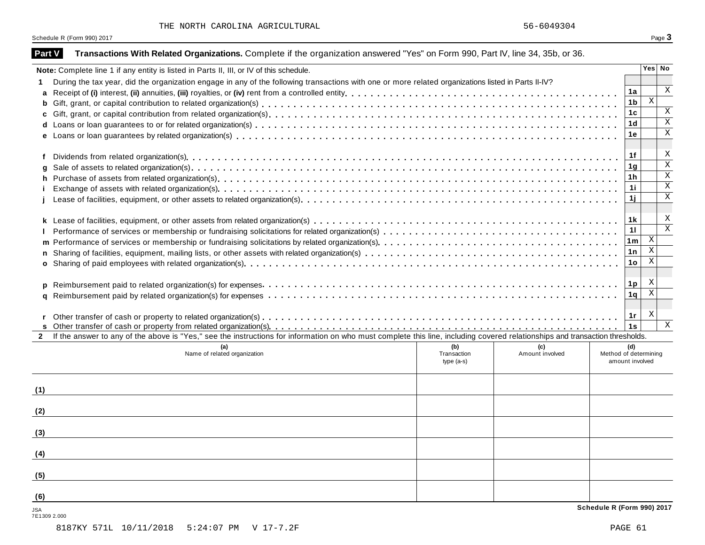| <b>Part V</b> | Transactions With Related Organizations. Complete if the organization answered "Yes" on Form 990, Part IV, line 34, 35b, or 36.                                              |             |                 |                            |                                                      |                              |
|---------------|------------------------------------------------------------------------------------------------------------------------------------------------------------------------------|-------------|-----------------|----------------------------|------------------------------------------------------|------------------------------|
|               | Note: Complete line 1 if any entity is listed in Parts II, III, or IV of this schedule.                                                                                      |             |                 |                            | Yes No                                               |                              |
|               | During the tax year, did the organization engage in any of the following transactions with one or more related organizations listed in Parts II-IV?                          |             |                 |                            |                                                      |                              |
| a             |                                                                                                                                                                              |             |                 | 1a                         |                                                      | Χ                            |
| b             |                                                                                                                                                                              |             |                 | 1 <sub>b</sub>             | $\boldsymbol{\mathrm{X}}$                            |                              |
| c             |                                                                                                                                                                              |             |                 | 1 <sub>c</sub>             |                                                      | $\mathbf X$                  |
| d             |                                                                                                                                                                              |             |                 | 1 <sub>d</sub>             |                                                      | $\mathbf X$                  |
|               |                                                                                                                                                                              |             |                 | 1e                         |                                                      | $\mathbf X$                  |
|               |                                                                                                                                                                              |             |                 |                            |                                                      |                              |
| f             |                                                                                                                                                                              |             |                 | 1f                         |                                                      | Χ                            |
| a             |                                                                                                                                                                              |             |                 | 1 <sub>g</sub>             |                                                      | $\overline{\mathbf{x}}$      |
| h             |                                                                                                                                                                              |             |                 | 1 <sub>h</sub>             |                                                      | $\mathbf X$                  |
|               |                                                                                                                                                                              |             |                 | 1i                         |                                                      | $\mathbf X$                  |
|               |                                                                                                                                                                              |             |                 | 1j                         |                                                      | $\mathbf X$                  |
|               |                                                                                                                                                                              |             |                 |                            |                                                      |                              |
|               |                                                                                                                                                                              |             |                 | 1 k                        |                                                      | Χ<br>$\overline{\mathbf{x}}$ |
|               |                                                                                                                                                                              |             |                 | 11                         |                                                      |                              |
| m             |                                                                                                                                                                              |             |                 | 1 <sub>m</sub>             | $\boldsymbol{\mathrm{X}}$<br>$\overline{\mathbf{x}}$ |                              |
|               |                                                                                                                                                                              |             |                 | 1n                         | $\,$ X                                               |                              |
|               |                                                                                                                                                                              |             |                 | 1 <sub>o</sub>             |                                                      |                              |
|               |                                                                                                                                                                              |             |                 |                            | X                                                    |                              |
| <b>D</b>      |                                                                                                                                                                              |             |                 | 1 <sub>p</sub>             | $\mathbf X$                                          |                              |
| a             |                                                                                                                                                                              |             |                 | 1q                         |                                                      |                              |
|               |                                                                                                                                                                              |             |                 | 1r                         | X                                                    |                              |
|               |                                                                                                                                                                              |             |                 | 1s                         |                                                      | $\mathbf X$                  |
| $\mathbf{2}$  | If the answer to any of the above is "Yes," see the instructions for information on who must complete this line, including covered relationships and transaction thresholds. |             |                 |                            |                                                      |                              |
|               |                                                                                                                                                                              | (b)         | (c)             | (d)                        |                                                      |                              |
|               | Name of related organization                                                                                                                                                 | Transaction | Amount involved | Method of determining      |                                                      |                              |
|               |                                                                                                                                                                              | $type(a-s)$ |                 | amount involved            |                                                      |                              |
|               |                                                                                                                                                                              |             |                 |                            |                                                      |                              |
| (1)           |                                                                                                                                                                              |             |                 |                            |                                                      |                              |
|               |                                                                                                                                                                              |             |                 |                            |                                                      |                              |
| (2)           |                                                                                                                                                                              |             |                 |                            |                                                      |                              |
|               |                                                                                                                                                                              |             |                 |                            |                                                      |                              |
| (3)           |                                                                                                                                                                              |             |                 |                            |                                                      |                              |
|               |                                                                                                                                                                              |             |                 |                            |                                                      |                              |
| (4)           |                                                                                                                                                                              |             |                 |                            |                                                      |                              |
|               |                                                                                                                                                                              |             |                 |                            |                                                      |                              |
| (5)           |                                                                                                                                                                              |             |                 |                            |                                                      |                              |
|               |                                                                                                                                                                              |             |                 |                            |                                                      |                              |
| (6)           |                                                                                                                                                                              |             |                 |                            |                                                      |                              |
| <b>JSA</b>    |                                                                                                                                                                              |             |                 | Schedule R (Form 990) 2017 |                                                      |                              |

7E1309 2.000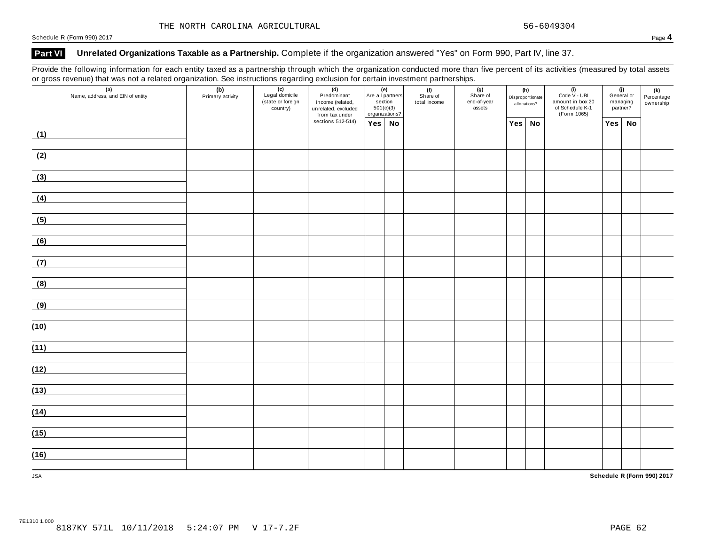### **Part VI Unrelated Organizations Taxable as a Partnership.** Complete if the organization answered "Yes" on Form 990, Part IV, line 37.

Provide the following information for each entity taxed as a partnership through which the organization conducted more than five percent of its activities (measured by total assets or gross revenue) that was not a related organization. See instructions regarding exclusion for certain investment partnerships.

| (a)<br>Name, address, and EIN of entity | 0. gloss referred, that has not a related erganization see motivations regarding explacement contain information partner on per<br>(c)<br>Legal domicile<br>(b)<br>Primary activity<br>(d)<br>(state or foreign<br>country) |  | Predominant<br>income (related,<br>unrelated, excluded<br>from tax under | (e)<br>Are all partners<br>section<br>$501(c)(3)$<br>organizations? |  | (f)<br>Share of<br>total income | (g)<br>Share of<br>end-of-year<br>assets | (h)<br>Disproportionate<br>allocations? |        | $(i)$<br>Code $\vee$ - UBI<br>amount in box 20<br>of Schedule K-1<br>(Form 1065) | (j)<br>General or<br>managing<br>partner? |    | (k)<br>Percentage<br>ownership |
|-----------------------------------------|-----------------------------------------------------------------------------------------------------------------------------------------------------------------------------------------------------------------------------|--|--------------------------------------------------------------------------|---------------------------------------------------------------------|--|---------------------------------|------------------------------------------|-----------------------------------------|--------|----------------------------------------------------------------------------------|-------------------------------------------|----|--------------------------------|
|                                         |                                                                                                                                                                                                                             |  | sections 512-514)                                                        | $Yes \mid No$                                                       |  |                                 |                                          |                                         | Yes No |                                                                                  | Yes                                       | No |                                |
| (1)                                     |                                                                                                                                                                                                                             |  |                                                                          |                                                                     |  |                                 |                                          |                                         |        |                                                                                  |                                           |    |                                |
| (2)                                     |                                                                                                                                                                                                                             |  |                                                                          |                                                                     |  |                                 |                                          |                                         |        |                                                                                  |                                           |    |                                |
| (3)                                     |                                                                                                                                                                                                                             |  |                                                                          |                                                                     |  |                                 |                                          |                                         |        |                                                                                  |                                           |    |                                |
| (4)                                     |                                                                                                                                                                                                                             |  |                                                                          |                                                                     |  |                                 |                                          |                                         |        |                                                                                  |                                           |    |                                |
| (5)                                     |                                                                                                                                                                                                                             |  |                                                                          |                                                                     |  |                                 |                                          |                                         |        |                                                                                  |                                           |    |                                |
| (6)                                     |                                                                                                                                                                                                                             |  |                                                                          |                                                                     |  |                                 |                                          |                                         |        |                                                                                  |                                           |    |                                |
| (7)                                     |                                                                                                                                                                                                                             |  |                                                                          |                                                                     |  |                                 |                                          |                                         |        |                                                                                  |                                           |    |                                |
| (8)                                     |                                                                                                                                                                                                                             |  |                                                                          |                                                                     |  |                                 |                                          |                                         |        |                                                                                  |                                           |    |                                |
| (9)                                     |                                                                                                                                                                                                                             |  |                                                                          |                                                                     |  |                                 |                                          |                                         |        |                                                                                  |                                           |    |                                |
| (10)                                    |                                                                                                                                                                                                                             |  |                                                                          |                                                                     |  |                                 |                                          |                                         |        |                                                                                  |                                           |    |                                |
| (11)                                    |                                                                                                                                                                                                                             |  |                                                                          |                                                                     |  |                                 |                                          |                                         |        |                                                                                  |                                           |    |                                |
| (12)                                    |                                                                                                                                                                                                                             |  |                                                                          |                                                                     |  |                                 |                                          |                                         |        |                                                                                  |                                           |    |                                |
| (13)                                    |                                                                                                                                                                                                                             |  |                                                                          |                                                                     |  |                                 |                                          |                                         |        |                                                                                  |                                           |    |                                |
| (14)                                    |                                                                                                                                                                                                                             |  |                                                                          |                                                                     |  |                                 |                                          |                                         |        |                                                                                  |                                           |    |                                |
| (15)                                    |                                                                                                                                                                                                                             |  |                                                                          |                                                                     |  |                                 |                                          |                                         |        |                                                                                  |                                           |    |                                |
| (16)                                    |                                                                                                                                                                                                                             |  |                                                                          |                                                                     |  |                                 |                                          |                                         |        |                                                                                  |                                           |    |                                |
| <b>JSA</b>                              |                                                                                                                                                                                                                             |  |                                                                          |                                                                     |  |                                 |                                          |                                         |        |                                                                                  |                                           |    | Schedule R (Form 990) 2017     |